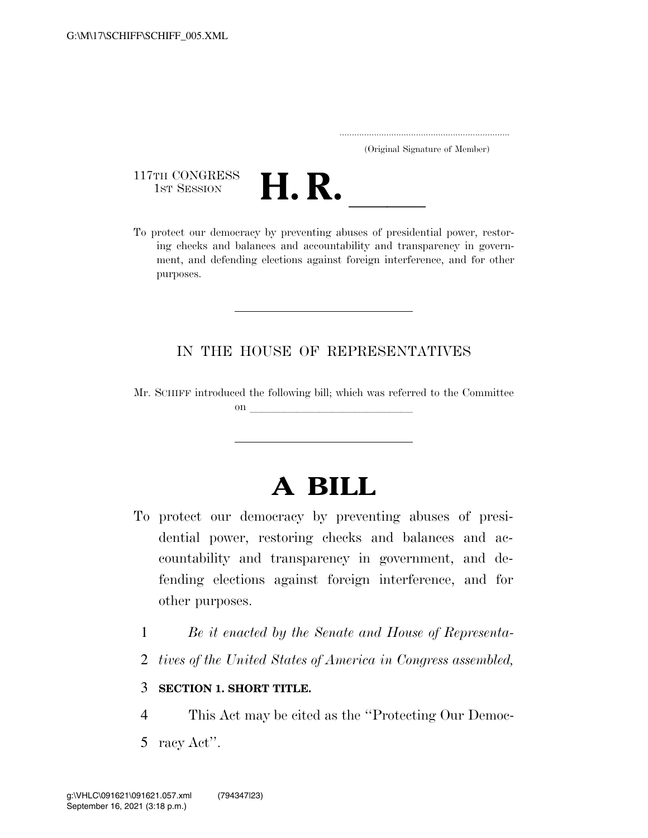| (Original Signature of Member) |  |
|--------------------------------|--|

117TH CONGRESS<br>1st Session



117TH CONGRESS<br>1st SESSION **H. R.** <u>Internative our democracy</u> by preventing abuses of presidential power, restoring checks and balances and accountability and transparency in government, and defending elections against foreign interference, and for other purposes.

## IN THE HOUSE OF REPRESENTATIVES

Mr. SCHIFF introduced the following bill; which was referred to the Committee on  $\overline{\qquad \qquad }$ 

# **A BILL**

- To protect our democracy by preventing abuses of presidential power, restoring checks and balances and accountability and transparency in government, and defending elections against foreign interference, and for other purposes.
	- 1 *Be it enacted by the Senate and House of Representa-*
	- 2 *tives of the United States of America in Congress assembled,*

## 3 **SECTION 1. SHORT TITLE.**

- 4 This Act may be cited as the ''Protecting Our Democ-
- 5 racy Act''.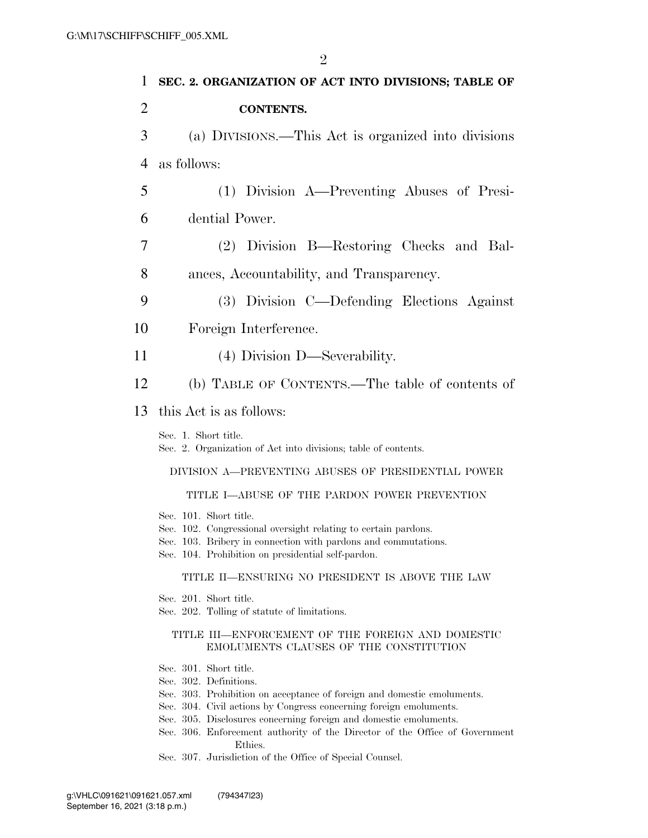| 1              | SEC. 2. ORGANIZATION OF ACT INTO DIVISIONS; TABLE OF                                                                                                                                                             |
|----------------|------------------------------------------------------------------------------------------------------------------------------------------------------------------------------------------------------------------|
| $\overline{2}$ | <b>CONTENTS.</b>                                                                                                                                                                                                 |
| 3              | (a) DIVISIONS.—This Act is organized into divisions                                                                                                                                                              |
| $\overline{4}$ | as follows:                                                                                                                                                                                                      |
| 5              | (1) Division A—Preventing Abuses of Presi-                                                                                                                                                                       |
| 6              | dential Power.                                                                                                                                                                                                   |
| 7              | (2) Division B—Restoring Checks and Bal-                                                                                                                                                                         |
| 8              | ances, Accountability, and Transparency.                                                                                                                                                                         |
| 9              | (3) Division C—Defending Elections Against                                                                                                                                                                       |
| 10             | Foreign Interference.                                                                                                                                                                                            |
| 11             | (4) Division D—Severability.                                                                                                                                                                                     |
| 12             | (b) TABLE OF CONTENTS.—The table of contents of                                                                                                                                                                  |
| 13             | this Act is as follows:                                                                                                                                                                                          |
|                | Sec. 1. Short title.<br>Sec. 2. Organization of Act into divisions; table of contents.                                                                                                                           |
|                | DIVISION A-PREVENTING ABUSES OF PRESIDENTIAL POWER                                                                                                                                                               |
|                | TITLE I-ABUSE OF THE PARDON POWER PREVENTION                                                                                                                                                                     |
|                | Sec. 101. Short title.<br>Sec. 102. Congressional oversight relating to certain pardons.<br>Sec. 103. Bribery in connection with pardons and commutations.<br>Sec. 104. Prohibition on presidential self-pardon. |
|                | TITLE II—ENSURING NO PRESIDENT IS ABOVE THE LAW                                                                                                                                                                  |
|                | Sec. 201. Short title.<br>Sec. 202. Tolling of statute of limitations.                                                                                                                                           |
|                | TITLE III-ENFORCEMENT OF THE FOREIGN AND DOMESTIC<br>EMOLUMENTS CLAUSES OF THE CONSTITUTION                                                                                                                      |
|                | Sec. 301. Short title.<br>Sec. 302. Definitions.<br>Sec. 303. Prohibition on acceptance of foreign and domestic emoluments.                                                                                      |

- Sec. 304. Civil actions by Congress concerning foreign emoluments.
- Sec. 305. Disclosures concerning foreign and domestic emoluments.
- Sec. 306. Enforcement authority of the Director of the Office of Government Ethics.
- Sec. 307. Jurisdiction of the Office of Special Counsel.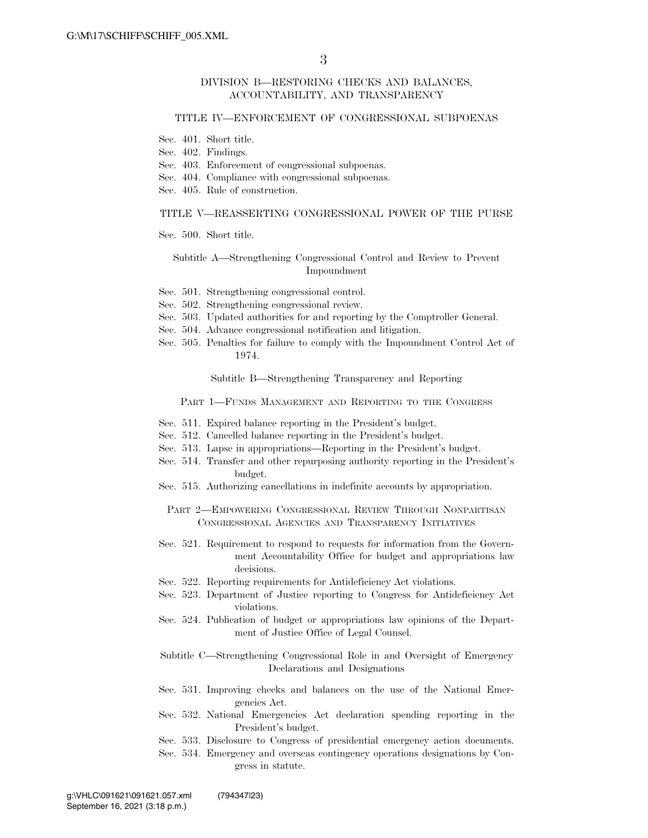### DIVISION B—RESTORING CHECKS AND BALANCES, ACCOUNTABILITY, AND TRANSPARENCY

#### TITLE IV—ENFORCEMENT OF CONGRESSIONAL SUBPOENAS

- Sec. 401. Short title.
- Sec. 402. Findings.
- Sec. 403. Enforcement of congressional subpoenas.
- Sec. 404. Compliance with congressional subpoenas.
- Sec. 405. Rule of construction.

#### TITLE V—REASSERTING CONGRESSIONAL POWER OF THE PURSE

Sec. 500. Short title.

#### Subtitle A—Strengthening Congressional Control and Review to Prevent Impoundment

- Sec. 501. Strengthening congressional control.
- Sec. 502. Strengthening congressional review.
- Sec. 503. Updated authorities for and reporting by the Comptroller General.
- Sec. 504. Advance congressional notification and litigation.
- Sec. 505. Penalties for failure to comply with the Impoundment Control Act of 1974.

Subtitle B—Strengthening Transparency and Reporting

PART 1-FUNDS MANAGEMENT AND REPORTING TO THE CONGRESS

- Sec. 511. Expired balance reporting in the President's budget.
- Sec. 512. Cancelled balance reporting in the President's budget.
- Sec. 513. Lapse in appropriations—Reporting in the President's budget.
- Sec. 514. Transfer and other repurposing authority reporting in the President's budget.
- Sec. 515. Authorizing cancellations in indefinite accounts by appropriation.

#### PART 2—EMPOWERING CONGRESSIONAL REVIEW THROUGH NONPARTISAN CONGRESSIONAL AGENCIES AND TRANSPARENCY INITIATIVES

- Sec. 521. Requirement to respond to requests for information from the Government Accountability Office for budget and appropriations law decisions.
- Sec. 522. Reporting requirements for Antideficiency Act violations.
- Sec. 523. Department of Justice reporting to Congress for Antideficiency Act violations.
- Sec. 524. Publication of budget or appropriations law opinions of the Department of Justice Office of Legal Counsel.

Subtitle C—Strengthening Congressional Role in and Oversight of Emergency Declarations and Designations

- Sec. 531. Improving checks and balances on the use of the National Emergencies Act.
- Sec. 532. National Emergencies Act declaration spending reporting in the President's budget.
- Sec. 533. Disclosure to Congress of presidential emergency action documents.
- Sec. 534. Emergency and overseas contingency operations designations by Congress in statute.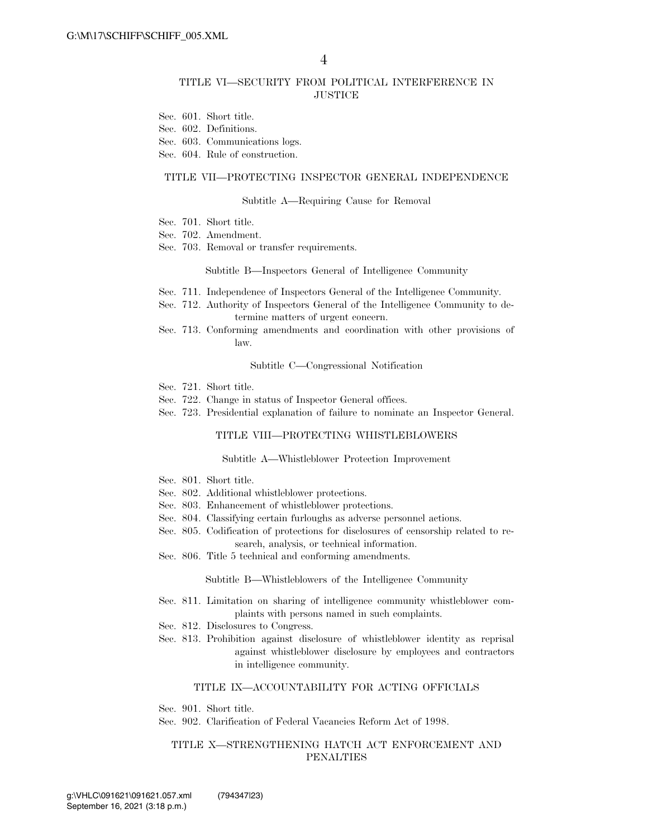### TITLE VI—SECURITY FROM POLITICAL INTERFERENCE IN **JUSTICE**

- Sec. 601. Short title.
- Sec. 602. Definitions.
- Sec. 603. Communications logs.
- Sec. 604. Rule of construction.

#### TITLE VII—PROTECTING INSPECTOR GENERAL INDEPENDENCE

#### Subtitle A—Requiring Cause for Removal

- Sec. 701. Short title.
- Sec. 702. Amendment.
- Sec. 703. Removal or transfer requirements.

#### Subtitle B—Inspectors General of Intelligence Community

- Sec. 711. Independence of Inspectors General of the Intelligence Community.
- Sec. 712. Authority of Inspectors General of the Intelligence Community to determine matters of urgent concern.
- Sec. 713. Conforming amendments and coordination with other provisions of law.

#### Subtitle C—Congressional Notification

- Sec. 721. Short title.
- Sec. 722. Change in status of Inspector General offices.
- Sec. 723. Presidential explanation of failure to nominate an Inspector General.

#### TITLE VIII—PROTECTING WHISTLEBLOWERS

#### Subtitle A—Whistleblower Protection Improvement

- Sec. 801. Short title.
- Sec. 802. Additional whistleblower protections.
- Sec. 803. Enhancement of whistleblower protections.
- Sec. 804. Classifying certain furloughs as adverse personnel actions.
- Sec. 805. Codification of protections for disclosures of censorship related to research, analysis, or technical information.
- Sec. 806. Title 5 technical and conforming amendments.

Subtitle B—Whistleblowers of the Intelligence Community

- Sec. 811. Limitation on sharing of intelligence community whistleblower complaints with persons named in such complaints.
- Sec. 812. Disclosures to Congress.
- Sec. 813. Prohibition against disclosure of whistleblower identity as reprisal against whistleblower disclosure by employees and contractors in intelligence community.

#### TITLE IX—ACCOUNTABILITY FOR ACTING OFFICIALS

Sec. 901. Short title.

Sec. 902. Clarification of Federal Vacancies Reform Act of 1998.

### TITLE X—STRENGTHENING HATCH ACT ENFORCEMENT AND PENALTIES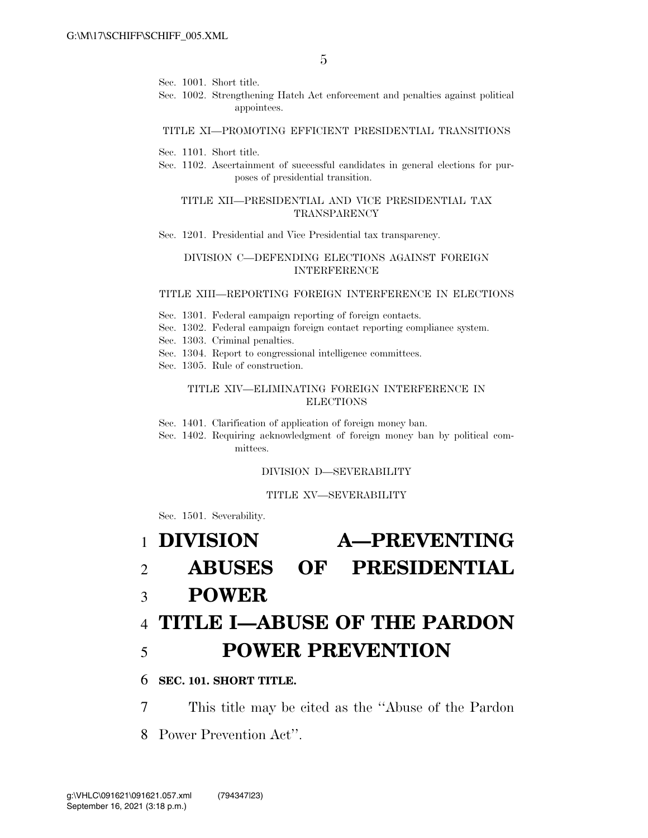- Sec. 1001. Short title.
- Sec. 1002. Strengthening Hatch Act enforcement and penalties against political appointees.

#### TITLE XI—PROMOTING EFFICIENT PRESIDENTIAL TRANSITIONS

- Sec. 1101. Short title.
- Sec. 1102. Ascertainment of successful candidates in general elections for purposes of presidential transition.

#### TITLE XII—PRESIDENTIAL AND VICE PRESIDENTIAL TAX TRANSPARENCY

Sec. 1201. Presidential and Vice Presidential tax transparency.

## DIVISION C—DEFENDING ELECTIONS AGAINST FOREIGN INTERFERENCE

#### TITLE XIII—REPORTING FOREIGN INTERFERENCE IN ELECTIONS

- Sec. 1301. Federal campaign reporting of foreign contacts.
- Sec. 1302. Federal campaign foreign contact reporting compliance system.
- Sec. 1303. Criminal penalties.
- Sec. 1304. Report to congressional intelligence committees.
- Sec. 1305. Rule of construction.

### TITLE XIV—ELIMINATING FOREIGN INTERFERENCE IN ELECTIONS

Sec. 1401. Clarification of application of foreign money ban.

Sec. 1402. Requiring acknowledgment of foreign money ban by political committees.

#### DIVISION D—SEVERABILITY

### TITLE XV—SEVERABILITY

Sec. 1501. Severability.

# 1 **DIVISION A—PREVENTING**  2 **ABUSES OF PRESIDENTIAL**

3 **POWER** 

# 4 **TITLE I—ABUSE OF THE PARDON**  5 **POWER PREVENTION**

## 6 **SEC. 101. SHORT TITLE.**

7 This title may be cited as the ''Abuse of the Pardon

8 Power Prevention Act''.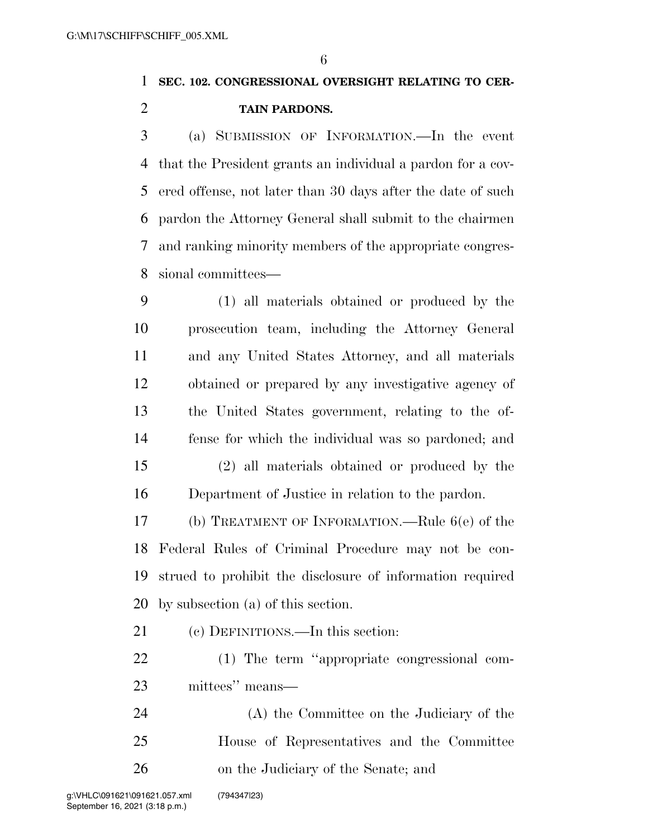# **SEC. 102. CONGRESSIONAL OVERSIGHT RELATING TO CER-TAIN PARDONS.**

 (a) SUBMISSION OF INFORMATION.—In the event that the President grants an individual a pardon for a cov- ered offense, not later than 30 days after the date of such pardon the Attorney General shall submit to the chairmen and ranking minority members of the appropriate congres-sional committees—

 (1) all materials obtained or produced by the prosecution team, including the Attorney General and any United States Attorney, and all materials obtained or prepared by any investigative agency of the United States government, relating to the of- fense for which the individual was so pardoned; and (2) all materials obtained or produced by the Department of Justice in relation to the pardon.

 (b) TREATMENT OF INFORMATION.—Rule 6(e) of the Federal Rules of Criminal Procedure may not be con- strued to prohibit the disclosure of information required by subsection (a) of this section.

(c) DEFINITIONS.—In this section:

 (1) The term ''appropriate congressional com-mittees'' means—

 (A) the Committee on the Judiciary of the House of Representatives and the Committee on the Judiciary of the Senate; and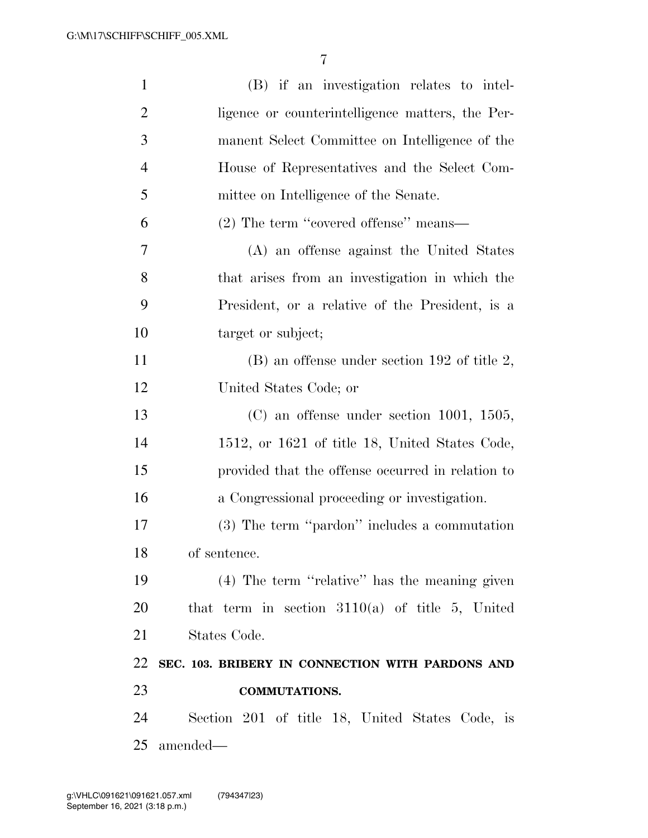| $\mathbf{1}$   | (B) if an investigation relates to intel-         |
|----------------|---------------------------------------------------|
| $\overline{2}$ | ligence or counterintelligence matters, the Per-  |
| 3              | manent Select Committee on Intelligence of the    |
| $\overline{4}$ | House of Representatives and the Select Com-      |
| 5              | mittee on Intelligence of the Senate.             |
| 6              | $(2)$ The term "covered offense" means—           |
| 7              | (A) an offense against the United States          |
| 8              | that arises from an investigation in which the    |
| 9              | President, or a relative of the President, is a   |
| 10             | target or subject;                                |
| 11             | $(B)$ an offense under section 192 of title 2,    |
| 12             | United States Code; or                            |
| 13             | $(C)$ an offense under section 1001, 1505,        |
| 14             | 1512, or 1621 of title 18, United States Code,    |
| 15             | provided that the offense occurred in relation to |
| 16             | a Congressional proceeding or investigation.      |
| 17             | (3) The term "pardon" includes a commutation      |
| 18             | of sentence.                                      |
| 19             | (4) The term "relative" has the meaning given     |
| 20             | that term in section $3110(a)$ of title 5, United |
| 21             | States Code.                                      |
| 22             | SEC. 103. BRIBERY IN CONNECTION WITH PARDONS AND  |
| 23             | <b>COMMUTATIONS.</b>                              |
| 24             | Section 201 of title 18, United States Code, is   |
| 25             | amended—                                          |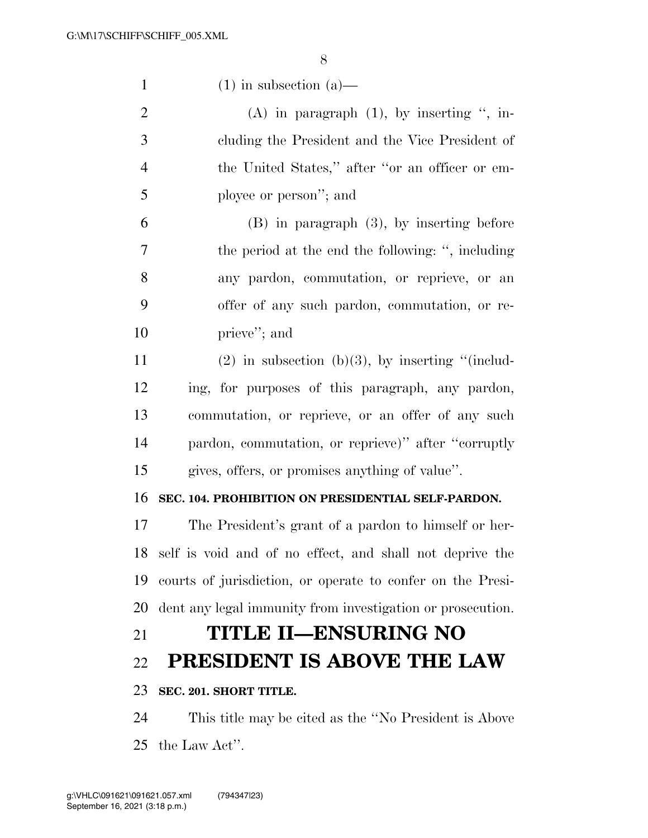- 1 (1) in subsection (a)— 2 (A) in paragraph (1), by inserting ", in-
- cluding the President and the Vice President of the United States,'' after ''or an officer or em-ployee or person''; and

 (B) in paragraph (3), by inserting before the period at the end the following: '', including any pardon, commutation, or reprieve, or an offer of any such pardon, commutation, or re-prieve''; and

11 (2) in subsection (b)(3), by inserting "(includ- ing, for purposes of this paragraph, any pardon, commutation, or reprieve, or an offer of any such pardon, commutation, or reprieve)'' after ''corruptly gives, offers, or promises anything of value''.

## **SEC. 104. PROHIBITION ON PRESIDENTIAL SELF-PARDON.**

 The President's grant of a pardon to himself or her- self is void and of no effect, and shall not deprive the courts of jurisdiction, or operate to confer on the Presi-dent any legal immunity from investigation or prosecution.

# **TITLE II—ENSURING NO**

## **PRESIDENT IS ABOVE THE LAW**

## **SEC. 201. SHORT TITLE.**

 This title may be cited as the ''No President is Above the Law Act''.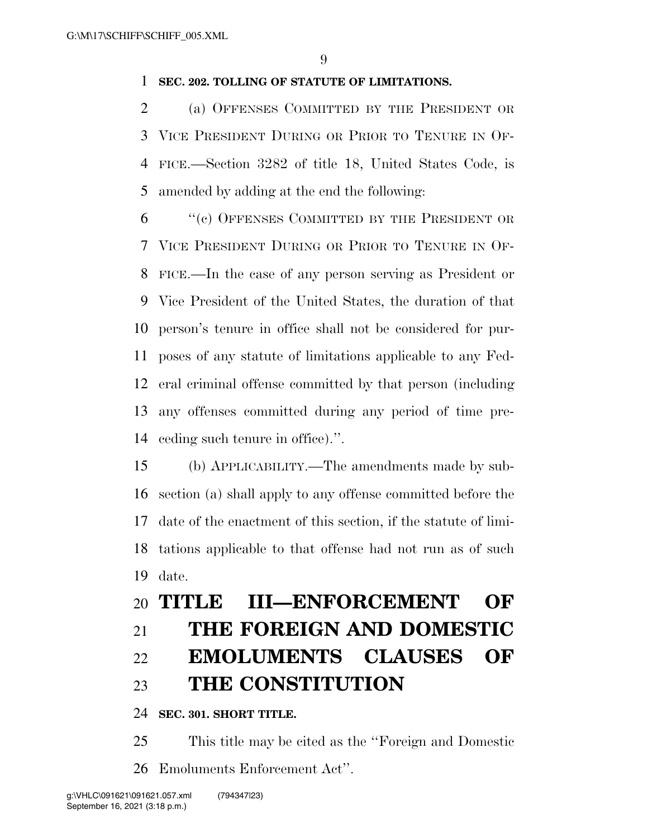## **SEC. 202. TOLLING OF STATUTE OF LIMITATIONS.**

 (a) OFFENSES COMMITTED BY THE PRESIDENT OR VICE PRESIDENT DURING OR PRIOR TO TENURE IN OF- FICE.—Section 3282 of title 18, United States Code, is amended by adding at the end the following:

 ''(c) OFFENSES COMMITTED BY THE PRESIDENT OR VICE PRESIDENT DURING OR PRIOR TO TENURE IN OF- FICE.—In the case of any person serving as President or Vice President of the United States, the duration of that person's tenure in office shall not be considered for pur- poses of any statute of limitations applicable to any Fed- eral criminal offense committed by that person (including any offenses committed during any period of time pre-ceding such tenure in office).''.

 (b) APPLICABILITY.—The amendments made by sub- section (a) shall apply to any offense committed before the date of the enactment of this section, if the statute of limi- tations applicable to that offense had not run as of such date.

# **TITLE III—ENFORCEMENT OF THE FOREIGN AND DOMESTIC EMOLUMENTS CLAUSES OF**

# **THE CONSTITUTION**

## **SEC. 301. SHORT TITLE.**

 This title may be cited as the ''Foreign and Domestic Emoluments Enforcement Act''.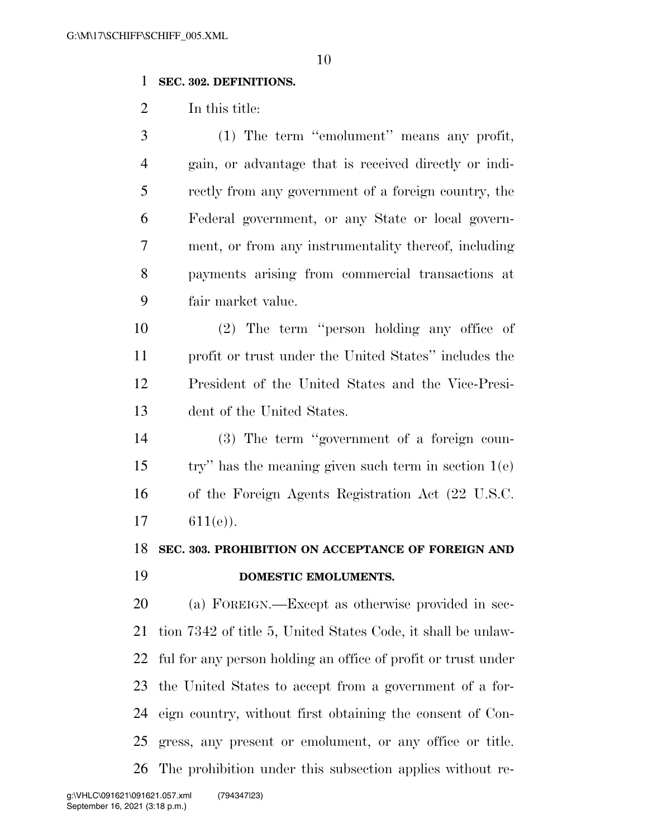## **SEC. 302. DEFINITIONS.**

In this title:

 (1) The term ''emolument'' means any profit, gain, or advantage that is received directly or indi- rectly from any government of a foreign country, the Federal government, or any State or local govern- ment, or from any instrumentality thereof, including payments arising from commercial transactions at fair market value.

 (2) The term ''person holding any office of profit or trust under the United States'' includes the President of the United States and the Vice-Presi-dent of the United States.

 (3) The term ''government of a foreign coun- try'' has the meaning given such term in section 1(e) of the Foreign Agents Registration Act (22 U.S.C. 17  $611(e)$ ).

**SEC. 303. PROHIBITION ON ACCEPTANCE OF FOREIGN AND** 

## **DOMESTIC EMOLUMENTS.**

 (a) FOREIGN.—Except as otherwise provided in sec- tion 7342 of title 5, United States Code, it shall be unlaw- ful for any person holding an office of profit or trust under the United States to accept from a government of a for- eign country, without first obtaining the consent of Con- gress, any present or emolument, or any office or title. The prohibition under this subsection applies without re-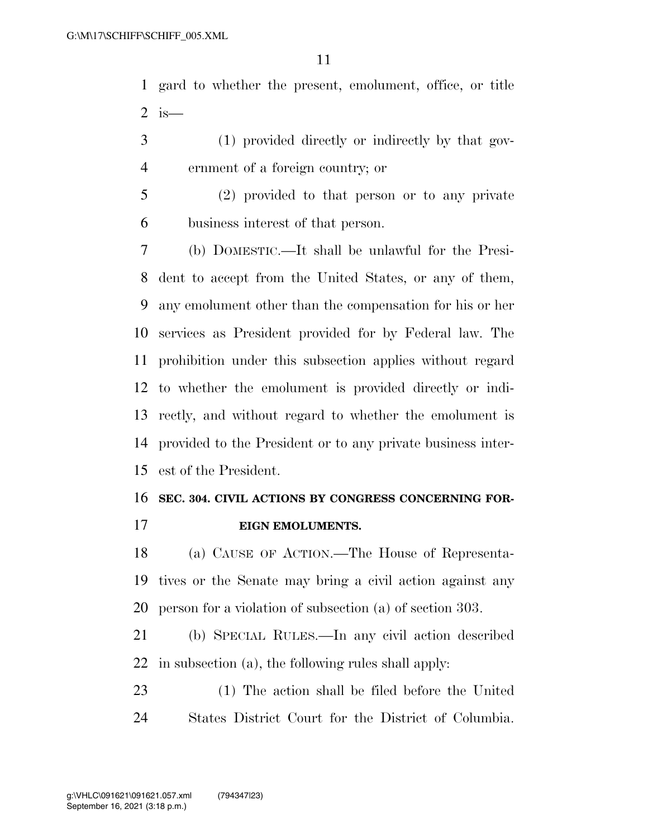gard to whether the present, emolument, office, or title 2 is  $-$ 

- (1) provided directly or indirectly by that gov-ernment of a foreign country; or
- (2) provided to that person or to any private business interest of that person.

 (b) DOMESTIC.—It shall be unlawful for the Presi- dent to accept from the United States, or any of them, any emolument other than the compensation for his or her services as President provided for by Federal law. The prohibition under this subsection applies without regard to whether the emolument is provided directly or indi- rectly, and without regard to whether the emolument is provided to the President or to any private business inter-est of the President.

# **SEC. 304. CIVIL ACTIONS BY CONGRESS CONCERNING FOR-**

**EIGN EMOLUMENTS.** 

 (a) CAUSE OF ACTION.—The House of Representa- tives or the Senate may bring a civil action against any person for a violation of subsection (a) of section 303.

 (b) SPECIAL RULES.—In any civil action described in subsection (a), the following rules shall apply:

 (1) The action shall be filed before the United States District Court for the District of Columbia.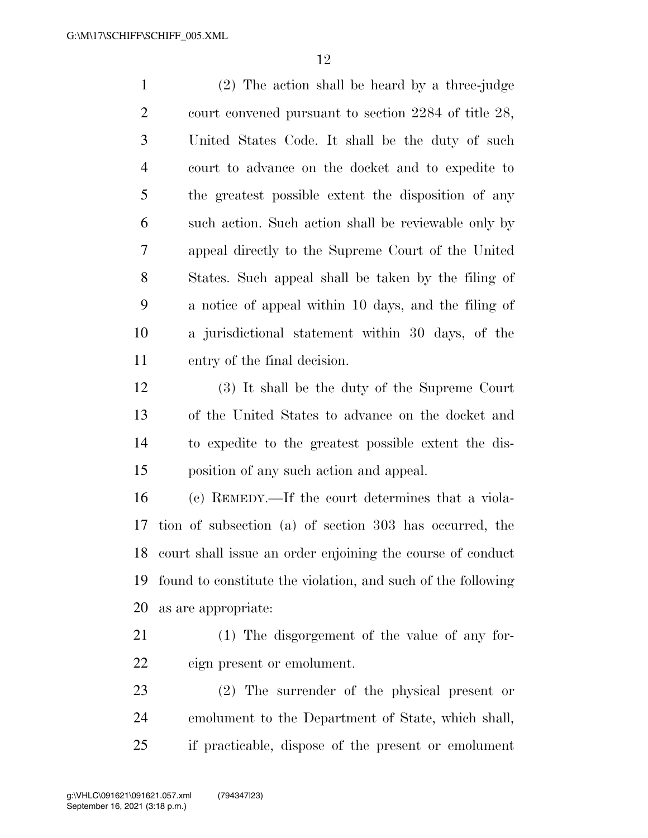(2) The action shall be heard by a three-judge court convened pursuant to section 2284 of title 28, United States Code. It shall be the duty of such court to advance on the docket and to expedite to the greatest possible extent the disposition of any such action. Such action shall be reviewable only by appeal directly to the Supreme Court of the United States. Such appeal shall be taken by the filing of a notice of appeal within 10 days, and the filing of a jurisdictional statement within 30 days, of the entry of the final decision.

 (3) It shall be the duty of the Supreme Court of the United States to advance on the docket and to expedite to the greatest possible extent the dis-position of any such action and appeal.

 (c) REMEDY.—If the court determines that a viola- tion of subsection (a) of section 303 has occurred, the court shall issue an order enjoining the course of conduct found to constitute the violation, and such of the following as are appropriate:

- (1) The disgorgement of the value of any for-eign present or emolument.
- (2) The surrender of the physical present or emolument to the Department of State, which shall, if practicable, dispose of the present or emolument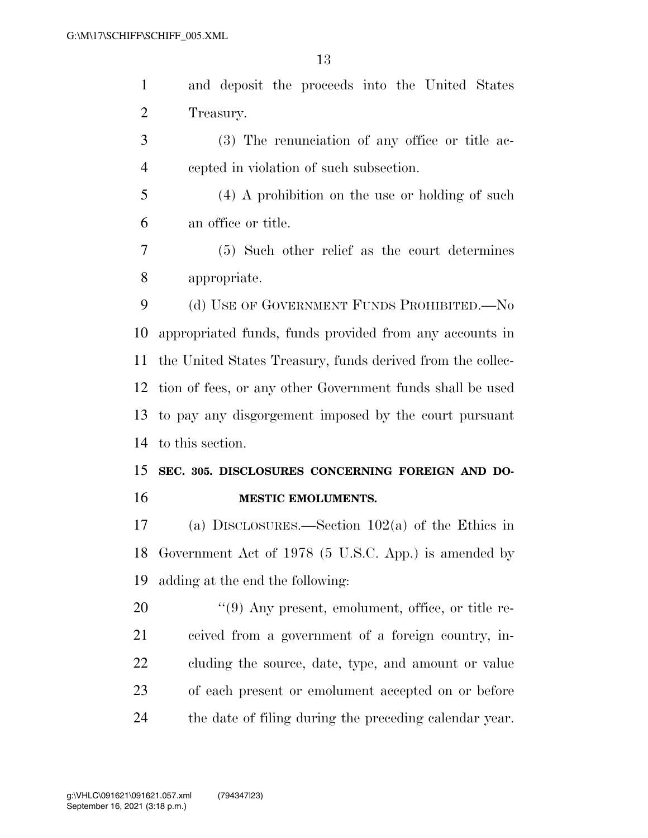| and deposit the proceeds into the United States |
|-------------------------------------------------|
| Treasury.                                       |

- (3) The renunciation of any office or title ac-cepted in violation of such subsection.
- (4) A prohibition on the use or holding of such an office or title.
- (5) Such other relief as the court determines appropriate.

9 (d) USE OF GOVERNMENT FUNDS PROHIBITED.—No appropriated funds, funds provided from any accounts in the United States Treasury, funds derived from the collec- tion of fees, or any other Government funds shall be used to pay any disgorgement imposed by the court pursuant to this section.

## **SEC. 305. DISCLOSURES CONCERNING FOREIGN AND DO-MESTIC EMOLUMENTS.**

 (a) DISCLOSURES.—Section 102(a) of the Ethics in Government Act of 1978 (5 U.S.C. App.) is amended by adding at the end the following:

 $(9)$  Any present, emolument, office, or title re- ceived from a government of a foreign country, in- cluding the source, date, type, and amount or value of each present or emolument accepted on or before the date of filing during the preceding calendar year.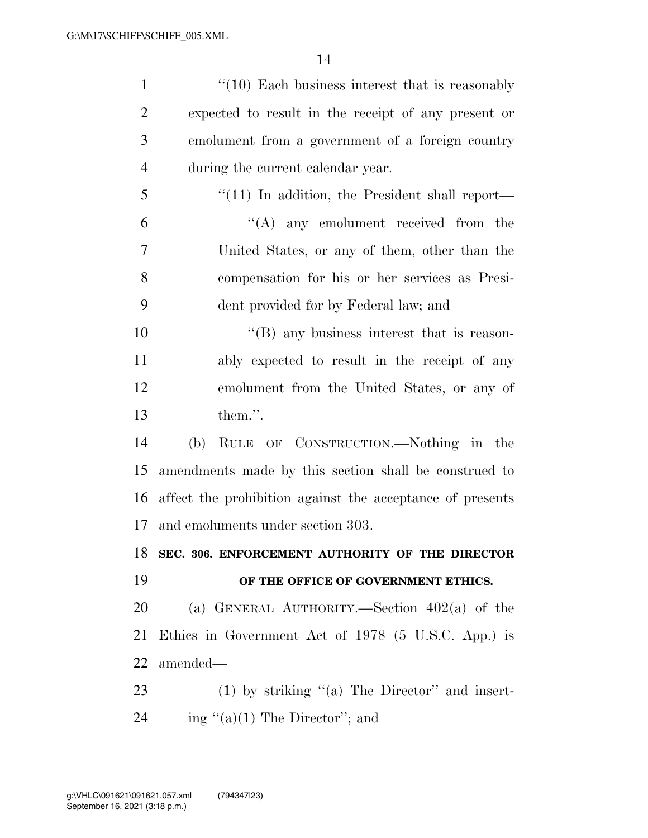| $\mathbf{1}$   | $\lq(10)$ Each business interest that is reasonably       |
|----------------|-----------------------------------------------------------|
| $\overline{2}$ | expected to result in the receipt of any present or       |
| 3              | emolument from a government of a foreign country          |
| $\overline{4}$ | during the current calendar year.                         |
| 5              | $\lq(11)$ In addition, the President shall report—        |
| 6              | $\lq\lq$ any emolument received from the                  |
| 7              | United States, or any of them, other than the             |
| 8              | compensation for his or her services as Presi-            |
| 9              | dent provided for by Federal law; and                     |
| 10             | $\lq\lq$ (B) any business interest that is reason-        |
| 11             | ably expected to result in the receipt of any             |
| 12             | emolument from the United States, or any of               |
| 13             | them.".                                                   |
| 14             | RULE OF CONSTRUCTION.—Nothing in the<br>(b)               |
| 15             | amendments made by this section shall be construed to     |
| 16             | affect the prohibition against the acceptance of presents |
| 17             | and emoluments under section 303.                         |
|                | 18 SEC. 306. ENFORCEMENT AUTHORITY OF THE DIRECTOR        |
| 19             | OF THE OFFICE OF GOVERNMENT ETHICS.                       |
| 20             | (a) GENERAL AUTHORITY.—Section $402(a)$ of the            |
| 21             | Ethics in Government Act of 1978 (5 U.S.C. App.) is       |
| 22             | amended-                                                  |
| 23             | $(1)$ by striking "(a) The Director" and insert-          |
| 24             | ing " $(a)(1)$ The Director"; and                         |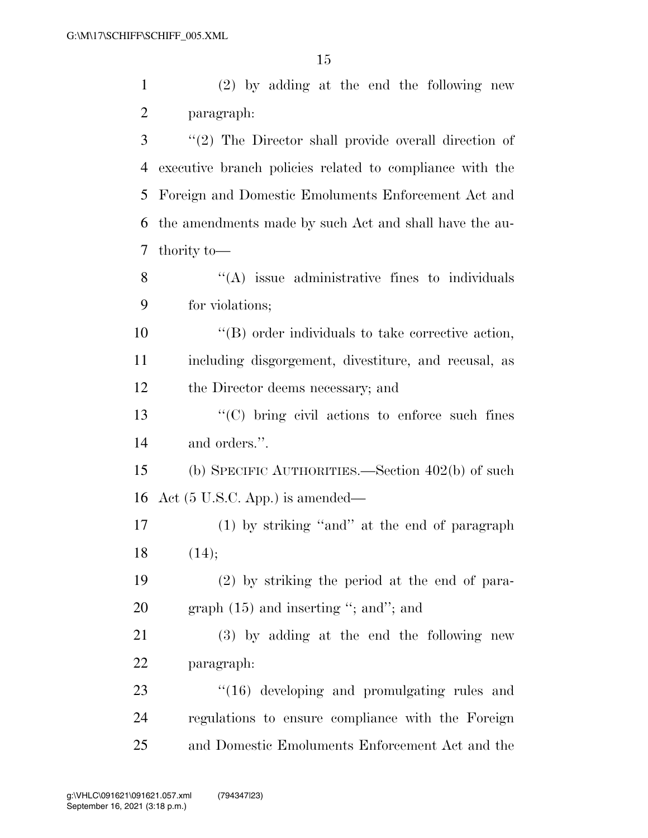(2) by adding at the end the following new paragraph:

 ''(2) The Director shall provide overall direction of executive branch policies related to compliance with the Foreign and Domestic Emoluments Enforcement Act and the amendments made by such Act and shall have the au-thority to—

8 "(A) issue administrative fines to individuals for violations;

 ''(B) order individuals to take corrective action, including disgorgement, divestiture, and recusal, as the Director deems necessary; and

 ''(C) bring civil actions to enforce such fines and orders.''.

 (b) SPECIFIC AUTHORITIES.—Section 402(b) of such Act (5 U.S.C. App.) is amended—

 (1) by striking ''and'' at the end of paragraph (14);

 (2) by striking the period at the end of para-20 graph (15) and inserting "; and"; and

 (3) by adding at the end the following new paragraph:

23 "(16) developing and promulgating rules and regulations to ensure compliance with the Foreign and Domestic Emoluments Enforcement Act and the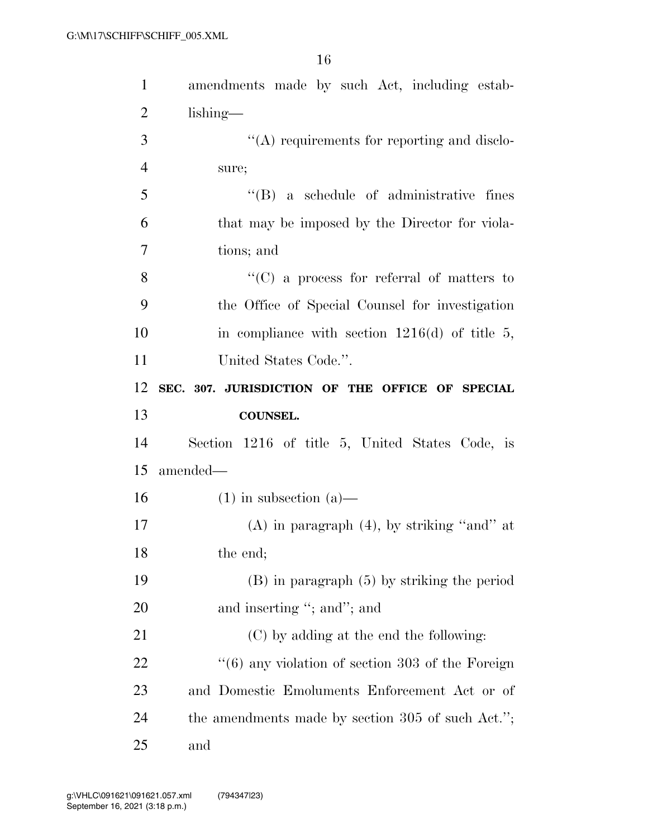| $\mathbf{1}$   | amendments made by such Act, including estab-                    |
|----------------|------------------------------------------------------------------|
| $\overline{2}$ | $\lambda$                                                        |
| 3              | "(A) requirements for reporting and disclo-                      |
| $\overline{4}$ | sure;                                                            |
| 5              | $\lq\lq(B)$ a schedule of administrative fines                   |
| 6              | that may be imposed by the Director for viola-                   |
| 7              | tions; and                                                       |
| 8              | $\lq\lq$ (C) a process for referral of matters to                |
| 9              | the Office of Special Counsel for investigation                  |
| 10             | in compliance with section $1216(d)$ of title 5,                 |
| 11             | United States Code.".                                            |
| 12             | SEC. 307. JURISDICTION OF THE OFFICE OF SPECIAL                  |
|                | <b>COUNSEL.</b>                                                  |
| 13             |                                                                  |
| 14             | Section 1216 of title 5, United States Code, is                  |
| 15             | amended—                                                         |
| 16             | $(1)$ in subsection $(a)$ —                                      |
| 17             | $(A)$ in paragraph $(4)$ , by striking "and" at                  |
| 18             | the end;                                                         |
| 19             | $(B)$ in paragraph $(5)$ by striking the period                  |
| 20             | and inserting "; and"; and                                       |
| 21             | (C) by adding at the end the following:                          |
| 22             | $\cdot\cdot\cdot(6)$ any violation of section 303 of the Foreign |
| 23             | and Domestic Emoluments Enforcement Act or of                    |
| 24             | the amendments made by section $305$ of such Act.";              |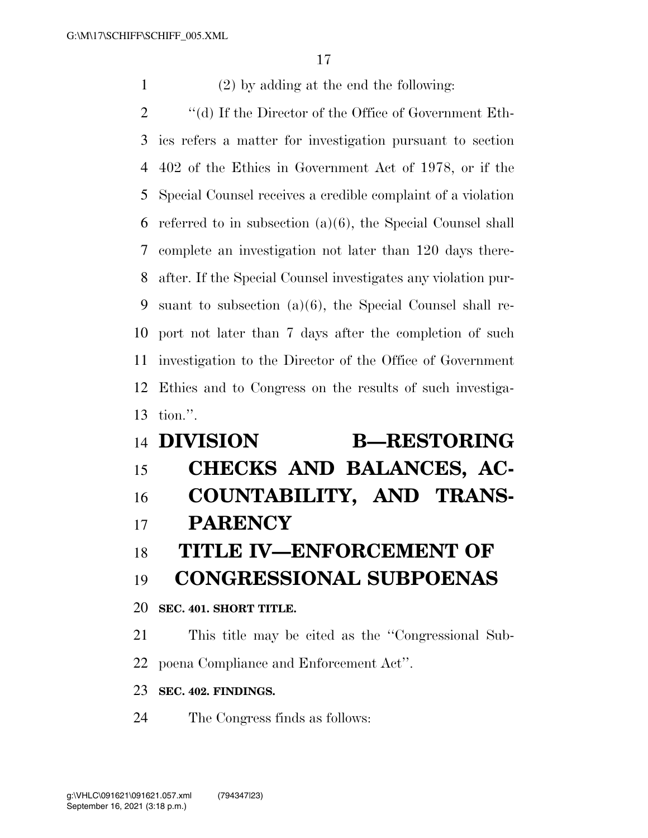(2) by adding at the end the following:

 ''(d) If the Director of the Office of Government Eth- ics refers a matter for investigation pursuant to section 402 of the Ethics in Government Act of 1978, or if the Special Counsel receives a credible complaint of a violation referred to in subsection (a)(6), the Special Counsel shall complete an investigation not later than 120 days there- after. If the Special Counsel investigates any violation pur- suant to subsection (a)(6), the Special Counsel shall re- port not later than 7 days after the completion of such investigation to the Director of the Office of Government Ethics and to Congress on the results of such investiga-tion.''.

# **DIVISION B—RESTORING CHECKS AND BALANCES, AC- COUNTABILITY, AND TRANS- PARENCY TITLE IV—ENFORCEMENT OF CONGRESSIONAL SUBPOENAS SEC. 401. SHORT TITLE.**  This title may be cited as the ''Congressional Sub-

poena Compliance and Enforcement Act''.

## **SEC. 402. FINDINGS.**

The Congress finds as follows: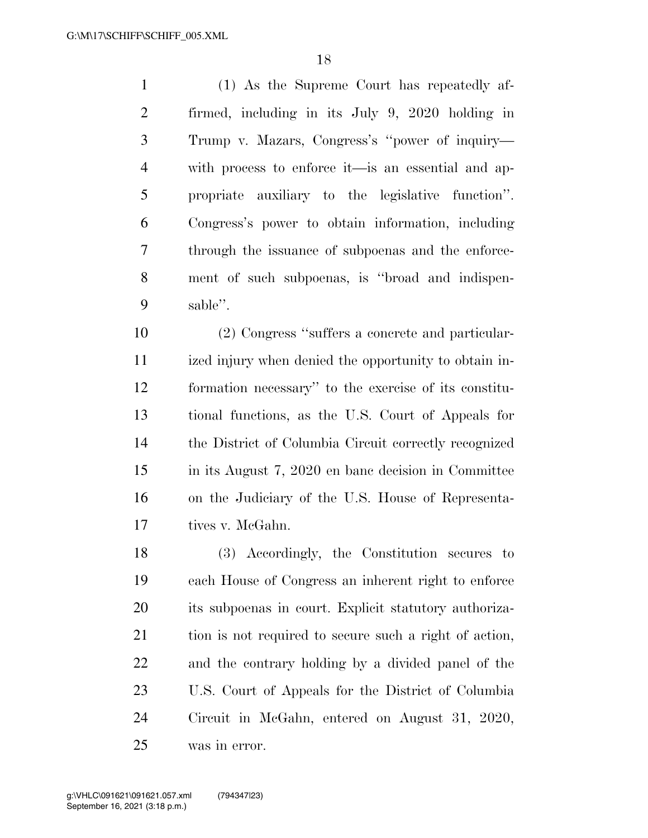(1) As the Supreme Court has repeatedly af- firmed, including in its July 9, 2020 holding in Trump v. Mazars, Congress's ''power of inquiry— with process to enforce it—is an essential and ap- propriate auxiliary to the legislative function''. Congress's power to obtain information, including through the issuance of subpoenas and the enforce- ment of such subpoenas, is ''broad and indispen-sable''.

 (2) Congress ''suffers a concrete and particular- ized injury when denied the opportunity to obtain in- formation necessary'' to the exercise of its constitu- tional functions, as the U.S. Court of Appeals for the District of Columbia Circuit correctly recognized in its August 7, 2020 en banc decision in Committee on the Judiciary of the U.S. House of Representa-tives v. McGahn.

 (3) Accordingly, the Constitution secures to each House of Congress an inherent right to enforce its subpoenas in court. Explicit statutory authoriza- tion is not required to secure such a right of action, and the contrary holding by a divided panel of the U.S. Court of Appeals for the District of Columbia Circuit in McGahn, entered on August 31, 2020, was in error.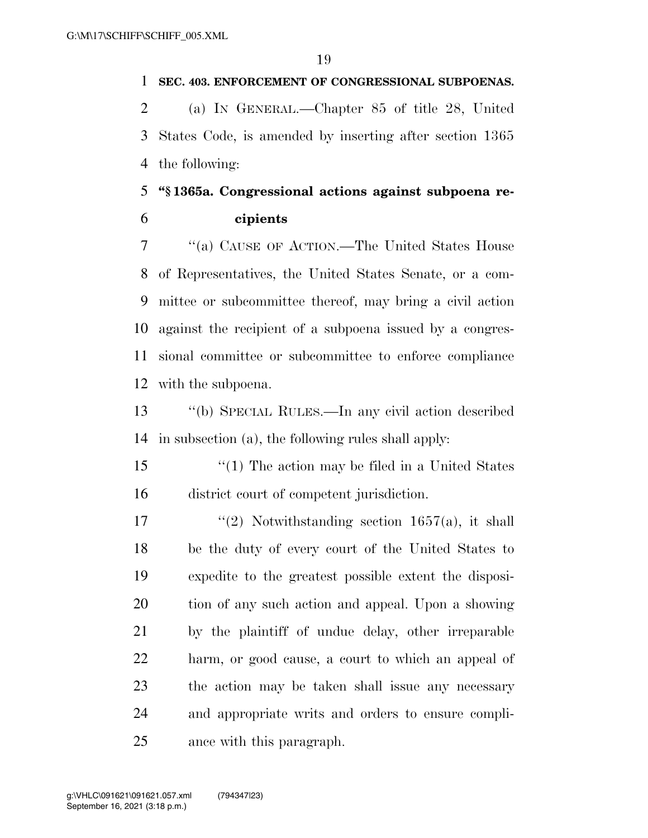## **SEC. 403. ENFORCEMENT OF CONGRESSIONAL SUBPOENAS.**

 (a) IN GENERAL.—Chapter 85 of title 28, United States Code, is amended by inserting after section 1365 the following:

# **''§ 1365a. Congressional actions against subpoena re-cipients**

 ''(a) CAUSE OF ACTION.—The United States House of Representatives, the United States Senate, or a com- mittee or subcommittee thereof, may bring a civil action against the recipient of a subpoena issued by a congres- sional committee or subcommittee to enforce compliance with the subpoena.

 ''(b) SPECIAL RULES.—In any civil action described in subsection (a), the following rules shall apply:

 ''(1) The action may be filed in a United States district court of competent jurisdiction.

 $\frac{1}{2}$  Notwithstanding section 1657(a), it shall be the duty of every court of the United States to expedite to the greatest possible extent the disposi- tion of any such action and appeal. Upon a showing by the plaintiff of undue delay, other irreparable harm, or good cause, a court to which an appeal of the action may be taken shall issue any necessary and appropriate writs and orders to ensure compli-ance with this paragraph.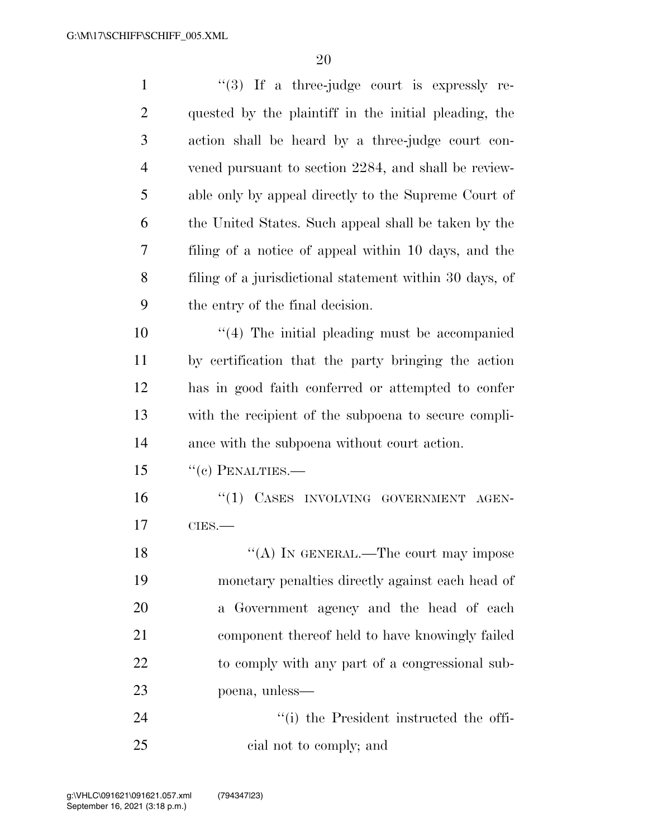| $\mathbf{1}$   | $\lq(3)$ If a three-judge court is expressly re-        |
|----------------|---------------------------------------------------------|
| $\overline{2}$ | quested by the plaintiff in the initial pleading, the   |
| 3              | action shall be heard by a three-judge court con-       |
| $\overline{4}$ | vened pursuant to section 2284, and shall be review-    |
| 5              | able only by appeal directly to the Supreme Court of    |
| 6              | the United States. Such appeal shall be taken by the    |
| 7              | filing of a notice of appeal within 10 days, and the    |
| 8              | filing of a jurisdictional statement within 30 days, of |
| 9              | the entry of the final decision.                        |
| 10             | $\cdot$ (4) The initial pleading must be accompanied    |
| 11             | by certification that the party bringing the action     |
| 12             | has in good faith conferred or attempted to confer      |
| 13             | with the recipient of the subpoena to secure compli-    |
| 14             | ance with the subpoena without court action.            |
| 15             | $``(c)$ PENALTIES.—                                     |
| 16             | "(1) CASES INVOLVING GOVERNMENT<br>AGEN-                |
| 17             | $CIES$ .                                                |
| 18             | "(A) IN GENERAL.—The court may impose                   |
| 19             | monetary penalties directly against each head of        |
| 20             | a Government agency and the head of each                |
| 21             | component thereof held to have knowingly failed         |
| 22             | to comply with any part of a congressional sub-         |
| 23             | poena, unless—                                          |
| 24             | "(i) the President instructed the offi-                 |
| 25             | cial not to comply; and                                 |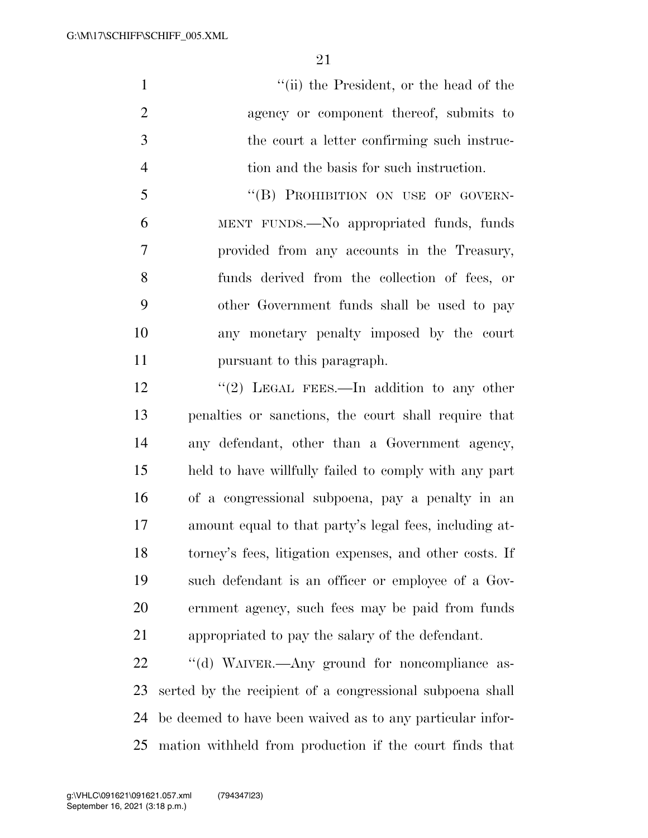1 ''(ii) the President, or the head of the agency or component thereof, submits to the court a letter confirming such instruc-tion and the basis for such instruction.

5 "(B) PROHIBITION ON USE OF GOVERN- MENT FUNDS.—No appropriated funds, funds provided from any accounts in the Treasury, funds derived from the collection of fees, or other Government funds shall be used to pay any monetary penalty imposed by the court pursuant to this paragraph.

12 "(2) LEGAL FEES.—In addition to any other penalties or sanctions, the court shall require that any defendant, other than a Government agency, held to have willfully failed to comply with any part of a congressional subpoena, pay a penalty in an amount equal to that party's legal fees, including at- torney's fees, litigation expenses, and other costs. If such defendant is an officer or employee of a Gov- ernment agency, such fees may be paid from funds appropriated to pay the salary of the defendant.

22 "(d) WAIVER.—Any ground for noncompliance as- serted by the recipient of a congressional subpoena shall be deemed to have been waived as to any particular infor-mation withheld from production if the court finds that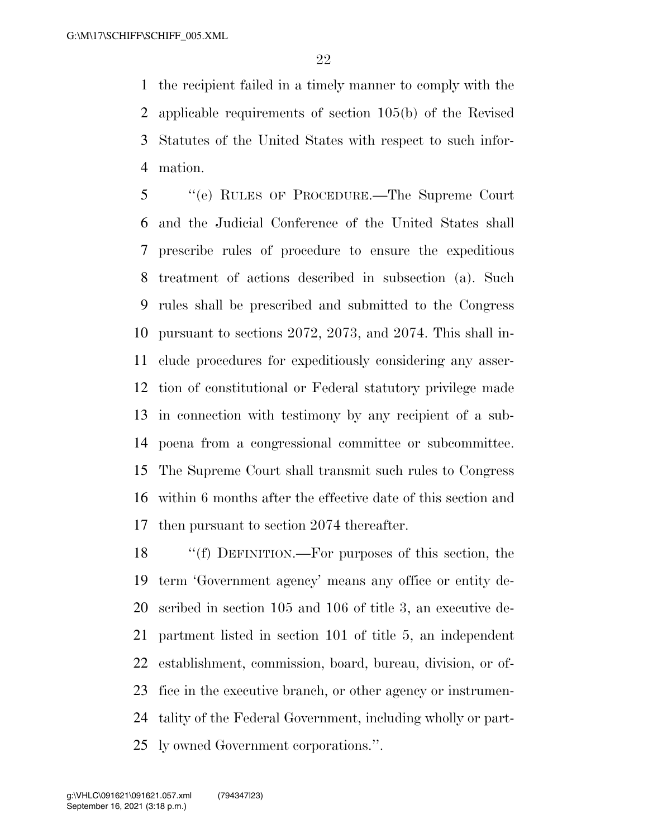the recipient failed in a timely manner to comply with the applicable requirements of section 105(b) of the Revised Statutes of the United States with respect to such infor-mation.

 ''(e) RULES OF PROCEDURE.—The Supreme Court and the Judicial Conference of the United States shall prescribe rules of procedure to ensure the expeditious treatment of actions described in subsection (a). Such rules shall be prescribed and submitted to the Congress pursuant to sections 2072, 2073, and 2074. This shall in- clude procedures for expeditiously considering any asser- tion of constitutional or Federal statutory privilege made in connection with testimony by any recipient of a sub- poena from a congressional committee or subcommittee. The Supreme Court shall transmit such rules to Congress within 6 months after the effective date of this section and then pursuant to section 2074 thereafter.

 ''(f) DEFINITION.—For purposes of this section, the term 'Government agency' means any office or entity de- scribed in section 105 and 106 of title 3, an executive de- partment listed in section 101 of title 5, an independent establishment, commission, board, bureau, division, or of- fice in the executive branch, or other agency or instrumen- tality of the Federal Government, including wholly or part-ly owned Government corporations.''.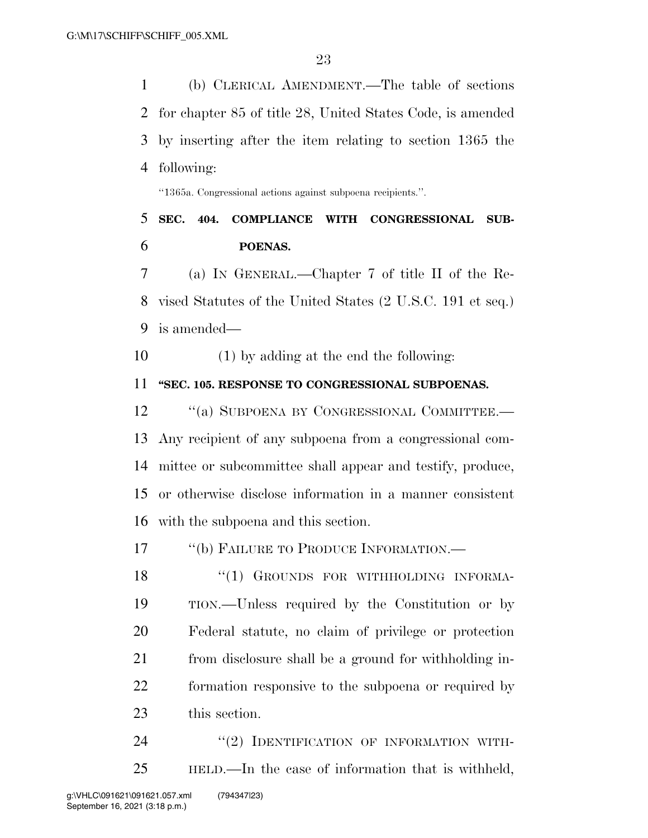(b) CLERICAL AMENDMENT.—The table of sections for chapter 85 of title 28, United States Code, is amended by inserting after the item relating to section 1365 the following: ''1365a. Congressional actions against subpoena recipients.''. **SEC. 404. COMPLIANCE WITH CONGRESSIONAL SUB-POENAS.** 

 (a) IN GENERAL.—Chapter 7 of title II of the Re- vised Statutes of the United States (2 U.S.C. 191 et seq.) is amended—

(1) by adding at the end the following:

## **''SEC. 105. RESPONSE TO CONGRESSIONAL SUBPOENAS.**

12 "(a) SUBPOENA BY CONGRESSIONAL COMMITTEE.— Any recipient of any subpoena from a congressional com- mittee or subcommittee shall appear and testify, produce, or otherwise disclose information in a manner consistent with the subpoena and this section.

17 "(b) FAILURE TO PRODUCE INFORMATION.—

18 "(1) GROUNDS FOR WITHHOLDING INFORMA- TION.—Unless required by the Constitution or by Federal statute, no claim of privilege or protection from disclosure shall be a ground for withholding in- formation responsive to the subpoena or required by this section.

24 "(2) IDENTIFICATION OF INFORMATION WITH-HELD.—In the case of information that is withheld,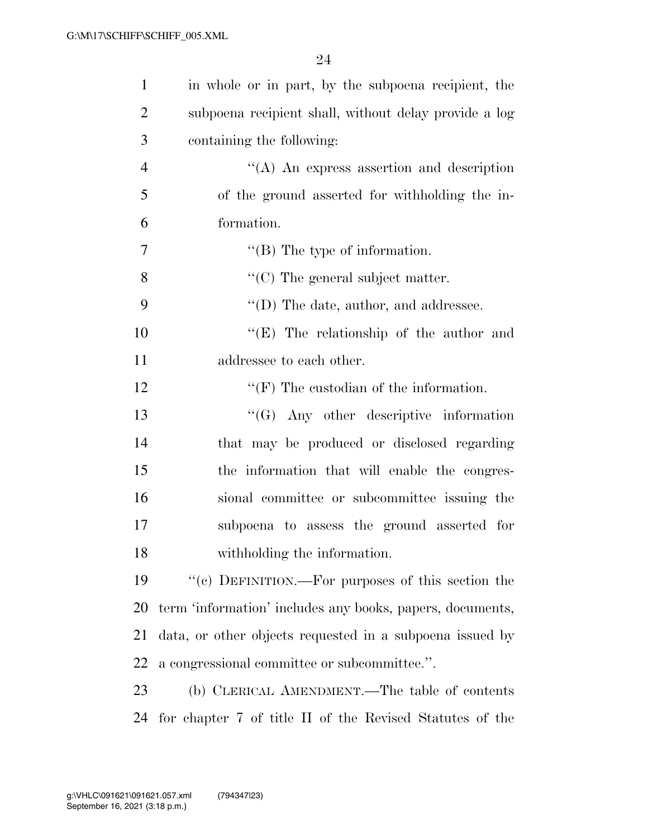| $\mathbf{1}$   | in whole or in part, by the subpoena recipient, the       |
|----------------|-----------------------------------------------------------|
| $\overline{2}$ | subpoena recipient shall, without delay provide a log     |
| 3              | containing the following:                                 |
| $\overline{4}$ | $\lq\lq$ An express assertion and description             |
| 5              | of the ground asserted for withholding the in-            |
| 6              | formation.                                                |
| 7              | $\lq\lq$ (B) The type of information.                     |
| 8              | $\lq\lq$ (C) The general subject matter.                  |
| 9              | $\lq\lq$ (D) The date, author, and addressee.             |
| 10             | "(E) The relationship of the author and                   |
| 11             | addressee to each other.                                  |
| 12             | $\lq\lq(F)$ The custodian of the information.             |
| 13             | $\lq\lq (G)$ Any other descriptive information            |
| 14             | that may be produced or disclosed regarding               |
| 15             | the information that will enable the congres-             |
| 16             | sional committee or subcommittee issuing the              |
| 17             | subpoena to assess the ground asserted for                |
| 18             | withholding the information.                              |
| 19             | "(c) DEFINITION.—For purposes of this section the         |
| 20             | term 'information' includes any books, papers, documents, |
| 21             | data, or other objects requested in a subpoena issued by  |
| 22             | a congressional committee or subcommittee.".              |
| 23             | (b) CLERICAL AMENDMENT.—The table of contents             |
| 24             | for chapter 7 of title II of the Revised Statutes of the  |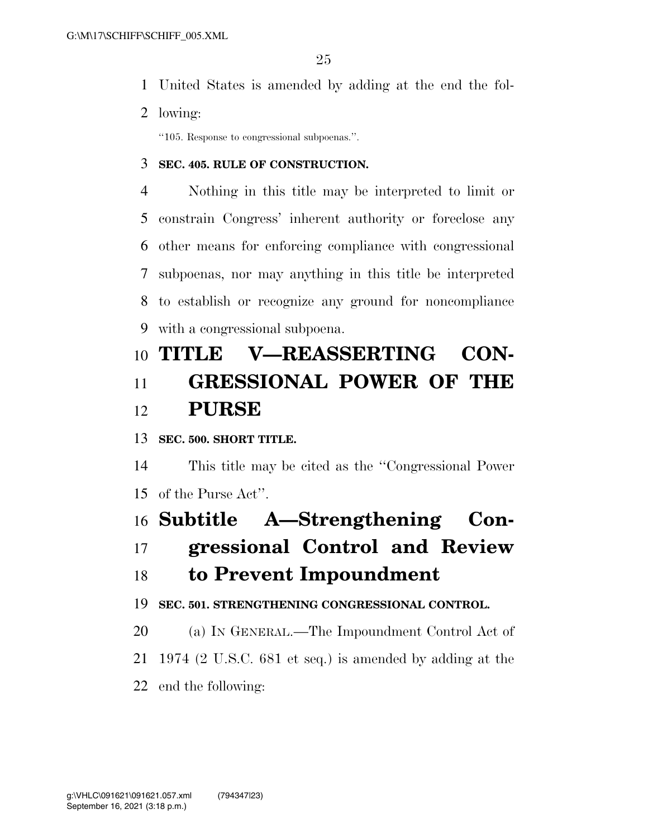- United States is amended by adding at the end the fol-
- lowing:

''105. Response to congressional subpoenas.''.

## **SEC. 405. RULE OF CONSTRUCTION.**

 Nothing in this title may be interpreted to limit or constrain Congress' inherent authority or foreclose any other means for enforcing compliance with congressional subpoenas, nor may anything in this title be interpreted to establish or recognize any ground for noncompliance with a congressional subpoena.

# **TITLE V—REASSERTING CON- GRESSIONAL POWER OF THE PURSE**

**SEC. 500. SHORT TITLE.** 

 This title may be cited as the ''Congressional Power of the Purse Act''.

## **Subtitle A—Strengthening Con-**

**gressional Control and Review** 

## **to Prevent Impoundment**

**SEC. 501. STRENGTHENING CONGRESSIONAL CONTROL.** 

- (a) IN GENERAL.—The Impoundment Control Act of
- 1974 (2 U.S.C. 681 et seq.) is amended by adding at the
- end the following: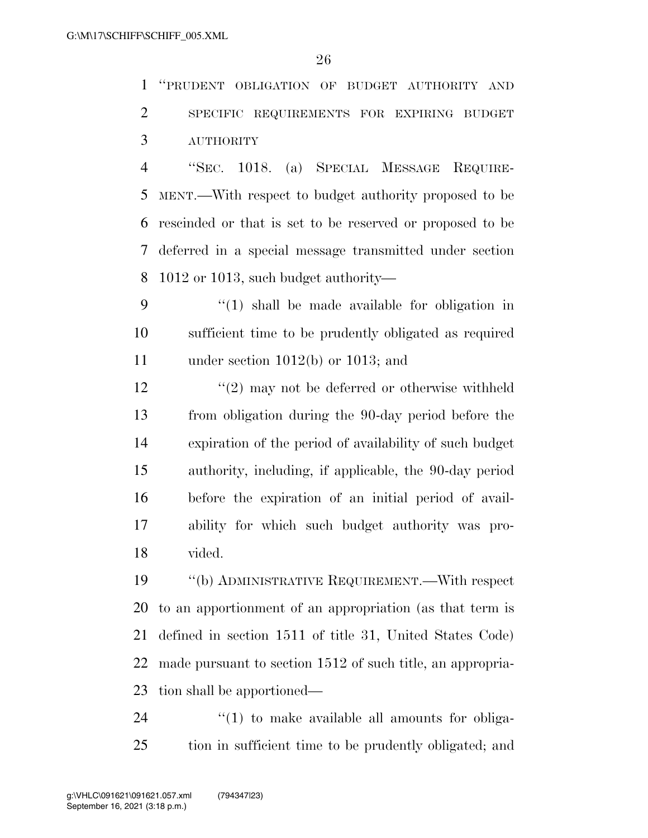''PRUDENT OBLIGATION OF BUDGET AUTHORITY AND SPECIFIC REQUIREMENTS FOR EXPIRING BUDGET AUTHORITY

 ''SEC. 1018. (a) SPECIAL MESSAGE REQUIRE- MENT.—With respect to budget authority proposed to be rescinded or that is set to be reserved or proposed to be deferred in a special message transmitted under section 1012 or 1013, such budget authority—

 ''(1) shall be made available for obligation in sufficient time to be prudently obligated as required under section 1012(b) or 1013; and

12 ''(2) may not be deferred or otherwise withheld from obligation during the 90-day period before the expiration of the period of availability of such budget authority, including, if applicable, the 90-day period before the expiration of an initial period of avail- ability for which such budget authority was pro-vided.

 ''(b) ADMINISTRATIVE REQUIREMENT.—With respect to an apportionment of an appropriation (as that term is defined in section 1511 of title 31, United States Code) made pursuant to section 1512 of such title, an appropria-tion shall be apportioned—

24  $\frac{1}{2}$  (1) to make available all amounts for obliga-tion in sufficient time to be prudently obligated; and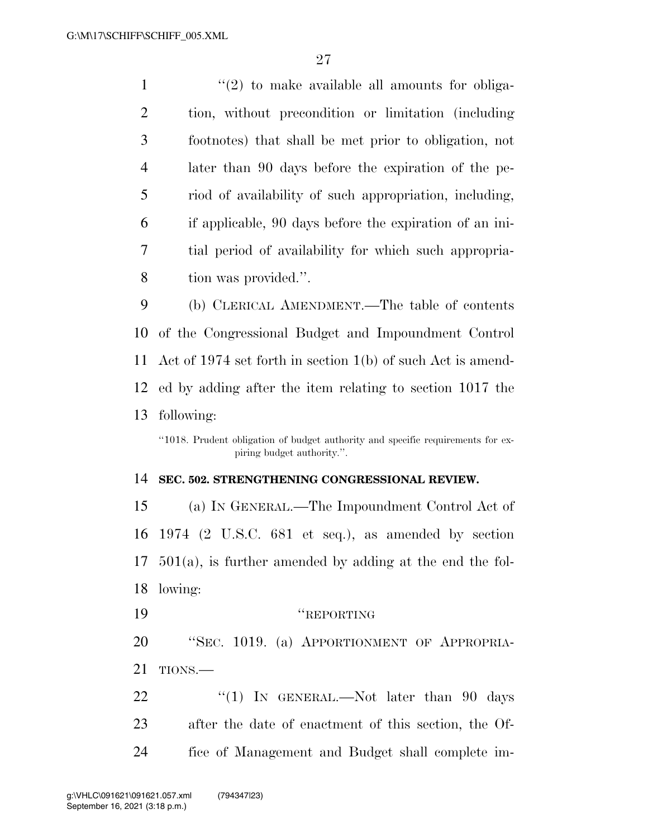$\frac{1}{2}$  ''(2) to make available all amounts for obliga- tion, without precondition or limitation (including footnotes) that shall be met prior to obligation, not later than 90 days before the expiration of the pe- riod of availability of such appropriation, including, if applicable, 90 days before the expiration of an ini- tial period of availability for which such appropria-tion was provided.''.

 (b) CLERICAL AMENDMENT.—The table of contents of the Congressional Budget and Impoundment Control Act of 1974 set forth in section 1(b) of such Act is amend- ed by adding after the item relating to section 1017 the following:

## **SEC. 502. STRENGTHENING CONGRESSIONAL REVIEW.**

 (a) IN GENERAL.—The Impoundment Control Act of 1974 (2 U.S.C. 681 et seq.), as amended by section 501(a), is further amended by adding at the end the fol- lowing: 19 "REPORTING"

 ''SEC. 1019. (a) APPORTIONMENT OF APPROPRIA-TIONS.—

22 "(1) IN GENERAL.—Not later than 90 days after the date of enactment of this section, the Of-fice of Management and Budget shall complete im-

<sup>&#</sup>x27;'1018. Prudent obligation of budget authority and specific requirements for expiring budget authority.''.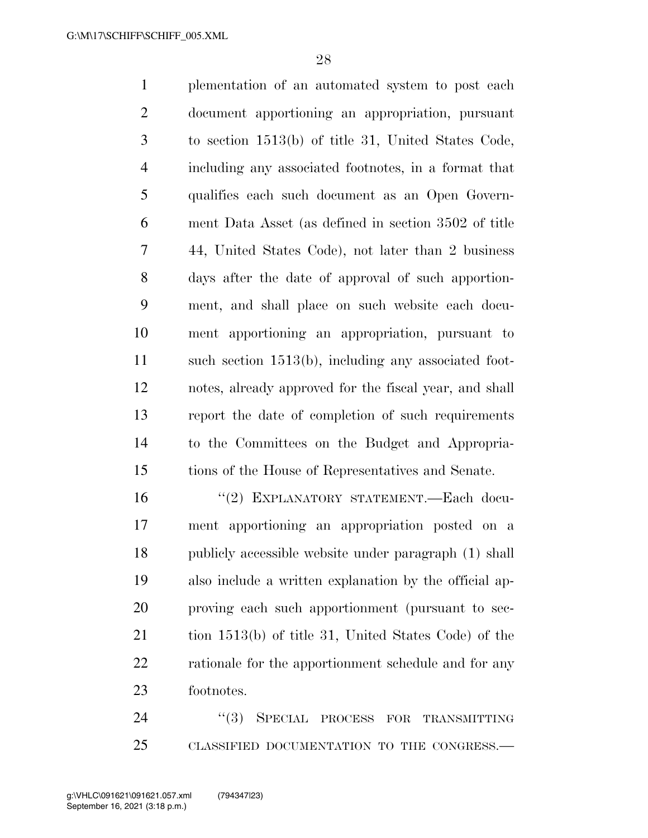plementation of an automated system to post each document apportioning an appropriation, pursuant to section 1513(b) of title 31, United States Code, including any associated footnotes, in a format that qualifies each such document as an Open Govern- ment Data Asset (as defined in section 3502 of title 44, United States Code), not later than 2 business days after the date of approval of such apportion- ment, and shall place on such website each docu- ment apportioning an appropriation, pursuant to such section 1513(b), including any associated foot- notes, already approved for the fiscal year, and shall report the date of completion of such requirements to the Committees on the Budget and Appropria-tions of the House of Representatives and Senate.

 ''(2) EXPLANATORY STATEMENT.—Each docu- ment apportioning an appropriation posted on a publicly accessible website under paragraph (1) shall also include a written explanation by the official ap- proving each such apportionment (pursuant to sec- tion 1513(b) of title 31, United States Code) of the 22 rationale for the apportionment schedule and for any footnotes.

24 "(3) SPECIAL PROCESS FOR TRANSMITTING CLASSIFIED DOCUMENTATION TO THE CONGRESS.—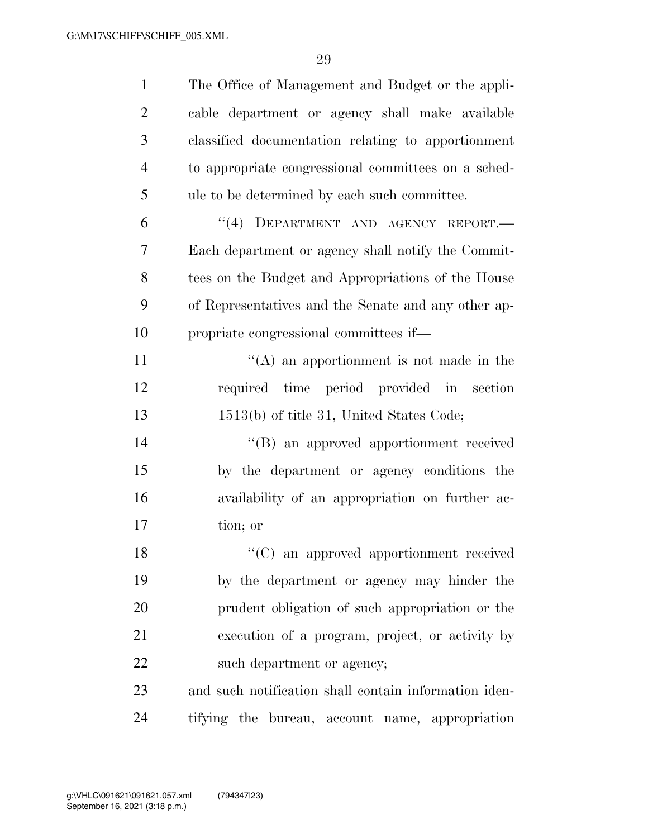| $\mathbf{1}$   | The Office of Management and Budget or the appli-     |
|----------------|-------------------------------------------------------|
| $\overline{2}$ | cable department or agency shall make available       |
| 3              | classified documentation relating to apportionment    |
| $\overline{4}$ | to appropriate congressional committees on a sched-   |
| 5              | ule to be determined by each such committee.          |
| 6              | "(4) DEPARTMENT AND AGENCY REPORT.-                   |
| 7              | Each department or agency shall notify the Commit-    |
| 8              | tees on the Budget and Appropriations of the House    |
| 9              | of Representatives and the Senate and any other ap-   |
| 10             | propriate congressional committees if—                |
| 11             | $\lq\lq$ an apportionment is not made in the          |
| 12             | required time period provided in section              |
| 13             | 1513(b) of title 31, United States Code;              |
| 14             | "(B) an approved apportionment received               |
| 15             | by the department or agency conditions the            |
| 16             | availability of an appropriation on further ac-       |
| 17             | tion; or                                              |
| 18             | "(C) an approved apportionment received               |
| 19             | by the department or agency may hinder the            |
| 20             | prudent obligation of such appropriation or the       |
| 21             | execution of a program, project, or activity by       |
| 22             | such department or agency;                            |
| 23             | and such notification shall contain information iden- |
| 24             | tifying the bureau, account name, appropriation       |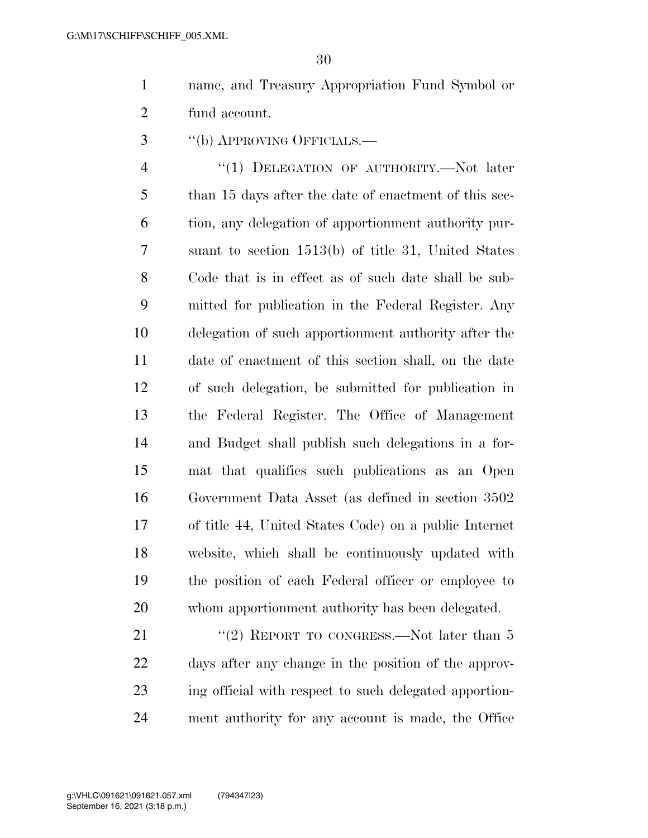name, and Treasury Appropriation Fund Symbol or fund account.

''(b) APPROVING OFFICIALS.—

 ''(1) DELEGATION OF AUTHORITY.—Not later than 15 days after the date of enactment of this sec- tion, any delegation of apportionment authority pur- suant to section 1513(b) of title 31, United States Code that is in effect as of such date shall be sub- mitted for publication in the Federal Register. Any delegation of such apportionment authority after the date of enactment of this section shall, on the date of such delegation, be submitted for publication in the Federal Register. The Office of Management and Budget shall publish such delegations in a for- mat that qualifies such publications as an Open Government Data Asset (as defined in section 3502 of title 44, United States Code) on a public Internet website, which shall be continuously updated with the position of each Federal officer or employee to whom apportionment authority has been delegated.

21 ''(2) REPORT TO CONGRESS.—Not later than 5 days after any change in the position of the approv- ing official with respect to such delegated apportion-ment authority for any account is made, the Office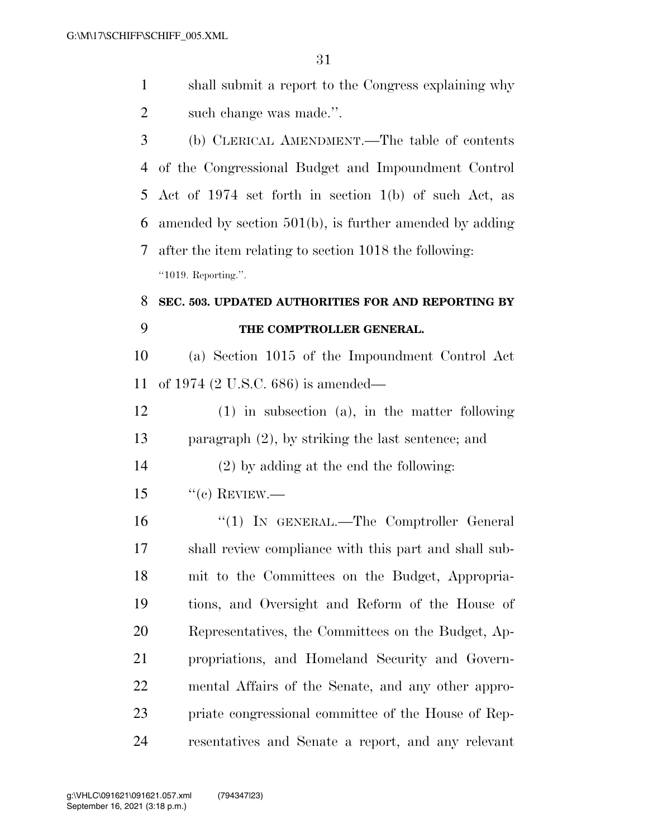| $\mathbf{1}$   | shall submit a report to the Congress explaining why       |
|----------------|------------------------------------------------------------|
| $\overline{2}$ | such change was made.".                                    |
| 3              | (b) CLERICAL AMENDMENT.—The table of contents              |
| 4              | of the Congressional Budget and Impoundment Control        |
| 5              | Act of 1974 set forth in section $1(b)$ of such Act, as    |
| 6              | amended by section $501(b)$ , is further amended by adding |
| 7              | after the item relating to section 1018 the following:     |
|                | "1019. Reporting.".                                        |
|                |                                                            |
| 8              | SEC. 503. UPDATED AUTHORITIES FOR AND REPORTING BY         |
| 9              | THE COMPTROLLER GENERAL.                                   |
| 10             | (a) Section 1015 of the Impoundment Control Act            |
| 11             | of 1974 $(2 U.S.C. 686)$ is amended—                       |
| 12             | $(1)$ in subsection $(a)$ , in the matter following        |
| 13             | paragraph $(2)$ , by striking the last sentence; and       |
| 14             | $(2)$ by adding at the end the following:                  |
| 15             | $``(c)$ REVIEW.—                                           |

 ''(1) IN GENERAL.—The Comptroller General shall review compliance with this part and shall sub- mit to the Committees on the Budget, Appropria- tions, and Oversight and Reform of the House of Representatives, the Committees on the Budget, Ap- propriations, and Homeland Security and Govern- mental Affairs of the Senate, and any other appro- priate congressional committee of the House of Rep-resentatives and Senate a report, and any relevant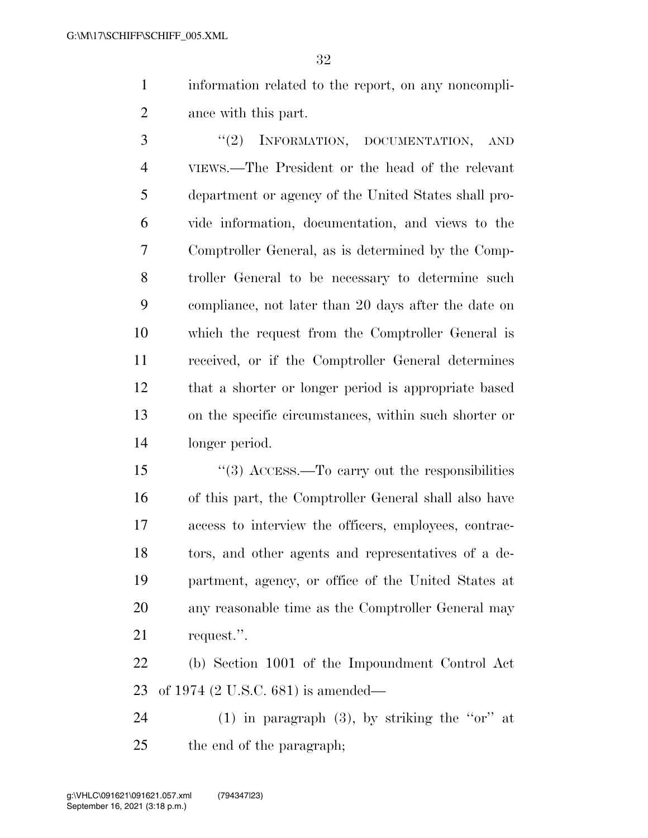information related to the report, on any noncompli-ance with this part.

3 "(2) INFORMATION, DOCUMENTATION, AND VIEWS.—The President or the head of the relevant department or agency of the United States shall pro- vide information, documentation, and views to the Comptroller General, as is determined by the Comp- troller General to be necessary to determine such compliance, not later than 20 days after the date on which the request from the Comptroller General is received, or if the Comptroller General determines that a shorter or longer period is appropriate based on the specific circumstances, within such shorter or longer period.

 ''(3) ACCESS.—To carry out the responsibilities of this part, the Comptroller General shall also have access to interview the officers, employees, contrac- tors, and other agents and representatives of a de- partment, agency, or office of the United States at any reasonable time as the Comptroller General may request.''.

 (b) Section 1001 of the Impoundment Control Act of 1974 (2 U.S.C. 681) is amended—

24 (1) in paragraph  $(3)$ , by striking the "or" at the end of the paragraph;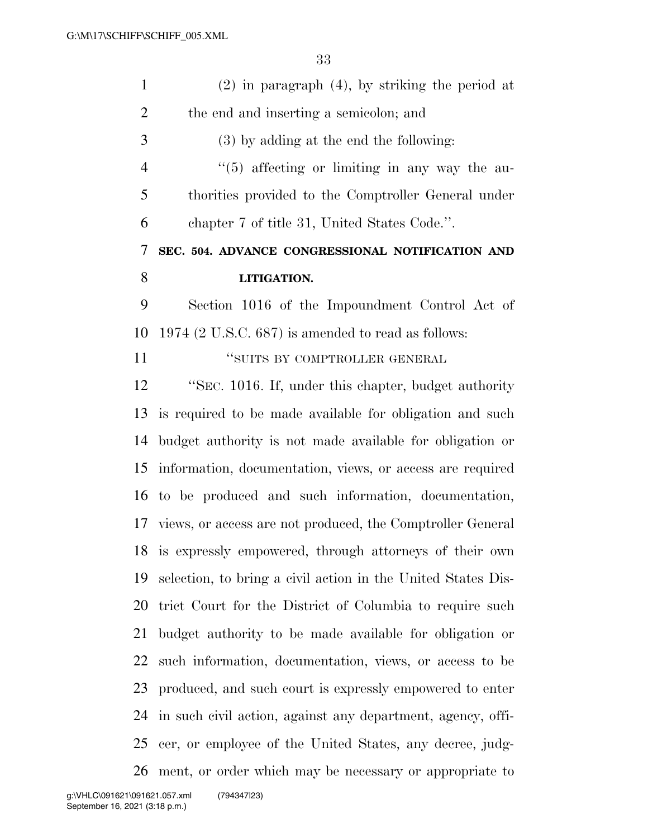| $\mathbf{1}$   | $(2)$ in paragraph $(4)$ , by striking the period at          |
|----------------|---------------------------------------------------------------|
| $\overline{2}$ | the end and inserting a semicolon; and                        |
| 3              | (3) by adding at the end the following:                       |
| $\overline{4}$ | $\lq(5)$ affecting or limiting in any way the au-             |
| 5              | thorities provided to the Comptroller General under           |
| 6              | chapter 7 of title 31, United States Code.".                  |
| 7              | SEC. 504. ADVANCE CONGRESSIONAL NOTIFICATION AND              |
| 8              | LITIGATION.                                                   |
| 9              | Section 1016 of the Impoundment Control Act of                |
| 10             | $1974$ (2 U.S.C. 687) is amended to read as follows:          |
| 11             | "SUITS BY COMPTROLLER GENERAL                                 |
| 12             | "SEC. 1016. If, under this chapter, budget authority          |
| 13             | is required to be made available for obligation and such      |
| 14             | budget authority is not made available for obligation or      |
| 15             | information, documentation, views, or access are required     |
|                | 16 to be produced and such information, documentation,        |
|                | 17 views, or access are not produced, the Comptroller General |
|                | 18 is expressly empowered, through attorneys of their own     |
| 19             | selection, to bring a civil action in the United States Dis-  |
| 20             | trict Court for the District of Columbia to require such      |
| 21             | budget authority to be made available for obligation or       |
| 22             | such information, documentation, views, or access to be       |
| 23             | produced, and such court is expressly empowered to enter      |
| 24             | in such civil action, against any department, agency, offi-   |
| 25             | cer, or employee of the United States, any decree, judg-      |
| 26             | ment, or order which may be necessary or appropriate to       |
|                |                                                               |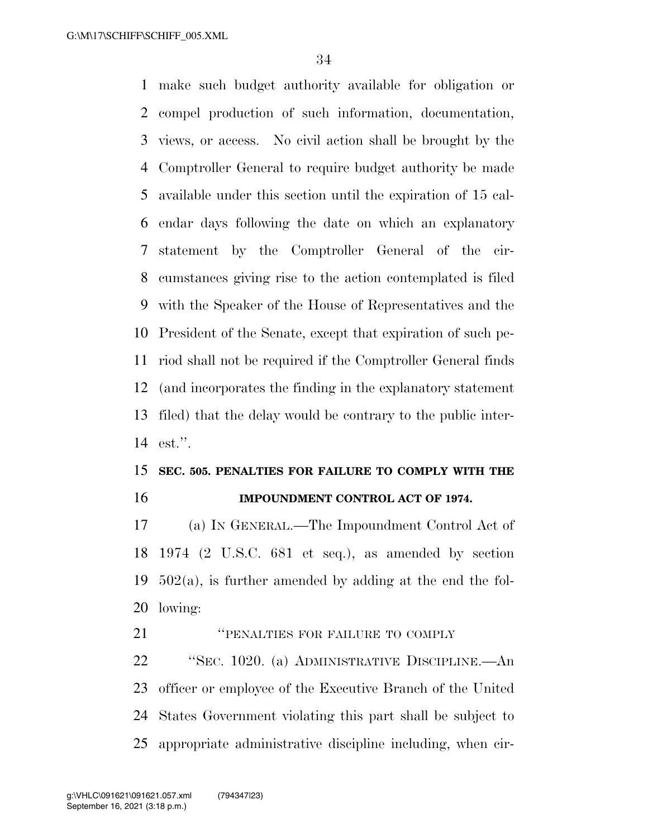make such budget authority available for obligation or compel production of such information, documentation, views, or access. No civil action shall be brought by the Comptroller General to require budget authority be made available under this section until the expiration of 15 cal- endar days following the date on which an explanatory statement by the Comptroller General of the cir- cumstances giving rise to the action contemplated is filed with the Speaker of the House of Representatives and the President of the Senate, except that expiration of such pe- riod shall not be required if the Comptroller General finds (and incorporates the finding in the explanatory statement filed) that the delay would be contrary to the public inter-est.''.

## **SEC. 505. PENALTIES FOR FAILURE TO COMPLY WITH THE IMPOUNDMENT CONTROL ACT OF 1974.**

 (a) IN GENERAL.—The Impoundment Control Act of 1974 (2 U.S.C. 681 et seq.), as amended by section 502(a), is further amended by adding at the end the fol-lowing:

## *''PENALTIES FOR FAILURE TO COMPLY*

 ''SEC. 1020. (a) ADMINISTRATIVE DISCIPLINE.—An officer or employee of the Executive Branch of the United States Government violating this part shall be subject to appropriate administrative discipline including, when cir-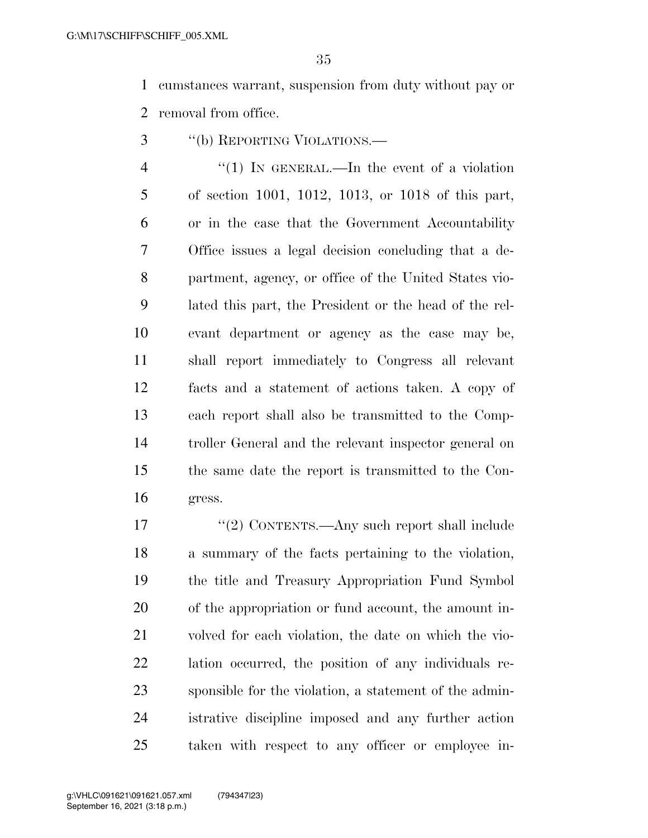cumstances warrant, suspension from duty without pay or removal from office.

''(b) REPORTING VIOLATIONS.—

4 "(1) In GENERAL.—In the event of a violation of section 1001, 1012, 1013, or 1018 of this part, or in the case that the Government Accountability Office issues a legal decision concluding that a de- partment, agency, or office of the United States vio- lated this part, the President or the head of the rel- evant department or agency as the case may be, shall report immediately to Congress all relevant facts and a statement of actions taken. A copy of each report shall also be transmitted to the Comp- troller General and the relevant inspector general on the same date the report is transmitted to the Con-gress.

17 "(2) CONTENTS.—Any such report shall include a summary of the facts pertaining to the violation, the title and Treasury Appropriation Fund Symbol of the appropriation or fund account, the amount in- volved for each violation, the date on which the vio- lation occurred, the position of any individuals re- sponsible for the violation, a statement of the admin- istrative discipline imposed and any further action taken with respect to any officer or employee in-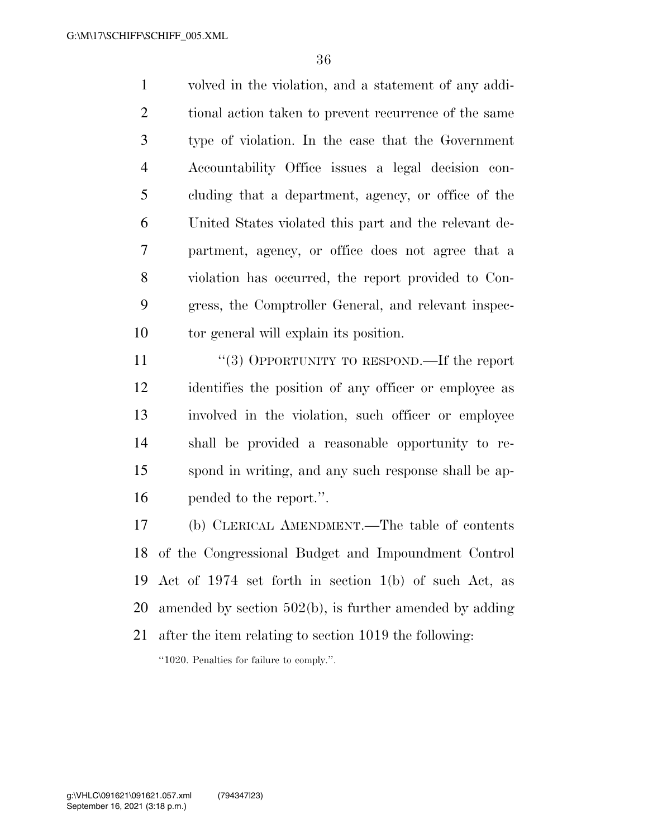volved in the violation, and a statement of any addi-2 tional action taken to prevent recurrence of the same type of violation. In the case that the Government Accountability Office issues a legal decision con- cluding that a department, agency, or office of the United States violated this part and the relevant de- partment, agency, or office does not agree that a violation has occurred, the report provided to Con- gress, the Comptroller General, and relevant inspec-tor general will explain its position.

11 ''(3) OPPORTUNITY TO RESPOND.—If the report identifies the position of any officer or employee as involved in the violation, such officer or employee shall be provided a reasonable opportunity to re- spond in writing, and any such response shall be ap-pended to the report.''.

 (b) CLERICAL AMENDMENT.—The table of contents of the Congressional Budget and Impoundment Control Act of 1974 set forth in section 1(b) of such Act, as amended by section 502(b), is further amended by adding after the item relating to section 1019 the following:

''1020. Penalties for failure to comply.''.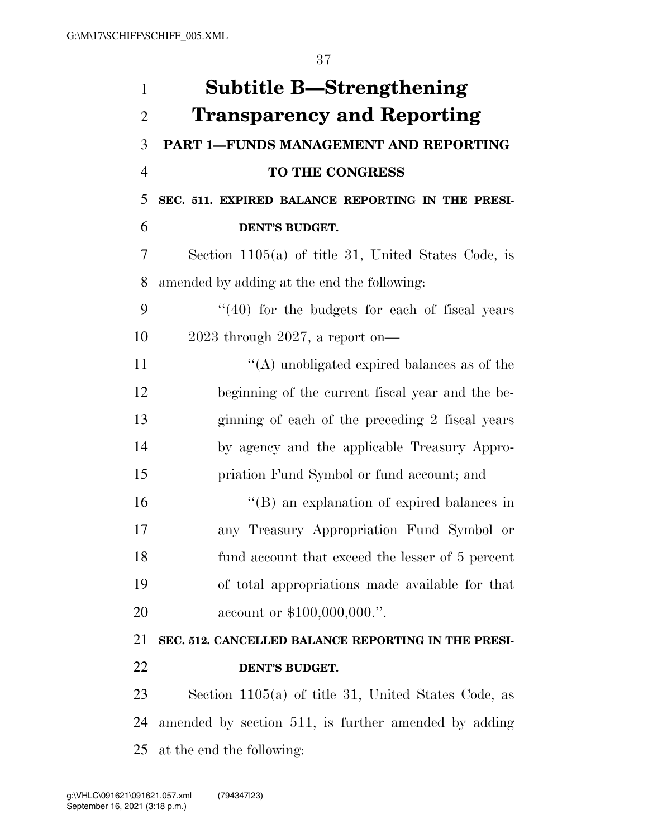| $\mathbf{1}$   | <b>Subtitle B—Strengthening</b>                       |
|----------------|-------------------------------------------------------|
| $\overline{2}$ | <b>Transparency and Reporting</b>                     |
| 3              | PART 1-FUNDS MANAGEMENT AND REPORTING                 |
| $\overline{4}$ | TO THE CONGRESS                                       |
| 5              | SEC. 511. EXPIRED BALANCE REPORTING IN THE PRESI-     |
| 6              | DENT'S BUDGET.                                        |
| 7              | Section 1105(a) of title 31, United States Code, is   |
| 8              | amended by adding at the end the following:           |
| 9              | $(40)$ for the budgets for each of fiscal years       |
| 10             | $2023$ through $2027$ , a report on-                  |
| 11             | $\lq\lq$ unobligated expired balances as of the       |
| 12             | beginning of the current fiscal year and the be-      |
| 13             | ginning of each of the preceding 2 fiscal years       |
| 14             | by agency and the applicable Treasury Appro-          |
| 15             | priation Fund Symbol or fund account; and             |
| 16             | $\lq\lq$ (B) an explanation of expired balances in    |
| 17             | any Treasury Appropriation Fund Symbol or             |
| 18             | fund account that exceed the lesser of 5 percent      |
| 19             | of total appropriations made available for that       |
| 20             | account or \$100,000,000.".                           |
| 21             | SEC. 512. CANCELLED BALANCE REPORTING IN THE PRESI-   |
| 22             | DENT'S BUDGET.                                        |
| 23             | Section $1105(a)$ of title 31, United States Code, as |
| 24             | amended by section 511, is further amended by adding  |
| 25             | at the end the following:                             |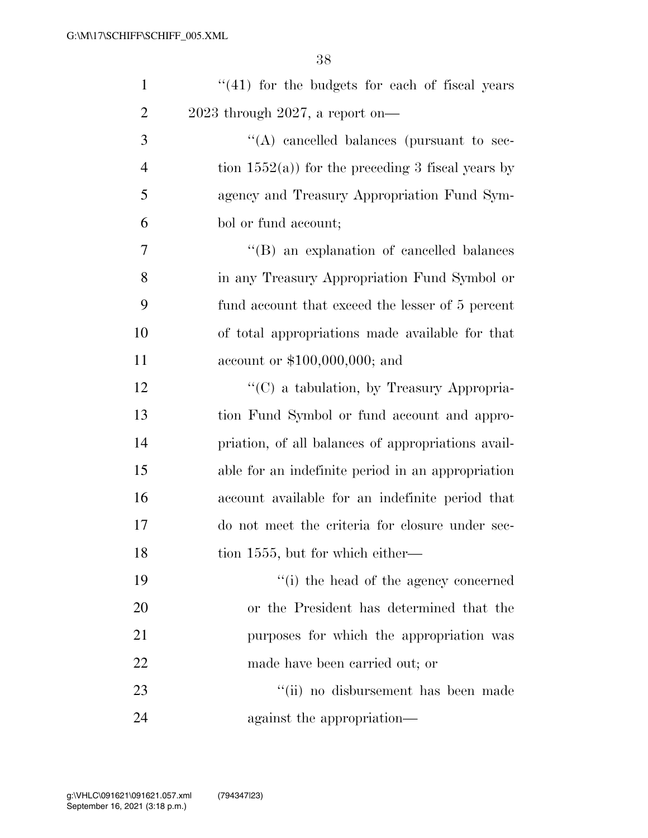| $\mathbf{1}$   | $(41)$ for the budgets for each of fiscal years      |
|----------------|------------------------------------------------------|
| $\overline{2}$ | $2023$ through $2027$ , a report on-                 |
| 3              | "(A) cancelled balances (pursuant to sec-            |
| 4              | tion $1552(a)$ ) for the preceding 3 fiscal years by |
| 5              | agency and Treasury Appropriation Fund Sym-          |
| 6              | bol or fund account;                                 |
| $\overline{7}$ | $\lq\lq$ (B) an explanation of cancelled balances    |
| 8              | in any Treasury Appropriation Fund Symbol or         |
| 9              | fund account that exceed the lesser of 5 percent     |
| 10             | of total appropriations made available for that      |
| 11             | account or $$100,000,000;$ and                       |
| 12             | $\lq\lq$ a tabulation, by Treasury Appropria-        |
| 13             | tion Fund Symbol or fund account and appro-          |
| 14             | priation, of all balances of appropriations avail-   |
| 15             | able for an indefinite period in an appropriation    |
| 16             | account available for an indefinite period that      |
| 17             | do not meet the criteria for closure under sec-      |
| 18             | tion 1555, but for which either—                     |
| 19             | "(i) the head of the agency concerned                |
| 20             | or the President has determined that the             |
| 21             | purposes for which the appropriation was             |
| 22             | made have been carried out; or                       |
| 23             | "(ii) no disbursement has been made                  |
| 24             | against the appropriation—                           |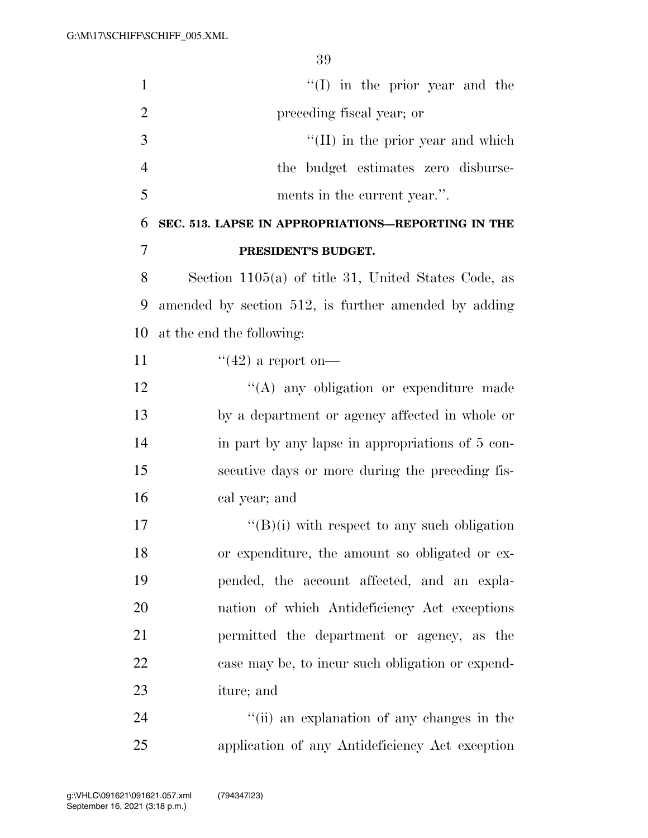| $\mathbf{1}$   | $\lq\lq$ (I) in the prior year and the                |
|----------------|-------------------------------------------------------|
| $\overline{2}$ | preceding fiscal year; or                             |
| 3              | $\lq\lq$ (II) in the prior year and which             |
| $\overline{4}$ | the budget estimates zero disburse-                   |
| 5              | ments in the current year.".                          |
| 6              | SEC. 513. LAPSE IN APPROPRIATIONS-REPORTING IN THE    |
| 7              | PRESIDENT'S BUDGET.                                   |
| 8              | Section $1105(a)$ of title 31, United States Code, as |
| 9              | amended by section 512, is further amended by adding  |
| 10             | at the end the following:                             |
| 11             | "(42) a report on—                                    |
| 12             | "(A) any obligation or expenditure made               |
| 13             | by a department or agency affected in whole or        |
| 14             | in part by any lapse in appropriations of 5 con-      |
| 15             | secutive days or more during the preceding fis-       |
| 16             | cal year; and                                         |
| 17             | $\lq\lq(B)(i)$ with respect to any such obligation    |
| 18             | or expenditure, the amount so obligated or ex-        |
| 19             | pended, the account affected, and an expla-           |
| 20             | nation of which Antideficiency Act exceptions         |
| 21             | permitted the department or agency, as the            |
| 22             | case may be, to incur such obligation or expend-      |
| 23             | iture; and                                            |
| 24             | "(ii) an explanation of any changes in the            |

application of any Antideficiency Act exception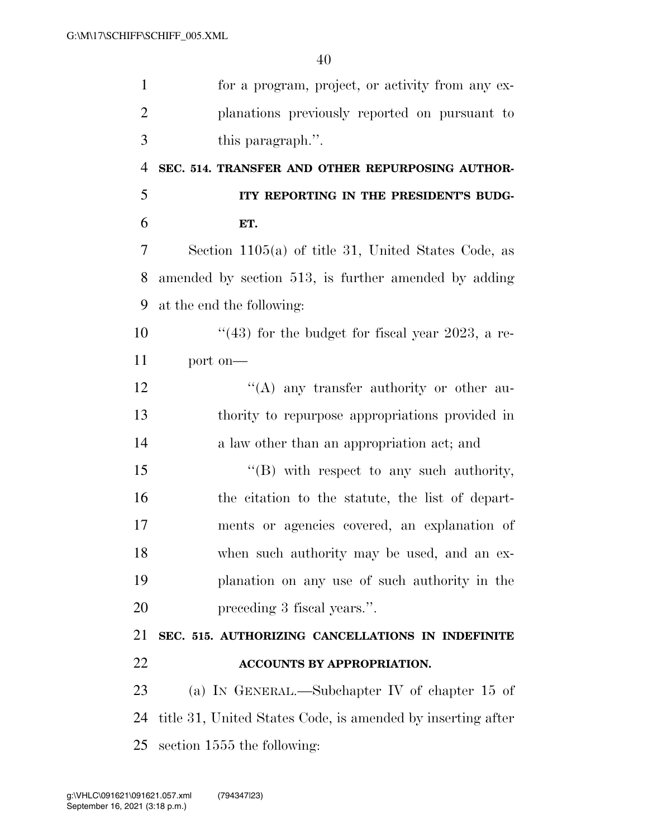| $\mathbf{1}$   | for a program, project, or activity from any ex-            |
|----------------|-------------------------------------------------------------|
| $\overline{2}$ | planations previously reported on pursuant to               |
| 3              | this paragraph.".                                           |
| $\overline{4}$ | SEC. 514. TRANSFER AND OTHER REPURPOSING AUTHOR-            |
| 5              | ITY REPORTING IN THE PRESIDENT'S BUDG-                      |
| 6              | ET.                                                         |
| 7              | Section $1105(a)$ of title 31, United States Code, as       |
| 8              | amended by section 513, is further amended by adding        |
| 9              | at the end the following:                                   |
| 10             | "(43) for the budget for fiscal year 2023, a re-            |
| 11             | port on-                                                    |
| 12             | $\lq\lq$ any transfer authority or other au-                |
| 13             | thority to repurpose appropriations provided in             |
| 14             | a law other than an appropriation act; and                  |
| 15             | $\lq\lq (B)$ with respect to any such authority,            |
| 16             | the citation to the statute, the list of depart-            |
| 17             | ments or agencies covered, an explanation of                |
| 18             | when such authority may be used, and an ex-                 |
| 19             | planation on any use of such authority in the               |
| 20             | preceding 3 fiscal years.".                                 |
| 21             | SEC. 515. AUTHORIZING CANCELLATIONS IN INDEFINITE           |
| 22             | ACCOUNTS BY APPROPRIATION.                                  |
| 23             | (a) IN GENERAL.—Subchapter IV of chapter 15 of              |
| 24             | title 31, United States Code, is amended by inserting after |
| 25             | section 1555 the following:                                 |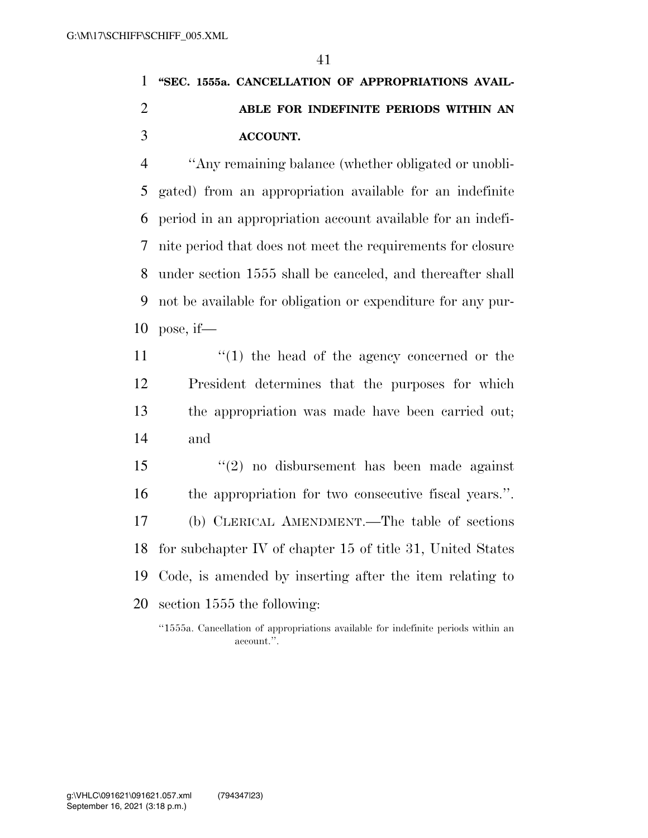## **''SEC. 1555a. CANCELLATION OF APPROPRIATIONS AVAIL- ABLE FOR INDEFINITE PERIODS WITHIN AN ACCOUNT.**

 ''Any remaining balance (whether obligated or unobli- gated) from an appropriation available for an indefinite period in an appropriation account available for an indefi- nite period that does not meet the requirements for closure under section 1555 shall be canceled, and thereafter shall not be available for obligation or expenditure for any pur-pose, if—

 $\frac{1}{2}$  (1) the head of the agency concerned or the President determines that the purposes for which the appropriation was made have been carried out; and

 ''(2) no disbursement has been made against the appropriation for two consecutive fiscal years.''. (b) CLERICAL AMENDMENT.—The table of sections for subchapter IV of chapter 15 of title 31, United States Code, is amended by inserting after the item relating to section 1555 the following:

''1555a. Cancellation of appropriations available for indefinite periods within an account.''.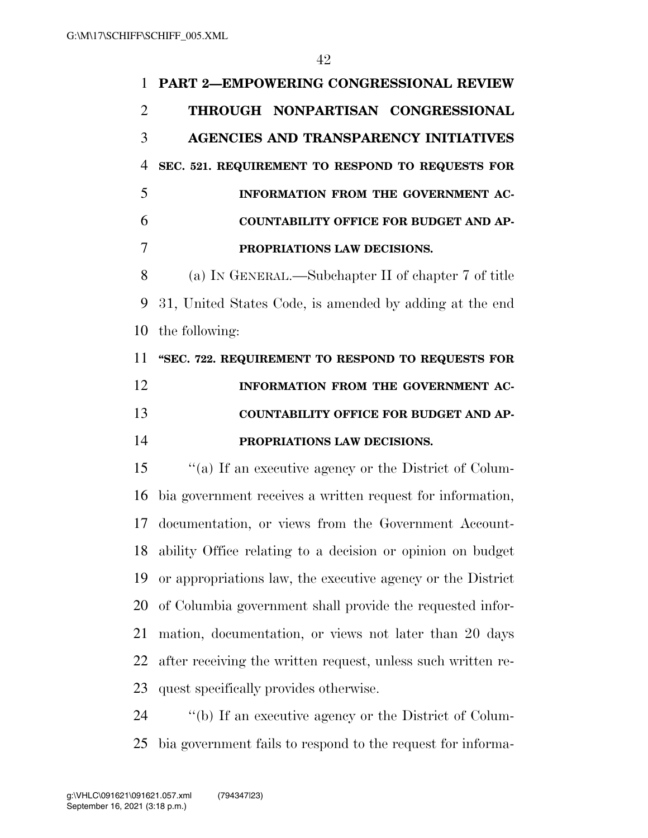| 1              | <b>PART 2-EMPOWERING CONGRESSIONAL REVIEW</b>                |
|----------------|--------------------------------------------------------------|
| $\overline{2}$ | THROUGH NONPARTISAN CONGRESSIONAL                            |
| 3              | <b>AGENCIES AND TRANSPARENCY INITIATIVES</b>                 |
| 4              | SEC. 521. REQUIREMENT TO RESPOND TO REQUESTS FOR             |
| 5              | INFORMATION FROM THE GOVERNMENT AC-                          |
| 6              | <b>COUNTABILITY OFFICE FOR BUDGET AND AP-</b>                |
| 7              | PROPRIATIONS LAW DECISIONS.                                  |
| 8              | (a) IN GENERAL.—Subchapter II of chapter 7 of title          |
| 9              | 31, United States Code, is amended by adding at the end      |
| 10             | the following:                                               |
| 11             | "SEC. 722. REQUIREMENT TO RESPOND TO REQUESTS FOR            |
| 12             | INFORMATION FROM THE GOVERNMENT AC-                          |
|                |                                                              |
| 13             | <b>COUNTABILITY OFFICE FOR BUDGET AND AP-</b>                |
| 14             | PROPRIATIONS LAW DECISIONS.                                  |
| 15             | "(a) If an executive agency or the District of Colum-        |
| 16             | bia government receives a written request for information,   |
| 17             | documentation, or views from the Government Account-         |
| 18             | ability Office relating to a decision or opinion on budget   |
| 19             | or appropriations law, the executive agency or the District  |
| 20             | of Columbia government shall provide the requested infor-    |
| 21             | mation, documentation, or views not later than 20 days       |
| 22             | after receiving the written request, unless such written re- |
| 23             | quest specifically provides otherwise.                       |

bia government fails to respond to the request for informa-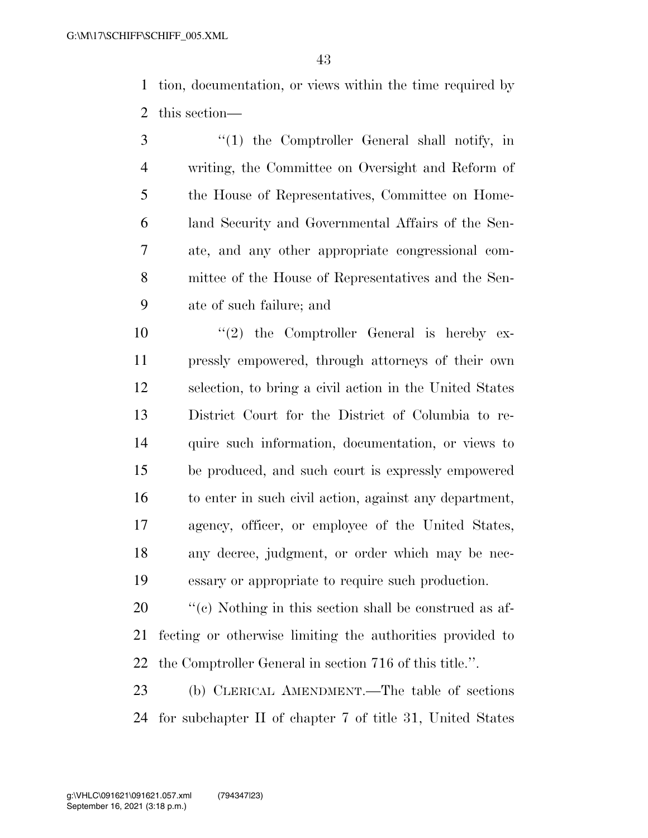tion, documentation, or views within the time required by this section—

 ''(1) the Comptroller General shall notify, in writing, the Committee on Oversight and Reform of the House of Representatives, Committee on Home- land Security and Governmental Affairs of the Sen- ate, and any other appropriate congressional com- mittee of the House of Representatives and the Sen-ate of such failure; and

 $(2)$  the Comptroller General is hereby ex- pressly empowered, through attorneys of their own selection, to bring a civil action in the United States District Court for the District of Columbia to re- quire such information, documentation, or views to be produced, and such court is expressly empowered to enter in such civil action, against any department, agency, officer, or employee of the United States, any decree, judgment, or order which may be nec-essary or appropriate to require such production.

20  $\cdot$  ''(c) Nothing in this section shall be construed as af- fecting or otherwise limiting the authorities provided to the Comptroller General in section 716 of this title.''.

 (b) CLERICAL AMENDMENT.—The table of sections for subchapter II of chapter 7 of title 31, United States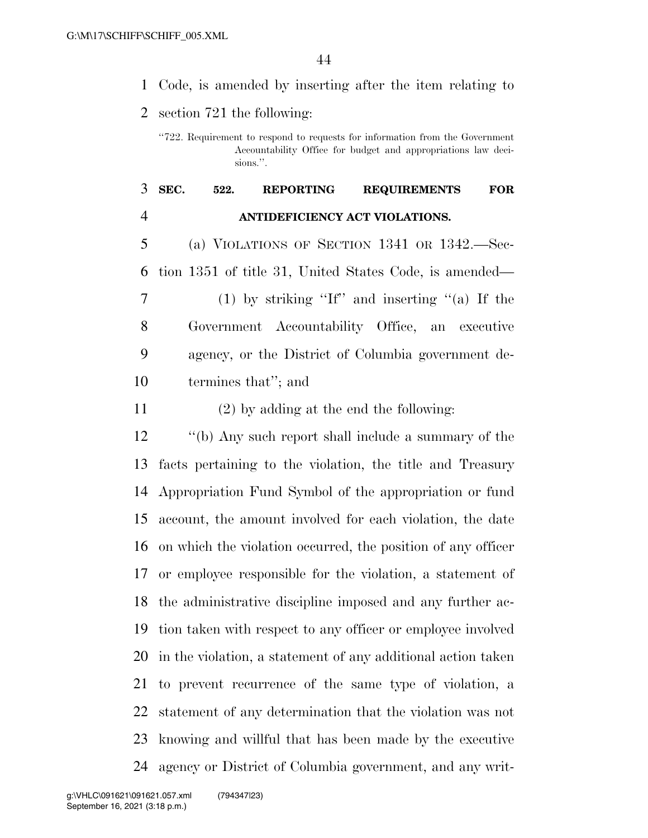Code, is amended by inserting after the item relating to

section 721 the following:

## **SEC. 522. REPORTING REQUIREMENTS FOR ANTIDEFICIENCY ACT VIOLATIONS.**

 (a) VIOLATIONS OF SECTION 1341 OR 1342.—Sec- tion 1351 of title 31, United States Code, is amended— (1) by striking ''If'' and inserting ''(a) If the Government Accountability Office, an executive agency, or the District of Columbia government de-termines that''; and

(2) by adding at the end the following:

 ''(b) Any such report shall include a summary of the facts pertaining to the violation, the title and Treasury Appropriation Fund Symbol of the appropriation or fund account, the amount involved for each violation, the date on which the violation occurred, the position of any officer or employee responsible for the violation, a statement of the administrative discipline imposed and any further ac- tion taken with respect to any officer or employee involved in the violation, a statement of any additional action taken to prevent recurrence of the same type of violation, a statement of any determination that the violation was not knowing and willful that has been made by the executive agency or District of Columbia government, and any writ-

<sup>&#</sup>x27;'722. Requirement to respond to requests for information from the Government Accountability Office for budget and appropriations law decisions.''.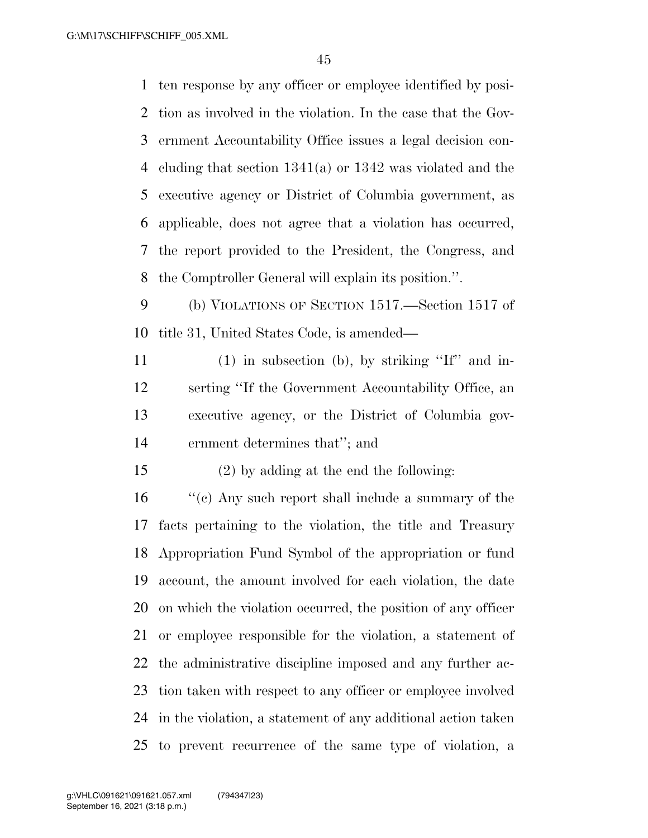ten response by any officer or employee identified by posi- tion as involved in the violation. In the case that the Gov- ernment Accountability Office issues a legal decision con- cluding that section 1341(a) or 1342 was violated and the executive agency or District of Columbia government, as applicable, does not agree that a violation has occurred, the report provided to the President, the Congress, and the Comptroller General will explain its position.''.

 (b) VIOLATIONS OF SECTION 1517.—Section 1517 of title 31, United States Code, is amended—

 (1) in subsection (b), by striking ''If'' and in- serting ''If the Government Accountability Office, an executive agency, or the District of Columbia gov-ernment determines that''; and

(2) by adding at the end the following:

 ''(c) Any such report shall include a summary of the facts pertaining to the violation, the title and Treasury Appropriation Fund Symbol of the appropriation or fund account, the amount involved for each violation, the date on which the violation occurred, the position of any officer or employee responsible for the violation, a statement of the administrative discipline imposed and any further ac- tion taken with respect to any officer or employee involved in the violation, a statement of any additional action taken to prevent recurrence of the same type of violation, a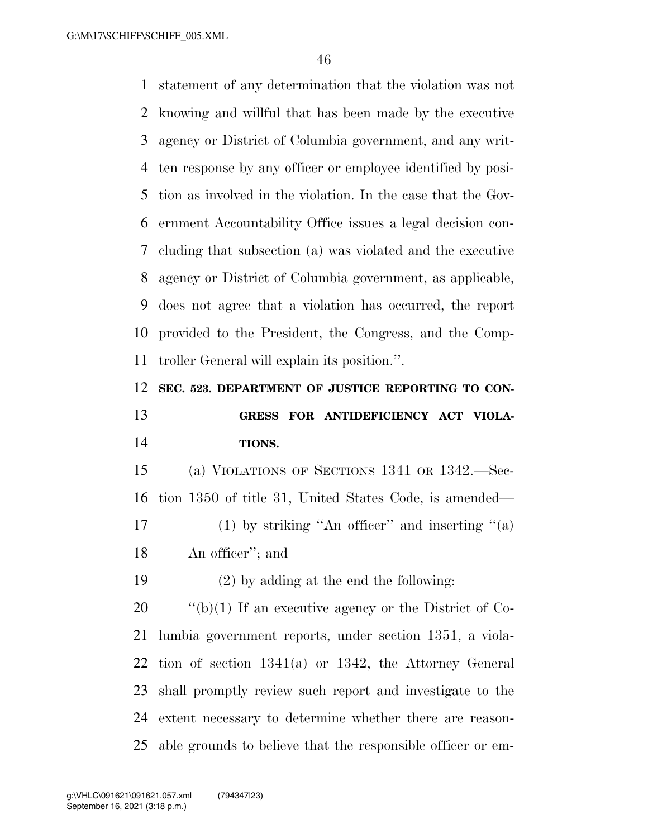statement of any determination that the violation was not knowing and willful that has been made by the executive agency or District of Columbia government, and any writ- ten response by any officer or employee identified by posi- tion as involved in the violation. In the case that the Gov- ernment Accountability Office issues a legal decision con- cluding that subsection (a) was violated and the executive agency or District of Columbia government, as applicable, does not agree that a violation has occurred, the report provided to the President, the Congress, and the Comp-troller General will explain its position.''.

**SEC. 523. DEPARTMENT OF JUSTICE REPORTING TO CON-**

 **GRESS FOR ANTIDEFICIENCY ACT VIOLA-TIONS.** 

 (a) VIOLATIONS OF SECTIONS 1341 OR 1342.—Sec- tion 1350 of title 31, United States Code, is amended— 17 (1) by striking "An officer" and inserting "(a) An officer''; and

(2) by adding at the end the following:

 $\frac{1}{20}$  (b)(1) If an executive agency or the District of Co- lumbia government reports, under section 1351, a viola- tion of section 1341(a) or 1342, the Attorney General shall promptly review such report and investigate to the extent necessary to determine whether there are reason-able grounds to believe that the responsible officer or em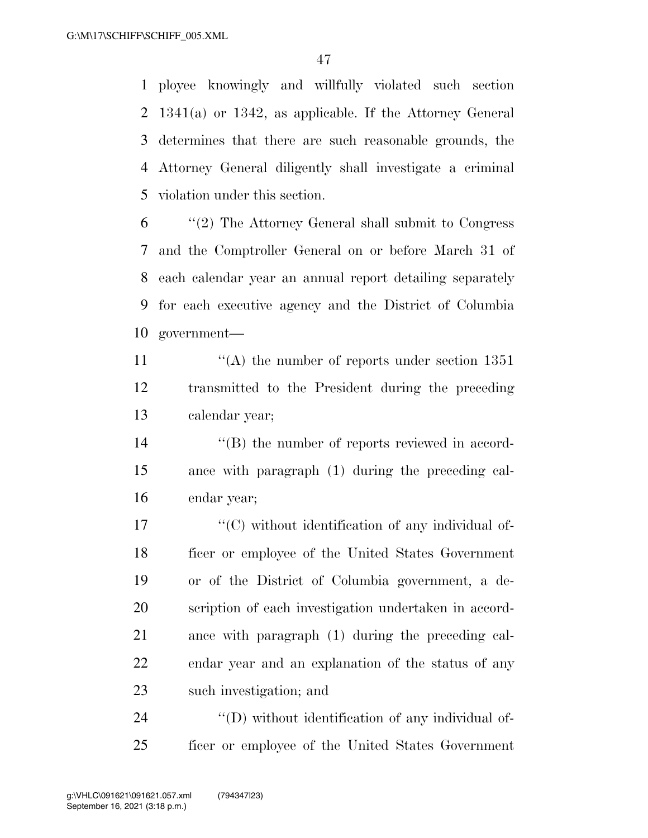ployee knowingly and willfully violated such section 1341(a) or 1342, as applicable. If the Attorney General determines that there are such reasonable grounds, the Attorney General diligently shall investigate a criminal violation under this section.

 ''(2) The Attorney General shall submit to Congress and the Comptroller General on or before March 31 of each calendar year an annual report detailing separately for each executive agency and the District of Columbia government—

11  $\langle (A)$  the number of reports under section 1351 transmitted to the President during the preceding calendar year;

14  $\langle \text{``(B)} \rangle$  the number of reports reviewed in accord- ance with paragraph (1) during the preceding cal-endar year;

 $\langle ^{\prime}(C) \rangle$  without identification of any individual of- ficer or employee of the United States Government or of the District of Columbia government, a de- scription of each investigation undertaken in accord- ance with paragraph (1) during the preceding cal- endar year and an explanation of the status of any such investigation; and

24  $\langle\langle D \rangle$  without identification of any individual of-ficer or employee of the United States Government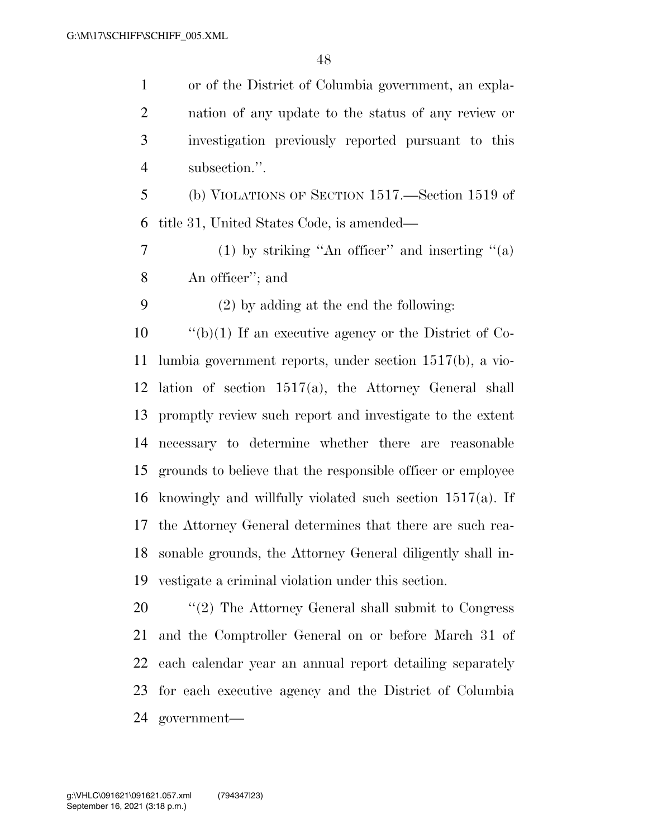or of the District of Columbia government, an expla- nation of any update to the status of any review or investigation previously reported pursuant to this subsection.''.

 (b) VIOLATIONS OF SECTION 1517.—Section 1519 of title 31, United States Code, is amended—

7 (1) by striking "An officer" and inserting "(a) An officer''; and

(2) by adding at the end the following:

 ''(b)(1) If an executive agency or the District of Co- lumbia government reports, under section 1517(b), a vio- lation of section 1517(a), the Attorney General shall promptly review such report and investigate to the extent necessary to determine whether there are reasonable grounds to believe that the responsible officer or employee knowingly and willfully violated such section 1517(a). If the Attorney General determines that there are such rea- sonable grounds, the Attorney General diligently shall in-vestigate a criminal violation under this section.

20 "'(2) The Attorney General shall submit to Congress and the Comptroller General on or before March 31 of each calendar year an annual report detailing separately for each executive agency and the District of Columbia government—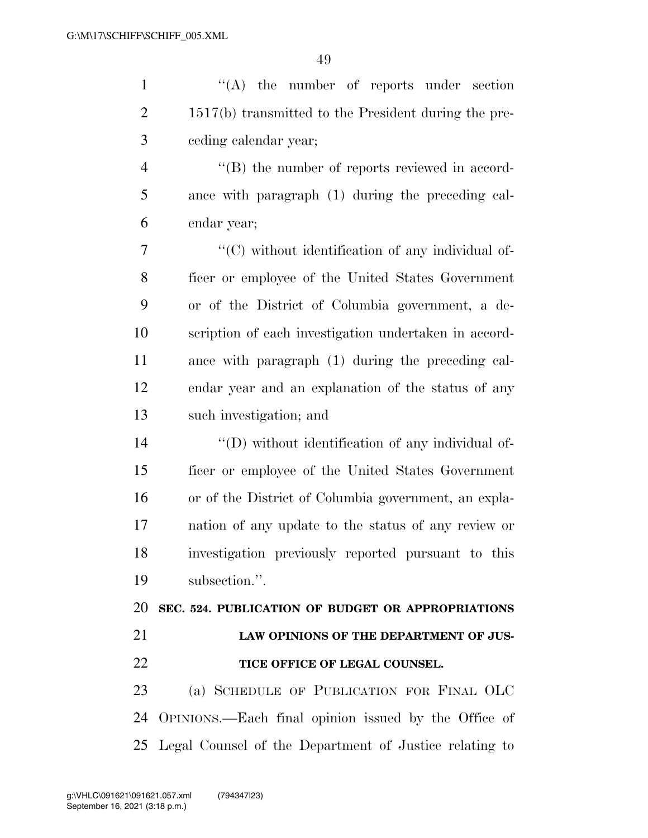| $\mathbf{1}$   | "(A) the number of reports under section               |
|----------------|--------------------------------------------------------|
| $\overline{2}$ | $1517(b)$ transmitted to the President during the pre- |
| 3              | ceding calendar year;                                  |
| $\overline{4}$ | "(B) the number of reports reviewed in accord-         |
| 5              | ance with paragraph (1) during the preceding cal-      |
| 6              | endar year;                                            |
| 7              | "(C) without identification of any individual of-      |
| 8              | ficer or employee of the United States Government      |
| 9              | or of the District of Columbia government, a de-       |
| 10             | scription of each investigation undertaken in accord-  |
| 11             | ance with paragraph (1) during the preceding cal-      |
| 12             | endar year and an explanation of the status of any     |
| 13             | such investigation; and                                |
| 14             | $\lq\lq$ without identification of any individual of-  |
| 15             | ficer or employee of the United States Government      |
| 16             | or of the District of Columbia government, an expla-   |
| 17             | nation of any update to the status of any review or    |
| 18             | investigation previously reported pursuant to this     |
| 19             | subsection.".                                          |
| 20             | SEC. 524. PUBLICATION OF BUDGET OR APPROPRIATIONS      |
| 21             | LAW OPINIONS OF THE DEPARTMENT OF JUS-                 |
| 22             | TICE OFFICE OF LEGAL COUNSEL.                          |
| 23             | (a) SCHEDULE OF PUBLICATION FOR FINAL OLC              |
| 24             | OPINIONS.—Each final opinion issued by the Office of   |
| 25             | Legal Counsel of the Department of Justice relating to |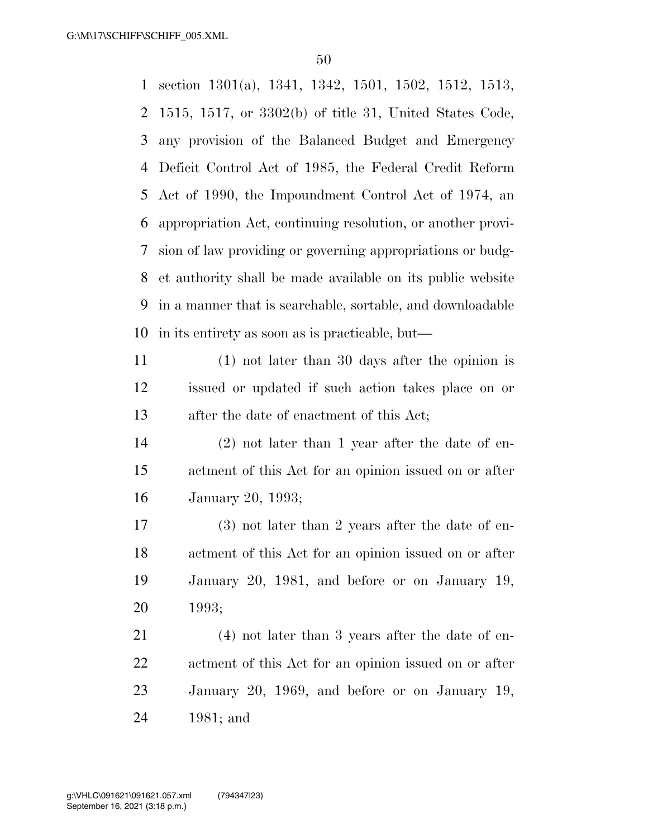section 1301(a), 1341, 1342, 1501, 1502, 1512, 1513, 1515, 1517, or 3302(b) of title 31, United States Code, any provision of the Balanced Budget and Emergency Deficit Control Act of 1985, the Federal Credit Reform Act of 1990, the Impoundment Control Act of 1974, an appropriation Act, continuing resolution, or another provi- sion of law providing or governing appropriations or budg- et authority shall be made available on its public website in a manner that is searchable, sortable, and downloadable in its entirety as soon as is practicable, but—

 (1) not later than 30 days after the opinion is issued or updated if such action takes place on or after the date of enactment of this Act;

 (2) not later than 1 year after the date of en- actment of this Act for an opinion issued on or after January 20, 1993;

 (3) not later than 2 years after the date of en- actment of this Act for an opinion issued on or after January 20, 1981, and before or on January 19, 1993;

 (4) not later than 3 years after the date of en- actment of this Act for an opinion issued on or after January 20, 1969, and before or on January 19, 1981; and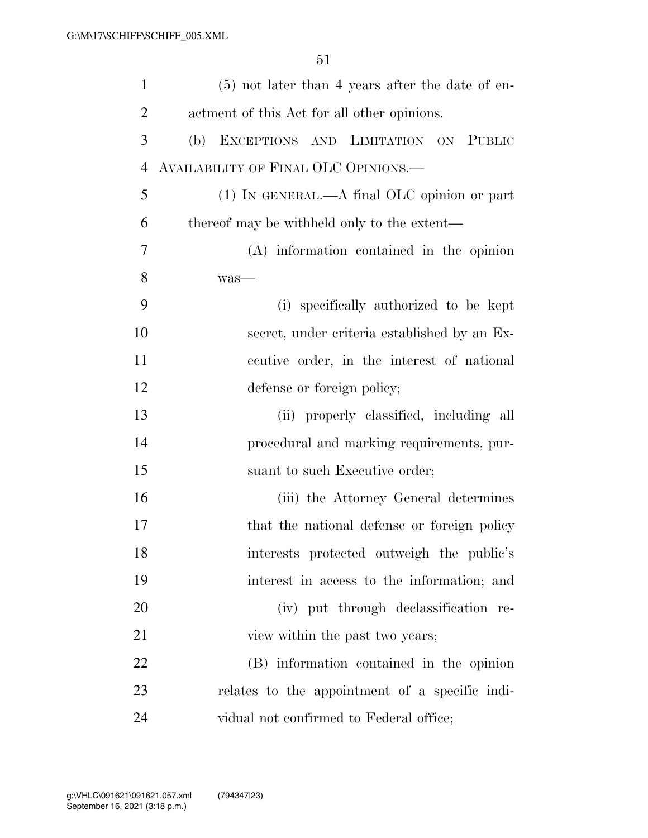| $\mathbf{1}$   | $(5)$ not later than 4 years after the date of en- |
|----------------|----------------------------------------------------|
| $\overline{2}$ | actment of this Act for all other opinions.        |
| 3              | EXCEPTIONS AND LIMITATION ON PUBLIC<br>(b)         |
| $\overline{4}$ | AVAILABILITY OF FINAL OLC OPINIONS.—               |
| 5              | $(1)$ In GENERAL.—A final OLC opinion or part      |
| 6              | thereof may be withheld only to the extent—        |
| 7              | $(A)$ information contained in the opinion         |
| 8              | was-                                               |
| 9              | (i) specifically authorized to be kept             |
| 10             | secret, under criteria established by an Ex-       |
| 11             | ecutive order, in the interest of national         |
| 12             | defense or foreign policy;                         |
| 13             | (ii) properly classified, including all            |
| 14             | procedural and marking requirements, pur-          |
| 15             | suant to such Executive order;                     |
| 16             | (iii) the Attorney General determines              |
| 17             | that the national defense or foreign policy        |
| 18             | interests protected outweigh the public's          |
| 19             | interest in access to the information; and         |
| 20             | (iv) put through declassification re-              |
| 21             | view within the past two years;                    |
| 22             | (B) information contained in the opinion           |
| 23             | relates to the appointment of a specific indi-     |
| 24             | vidual not confirmed to Federal office;            |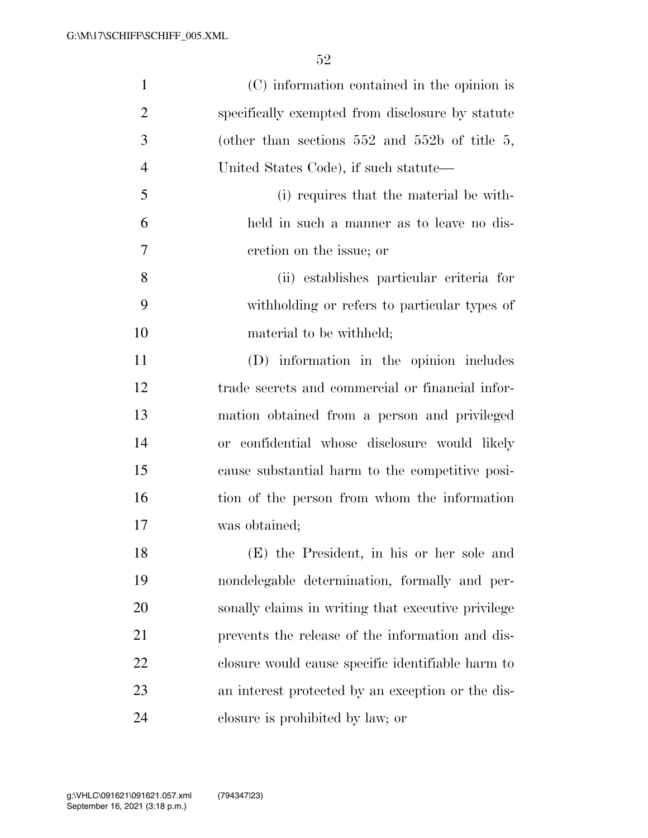| $\mathbf{1}$   | (C) information contained in the opinion is        |
|----------------|----------------------------------------------------|
| $\overline{2}$ | specifically exempted from disclosure by statute   |
| 3              | (other than sections $552$ and $552b$ of title 5,  |
| $\overline{4}$ | United States Code), if such statute—              |
| 5              | (i) requires that the material be with-            |
| 6              | held in such a manner as to leave no dis-          |
| $\overline{7}$ | cretion on the issue; or                           |
| 8              | (ii) establishes particular criteria for           |
| 9              | withholding or refers to particular types of       |
| 10             | material to be withheld;                           |
| 11             | (D) information in the opinion includes            |
| 12             | trade secrets and commercial or financial infor-   |
| 13             | mation obtained from a person and privileged       |
| 14             | or confidential whose disclosure would likely      |
| 15             | cause substantial harm to the competitive posi-    |
| 16             | tion of the person from whom the information       |
| 17             | was obtained;                                      |
| 18             | (E) the President, in his or her sole and          |
| 19             | nondelegable determination, formally and per-      |
| 20             | sonally claims in writing that executive privilege |
| 21             | prevents the release of the information and dis-   |
| 22             | closure would cause specific identifiable harm to  |
| 23             | an interest protected by an exception or the dis-  |
| 24             | closure is prohibited by law; or                   |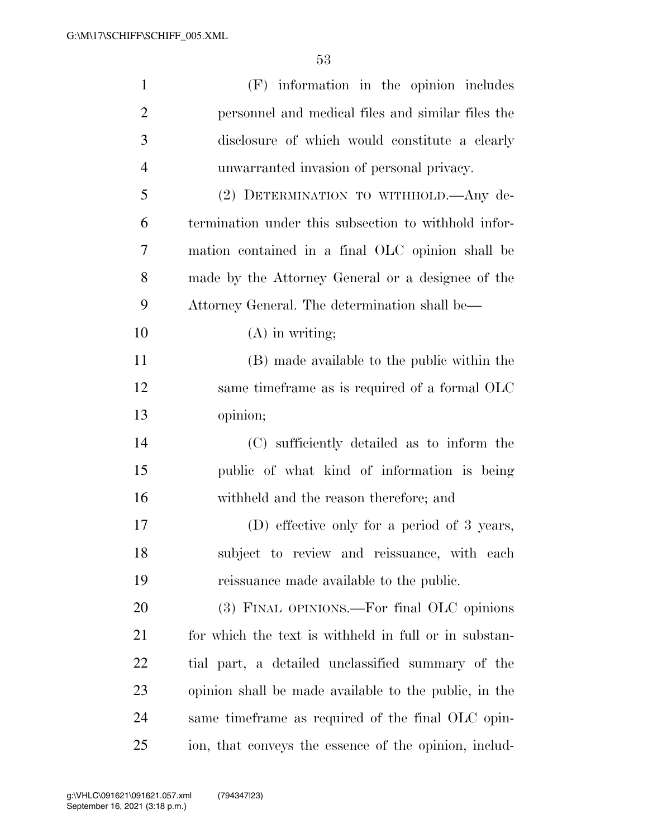| $\mathbf{1}$   | (F) information in the opinion includes               |
|----------------|-------------------------------------------------------|
| $\overline{2}$ | personnel and medical files and similar files the     |
| 3              | disclosure of which would constitute a clearly        |
| $\overline{4}$ | unwarranted invasion of personal privacy.             |
| 5              | (2) DETERMINATION TO WITHHOLD.—Any de-                |
| 6              | termination under this subsection to withhold infor-  |
| 7              | mation contained in a final OLC opinion shall be      |
| 8              | made by the Attorney General or a designee of the     |
| 9              | Attorney General. The determination shall be—         |
| 10             | $(A)$ in writing;                                     |
| 11             | (B) made available to the public within the           |
| 12             | same timeframe as is required of a formal OLC         |
| 13             | opinion;                                              |
| 14             | (C) sufficiently detailed as to inform the            |
| 15             | public of what kind of information is being           |
| 16             | withheld and the reason therefore; and                |
| 17             | (D) effective only for a period of 3 years,           |
| 18             | subject to review and reissuance, with each           |
| 19             | reissuance made available to the public.              |
| 20             | (3) FINAL OPINIONS.—For final OLC opinions            |
| 21             | for which the text is withheld in full or in substan- |
| 22             | tial part, a detailed unclassified summary of the     |
| 23             | opinion shall be made available to the public, in the |
| 24             | same time frame as required of the final OLC opin-    |
| 25             | ion, that conveys the essence of the opinion, includ- |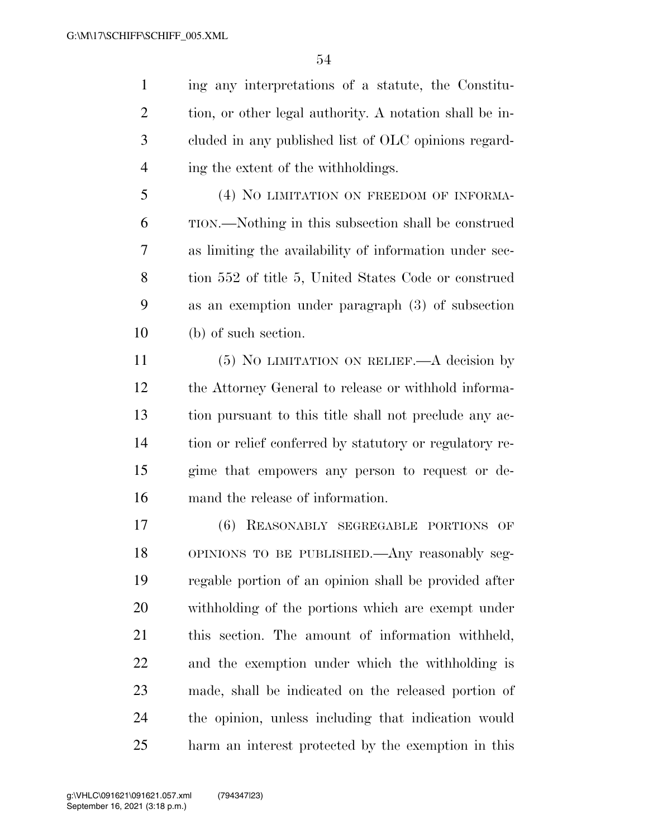ing any interpretations of a statute, the Constitu- tion, or other legal authority. A notation shall be in- cluded in any published list of OLC opinions regard-4 ing the extent of the withholdings.

 (4) NO LIMITATION ON FREEDOM OF INFORMA- TION.—Nothing in this subsection shall be construed as limiting the availability of information under sec- tion 552 of title 5, United States Code or construed as an exemption under paragraph (3) of subsection (b) of such section.

 (5) NO LIMITATION ON RELIEF.—A decision by the Attorney General to release or withhold informa- tion pursuant to this title shall not preclude any ac- tion or relief conferred by statutory or regulatory re- gime that empowers any person to request or de-mand the release of information.

 (6) REASONABLY SEGREGABLE PORTIONS OF OPINIONS TO BE PUBLISHED.—Any reasonably seg- regable portion of an opinion shall be provided after withholding of the portions which are exempt under this section. The amount of information withheld, and the exemption under which the withholding is made, shall be indicated on the released portion of the opinion, unless including that indication would harm an interest protected by the exemption in this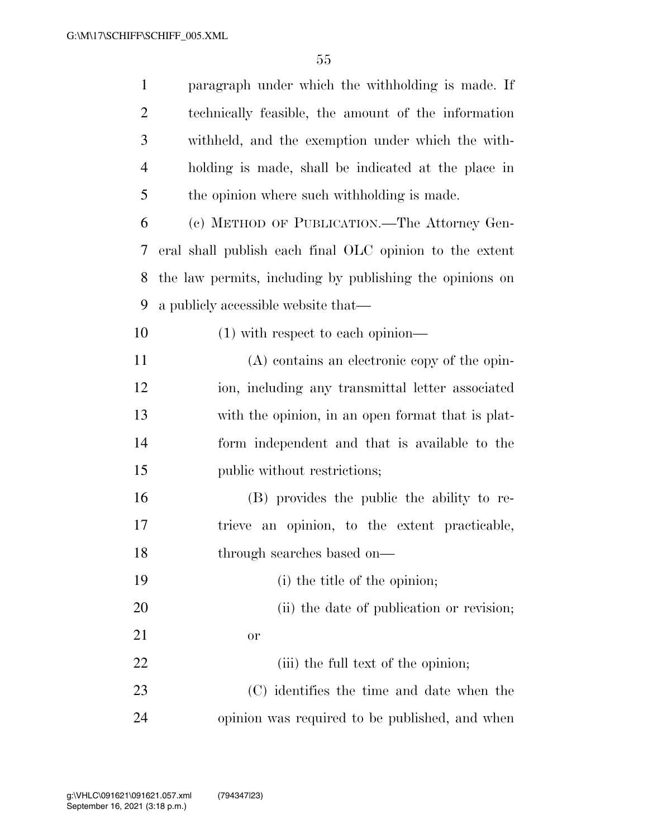| $\mathbf{1}$   | paragraph under which the withholding is made. If        |
|----------------|----------------------------------------------------------|
| $\overline{c}$ | technically feasible, the amount of the information      |
| 3              | withheld, and the exemption under which the with-        |
| $\overline{4}$ | holding is made, shall be indicated at the place in      |
| 5              | the opinion where such withholding is made.              |
| 6              | (c) METHOD OF PUBLICATION.—The Attorney Gen-             |
| 7              | eral shall publish each final OLC opinion to the extent  |
| 8              | the law permits, including by publishing the opinions on |
| 9              | a publicly accessible website that—                      |
| 10             | $(1)$ with respect to each opinion—                      |
| 11             | $(A)$ contains an electronic copy of the opin-           |
| 12             | ion, including any transmittal letter associated         |
| 13             | with the opinion, in an open format that is plat-        |
| 14             | form independent and that is available to the            |
| 15             | public without restrictions;                             |
| 16             | (B) provides the public the ability to re-               |
| 17             | trieve an opinion, to the extent practicable,            |
| 18             | through searches based on—                               |
| 19             | (i) the title of the opinion;                            |
| 20             | (ii) the date of publication or revision;                |
| 21             | or                                                       |
| 22             | (iii) the full text of the opinion;                      |
| 23             | (C) identifies the time and date when the                |
| 24             | opinion was required to be published, and when           |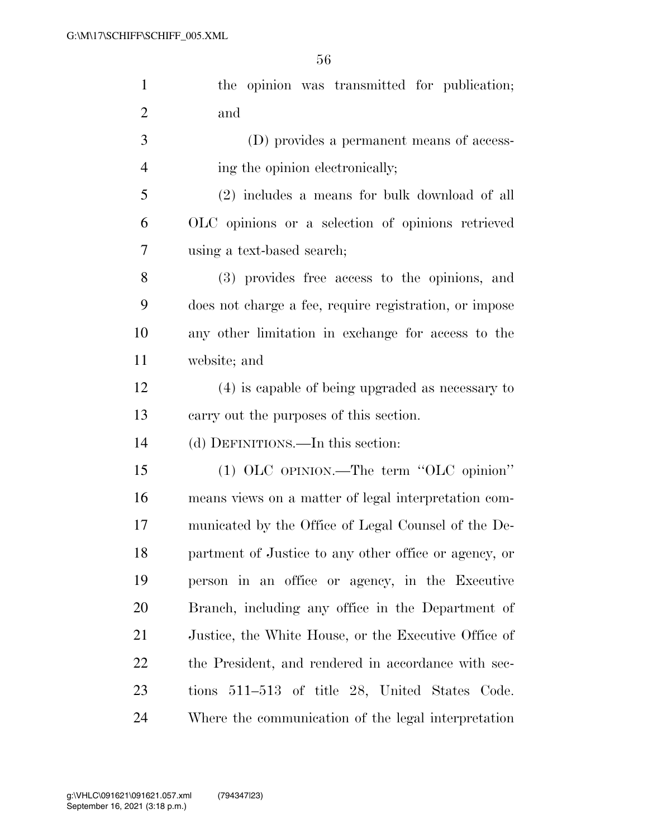| $\mathbf{1}$   | the opinion was transmitted for publication;           |
|----------------|--------------------------------------------------------|
| $\overline{2}$ | and                                                    |
| 3              | (D) provides a permanent means of access-              |
| $\overline{4}$ | ing the opinion electronically;                        |
| 5              | (2) includes a means for bulk download of all          |
| 6              | OLC opinions or a selection of opinions retrieved      |
| 7              | using a text-based search;                             |
| 8              | (3) provides free access to the opinions, and          |
| 9              | does not charge a fee, require registration, or impose |
| 10             | any other limitation in exchange for access to the     |
| 11             | website; and                                           |
| 12             | (4) is capable of being upgraded as necessary to       |
| 13             | carry out the purposes of this section.                |
| 14             | (d) DEFINITIONS.—In this section:                      |
| 15             | (1) OLC OPINION.—The term "OLC opinion"                |
| 16             | means views on a matter of legal interpretation com-   |
| 17             | municated by the Office of Legal Counsel of the De-    |
| 18             | partment of Justice to any other office or agency, or  |
| 19             | person in an office or agency, in the Executive        |
| 20             | Branch, including any office in the Department of      |
| 21             | Justice, the White House, or the Executive Office of   |
| 22             | the President, and rendered in accordance with sec-    |
| 23             | tions 511–513 of title 28, United States Code.         |
| 24             | Where the communication of the legal interpretation    |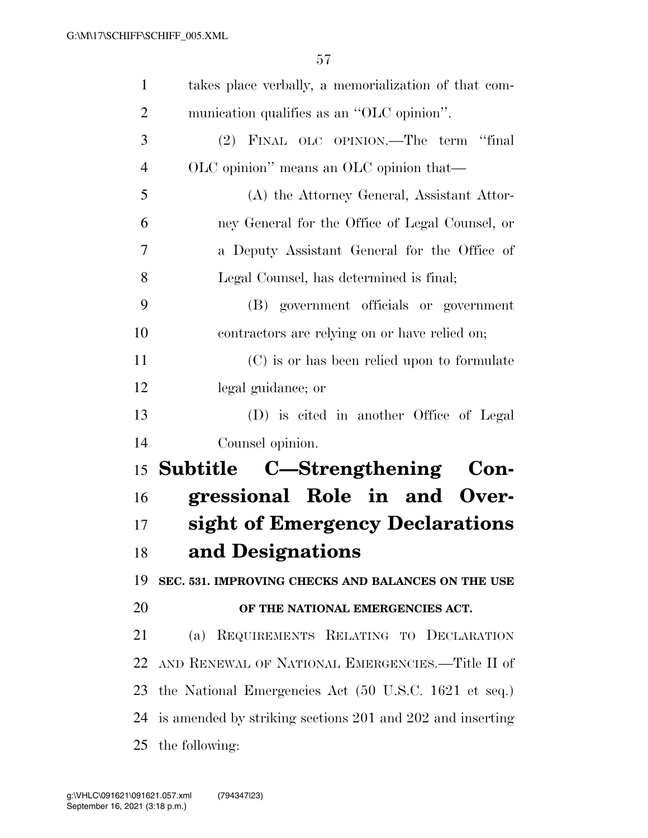| $\mathbf{1}$   | takes place verbally, a memorialization of that com-      |
|----------------|-----------------------------------------------------------|
| $\overline{2}$ | munication qualifies as an "OLC opinion".                 |
| 3              | (2) FINAL OLC OPINION.—The term "final                    |
| $\overline{4}$ | OLC opinion" means an OLC opinion that—                   |
| 5              | (A) the Attorney General, Assistant Attor-                |
| 6              | ney General for the Office of Legal Counsel, or           |
| 7              | a Deputy Assistant General for the Office of              |
| 8              | Legal Counsel, has determined is final;                   |
| 9              | (B) government officials or government                    |
| 10             | contractors are relying on or have relied on;             |
| 11             | (C) is or has been relied upon to formulate               |
| 12             | legal guidance; or                                        |
| 13             | (D) is cited in another Office of Legal                   |
| 14             | Counsel opinion.                                          |
| 15             | Subtitle C-Strengthening Con-                             |
| 16             | gressional Role in and Over-                              |
| 17             | sight of Emergency Declarations                           |
| 18             | and Designations                                          |
| 19             | SEC. 531. IMPROVING CHECKS AND BALANCES ON THE USE        |
| 20             | OF THE NATIONAL EMERGENCIES ACT.                          |
| 21             | (a) REQUIREMENTS RELATING TO DECLARATION                  |
| 22             | AND RENEWAL OF NATIONAL EMERGENCIES.-Title II of          |
| 23             | the National Emergencies Act (50 U.S.C. 1621 et seq.)     |
| 24             | is amended by striking sections 201 and 202 and inserting |
| 25             | the following:                                            |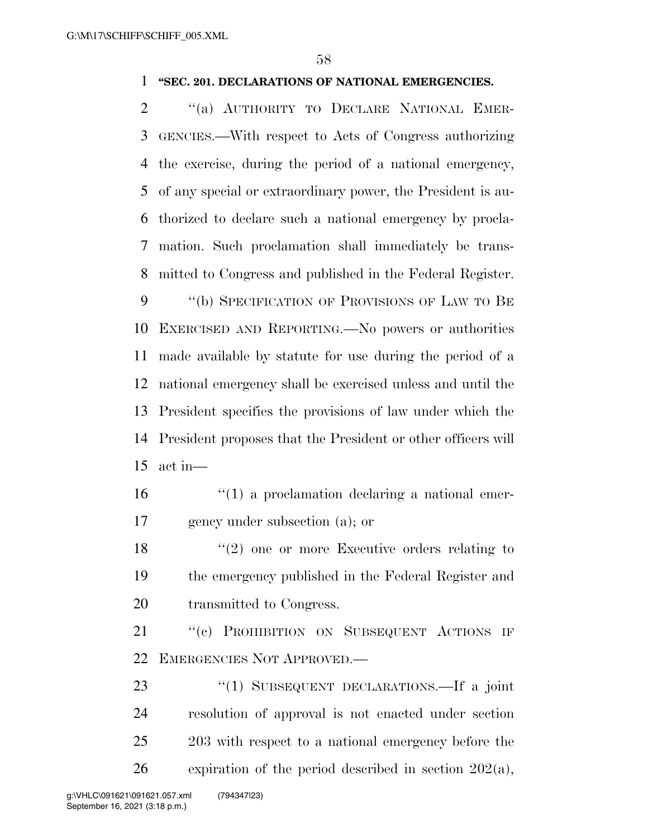## **''SEC. 201. DECLARATIONS OF NATIONAL EMERGENCIES.**

 ''(a) AUTHORITY TO DECLARE NATIONAL EMER- GENCIES.—With respect to Acts of Congress authorizing the exercise, during the period of a national emergency, of any special or extraordinary power, the President is au- thorized to declare such a national emergency by procla- mation. Such proclamation shall immediately be trans-mitted to Congress and published in the Federal Register.

 ''(b) SPECIFICATION OF PROVISIONS OF LAW TO BE EXERCISED AND REPORTING.—No powers or authorities made available by statute for use during the period of a national emergency shall be exercised unless and until the President specifies the provisions of law under which the President proposes that the President or other officers will act in—

16  $\frac{1}{10}$  a proclamation declaring a national emer-gency under subsection (a); or

 ''(2) one or more Executive orders relating to the emergency published in the Federal Register and transmitted to Congress.

21 "(c) PROHIBITION ON SUBSEQUENT ACTIONS IF EMERGENCIES NOT APPROVED.—

23 "(1) SUBSEQUENT DECLARATIONS.—If a joint resolution of approval is not enacted under section 203 with respect to a national emergency before the 26 expiration of the period described in section  $202(a)$ ,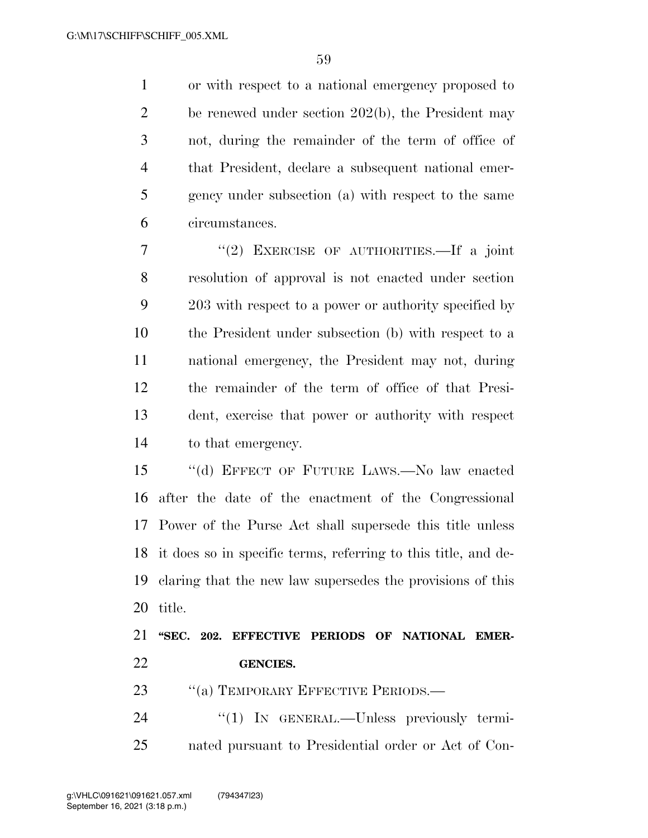or with respect to a national emergency proposed to be renewed under section 202(b), the President may not, during the remainder of the term of office of that President, declare a subsequent national emer- gency under subsection (a) with respect to the same circumstances.

 ''(2) EXERCISE OF AUTHORITIES.—If a joint resolution of approval is not enacted under section 203 with respect to a power or authority specified by the President under subsection (b) with respect to a national emergency, the President may not, during the remainder of the term of office of that Presi- dent, exercise that power or authority with respect to that emergency.

 ''(d) EFFECT OF FUTURE LAWS.—No law enacted after the date of the enactment of the Congressional Power of the Purse Act shall supersede this title unless it does so in specific terms, referring to this title, and de- claring that the new law supersedes the provisions of this title.

 **''SEC. 202. EFFECTIVE PERIODS OF NATIONAL EMER-GENCIES.** 

23 "(a) TEMPORARY EFFECTIVE PERIODS.—

24 "(1) IN GENERAL.—Unless previously termi-nated pursuant to Presidential order or Act of Con-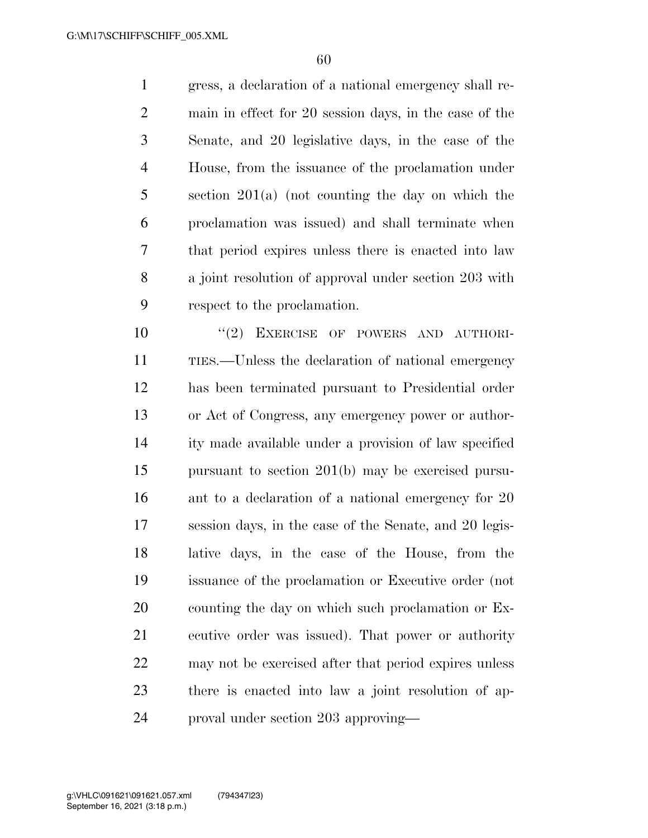gress, a declaration of a national emergency shall re- main in effect for 20 session days, in the case of the Senate, and 20 legislative days, in the case of the House, from the issuance of the proclamation under section 201(a) (not counting the day on which the proclamation was issued) and shall terminate when that period expires unless there is enacted into law a joint resolution of approval under section 203 with respect to the proclamation.

 $(2)$  EXERCISE OF POWERS AND AUTHORI- TIES.—Unless the declaration of national emergency has been terminated pursuant to Presidential order or Act of Congress, any emergency power or author- ity made available under a provision of law specified pursuant to section 201(b) may be exercised pursu-16 ant to a declaration of a national emergency for 20 session days, in the case of the Senate, and 20 legis- lative days, in the case of the House, from the issuance of the proclamation or Executive order (not counting the day on which such proclamation or Ex- ecutive order was issued). That power or authority may not be exercised after that period expires unless there is enacted into law a joint resolution of ap-proval under section 203 approving—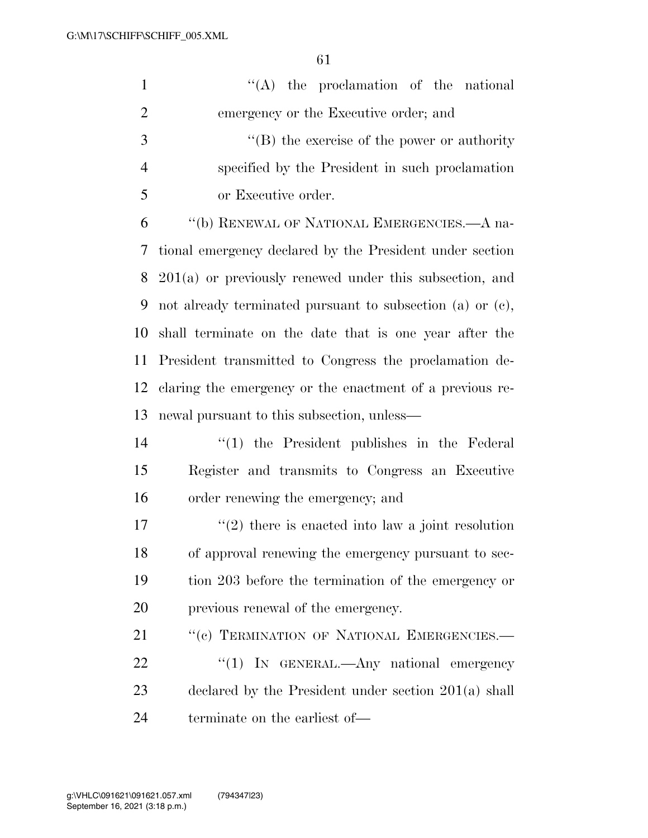| $\mathbf{1}$   | "(A) the proclamation of the national                     |  |  |  |  |  |  |
|----------------|-----------------------------------------------------------|--|--|--|--|--|--|
| $\overline{2}$ | emergency or the Executive order; and                     |  |  |  |  |  |  |
| 3              | "(B) the exercise of the power or authority               |  |  |  |  |  |  |
| $\overline{4}$ | specified by the President in such proclamation           |  |  |  |  |  |  |
| 5              | or Executive order.                                       |  |  |  |  |  |  |
| 6              | "(b) RENEWAL OF NATIONAL EMERGENCIES.—A na-               |  |  |  |  |  |  |
| 7              | tional emergency declared by the President under section  |  |  |  |  |  |  |
| 8              | $201(a)$ or previously renewed under this subsection, and |  |  |  |  |  |  |
| 9              | not already terminated pursuant to subsection (a) or (c), |  |  |  |  |  |  |
| 10             | shall terminate on the date that is one year after the    |  |  |  |  |  |  |
| 11             | President transmitted to Congress the proclamation de-    |  |  |  |  |  |  |
| 12             | claring the emergency or the enactment of a previous re-  |  |  |  |  |  |  |
| 13             | newal pursuant to this subsection, unless—                |  |  |  |  |  |  |
| 14             | $\lq(1)$ the President publishes in the Federal           |  |  |  |  |  |  |
| 15             | Register and transmits to Congress an Executive           |  |  |  |  |  |  |
| 16             | order renewing the emergency; and                         |  |  |  |  |  |  |
| 17             | $\lq(2)$ there is enacted into law a joint resolution     |  |  |  |  |  |  |
| 18             | of approval renewing the emergency pursuant to sec-       |  |  |  |  |  |  |
| 19             | tion 203 before the termination of the emergency or       |  |  |  |  |  |  |
| 20             | previous renewal of the emergency.                        |  |  |  |  |  |  |
| 21             | "(c) TERMINATION OF NATIONAL EMERGENCIES.-                |  |  |  |  |  |  |
| 22             | "(1) IN GENERAL.—Any national emergency                   |  |  |  |  |  |  |
| 23             | declared by the President under section $201(a)$ shall    |  |  |  |  |  |  |
| 24             | terminate on the earliest of—                             |  |  |  |  |  |  |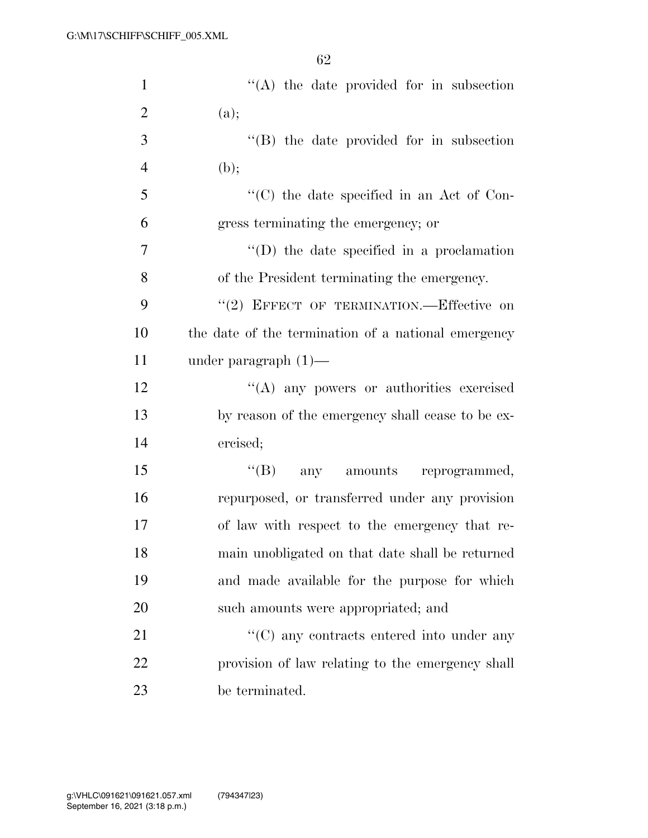| $\mathbf{1}$   | $\lq\lq$ the date provided for in subsection          |
|----------------|-------------------------------------------------------|
| $\overline{2}$ | (a);                                                  |
| 3              | $\lq\lq$ the date provided for in subsection          |
| $\overline{4}$ | (b);                                                  |
| 5              | $\lq\lq$ (C) the date specified in an Act of Con-     |
| 6              | gress terminating the emergency; or                   |
| $\overline{7}$ | $\lq\lq$ the date specified in a proclamation         |
| 8              | of the President terminating the emergency.           |
| 9              | "(2) EFFECT OF TERMINATION.—Effective on              |
| 10             | the date of the termination of a national emergency   |
| 11             | under paragraph $(1)$ —                               |
| 12             | "(A) any powers or authorities exercised              |
| 13             | by reason of the emergency shall cease to be ex-      |
| 14             | ercised;                                              |
| 15             | "(B) any amounts reprogrammed,                        |
| 16             | repurposed, or transferred under any provision        |
| 17             | of law with respect to the emergency that re-         |
| 18             | main unobligated on that date shall be returned       |
| 19             | and made available for the purpose for which          |
| 20             | such amounts were appropriated; and                   |
| 21             | $\cdot\cdot$ (C) any contracts entered into under any |
| 22             | provision of law relating to the emergency shall      |
| 23             | be terminated.                                        |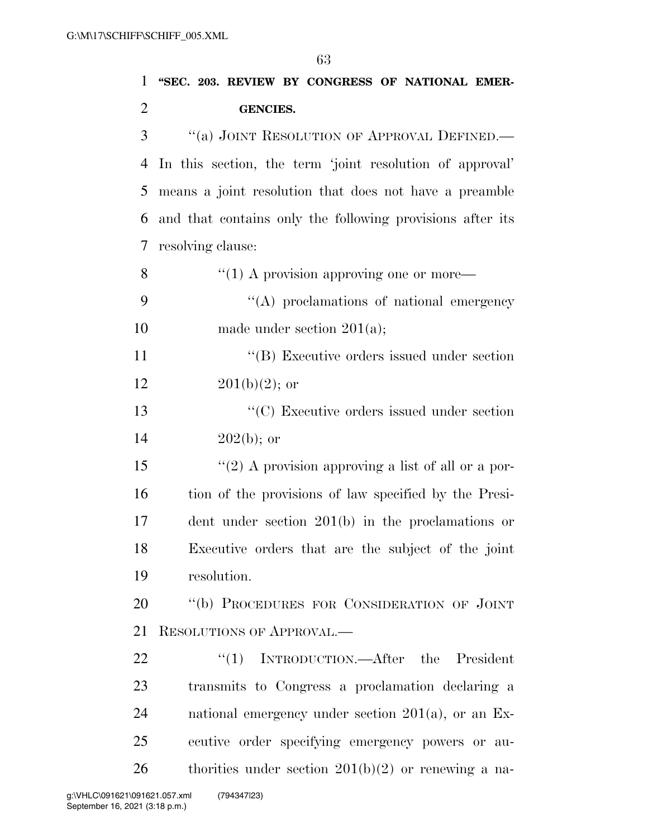| $\mathbf{1}$   | "SEC. 203. REVIEW BY CONGRESS OF NATIONAL EMER-           |  |  |  |  |  |  |
|----------------|-----------------------------------------------------------|--|--|--|--|--|--|
| $\overline{2}$ | <b>GENCIES.</b>                                           |  |  |  |  |  |  |
| 3              | "(a) JOINT RESOLUTION OF APPROVAL DEFINED.-               |  |  |  |  |  |  |
| 4              | In this section, the term 'joint resolution of approval'  |  |  |  |  |  |  |
| 5              | means a joint resolution that does not have a preamble    |  |  |  |  |  |  |
| 6              | and that contains only the following provisions after its |  |  |  |  |  |  |
| 7              | resolving clause:                                         |  |  |  |  |  |  |
| 8              | $``(1)$ A provision approving one or more—                |  |  |  |  |  |  |
| 9              | $\lq\lq$ proclamations of national emergency              |  |  |  |  |  |  |
| 10             | made under section $201(a)$ ;                             |  |  |  |  |  |  |
| 11             | "(B) Executive orders issued under section                |  |  |  |  |  |  |
| 12             | $201(b)(2)$ ; or                                          |  |  |  |  |  |  |
| 13             | $\cdot$ (C) Executive orders issued under section         |  |  |  |  |  |  |
| 14             | $202(b)$ ; or                                             |  |  |  |  |  |  |
| 15             | "(2) A provision approving a list of all or a por-        |  |  |  |  |  |  |
| 16             | tion of the provisions of law specified by the Presi-     |  |  |  |  |  |  |
| 17             | dent under section $201(b)$ in the proclamations or       |  |  |  |  |  |  |
| 18             | Executive orders that are the subject of the joint        |  |  |  |  |  |  |
| 19             | resolution.                                               |  |  |  |  |  |  |
| 20             | "(b) PROCEDURES FOR CONSIDERATION OF JOINT                |  |  |  |  |  |  |
| 21             | <b>RESOLUTIONS OF APPROVAL.—</b>                          |  |  |  |  |  |  |
| 22             | ``(1)<br>INTRODUCTION.—After the President                |  |  |  |  |  |  |
| 23             | transmits to Congress a proclamation declaring a          |  |  |  |  |  |  |
| 24             | national emergency under section $201(a)$ , or an Ex-     |  |  |  |  |  |  |
| 25             | ecutive order specifying emergency powers or au-          |  |  |  |  |  |  |
| 26             | thorities under section $201(b)(2)$ or renewing a na-     |  |  |  |  |  |  |
|                |                                                           |  |  |  |  |  |  |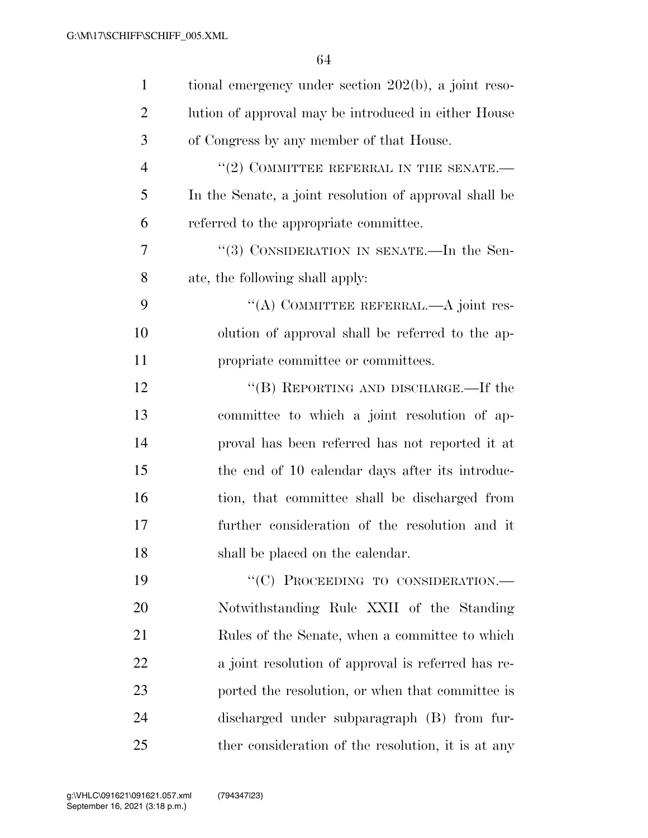| $\mathbf{1}$   | tional emergency under section 202(b), a joint reso-   |
|----------------|--------------------------------------------------------|
| $\overline{2}$ | lution of approval may be introduced in either House   |
| 3              | of Congress by any member of that House.               |
| $\overline{4}$ | $``(2)$ COMMITTEE REFERRAL IN THE SENATE.—             |
| 5              | In the Senate, a joint resolution of approval shall be |
| 6              | referred to the appropriate committee.                 |
| 7              | "(3) CONSIDERATION IN SENATE.—In the Sen-              |
| 8              | ate, the following shall apply:                        |
| 9              | "(A) COMMITTEE REFERRAL.—A joint res-                  |
| 10             | olution of approval shall be referred to the ap-       |
| 11             | propriate committee or committees.                     |
| 12             | "(B) REPORTING AND DISCHARGE.—If the                   |
| 13             | committee to which a joint resolution of ap-           |
| 14             | proval has been referred has not reported it at        |
| 15             | the end of 10 calendar days after its introduc-        |
| 16             | tion, that committee shall be discharged from          |
| 17             | further consideration of the resolution and it         |
| 18             | shall be placed on the calendar.                       |
| 19             | "(C) PROCEEDING TO CONSIDERATION.-                     |
| 20             | Notwithstanding Rule XXII of the Standing              |
| 21             | Rules of the Senate, when a committee to which         |
| 22             | a joint resolution of approval is referred has re-     |
| 23             | ported the resolution, or when that committee is       |
| 24             | discharged under subparagraph (B) from fur-            |
| 25             | ther consideration of the resolution, it is at any     |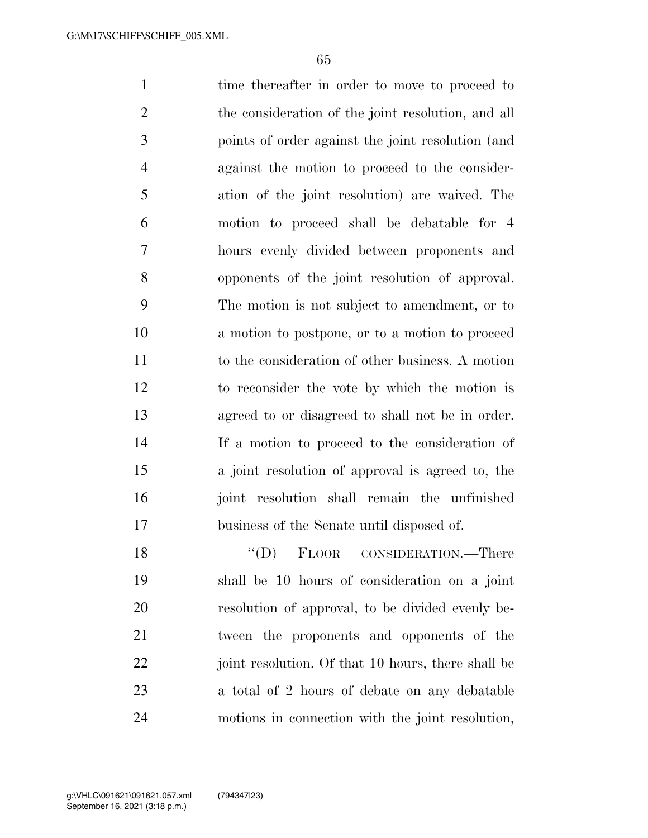1 time thereafter in order to move to proceed to the consideration of the joint resolution, and all points of order against the joint resolution (and against the motion to proceed to the consider- ation of the joint resolution) are waived. The motion to proceed shall be debatable for 4 hours evenly divided between proponents and opponents of the joint resolution of approval. The motion is not subject to amendment, or to a motion to postpone, or to a motion to proceed to the consideration of other business. A motion to reconsider the vote by which the motion is agreed to or disagreed to shall not be in order. If a motion to proceed to the consideration of a joint resolution of approval is agreed to, the joint resolution shall remain the unfinished business of the Senate until disposed of.

18 "(D) FLOOR CONSIDERATION.—There shall be 10 hours of consideration on a joint resolution of approval, to be divided evenly be- tween the proponents and opponents of the 22 joint resolution. Of that 10 hours, there shall be a total of 2 hours of debate on any debatable motions in connection with the joint resolution,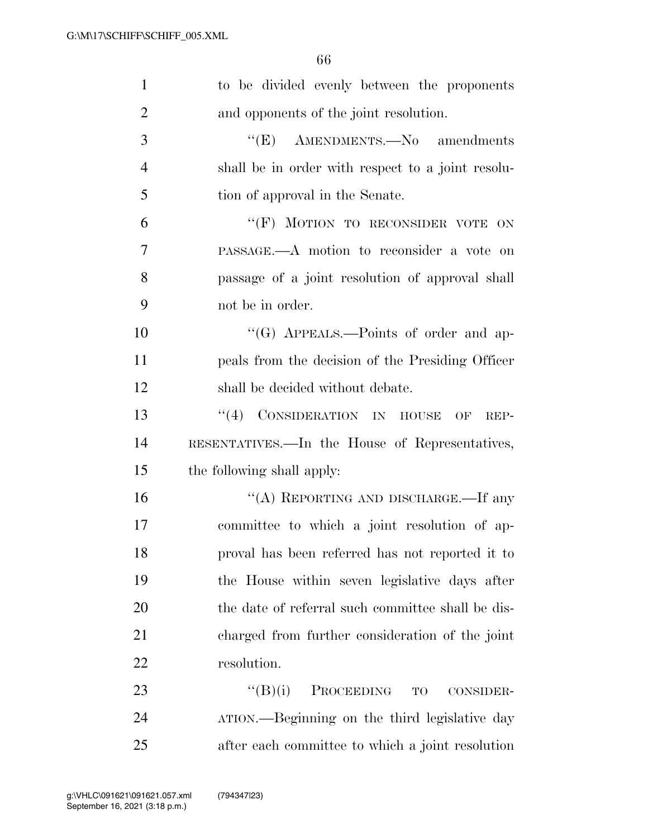| 1              | to be divided evenly between the proponents             |
|----------------|---------------------------------------------------------|
| $\overline{2}$ | and opponents of the joint resolution.                  |
| 3              | $\lq\lq(E)$ AMENDMENTS. No amendments                   |
| $\overline{4}$ | shall be in order with respect to a joint resolu-       |
| 5              | tion of approval in the Senate.                         |
| 6              | "(F) MOTION TO RECONSIDER VOTE ON                       |
| 7              | PASSAGE.—A motion to reconsider a vote on               |
| 8              | passage of a joint resolution of approval shall         |
| 9              | not be in order.                                        |
| 10             | "(G) APPEALS.—Points of order and ap-                   |
| 11             | peals from the decision of the Presiding Officer        |
| 12             | shall be decided without debate.                        |
| 13             | "(4) CONSIDERATION IN HOUSE<br>OF<br>REP-               |
| 14             | RESENTATIVES.—In the House of Representatives,          |
| 15             | the following shall apply:                              |
| 16             | "(A) REPORTING AND DISCHARGE.—If any                    |
| 17             | committee to which a joint resolution of ap-            |
| 18             | proval has been referred has not reported it to         |
| 19             | the House within seven legislative days after           |
| 20             | the date of referral such committee shall be dis-       |
| 21             | charged from further consideration of the joint         |
| 22             | resolution.                                             |
| 23             | $\lq\lq (B)(i)$<br>PROCEEDING<br><b>TO</b><br>CONSIDER- |
| 24             | ATION.—Beginning on the third legislative day           |
| 25             | after each committee to which a joint resolution        |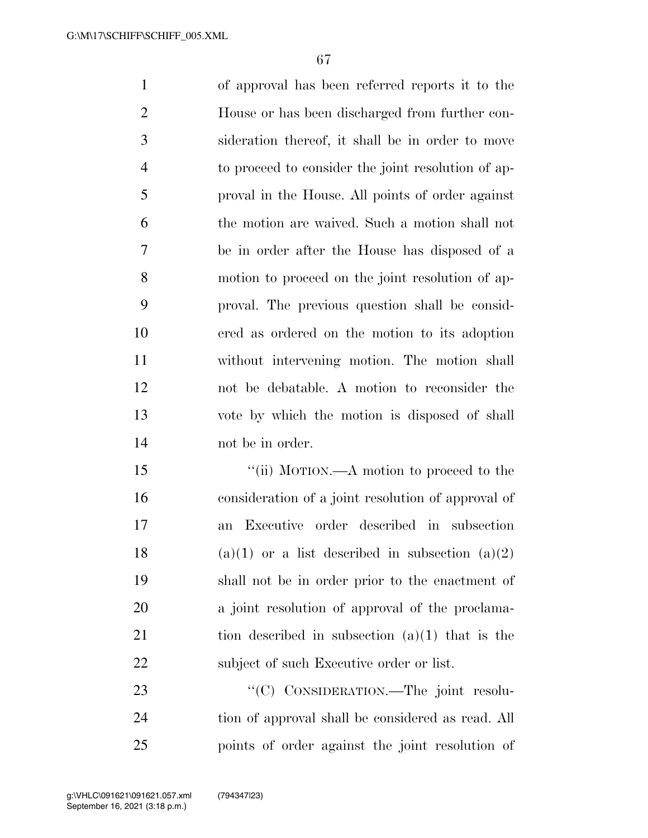of approval has been referred reports it to the House or has been discharged from further con- sideration thereof, it shall be in order to move to proceed to consider the joint resolution of ap- proval in the House. All points of order against the motion are waived. Such a motion shall not be in order after the House has disposed of a motion to proceed on the joint resolution of ap- proval. The previous question shall be consid- ered as ordered on the motion to its adoption without intervening motion. The motion shall not be debatable. A motion to reconsider the vote by which the motion is disposed of shall not be in order.

15 "(ii) MOTION.—A motion to proceed to the consideration of a joint resolution of approval of an Executive order described in subsection 18 (a)(1) or a list described in subsection (a)(2) shall not be in order prior to the enactment of a joint resolution of approval of the proclama-21 tion described in subsection  $(a)(1)$  that is the 22 subject of such Executive order or list.

23 "'(C) CONSIDERATION.—The joint resolu- tion of approval shall be considered as read. All points of order against the joint resolution of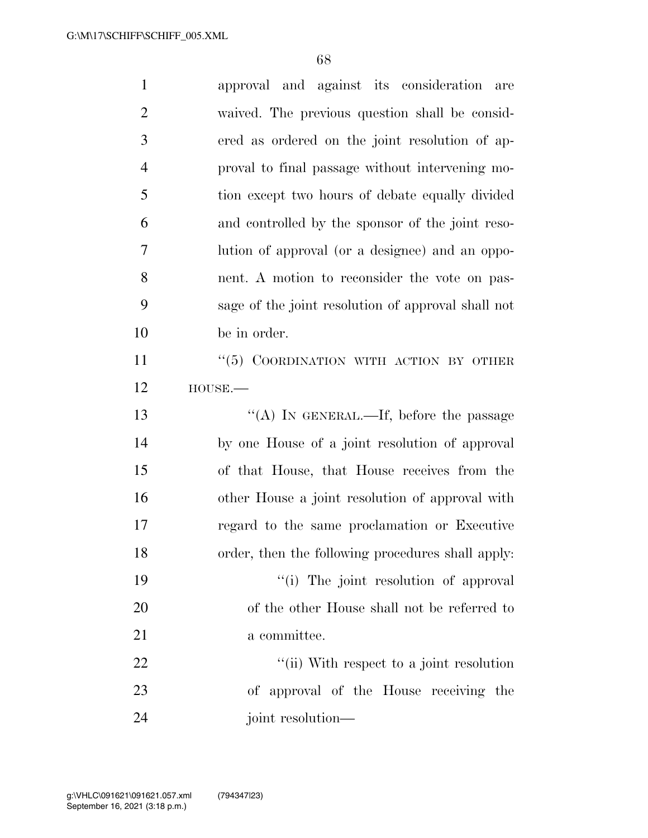| $\mathbf{1}$   | approval and against its consideration are         |
|----------------|----------------------------------------------------|
| $\overline{2}$ | waived. The previous question shall be consid-     |
| 3              | ered as ordered on the joint resolution of ap-     |
| $\overline{4}$ | proval to final passage without intervening mo-    |
| 5              | tion except two hours of debate equally divided    |
| 6              | and controlled by the sponsor of the joint reso-   |
| 7              | lution of approval (or a designee) and an oppo-    |
| 8              | nent. A motion to reconsider the vote on pas-      |
| 9              | sage of the joint resolution of approval shall not |
| 10             | be in order.                                       |
| 11             | "(5) COORDINATION WITH ACTION BY OTHER             |
| 12             | $HOUSE. -$                                         |
|                |                                                    |
| 13             | "(A) IN GENERAL.—If, before the passage            |
| 14             | by one House of a joint resolution of approval     |
| 15             | of that House, that House receives from the        |
| 16             | other House a joint resolution of approval with    |
| 17             | regard to the same proclamation or Executive       |
| 18             | order, then the following procedures shall apply:  |
| 19             | "(i) The joint resolution of approval              |
| 20             | of the other House shall not be referred to        |
| 21             | a committee.                                       |
| 22             | "(ii) With respect to a joint resolution           |
| 23             | of approval of the House receiving the             |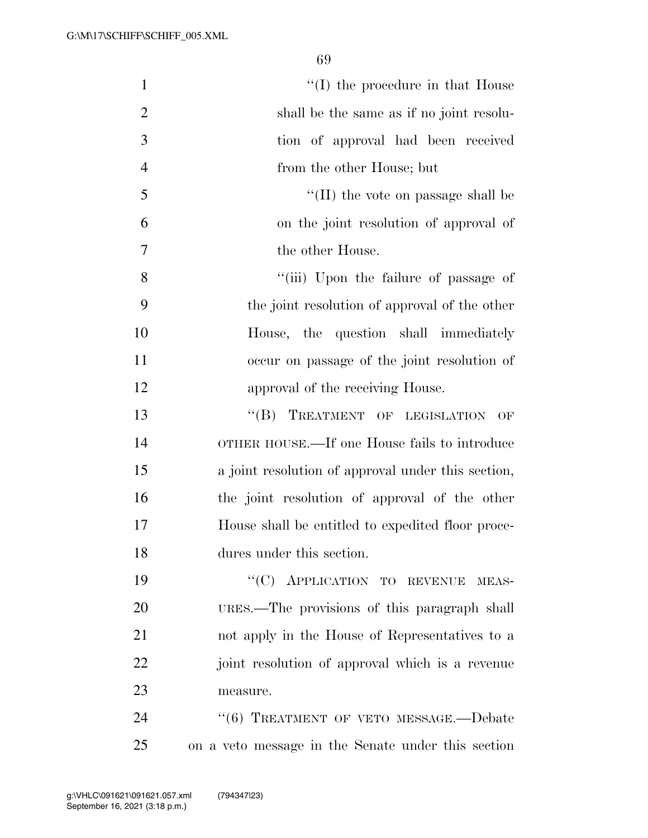| $\mathbf{1}$   | $\lq\lq$ (I) the procedure in that House           |
|----------------|----------------------------------------------------|
| $\overline{2}$ | shall be the same as if no joint resolu-           |
| 3              | tion of approval had been received                 |
| $\overline{4}$ | from the other House; but                          |
| 5              | $\lq$ (II) the vote on passage shall be            |
| 6              | on the joint resolution of approval of             |
| 7              | the other House.                                   |
| 8              | "(iii) Upon the failure of passage of              |
| 9              | the joint resolution of approval of the other      |
| 10             | House, the question shall immediately              |
| 11             | occur on passage of the joint resolution of        |
| 12             | approval of the receiving House.                   |
| 13             | "(B) TREATMENT OF LEGISLATION<br>OF                |
| 14             | OTHER HOUSE.—If one House fails to introduce       |
| 15             | a joint resolution of approval under this section, |
| 16             | the joint resolution of approval of the other      |
| 17             | House shall be entitled to expedited floor proce-  |
| 18             | dures under this section.                          |
| 19             | "(C) APPLICATION TO REVENUE MEAS-                  |
| 20             | URES.—The provisions of this paragraph shall       |
| 21             | not apply in the House of Representatives to a     |
| 22             | joint resolution of approval which is a revenue    |
| 23             | measure.                                           |
| 24             | "(6) TREATMENT OF VETO MESSAGE.-Debate             |
| 25             | on a veto message in the Senate under this section |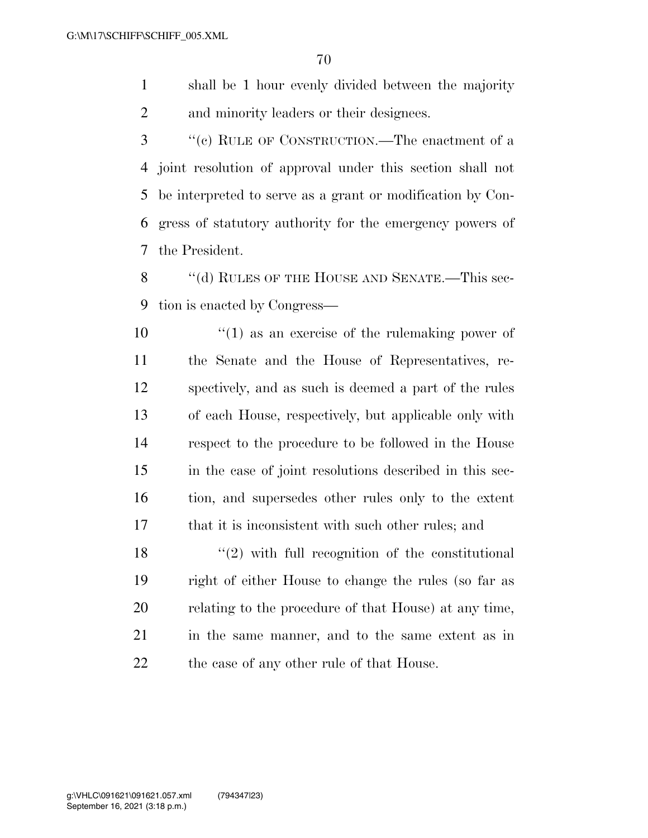shall be 1 hour evenly divided between the majority and minority leaders or their designees.

 ''(c) RULE OF CONSTRUCTION.—The enactment of a joint resolution of approval under this section shall not be interpreted to serve as a grant or modification by Con- gress of statutory authority for the emergency powers of the President.

8 "(d) RULES OF THE HOUSE AND SENATE.—This sec-tion is enacted by Congress—

 $\mathbf{10}$  ''(1) as an exercise of the rulemaking power of the Senate and the House of Representatives, re- spectively, and as such is deemed a part of the rules of each House, respectively, but applicable only with respect to the procedure to be followed in the House in the case of joint resolutions described in this sec- tion, and supersedes other rules only to the extent that it is inconsistent with such other rules; and

 $\binom{18}{2}$  with full recognition of the constitutional right of either House to change the rules (so far as relating to the procedure of that House) at any time, in the same manner, and to the same extent as in 22 the case of any other rule of that House.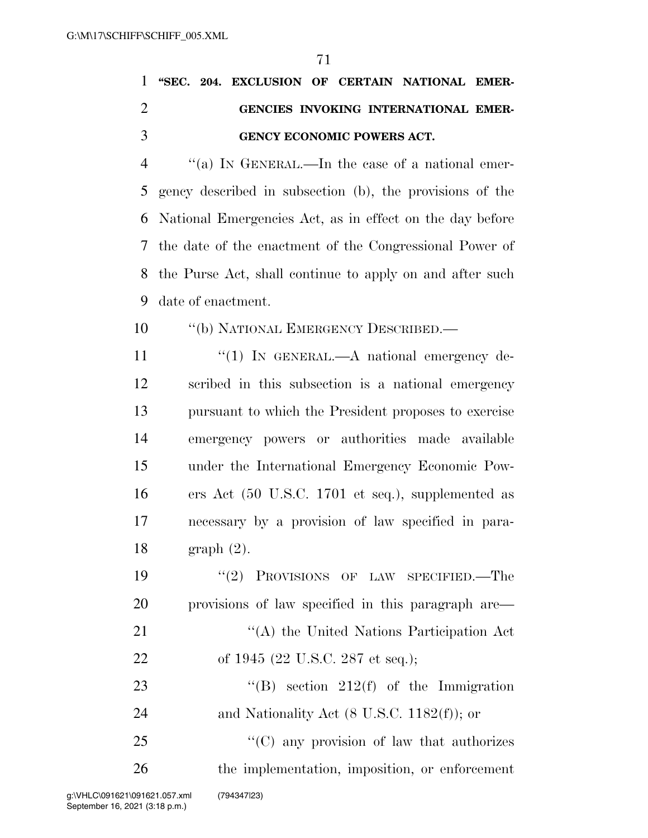|  | 1 "SEC. 204. EXCLUSION OF CERTAIN NATIONAL EMER- |  |                                      |  |
|--|--------------------------------------------------|--|--------------------------------------|--|
|  |                                                  |  | GENCIES INVOKING INTERNATIONAL EMER- |  |
|  | <b>GENCY ECONOMIC POWERS ACT.</b>                |  |                                      |  |

 ''(a) IN GENERAL.—In the case of a national emer- gency described in subsection (b), the provisions of the National Emergencies Act, as in effect on the day before the date of the enactment of the Congressional Power of the Purse Act, shall continue to apply on and after such date of enactment.

- 10 "(b) NATIONAL EMERGENCY DESCRIBED.—
- 11 "(1) IN GENERAL.—A national emergency de- scribed in this subsection is a national emergency pursuant to which the President proposes to exercise emergency powers or authorities made available under the International Emergency Economic Pow- ers Act (50 U.S.C. 1701 et seq.), supplemented as necessary by a provision of law specified in para-graph (2).

 ''(2) PROVISIONS OF LAW SPECIFIED.—The provisions of law specified in this paragraph are— 21 ''(A) the United Nations Participation Act 22 of 1945 (22 U.S.C. 287 et seq.);

23  $\text{``(B)} \text{ section} 212(\text{f}) \text{ of the Immigration}$ 24 and Nationality Act (8 U.S.C. 1182(f)); or

25 "'(C) any provision of law that authorizes the implementation, imposition, or enforcement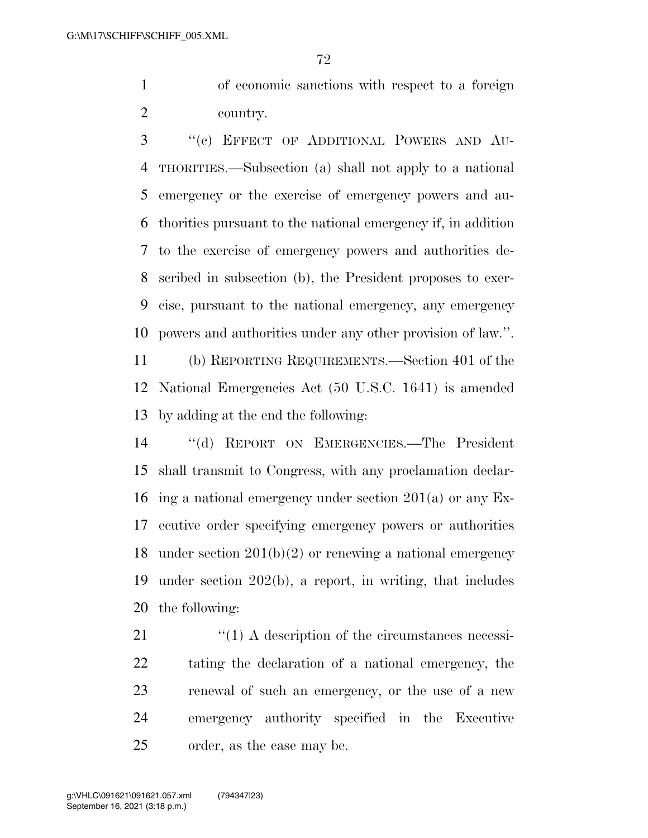of economic sanctions with respect to a foreign country.

 ''(c) EFFECT OF ADDITIONAL POWERS AND AU- THORITIES.—Subsection (a) shall not apply to a national emergency or the exercise of emergency powers and au- thorities pursuant to the national emergency if, in addition to the exercise of emergency powers and authorities de- scribed in subsection (b), the President proposes to exer- cise, pursuant to the national emergency, any emergency powers and authorities under any other provision of law.''.

 (b) REPORTING REQUIREMENTS.—Section 401 of the National Emergencies Act (50 U.S.C. 1641) is amended by adding at the end the following:

 ''(d) REPORT ON EMERGENCIES.—The President shall transmit to Congress, with any proclamation declar- ing a national emergency under section 201(a) or any Ex- ecutive order specifying emergency powers or authorities under section 201(b)(2) or renewing a national emergency under section 202(b), a report, in writing, that includes the following:

21 ''(1) A description of the circumstances necessi- tating the declaration of a national emergency, the renewal of such an emergency, or the use of a new emergency authority specified in the Executive order, as the case may be.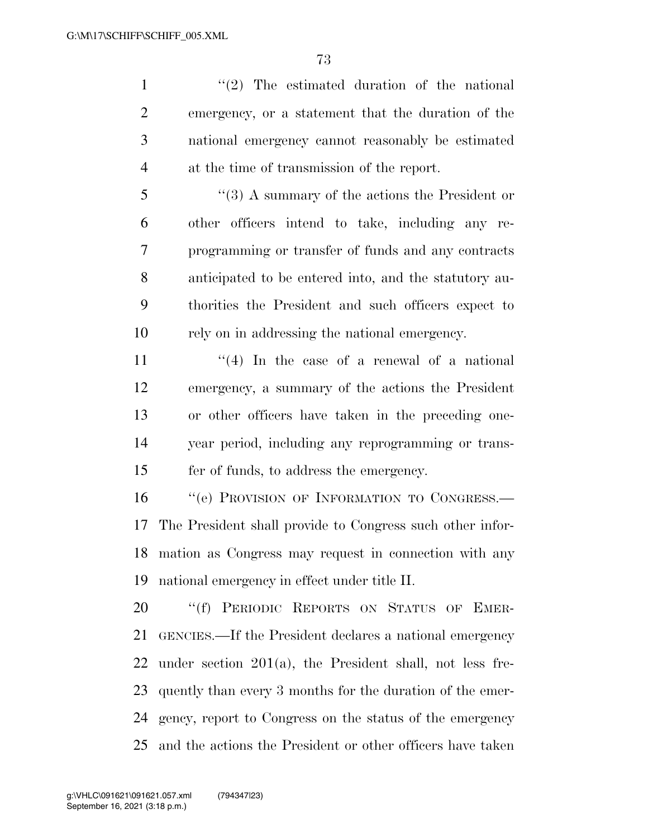1 ''(2) The estimated duration of the national emergency, or a statement that the duration of the national emergency cannot reasonably be estimated at the time of transmission of the report.

 ''(3) A summary of the actions the President or other officers intend to take, including any re- programming or transfer of funds and any contracts anticipated to be entered into, and the statutory au- thorities the President and such officers expect to rely on in addressing the national emergency.

 $\frac{1}{4}$  In the case of a renewal of a national emergency, a summary of the actions the President or other officers have taken in the preceding one- year period, including any reprogramming or trans-fer of funds, to address the emergency.

16 "(e) PROVISION OF INFORMATION TO CONGRESS.— The President shall provide to Congress such other infor- mation as Congress may request in connection with any national emergency in effect under title II.

20 "(f) PERIODIC REPORTS ON STATUS OF EMER- GENCIES.—If the President declares a national emergency under section 201(a), the President shall, not less fre- quently than every 3 months for the duration of the emer- gency, report to Congress on the status of the emergency and the actions the President or other officers have taken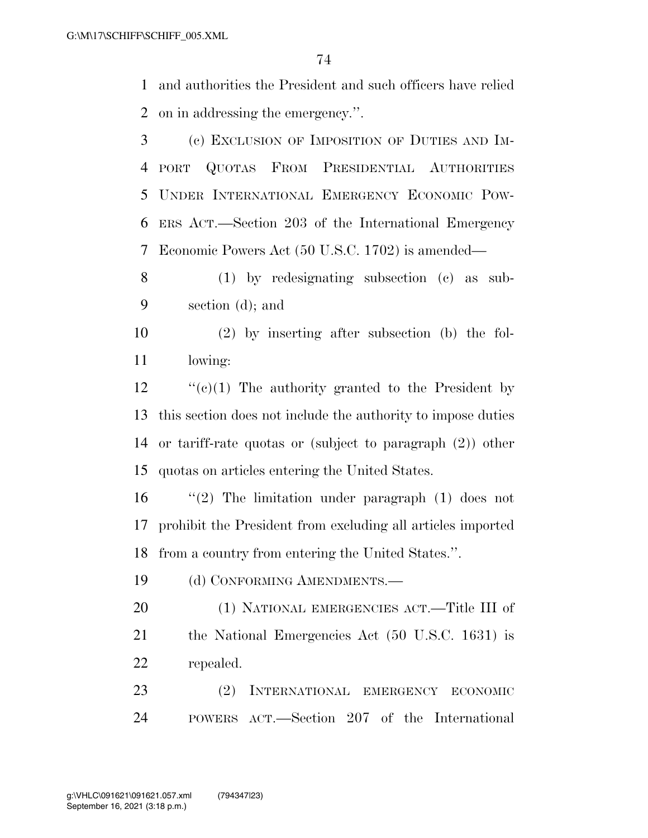and authorities the President and such officers have relied on in addressing the emergency.''.

 (c) EXCLUSION OF IMPOSITION OF DUTIES AND IM- PORT QUOTAS FROM PRESIDENTIAL AUTHORITIES UNDER INTERNATIONAL EMERGENCY ECONOMIC POW- ERS ACT.—Section 203 of the International Emergency Economic Powers Act (50 U.S.C. 1702) is amended—

 (1) by redesignating subsection (c) as sub-section (d); and

 (2) by inserting after subsection (b) the fol-lowing:

 $\cdot$  "(c)(1) The authority granted to the President by this section does not include the authority to impose duties or tariff-rate quotas or (subject to paragraph (2)) other quotas on articles entering the United States.

 ''(2) The limitation under paragraph (1) does not prohibit the President from excluding all articles imported from a country from entering the United States.''.

19 (d) CONFORMING AMENDMENTS.

 (1) NATIONAL EMERGENCIES ACT.—Title III of the National Emergencies Act (50 U.S.C. 1631) is repealed.

 (2) INTERNATIONAL EMERGENCY ECONOMIC POWERS ACT.—Section 207 of the International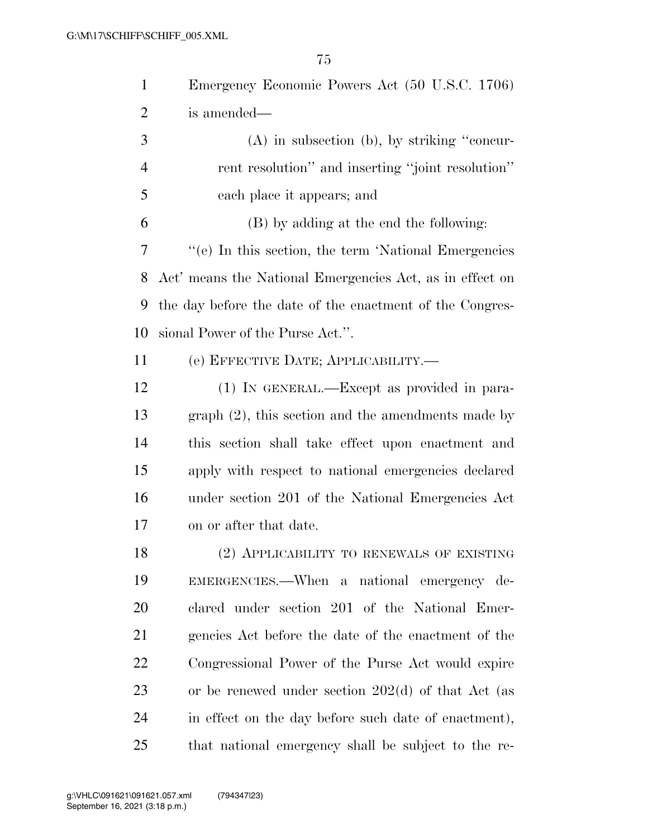| $\mathbf{1}$   | Emergency Economic Powers Act (50 U.S.C. 1706)           |
|----------------|----------------------------------------------------------|
| 2              | is amended—                                              |
| 3              | $(A)$ in subsection $(b)$ , by striking "concur-         |
| $\overline{4}$ | rent resolution" and inserting "joint resolution"        |
| 5              | each place it appears; and                               |
| 6              | (B) by adding at the end the following:                  |
| 7              | "(e) In this section, the term 'National Emergencies     |
| 8              | Act' means the National Emergencies Act, as in effect on |
| 9              | the day before the date of the enactment of the Congres- |
| 10             | sional Power of the Purse Act.".                         |
| 11             | (е) ЕFFECTIVE DATE; APPLICABILITY.—                      |
| 12             | (1) IN GENERAL.—Except as provided in para-              |
| 13             | $graph (2)$ , this section and the amendments made by    |
| 14             | this section shall take effect upon enactment and        |
| 15             | apply with respect to national emergencies declared      |
| 16             | under section 201 of the National Emergencies Act        |
| 17             | on or after that date.                                   |
| 18             | (2) APPLICABILITY TO RENEWALS OF EXISTING                |
| 19             | EMERGENCIES.—When a national emergency de-               |
| 20             | clared under section 201 of the National Emer-           |
| 21             | gencies Act before the date of the enactment of the      |
| <u>22</u>      | Congressional Power of the Purse Act would expire        |
| 23             | or be renewed under section $202(d)$ of that Act (as     |
| 24             | in effect on the day before such date of enactment),     |
| 25             | that national emergency shall be subject to the re-      |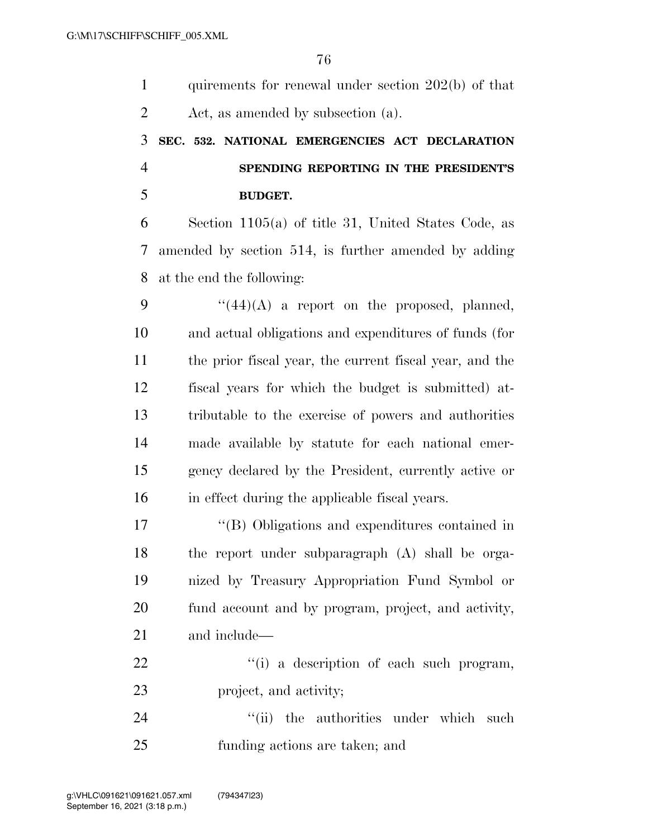| $\mathbf{1}$   | quirements for renewal under section $202(b)$ of that   |
|----------------|---------------------------------------------------------|
| $\overline{2}$ | Act, as amended by subsection (a).                      |
| 3              | SEC. 532. NATIONAL EMERGENCIES ACT DECLARATION          |
| $\overline{4}$ | SPENDING REPORTING IN THE PRESIDENT'S                   |
| 5              | <b>BUDGET.</b>                                          |
| 6              | Section $1105(a)$ of title 31, United States Code, as   |
| 7              | amended by section 514, is further amended by adding    |
| 8              | at the end the following:                               |
| 9              | $``(44)(A)$ a report on the proposed, planned,          |
| 10             | and actual obligations and expenditures of funds (for   |
| 11             | the prior fiscal year, the current fiscal year, and the |
| 12             | fiscal years for which the budget is submitted) at-     |
| 13             | tributable to the exercise of powers and authorities    |
| 14             | made available by statute for each national emer-       |
| 15             | gency declared by the President, currently active or    |
| 16             | in effect during the applicable fiscal years.           |
| 17             | "(B) Obligations and expenditures contained in          |
| 18             | the report under subparagraph (A) shall be orga-        |
| 19             | nized by Treasury Appropriation Fund Symbol or          |
| 20             | fund account and by program, project, and activity,     |
| 21             | and include—                                            |
| 22             | "(i) a description of each such program,                |
| 23             | project, and activity;                                  |
| 24             | "(ii) the authorities under which<br>such               |
| 25             | funding actions are taken; and                          |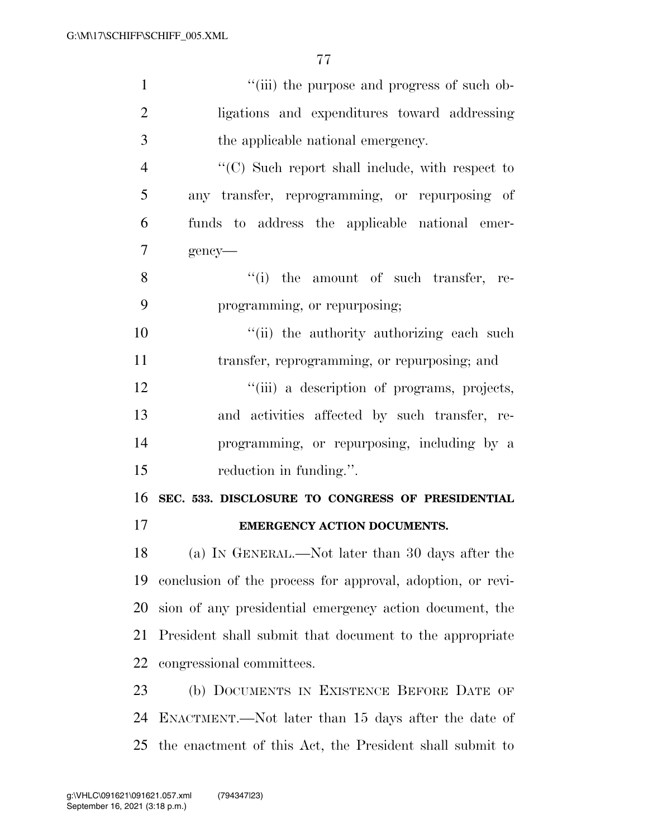| $\mathbf{1}$   | "(iii) the purpose and progress of such ob-                |
|----------------|------------------------------------------------------------|
| $\overline{2}$ | ligations and expenditures toward addressing               |
| 3              | the applicable national emergency.                         |
| $\overline{4}$ | "(C) Such report shall include, with respect to            |
| 5              | any transfer, reprogramming, or repurposing of             |
| 6              | funds to address the applicable national emer-             |
| 7              | gency-                                                     |
| 8              | "(i) the amount of such transfer, re-                      |
| 9              | programming, or repurposing;                               |
| 10             | "(ii) the authority authorizing each such                  |
| 11             | transfer, reprogramming, or repurposing; and               |
| 12             | "(iii) a description of programs, projects,                |
| 13             | and activities affected by such transfer, re-              |
| 14             | programming, or repurposing, including by a                |
| 15             | reduction in funding.".                                    |
| 16             | SEC. 533. DISCLOSURE TO CONGRESS OF PRESIDENTIAL           |
| 17             | <b>EMERGENCY ACTION DOCUMENTS.</b>                         |
| 18             | (a) IN GENERAL.—Not later than 30 days after the           |
| 19             | conclusion of the process for approval, adoption, or revi- |
| 20             | sion of any presidential emergency action document, the    |
| 21             | President shall submit that document to the appropriate    |
| 22             | congressional committees.                                  |
| 23             | (b) DOCUMENTS IN EXISTENCE BEFORE DATE OF                  |
| 24             | ENACTMENT.—Not later than 15 days after the date of        |
| 25             | the enactment of this Act, the President shall submit to   |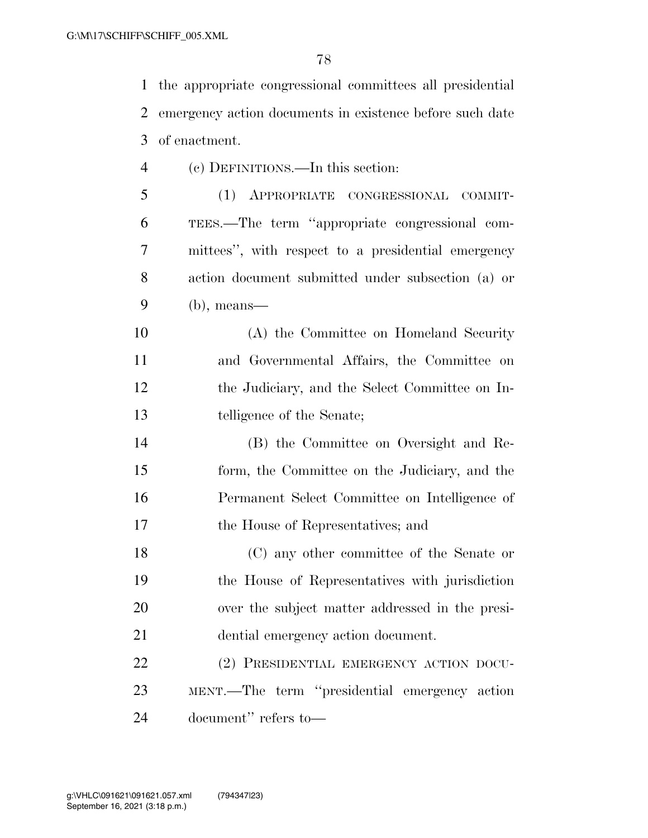the appropriate congressional committees all presidential emergency action documents in existence before such date of enactment. (c) DEFINITIONS.—In this section: (1) APPROPRIATE CONGRESSIONAL COMMIT-

 TEES.—The term ''appropriate congressional com- mittees'', with respect to a presidential emergency action document submitted under subsection (a) or (b), means—

 (A) the Committee on Homeland Security and Governmental Affairs, the Committee on the Judiciary, and the Select Committee on In-telligence of the Senate;

 (B) the Committee on Oversight and Re- form, the Committee on the Judiciary, and the Permanent Select Committee on Intelligence of the House of Representatives; and

 (C) any other committee of the Senate or the House of Representatives with jurisdiction over the subject matter addressed in the presi-dential emergency action document.

 (2) PRESIDENTIAL EMERGENCY ACTION DOCU- MENT.—The term ''presidential emergency action document'' refers to—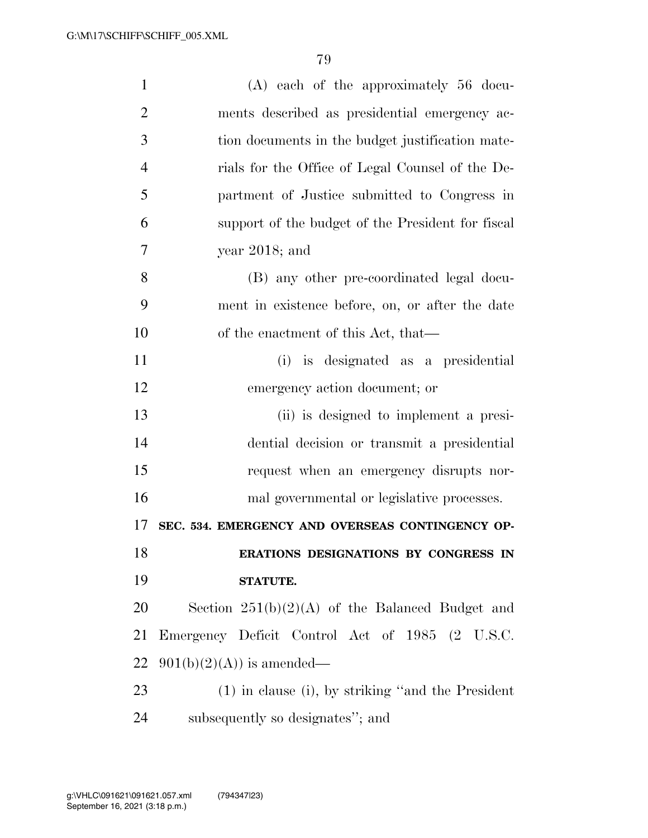| $\mathbf{1}$   | (A) each of the approximately 56 docu-               |
|----------------|------------------------------------------------------|
| $\overline{2}$ | ments described as presidential emergency ac-        |
| 3              | tion documents in the budget justification mate-     |
| $\overline{4}$ | rials for the Office of Legal Counsel of the De-     |
| 5              | partment of Justice submitted to Congress in         |
| 6              | support of the budget of the President for fiscal    |
| 7              | year $2018$ ; and                                    |
| 8              | (B) any other pre-coordinated legal docu-            |
| 9              | ment in existence before, on, or after the date      |
| 10             | of the enactment of this Act, that—                  |
| 11             | (i) is designated as a presidential                  |
| 12             | emergency action document; or                        |
| 13             | (ii) is designed to implement a presi-               |
| 14             | dential decision or transmit a presidential          |
| 15             | request when an emergency disrupts nor-              |
| 16             | mal governmental or legislative processes.           |
| 17             | SEC. 534. EMERGENCY AND OVERSEAS CONTINGENCY OP-     |
| 18             | ERATIONS DESIGNATIONS BY CONGRESS IN                 |
| 19             | <b>STATUTE.</b>                                      |
| 20             | Section $251(b)(2)(A)$ of the Balanced Budget and    |
| 21             | Emergency Deficit Control Act of 1985 (2 U.S.C.      |
| 22             | $901(b)(2)(A)$ is amended—                           |
| 23             | $(1)$ in clause (i), by striking "and the President" |
| 24             | subsequently so designates"; and                     |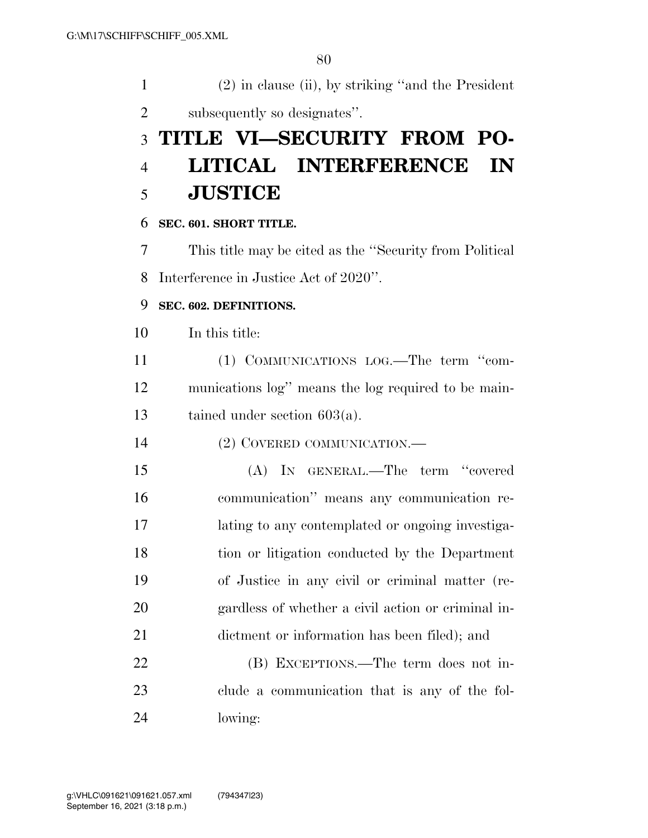| $\mathbf{1}$   | $(2)$ in clause (ii), by striking "and the President"   |
|----------------|---------------------------------------------------------|
| $\overline{2}$ | subsequently so designates".                            |
| 3              | TITLE VI—SECURITY FROM PO-                              |
| $\overline{4}$ | LITICAL INTERFERENCE<br>IN                              |
| 5              | <b>JUSTICE</b>                                          |
| 6              | SEC. 601. SHORT TITLE.                                  |
| 7              | This title may be cited as the "Security from Political |
| 8              | Interference in Justice Act of 2020".                   |
| 9              | SEC. 602. DEFINITIONS.                                  |
| 10             | In this title:                                          |
| 11             | (1) COMMUNICATIONS LOG.—The term "com-                  |
| 12             | munications log" means the log required to be main-     |
| 13             | tained under section $603(a)$ .                         |
| 14             | (2) COVERED COMMUNICATION.—                             |
| 15             | (A) IN GENERAL.—The term "covered                       |
| 16             | communication" means any communication re-              |
| 17             | lating to any contemplated or ongoing investiga-        |
| 18             | tion or litigation conducted by the Department          |
| 19             | of Justice in any civil or criminal matter (re-         |
| 20             | gardless of whether a civil action or criminal in-      |
| 21             | dictment or information has been filed); and            |
| 22             | (B) EXCEPTIONS.—The term does not in-                   |
| 23             | clude a communication that is any of the fol-           |
| 24             | lowing:                                                 |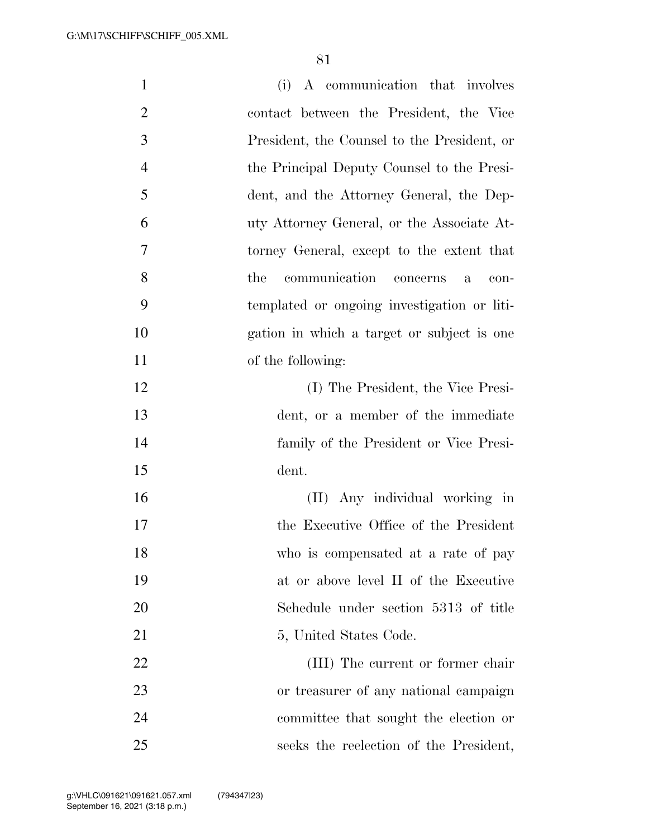| $\mathbf{1}$   | (i) A communication that involves             |
|----------------|-----------------------------------------------|
| $\overline{2}$ | contact between the President, the Vice       |
| 3              | President, the Counsel to the President, or   |
| $\overline{4}$ | the Principal Deputy Counsel to the Presi-    |
| 5              | dent, and the Attorney General, the Dep-      |
| 6              | uty Attorney General, or the Associate At-    |
| 7              | torney General, except to the extent that     |
| 8              | communication<br>the<br>concerns<br>con-<br>a |
| 9              | templated or ongoing investigation or liti-   |
| 10             | gation in which a target or subject is one    |
| 11             | of the following:                             |
| 12             | (I) The President, the Vice Presi-            |
| 13             | dent, or a member of the immediate            |
| 14             | family of the President or Vice Presi-        |
| 15             | dent.                                         |
| 16             | (II) Any individual working in                |
| 17             | the Executive Office of the President         |
| 18             | who is compensated at a rate of pay           |
| 19             | at or above level II of the Executive         |
| 20             | Schedule under section 5313 of title          |
| 21             | 5, United States Code.                        |
| 22             | (III) The current or former chair             |
| 23             | or treasurer of any national campaign         |
| 24             | committee that sought the election or         |
| 25             | seeks the reelection of the President,        |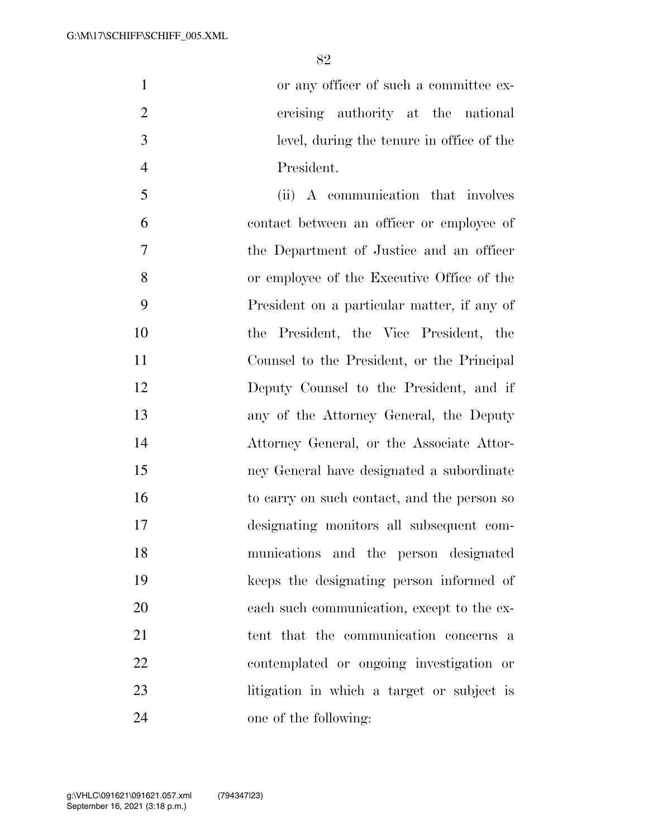or any officer of such a committee ex- ercising authority at the national level, during the tenure in office of the President.

 (ii) A communication that involves contact between an officer or employee of the Department of Justice and an officer or employee of the Executive Office of the President on a particular matter, if any of the President, the Vice President, the Counsel to the President, or the Principal Deputy Counsel to the President, and if any of the Attorney General, the Deputy Attorney General, or the Associate Attor- ney General have designated a subordinate to carry on such contact, and the person so designating monitors all subsequent com- munications and the person designated keeps the designating person informed of each such communication, except to the ex-21 tent that the communication concerns a contemplated or ongoing investigation or litigation in which a target or subject is one of the following: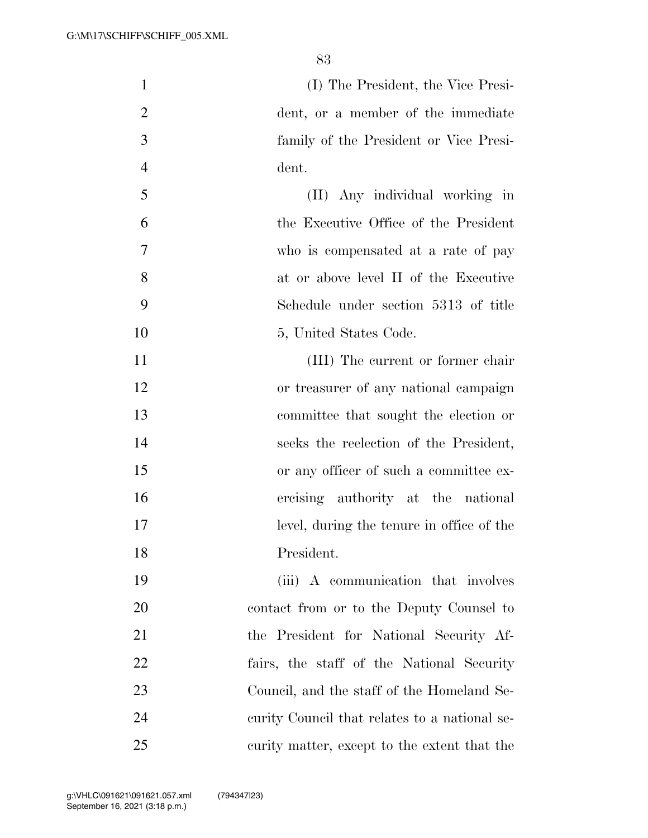(I) The President, the Vice Presi- dent, or a member of the immediate family of the President or Vice Presi- dent. (II) Any individual working in

 the Executive Office of the President who is compensated at a rate of pay at or above level II of the Executive Schedule under section 5313 of title

- 10 5, United States Code. 11 (III) The current or former chair
- or treasurer of any national campaign committee that sought the election or
- seeks the reelection of the President, or any officer of such a committee ex-
- ercising authority at the national level, during the tenure in office of the
- President.

 (iii) A communication that involves contact from or to the Deputy Counsel to the President for National Security Af- fairs, the staff of the National Security Council, and the staff of the Homeland Se- curity Council that relates to a national se-curity matter, except to the extent that the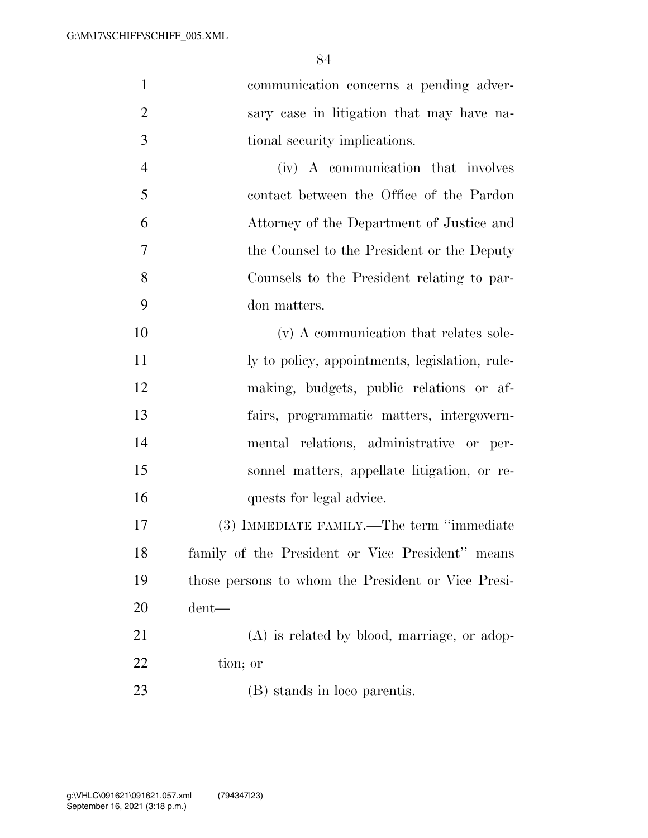| $\mathbf{1}$   | communication concerns a pending adver-            |
|----------------|----------------------------------------------------|
| $\overline{2}$ | sary case in litigation that may have na-          |
| 3              | tional security implications.                      |
| $\overline{4}$ | (iv) A communication that involves                 |
| 5              | contact between the Office of the Pardon           |
| 6              | Attorney of the Department of Justice and          |
| 7              | the Counsel to the President or the Deputy         |
| 8              | Counsels to the President relating to par-         |
| 9              | don matters.                                       |
| 10             | (v) A communication that relates sole-             |
| 11             | ly to policy, appointments, legislation, rule-     |
| 12             | making, budgets, public relations or af-           |
| 13             | fairs, programmatic matters, intergovern-          |
| 14             | mental relations, administrative or per-           |
| 15             | sonnel matters, appellate litigation, or re-       |
| 16             | quests for legal advice.                           |
| 17             | (3) IMMEDIATE FAMILY.—The term "immediate          |
| 18             | family of the President or Vice President" means   |
| 19             | those persons to whom the President or Vice Presi- |
| 20             | $d$ ent—                                           |
| 21             | $(A)$ is related by blood, marriage, or adop-      |
| 22             | tion; or                                           |
| 23             | (B) stands in loco parentis.                       |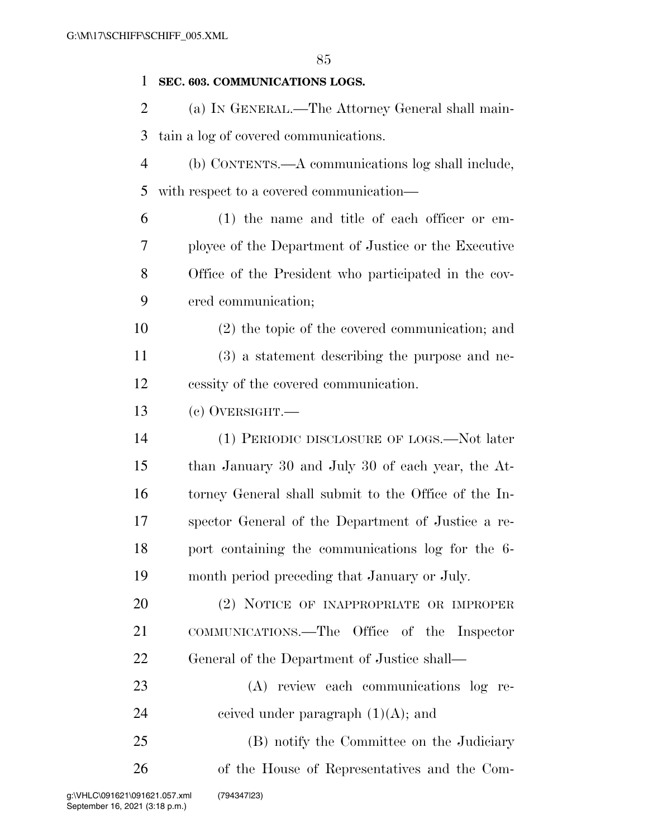#### **SEC. 603. COMMUNICATIONS LOGS.**

 (a) IN GENERAL.—The Attorney General shall main-tain a log of covered communications.

 (b) CONTENTS.—A communications log shall include, with respect to a covered communication—

 (1) the name and title of each officer or em- ployee of the Department of Justice or the Executive Office of the President who participated in the cov-ered communication;

 (2) the topic of the covered communication; and (3) a statement describing the purpose and ne-cessity of the covered communication.

(c) OVERSIGHT.—

 (1) PERIODIC DISCLOSURE OF LOGS.—Not later than January 30 and July 30 of each year, the At- torney General shall submit to the Office of the In- spector General of the Department of Justice a re- port containing the communications log for the 6- month period preceding that January or July.

 (2) NOTICE OF INAPPROPRIATE OR IMPROPER COMMUNICATIONS.—The Office of the Inspector General of the Department of Justice shall—

 (A) review each communications log re-24 ceived under paragraph  $(1)(A)$ ; and

 (B) notify the Committee on the Judiciary of the House of Representatives and the Com-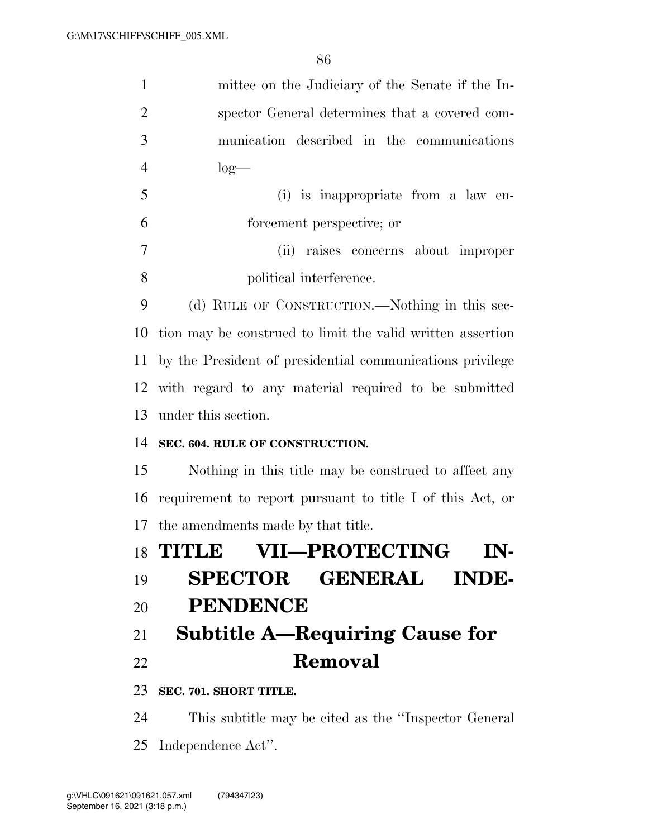| $\mathbf{1}$        | mittee on the Judiciary of the Senate if the In-                              |
|---------------------|-------------------------------------------------------------------------------|
| $\overline{2}$      | spector General determines that a covered com-                                |
| 3                   | munication described in the communications                                    |
| $\overline{4}$      | $log-$                                                                        |
| 5                   | (i) is inappropriate from a law en-                                           |
| 6                   | forcement perspective; or                                                     |
| $\overline{7}$      | (ii) raises concerns about improper                                           |
| 8                   | political interference.                                                       |
| 9                   | (d) RULE OF CONSTRUCTION.—Nothing in this sec-                                |
| 10                  | tion may be construed to limit the valid written assertion                    |
| 11                  | by the President of presidential communications privilege                     |
| 12                  | with regard to any material required to be submitted                          |
| 13                  | under this section.                                                           |
| 14                  | SEC. 604. RULE OF CONSTRUCTION.                                               |
| 15                  | Nothing in this title may be construed to affect any                          |
| 16                  | requirement to report pursuant to title I of this Act, or                     |
| 17                  | the amendments made by that title.                                            |
|                     | 18 TITLE VII—PROTECTING<br>IN-                                                |
| 19                  | SPECTOR GENERAL INDE-                                                         |
| 20                  | <b>PENDENCE</b>                                                               |
|                     | 21 Subtitle A—Requiring Cause for                                             |
| 22                  | Removal                                                                       |
|                     | 23 SEC. 701. SHORT TITLE.                                                     |
| $\bigcap$ $\bigcap$ | $\mathbf{m}$ is selected to see the site d see the $\mathcal{C}_{\mathbf{m}}$ |

 This subtitle may be cited as the ''Inspector General Independence Act''.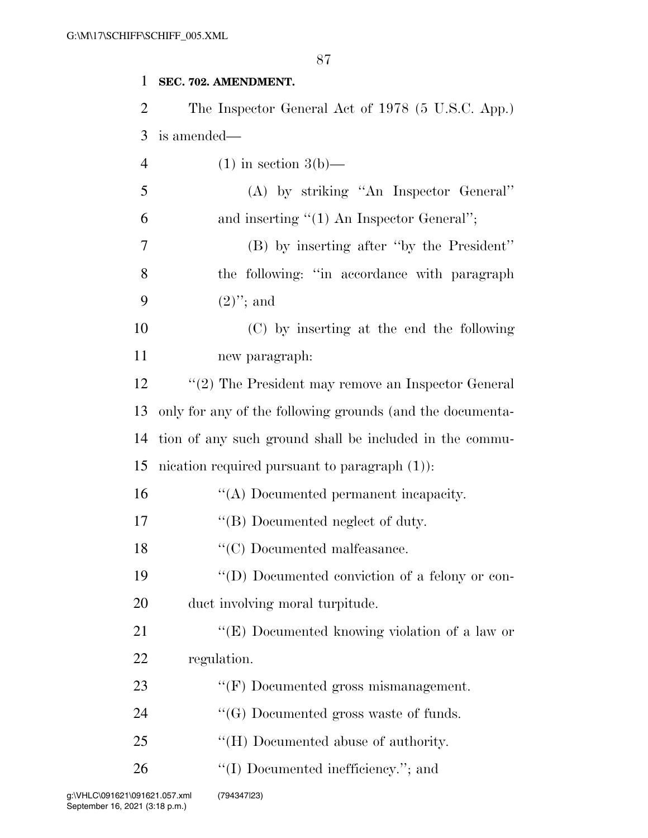#### **SEC. 702. AMENDMENT.**

| 2              | The Inspector General Act of 1978 (5 U.S.C. App.)         |
|----------------|-----------------------------------------------------------|
| 3              | is amended—                                               |
| $\overline{4}$ | $(1)$ in section 3(b)—                                    |
| 5              | (A) by striking "An Inspector General"                    |
| 6              | and inserting $"(1)$ An Inspector General";               |
| 7              | (B) by inserting after "by the President"                 |
| 8              | the following: "in accordance with paragraph              |
| 9              | $(2)$ "; and                                              |
| 10             | (C) by inserting at the end the following                 |
| 11             | new paragraph:                                            |
| 12             | " $(2)$ The President may remove an Inspector General     |
| 13             | only for any of the following grounds (and the documenta- |
| 14             | tion of any such ground shall be included in the commu-   |
| 15             | incation required pursuant to paragraph $(1)$ :           |
| 16             | "(A) Documented permanent incapacity.                     |
| 17             | "(B) Documented neglect of duty.                          |
| 18             | $\lq\lq C)$ Documented malfe<br>asance.                   |
| 19             | "(D) Documented conviction of a felony or con-            |
| 20             | duct involving moral turpitude.                           |
| 21             | "(E) Documented knowing violation of a law or             |
| 22             | regulation.                                               |
| 23             | $\lq\lq(F)$ Documented gross mismanagement.               |
| 24             | $\lq\lq(G)$ Documented gross waste of funds.              |
| 25             | "(H) Documented abuse of authority.                       |
| 26             | "(I) Documented inefficiency."; and                       |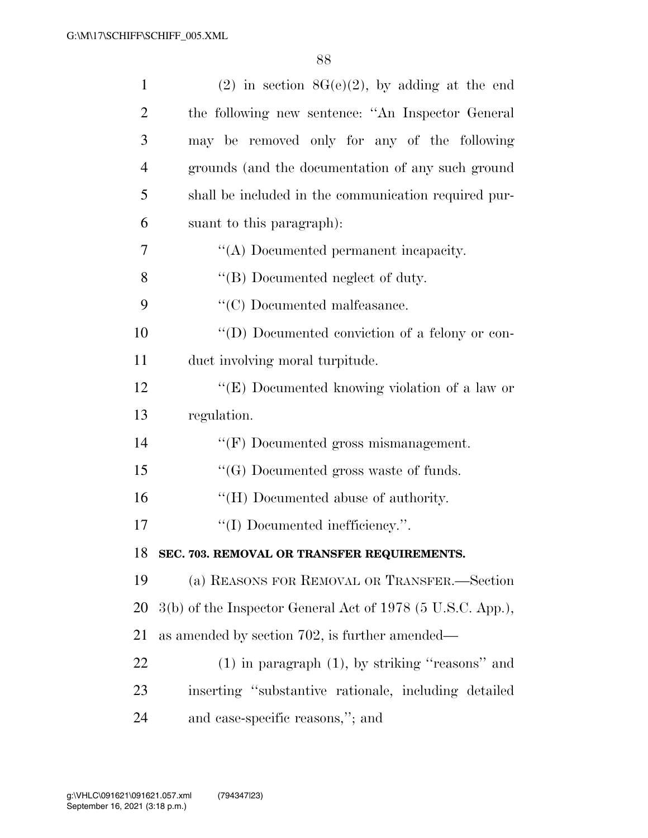| $\mathbf{1}$   | $(2)$ in section $8G(e)(2)$ , by adding at the end         |
|----------------|------------------------------------------------------------|
| $\overline{2}$ | the following new sentence: "An Inspector General          |
| 3              | may be removed only for any of the following               |
| $\overline{4}$ | grounds (and the documentation of any such ground          |
| 5              | shall be included in the communication required pur-       |
| 6              | suant to this paragraph):                                  |
| 7              | "(A) Documented permanent incapacity.                      |
| 8              | "(B) Documented neglect of duty.                           |
| 9              | $\lq\lq$ <sup>c</sup> (C) Documented malfeasance.          |
| 10             | "(D) Documented conviction of a felony or con-             |
| 11             | duct involving moral turpitude.                            |
| 12             | "(E) Documented knowing violation of a law or              |
| 13             | regulation.                                                |
| 14             | $\lq\lq(F)$ Documented gross mismanagement.                |
| 15             | $\lq\lq(G)$ Documented gross waste of funds.               |
| 16             | "(H) Documented abuse of authority.                        |
| 17             | "(I) Documented inefficiency.".                            |
|                | 18 SEC. 703. REMOVAL OR TRANSFER REQUIREMENTS.             |
| 19             | (a) REASONS FOR REMOVAL OR TRANSFER.-Section               |
| 20             | 3(b) of the Inspector General Act of 1978 (5 U.S.C. App.), |
| 21             | as amended by section 702, is further amended—             |
| 22             | $(1)$ in paragraph $(1)$ , by striking "reasons" and       |
| 23             | inserting "substantive rationale, including detailed       |
| 24             | and case-specific reasons,"; and                           |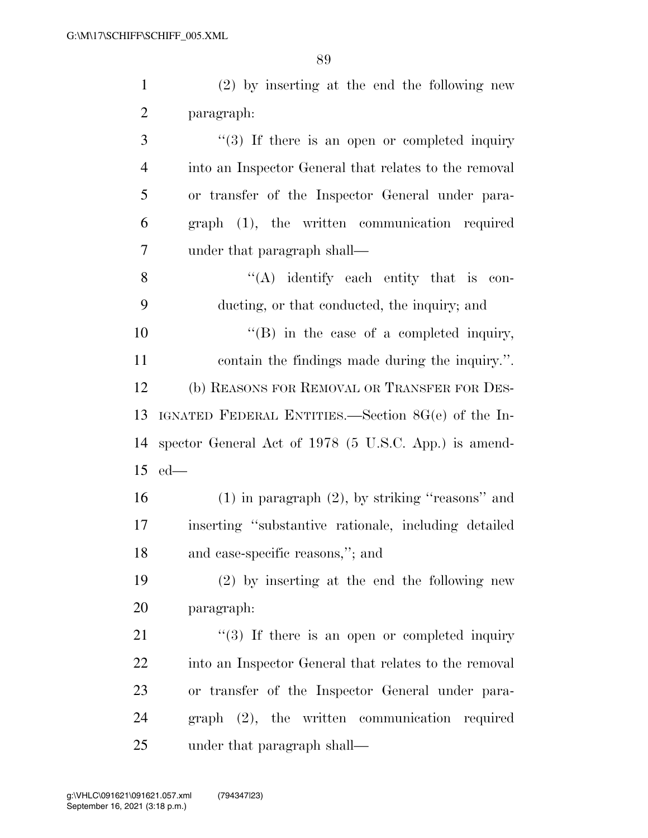(2) by inserting at the end the following new paragraph: 3 "(3) If there is an open or completed inquiry into an Inspector General that relates to the removal or transfer of the Inspector General under para-graph (1), the written communication required

8  $"({\bf A})$  identify each entity that is con-ducting, or that conducted, the inquiry; and

under that paragraph shall—

 $\text{``(B)}$  in the case of a completed inquiry, contain the findings made during the inquiry.''. (b) REASONS FOR REMOVAL OR TRANSFER FOR DES- IGNATED FEDERAL ENTITIES.—Section 8G(e) of the In- spector General Act of 1978 (5 U.S.C. App.) is amend-ed—

 (1) in paragraph (2), by striking ''reasons'' and inserting ''substantive rationale, including detailed and case-specific reasons,''; and

 (2) by inserting at the end the following new paragraph:

 $\frac{1}{2}$  (3) If there is an open or completed inquiry into an Inspector General that relates to the removal or transfer of the Inspector General under para- graph (2), the written communication required under that paragraph shall—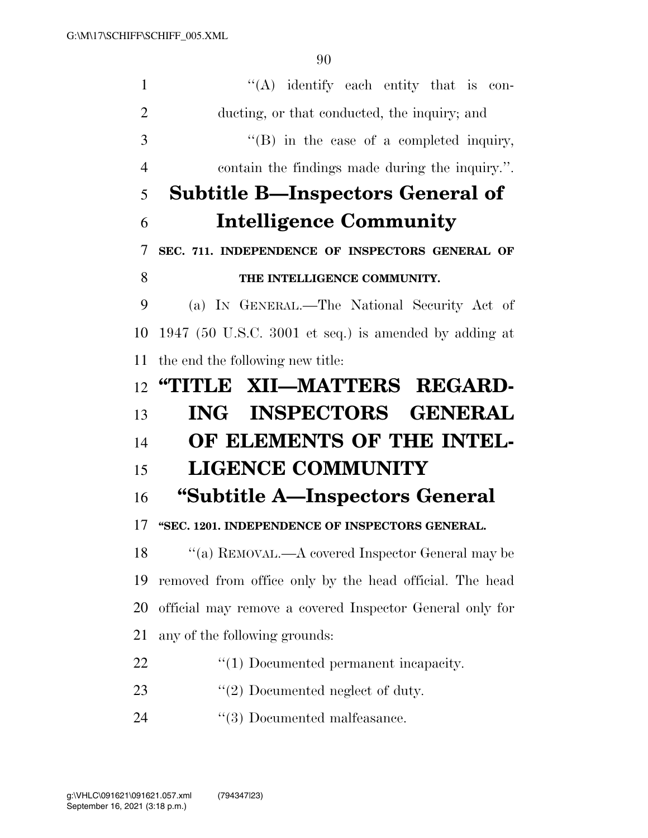| 1                    | $\lq\lq$ identify each entity that is con-               |
|----------------------|----------------------------------------------------------|
| $\overline{2}$       | ducting, or that conducted, the inquiry; and             |
| 3                    | $\lq\lq (B)$ in the case of a completed inquiry,         |
| $\overline{4}$       | contain the findings made during the inquiry.".          |
| 5                    | <b>Subtitle B—Inspectors General of</b>                  |
| 6                    | <b>Intelligence Community</b>                            |
| 7                    | SEC. 711. INDEPENDENCE OF INSPECTORS GENERAL OF          |
| 8                    | THE INTELLIGENCE COMMUNITY.                              |
| 9                    | (a) IN GENERAL.—The National Security Act of             |
| 10                   | 1947 (50 U.S.C. 3001 et seq.) is amended by adding at    |
| 11                   | the end the following new title:                         |
| 12                   | "TITLE XII—MATTERS REGARD-                               |
|                      |                                                          |
| 13                   | ING INSPECTORS GENERAL                                   |
| 14                   | OF ELEMENTS OF THE INTEL-                                |
|                      | <b>LIGENCE COMMUNITY</b>                                 |
|                      | "Subtitle A—Inspectors General                           |
|                      | "SEC. 1201. INDEPENDENCE OF INSPECTORS GENERAL.          |
| 15<br>16<br>17<br>18 | "(a) REMOVAL.—A covered Inspector General may be         |
| 19                   | removed from office only by the head official. The head  |
| 20                   | official may remove a covered Inspector General only for |
| 21                   | any of the following grounds:                            |
| 22                   | $\lq(1)$ Documented permanent incapacity.                |
| 23                   | $"(2)$ Documented neglect of duty.                       |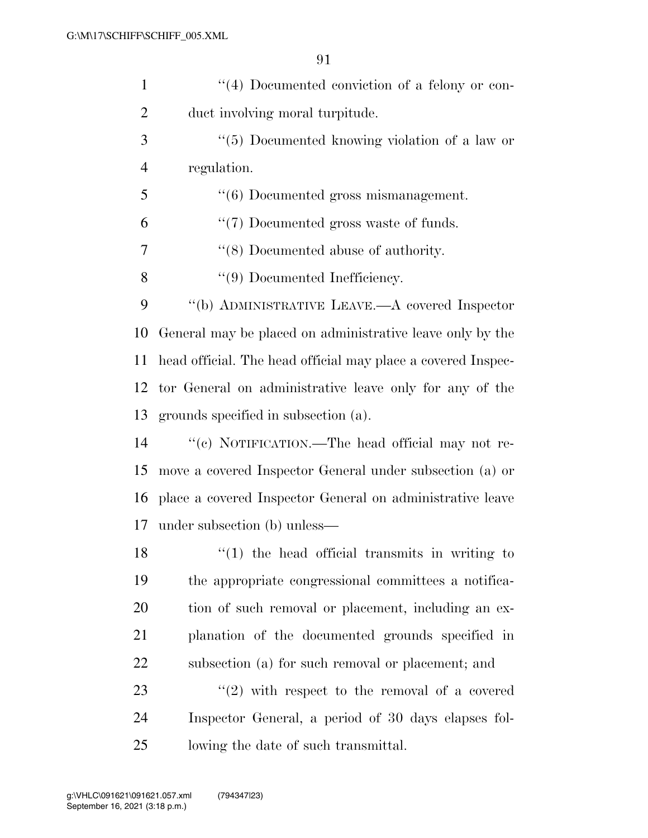| $\mathbf{1}$   | "(4) Documented conviction of a felony or con-               |
|----------------|--------------------------------------------------------------|
| $\overline{2}$ | duct involving moral turpitude.                              |
| 3              | "(5) Documented knowing violation of a law or                |
| $\overline{4}$ | regulation.                                                  |
| 5              | $"(6)$ Documented gross mismanagement.                       |
| 6              | $\lq(7)$ Documented gross waste of funds.                    |
| 7              | $\lq(8)$ Documented abuse of authority.                      |
| 8              | $\lq(9)$ Documented Inefficiency.                            |
| 9              | "(b) ADMINISTRATIVE LEAVE.—A covered Inspector               |
| 10             | General may be placed on administrative leave only by the    |
| 11             | head official. The head official may place a covered Inspec- |
| 12             | tor General on administrative leave only for any of the      |
| 13             | grounds specified in subsection (a).                         |
| 14             | "(c) NOTIFICATION.—The head official may not re-             |
| 15             | move a covered Inspector General under subsection (a) or     |
| 16             | place a covered Inspector General on administrative leave    |
| 17             | under subsection (b) unless—                                 |
| 18             | $f'(1)$ the head official transmits in writing to            |
| 19             | the appropriate congressional committees a notifica-         |
| 20             | tion of such removal or placement, including an ex-          |
| 21             | planation of the documented grounds specified in             |
| 22             | subsection (a) for such removal or placement; and            |
| 23             | $\lq(2)$ with respect to the removal of a covered            |
| 24             | Inspector General, a period of 30 days elapses fol-          |
| 25             | lowing the date of such transmittal.                         |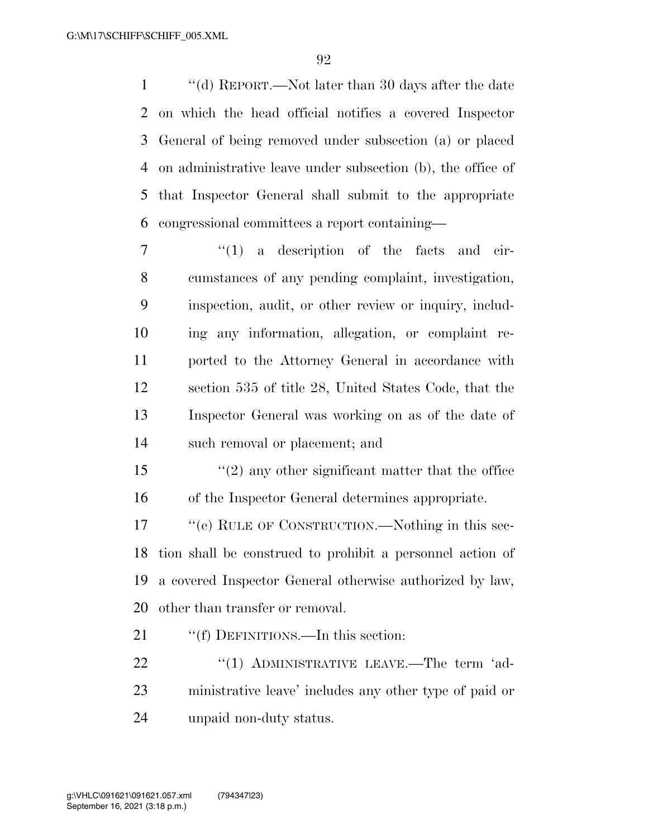''(d) REPORT.—Not later than 30 days after the date on which the head official notifies a covered Inspector General of being removed under subsection (a) or placed on administrative leave under subsection (b), the office of that Inspector General shall submit to the appropriate congressional committees a report containing—

 $\frac{1}{1}$  a description of the facts and cir- cumstances of any pending complaint, investigation, inspection, audit, or other review or inquiry, includ- ing any information, allegation, or complaint re- ported to the Attorney General in accordance with section 535 of title 28, United States Code, that the Inspector General was working on as of the date of such removal or placement; and

 ''(2) any other significant matter that the office of the Inspector General determines appropriate.

17 "(e) RULE OF CONSTRUCTION.—Nothing in this sec- tion shall be construed to prohibit a personnel action of a covered Inspector General otherwise authorized by law, other than transfer or removal.

21 ""(f) DEFINITIONS.—In this section:

22 "(1) ADMINISTRATIVE LEAVE.—The term 'ad- ministrative leave' includes any other type of paid or unpaid non-duty status.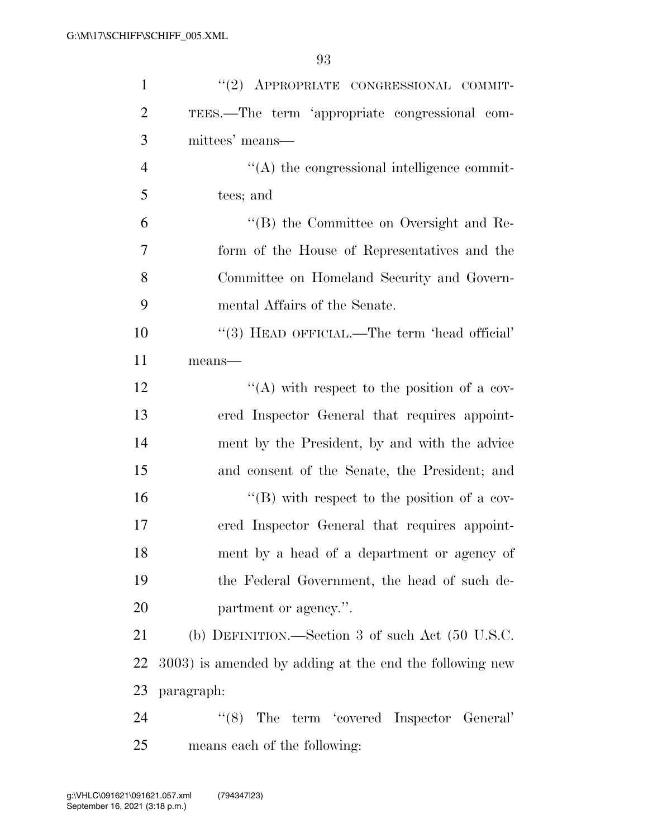| $\mathbf{1}$   | "(2) APPROPRIATE CONGRESSIONAL COMMIT-                      |
|----------------|-------------------------------------------------------------|
| $\overline{2}$ | TEES.—The term 'appropriate congressional com-              |
| 3              | mittees' means—                                             |
| $\overline{4}$ | $\lq\lq$ the congressional intelligence commit-             |
| 5              | tees; and                                                   |
| 6              | "(B) the Committee on Oversight and Re-                     |
| 7              | form of the House of Representatives and the                |
| 8              | Committee on Homeland Security and Govern-                  |
| 9              | mental Affairs of the Senate.                               |
| 10             | "(3) HEAD OFFICIAL.—The term 'head official'                |
| 11             | means-                                                      |
| 12             | "(A) with respect to the position of a cov-                 |
| 13             | ered Inspector General that requires appoint-               |
| 14             | ment by the President, by and with the advice               |
| 15             | and consent of the Senate, the President; and               |
| 16             | $\lq\lq (B)$ with respect to the position of a cov-         |
| 17             | ered Inspector General that requires appoint-               |
| 18             | ment by a head of a department or agency of                 |
| 19             | the Federal Government, the head of such de-                |
| 20             | partment or agency.".                                       |
| 21             | (b) DEFINITION.—Section 3 of such Act $(50 \text{ U.S.C.})$ |
| 22             | 3003) is amended by adding at the end the following new     |
| 23             | paragraph:                                                  |
| 24             | $\lq(8)$ The term 'covered Inspector General'               |
| 25             | means each of the following:                                |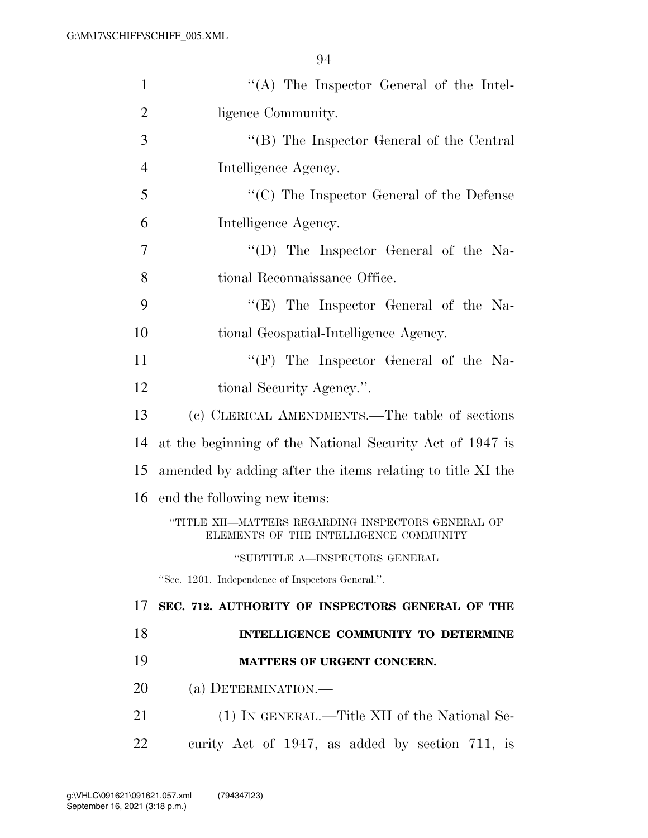| $\mathbf{1}$   | "(A) The Inspector General of the Intel-                                                     |
|----------------|----------------------------------------------------------------------------------------------|
| $\overline{2}$ | ligence Community.                                                                           |
| 3              | "(B) The Inspector General of the Central                                                    |
| $\overline{4}$ | Intelligence Agency.                                                                         |
| 5              | $\lq\lq$ (C) The Inspector General of the Defense                                            |
| 6              | Intelligence Agency.                                                                         |
| $\overline{7}$ | "(D) The Inspector General of the Na-                                                        |
| 8              | tional Reconnaissance Office.                                                                |
| 9              | " $(E)$ The Inspector General of the Na-                                                     |
| 10             | tional Geospatial-Intelligence Agency.                                                       |
| 11             | " $(F)$ The Inspector General of the Na-                                                     |
| 12             | tional Security Agency.".                                                                    |
| 13             | (c) CLERICAL AMENDMENTS.—The table of sections                                               |
| 14             | at the beginning of the National Security Act of 1947 is                                     |
| 15             | amended by adding after the items relating to title XI the                                   |
| 16             | end the following new items:                                                                 |
|                | "TITLE XII—MATTERS REGARDING INSPECTORS GENERAL OF<br>ELEMENTS OF THE INTELLIGENCE COMMUNITY |
|                | "SUBTITLE A-INSPECTORS GENERAL                                                               |
|                | "Sec. 1201. Independence of Inspectors General.".                                            |
| 17             | SEC. 712. AUTHORITY OF INSPECTORS GENERAL OF THE                                             |
| 18             | INTELLIGENCE COMMUNITY TO DETERMINE                                                          |
| 19             | MATTERS OF URGENT CONCERN.                                                                   |
| 20             | (a) DETERMINATION.—                                                                          |
| 21             |                                                                                              |
|                | (1) IN GENERAL.—Title XII of the National Se-                                                |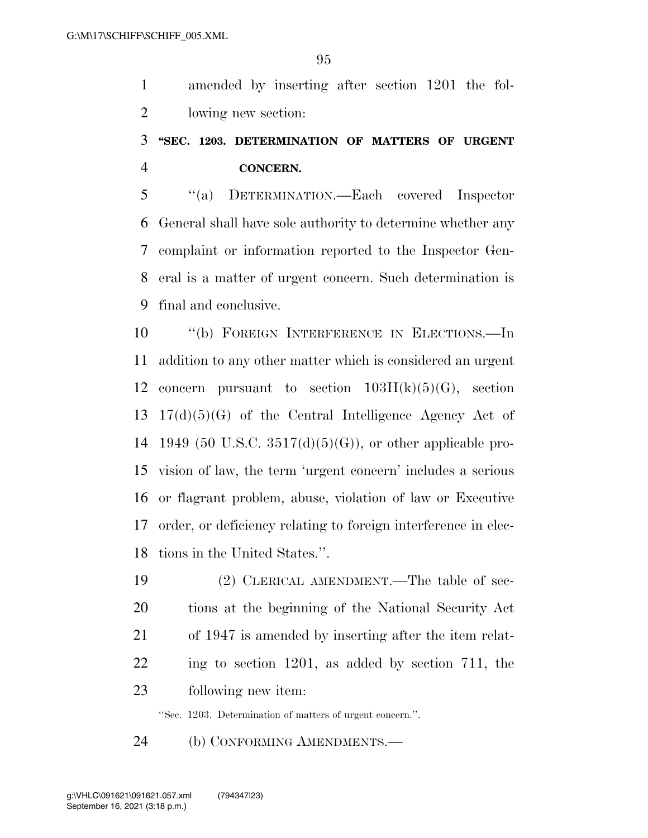amended by inserting after section 1201 the fol-lowing new section:

## **''SEC. 1203. DETERMINATION OF MATTERS OF URGENT CONCERN.**

 ''(a) DETERMINATION.—Each covered Inspector General shall have sole authority to determine whether any complaint or information reported to the Inspector Gen- eral is a matter of urgent concern. Such determination is final and conclusive.

 ''(b) FOREIGN INTERFERENCE IN ELECTIONS.—In addition to any other matter which is considered an urgent 12 concern pursuant to section  $103H(k)(5)(G)$ , section 17(d)(5)(G) of the Central Intelligence Agency Act of 14 1949 (50 U.S.C.  $3517(d)(5)(G)$ ), or other applicable pro- vision of law, the term 'urgent concern' includes a serious or flagrant problem, abuse, violation of law or Executive order, or deficiency relating to foreign interference in elec-tions in the United States.''.

 (2) CLERICAL AMENDMENT.—The table of sec- tions at the beginning of the National Security Act of 1947 is amended by inserting after the item relat- ing to section 1201, as added by section 711, the following new item:

''Sec. 1203. Determination of matters of urgent concern.''.

(b) CONFORMING AMENDMENTS.—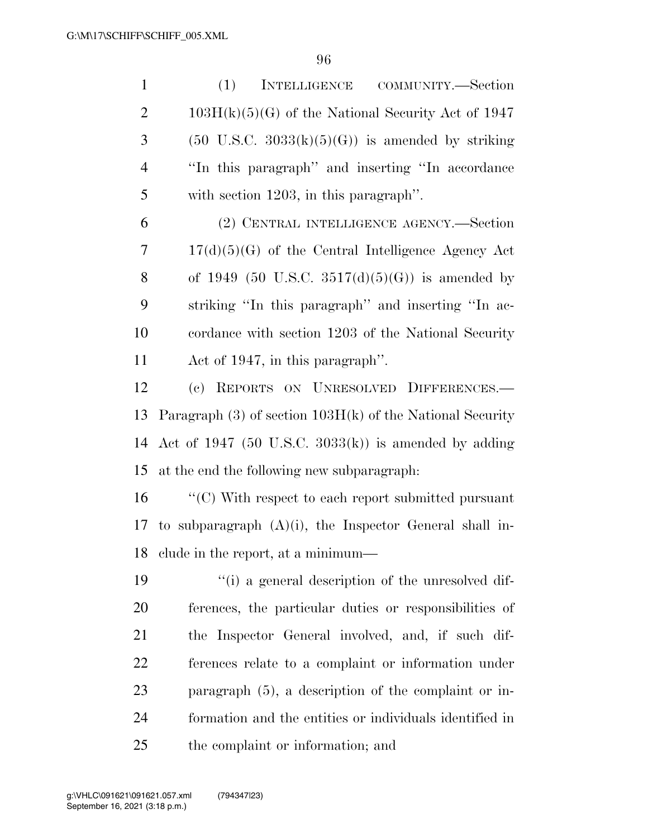(1) INTELLIGENCE COMMUNITY.—Section 2 103H(k)(5)(G) of the National Security Act of 1947 3 (50 U.S.C.  $3033(k)(5)(G)$ ) is amended by striking ''In this paragraph'' and inserting ''In accordance with section 1203, in this paragraph''.

 (2) CENTRAL INTELLIGENCE AGENCY.—Section 17(d)(5)(G) of the Central Intelligence Agency Act 8 of 1949 (50 U.S.C.  $3517(d)(5)(G)$ ) is amended by striking ''In this paragraph'' and inserting ''In ac- cordance with section 1203 of the National Security Act of 1947, in this paragraph''.

 (c) REPORTS ON UNRESOLVED DIFFERENCES.— Paragraph (3) of section 103H(k) of the National Security Act of 1947 (50 U.S.C. 3033(k)) is amended by adding at the end the following new subparagraph:

 ''(C) With respect to each report submitted pursuant 17 to subparagraph  $(A)(i)$ , the Inspector General shall in-clude in the report, at a minimum—

 ''(i) a general description of the unresolved dif- ferences, the particular duties or responsibilities of the Inspector General involved, and, if such dif- ferences relate to a complaint or information under paragraph (5), a description of the complaint or in- formation and the entities or individuals identified in the complaint or information; and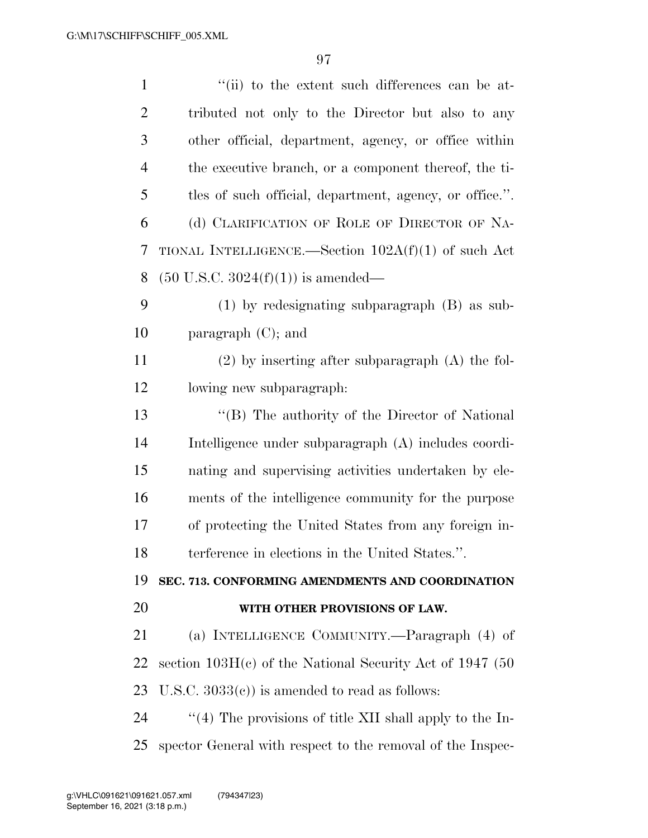| $\mathbf{1}$   | "(ii) to the extent such differences can be at-            |
|----------------|------------------------------------------------------------|
| $\overline{2}$ | tributed not only to the Director but also to any          |
| 3              | other official, department, agency, or office within       |
| $\overline{4}$ | the executive branch, or a component thereof, the ti-      |
| 5              | tles of such official, department, agency, or office.".    |
| 6              | (d) CLARIFICATION OF ROLE OF DIRECTOR OF NA-               |
| 7              | TIONAL INTELLIGENCE.—Section $102A(f)(1)$ of such Act      |
| 8              | $(50 \text{ U.S.C. } 3024(f)(1))$ is amended—              |
| 9              | $(1)$ by redesignating subparagraph $(B)$ as sub-          |
| 10             | paragraph $(C)$ ; and                                      |
| 11             | $(2)$ by inserting after subparagraph $(A)$ the fol-       |
| 12             | lowing new subparagraph:                                   |
| 13             | "(B) The authority of the Director of National             |
| 14             | Intelligence under subparagraph (A) includes coordi-       |
| 15             | nating and supervising activities undertaken by ele-       |
| 16             | ments of the intelligence community for the purpose        |
| 17             | of protecting the United States from any foreign in-       |
| 18             | terference in elections in the United States.".            |
| 19             | SEC. 713. CONFORMING AMENDMENTS AND COORDINATION           |
| 20             | WITH OTHER PROVISIONS OF LAW.                              |
| 21             | (a) INTELLIGENCE COMMUNITY.—Paragraph (4) of               |
| 22             | section $103H(c)$ of the National Security Act of 1947 (50 |
| 23             | U.S.C. $3033(e)$ is amended to read as follows:            |
| 24             | "(4) The provisions of title XII shall apply to the In-    |
| 25             | spector General with respect to the removal of the Inspec- |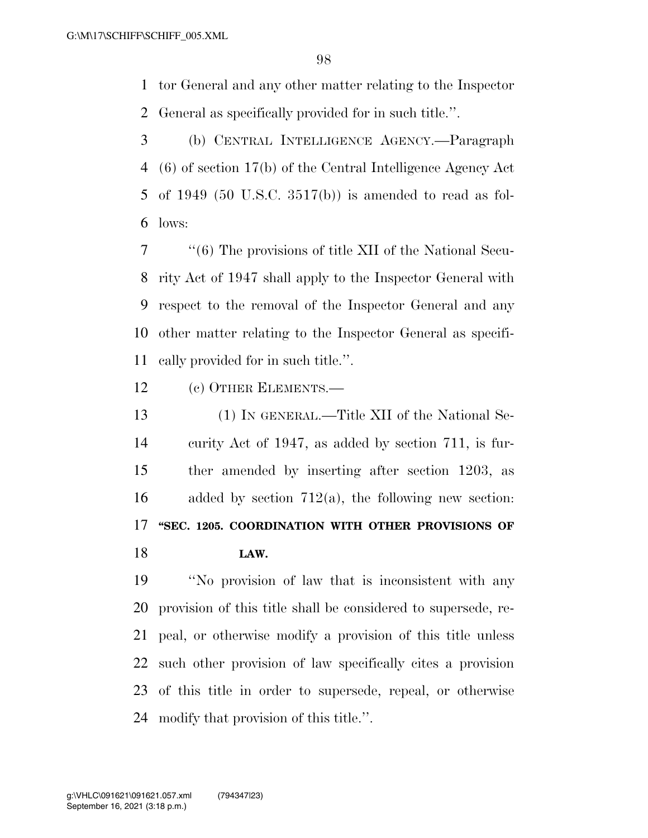tor General and any other matter relating to the Inspector General as specifically provided for in such title.''.

 (b) CENTRAL INTELLIGENCE AGENCY.—Paragraph (6) of section 17(b) of the Central Intelligence Agency Act of 1949 (50 U.S.C. 3517(b)) is amended to read as fol-lows:

 ''(6) The provisions of title XII of the National Secu- rity Act of 1947 shall apply to the Inspector General with respect to the removal of the Inspector General and any other matter relating to the Inspector General as specifi-cally provided for in such title.''.

(c) OTHER ELEMENTS.—

 (1) IN GENERAL.—Title XII of the National Se- curity Act of 1947, as added by section 711, is fur- ther amended by inserting after section 1203, as 16 added by section  $712(a)$ , the following new section: **''SEC. 1205. COORDINATION WITH OTHER PROVISIONS OF LAW.** 

 ''No provision of law that is inconsistent with any provision of this title shall be considered to supersede, re- peal, or otherwise modify a provision of this title unless such other provision of law specifically cites a provision of this title in order to supersede, repeal, or otherwise modify that provision of this title.''.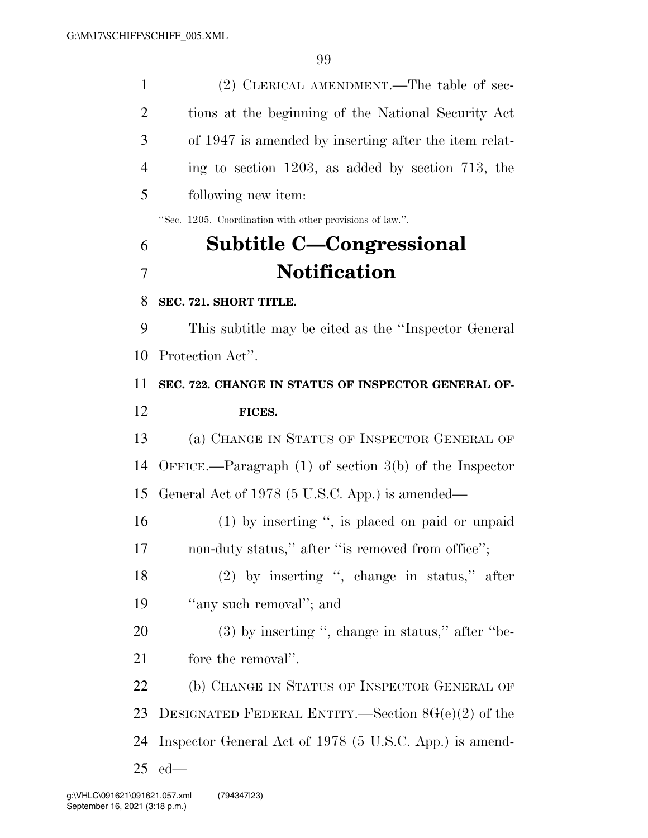(2) CLERICAL AMENDMENT.—The table of sec- tions at the beginning of the National Security Act of 1947 is amended by inserting after the item relat- ing to section 1203, as added by section 713, the following new item: ''Sec. 1205. Coordination with other provisions of law.''. **Subtitle C—Congressional Notification SEC. 721. SHORT TITLE.**  This subtitle may be cited as the ''Inspector General Protection Act''. **SEC. 722. CHANGE IN STATUS OF INSPECTOR GENERAL OF- FICES.**  (a) CHANGE IN STATUS OF INSPECTOR GENERAL OF OFFICE.—Paragraph (1) of section 3(b) of the Inspector General Act of 1978 (5 U.S.C. App.) is amended— (1) by inserting '', is placed on paid or unpaid 17 non-duty status," after "is removed from office"; (2) by inserting '', change in status,'' after 19 "any such removal"; and 20 (3) by inserting ", change in status," after "be- fore the removal''. 22 (b) CHANGE IN STATUS OF INSPECTOR GENERAL OF DESIGNATED FEDERAL ENTITY.—Section 8G(e)(2) of the Inspector General Act of 1978 (5 U.S.C. App.) is amend-ed—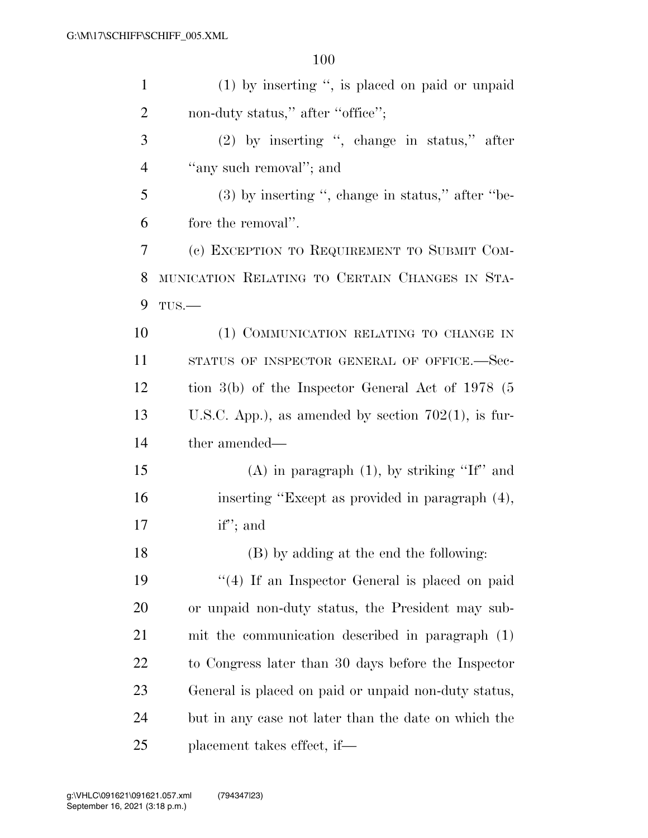| $\mathbf{1}$   | $(1)$ by inserting ", is placed on paid or unpaid      |
|----------------|--------------------------------------------------------|
| $\overline{2}$ | non-duty status," after "office";                      |
| 3              | $(2)$ by inserting ", change in status," after         |
| 4              | "any such removal"; and                                |
| 5              | $(3)$ by inserting ", change in status," after "be-    |
| 6              | fore the removal".                                     |
| 7              | (c) EXCEPTION TO REQUIREMENT TO SUBMIT COM-            |
| 8              | MUNICATION RELATING TO CERTAIN CHANGES IN STA-         |
| 9              | $TUS$ .                                                |
| 10             | (1) COMMUNICATION RELATING TO CHANGE IN                |
| 11             | STATUS OF INSPECTOR GENERAL OF OFFICE.-Sec-            |
| 12             | tion $3(b)$ of the Inspector General Act of 1978 (5    |
| 13             | U.S.C. App.), as amended by section $702(1)$ , is fur- |
| 14             | ther amended—                                          |
| 15             | $(A)$ in paragraph $(1)$ , by striking "If" and        |
| 16             | inserting "Except as provided in paragraph (4),        |
| 17             | $if''$ ; and                                           |
| 18             | (B) by adding at the end the following:                |
| 19             | $\lq(4)$ If an Inspector General is placed on paid     |
| 20             | or unpaid non-duty status, the President may sub-      |
| 21             | mit the communication described in paragraph (1)       |
| 22             | to Congress later than 30 days before the Inspector    |
| 23             | General is placed on paid or unpaid non-duty status,   |
| 24             | but in any case not later than the date on which the   |
| 25             | placement takes effect, if—                            |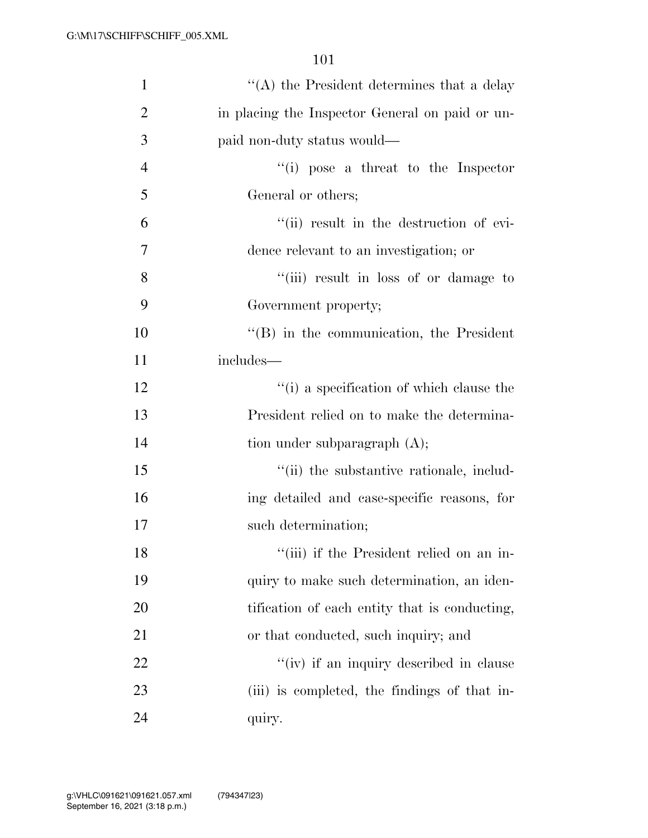| $\mathbf{1}$   | $\lq\lq$ the President determines that a delay   |
|----------------|--------------------------------------------------|
| $\overline{2}$ | in placing the Inspector General on paid or un-  |
| 3              | paid non-duty status would—                      |
| $\overline{4}$ | $``(i)$ pose a threat to the Inspector           |
| 5              | General or others;                               |
| 6              | "(ii) result in the destruction of evi-          |
| $\overline{7}$ | dence relevant to an investigation; or           |
| 8              | "(iii) result in loss of or damage to            |
| 9              | Government property;                             |
| 10             | $\lq\lq (B)$ in the communication, the President |
| 11             | includes—                                        |
| 12             | $``(i)$ a specification of which clause the      |
| 13             | President relied on to make the determina-       |
| 14             | tion under subparagraph $(A)$ ;                  |
| 15             | "(ii) the substantive rationale, includ-         |
| 16             | ing detailed and case-specific reasons, for      |
| 17             | such determination;                              |
| 18             | "(iii) if the President relied on an in-         |
| 19             | quiry to make such determination, an iden-       |
| 20             | tification of each entity that is conducting,    |
| 21             | or that conducted, such inquiry; and             |
| 22             | "(iv) if an inquiry described in clause          |
| 23             | (iii) is completed, the findings of that in-     |
| 24             | quiry.                                           |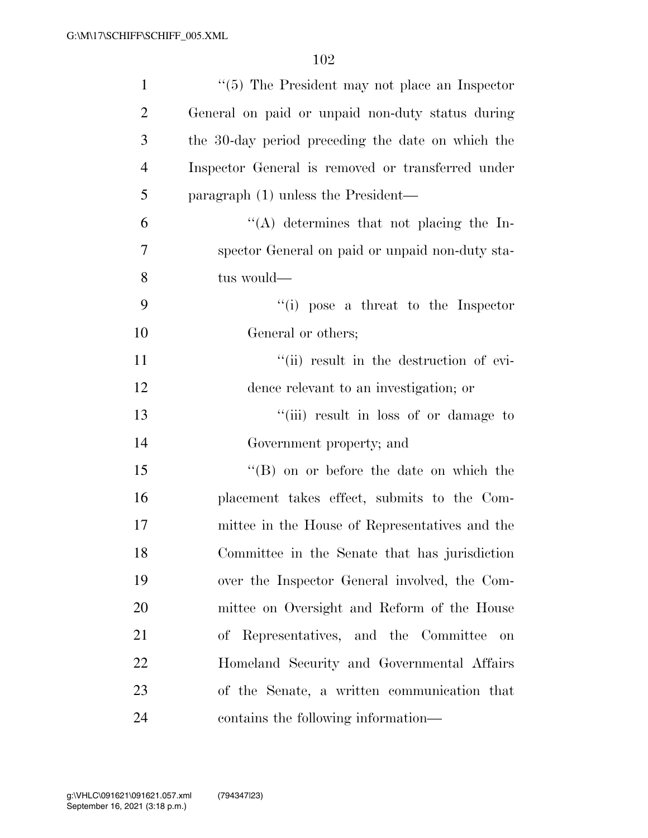| $\mathbf{1}$   | $\lq(5)$ The President may not place an Inspector |
|----------------|---------------------------------------------------|
| $\overline{2}$ | General on paid or unpaid non-duty status during  |
| 3              | the 30-day period preceding the date on which the |
| $\overline{4}$ | Inspector General is removed or transferred under |
| 5              | paragraph (1) unless the President—               |
| 6              | "(A) determines that not placing the In-          |
| 7              | spector General on paid or unpaid non-duty sta-   |
| 8              | tus would-                                        |
| 9              | $f'(i)$ pose a threat to the Inspector            |
| 10             | General or others;                                |
| 11             | "(ii) result in the destruction of evi-           |
| 12             | dence relevant to an investigation; or            |
| 13             | "(iii) result in loss of or damage to             |
| 14             | Government property; and                          |
| 15             | $\lq\lq (B)$ on or before the date on which the   |
| 16             | placement takes effect, submits to the Com-       |
| 17             | mittee in the House of Representatives and the    |
| 18             | Committee in the Senate that has jurisdiction     |
| 19             | over the Inspector General involved, the Com-     |
| 20             | mittee on Oversight and Reform of the House       |
| 21             | of Representatives, and the Committee<br>on       |
| 22             | Homeland Security and Governmental Affairs        |
| 23             | of the Senate, a written communication that       |
| 24             | contains the following information—               |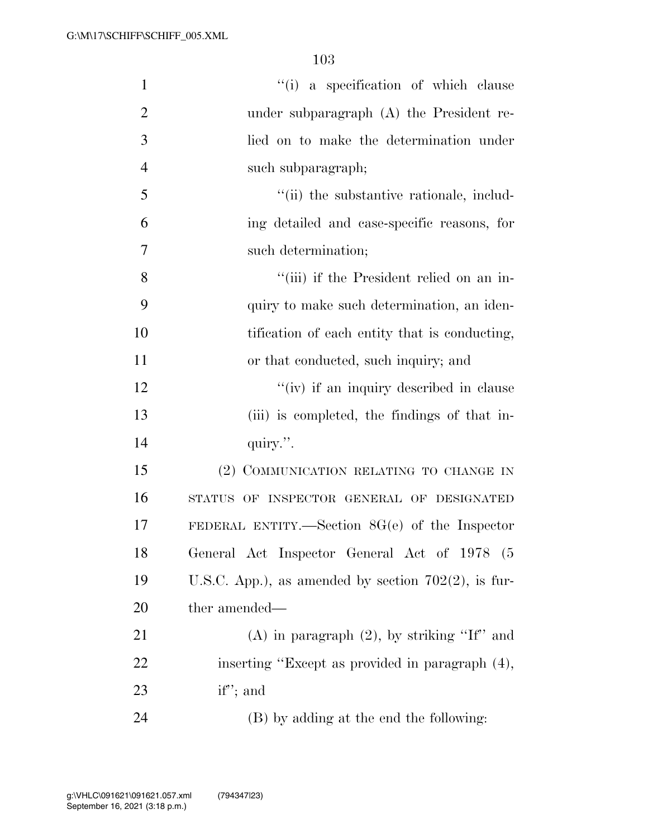| $\mathbf{1}$   | "(i) a specification of which clause                   |
|----------------|--------------------------------------------------------|
| $\overline{2}$ | under subparagraph $(A)$ the President re-             |
| 3              | lied on to make the determination under                |
| $\overline{4}$ | such subparagraph;                                     |
| 5              | "(ii) the substantive rationale, includ-               |
| 6              | ing detailed and case-specific reasons, for            |
| 7              | such determination;                                    |
| 8              | "(iii) if the President relied on an in-               |
| 9              | quiry to make such determination, an iden-             |
| 10             | tification of each entity that is conducting,          |
| 11             | or that conducted, such inquiry; and                   |
| 12             | "(iv) if an inquiry described in clause                |
| 13             | (iii) is completed, the findings of that in-           |
| 14             | quiry.".                                               |
| 15             | (2) COMMUNICATION RELATING TO CHANGE IN                |
| 16             | STATUS OF INSPECTOR GENERAL OF DESIGNATED              |
| 17             | FEDERAL ENTITY.—Section $8G(e)$ of the Inspector       |
| 18             | General Act Inspector General Act of 1978 (5           |
| 19             | U.S.C. App.), as amended by section $702(2)$ , is fur- |
| 20             | ther amended—                                          |
| 21             | (A) in paragraph $(2)$ , by striking "If" and          |
| 22             | inserting "Except as provided in paragraph (4),        |
| 23             | $if''$ ; and                                           |
| 24             | (B) by adding at the end the following:                |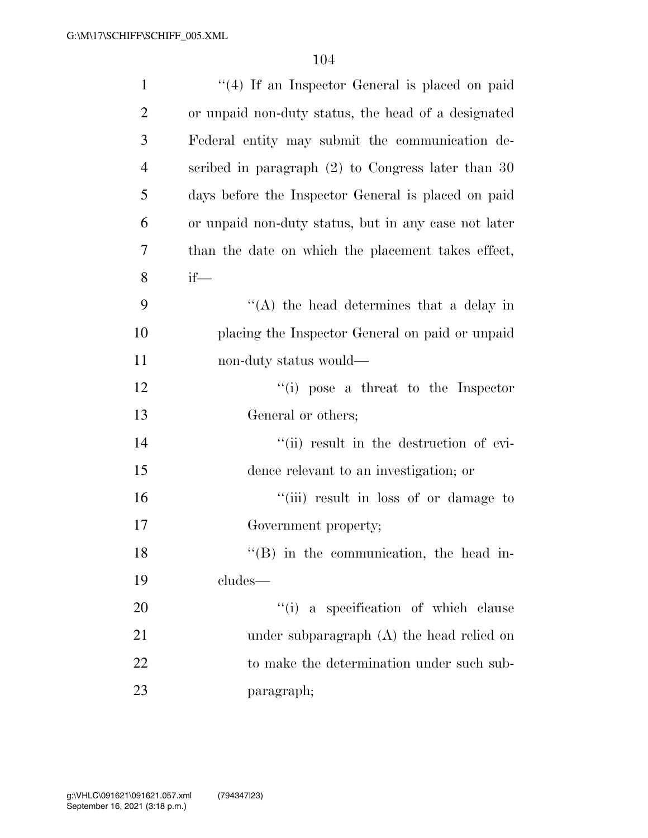| $\mathbf{1}$   | $\lq(4)$ If an Inspector General is placed on paid   |
|----------------|------------------------------------------------------|
| $\overline{2}$ | or unpaid non-duty status, the head of a designated  |
| 3              | Federal entity may submit the communication de-      |
| $\overline{4}$ | scribed in paragraph $(2)$ to Congress later than 30 |
| 5              | days before the Inspector General is placed on paid  |
| 6              | or unpaid non-duty status, but in any case not later |
| 7              | than the date on which the placement takes effect,   |
| 8              | $if$ —                                               |
| 9              | $\lq\lq$ the head determines that a delay in         |
| 10             | placing the Inspector General on paid or unpaid      |
| 11             | non-duty status would—                               |
| 12             | $\lq\lq$ (i) pose a threat to the Inspector          |
| 13             | General or others;                                   |
| 14             | "(ii) result in the destruction of evi-              |
| 15             | dence relevant to an investigation; or               |
| 16             | "(iii) result in loss of or damage to                |
| 17             | Government property;                                 |
| 18             | $\lq\lq (B)$ in the communication, the head in-      |
| 19             | cludes—                                              |
| 20             | "(i) a specification of which clause                 |
| 21             | under subparagraph $(A)$ the head relied on          |
| 22             | to make the determination under such sub-            |
| 23             | paragraph;                                           |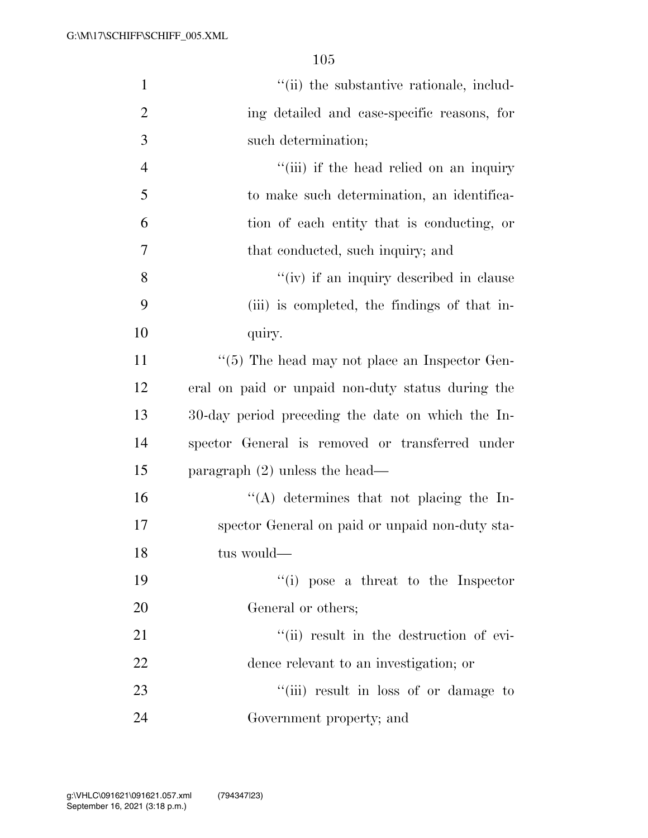| $\mathbf{1}$   | "(ii) the substantive rationale, includ-             |
|----------------|------------------------------------------------------|
| $\overline{2}$ | ing detailed and case-specific reasons, for          |
| 3              | such determination;                                  |
| $\overline{4}$ | "(iii) if the head relied on an inquiry              |
| 5              | to make such determination, an identifica-           |
| 6              | tion of each entity that is conducting, or           |
| 7              | that conducted, such inquiry; and                    |
| 8              | "(iv) if an inquiry described in clause              |
| 9              | (iii) is completed, the findings of that in-         |
| 10             | quiry.                                               |
| 11             | $\lq\lq(5)$ The head may not place an Inspector Gen- |
| 12             | eral on paid or unpaid non-duty status during the    |
| 13             | 30-day period preceding the date on which the In-    |
| 14             | spector General is removed or transferred under      |
| 15             | paragraph $(2)$ unless the head—                     |
| 16             | "(A) determines that not placing the In-             |
| 17             | spector General on paid or unpaid non-duty sta-      |
| 18             | tus would-                                           |
| 19             | $``(i)$ pose a threat to the Inspector               |
| 20             | General or others;                                   |
| 21             | "(ii) result in the destruction of evi-              |
| 22             | dence relevant to an investigation; or               |
| 23             | "(iii) result in loss of or damage to                |
| 24             | Government property; and                             |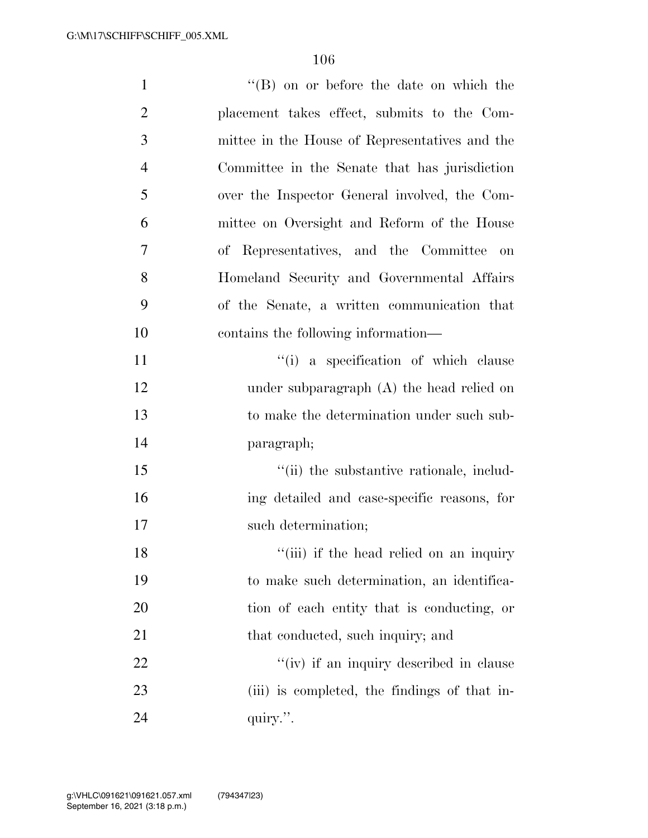| $\mathbf{1}$   | $\lq\lq (B)$ on or before the date on which the |
|----------------|-------------------------------------------------|
| $\overline{2}$ | placement takes effect, submits to the Com-     |
| 3              | mittee in the House of Representatives and the  |
| $\overline{4}$ | Committee in the Senate that has jurisdiction   |
| 5              | over the Inspector General involved, the Com-   |
| 6              | mittee on Oversight and Reform of the House     |
| 7              | of Representatives, and the Committee<br>on     |
| 8              | Homeland Security and Governmental Affairs      |
| 9              | of the Senate, a written communication that     |
| 10             | contains the following information—             |
| 11             | "(i) a specification of which clause            |
| 12             | under subparagraph $(A)$ the head relied on     |
| 13             | to make the determination under such sub-       |
| 14             | paragraph;                                      |
| 15             | "(ii) the substantive rationale, includ-        |
| 16             | ing detailed and case-specific reasons, for     |
| 17             | such determination;                             |
| 18             | "(iii) if the head relied on an inquiry         |
| 19             | to make such determination, an identifica-      |
| 20             | tion of each entity that is conducting, or      |
| 21             | that conducted, such inquiry; and               |
| 22             | "(iv) if an inquiry described in clause         |
| 23             | (iii) is completed, the findings of that in-    |
| 24             | quiry.".                                        |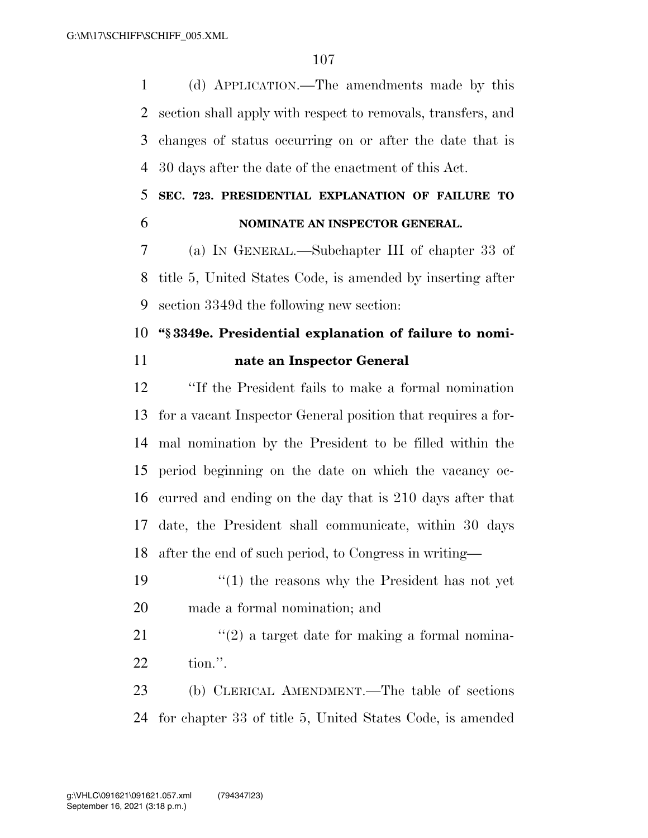(d) APPLICATION.—The amendments made by this section shall apply with respect to removals, transfers, and changes of status occurring on or after the date that is 30 days after the date of the enactment of this Act.

### **SEC. 723. PRESIDENTIAL EXPLANATION OF FAILURE TO NOMINATE AN INSPECTOR GENERAL.**

 (a) IN GENERAL.—Subchapter III of chapter 33 of title 5, United States Code, is amended by inserting after section 3349d the following new section:

# **''§ 3349e. Presidential explanation of failure to nomi-nate an Inspector General**

 ''If the President fails to make a formal nomination for a vacant Inspector General position that requires a for- mal nomination by the President to be filled within the period beginning on the date on which the vacancy oc- curred and ending on the day that is 210 days after that date, the President shall communicate, within 30 days after the end of such period, to Congress in writing—

 ''(1) the reasons why the President has not yet made a formal nomination; and

21  $\frac{1}{2}$  a target date for making a formal nomina-tion.''.

 (b) CLERICAL AMENDMENT.—The table of sections for chapter 33 of title 5, United States Code, is amended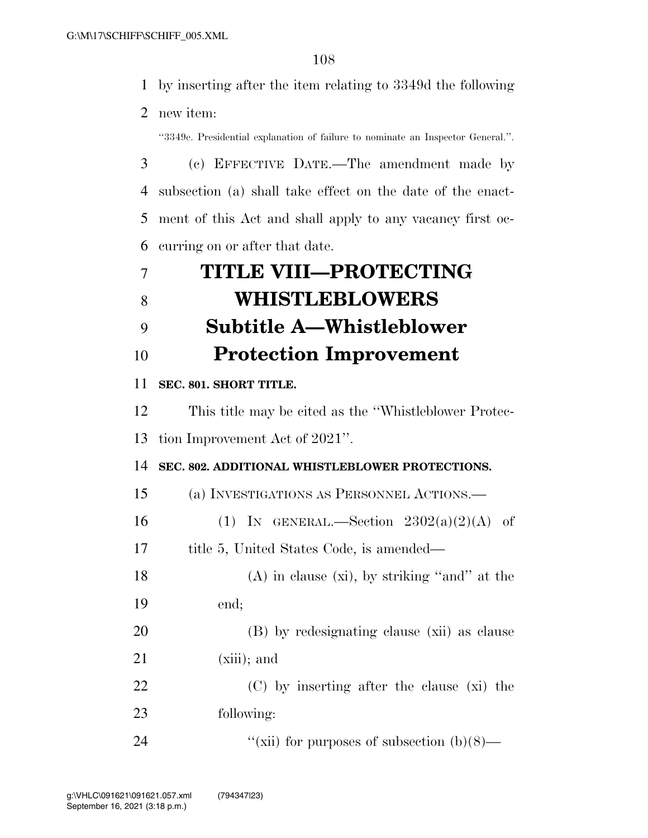by inserting after the item relating to 3349d the following

new item:

''3349e. Presidential explanation of failure to nominate an Inspector General.''.

 (c) EFFECTIVE DATE.—The amendment made by subsection (a) shall take effect on the date of the enact- ment of this Act and shall apply to any vacancy first oc-curring on or after that date.

|              | <b>TITLE VIII-PROTECTING</b>    |
|--------------|---------------------------------|
| <sup>8</sup> | <b>WHISTLEBLOWERS</b>           |
|              | <b>Subtitle A-Whistleblower</b> |
| 10           | <b>Protection Improvement</b>   |
|              |                                 |

#### **SEC. 801. SHORT TITLE.**

This title may be cited as the ''Whistleblower Protec-

tion Improvement Act of 2021''.

**SEC. 802. ADDITIONAL WHISTLEBLOWER PROTECTIONS.** 

(a) INVESTIGATIONS AS PERSONNEL ACTIONS.—

16 (1) IN GENERAL.—Section  $2302(a)(2)(A)$  of

title 5, United States Code, is amended—

18 (A) in clause (xi), by striking "and" at the end;

 (B) by redesignating clause (xii) as clause (xiii); and

 (C) by inserting after the clause (xi) the following:

24  $''(\text{xii})$  for purposes of subsection (b)(8)—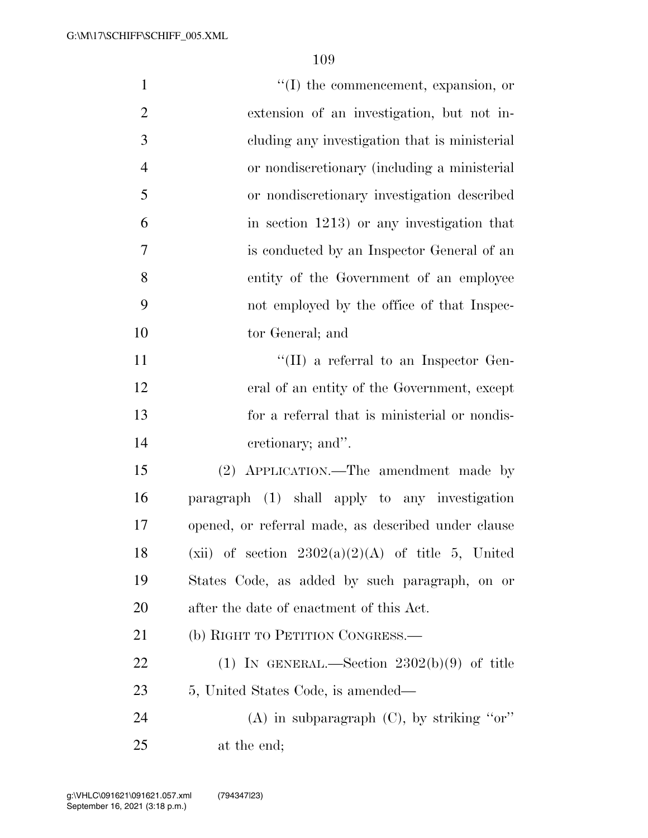| $\mathbf{1}$   | $\lq\lq$ the commencement, expansion, or            |
|----------------|-----------------------------------------------------|
| $\overline{2}$ | extension of an investigation, but not in-          |
| 3              | eluding any investigation that is ministerial       |
| $\overline{4}$ | or nondiscretionary (including a ministerial        |
| 5              | or nondiscretionary investigation described         |
| 6              | in section 1213) or any investigation that          |
| 7              | is conducted by an Inspector General of an          |
| 8              | entity of the Government of an employee             |
| 9              | not employed by the office of that Inspec-          |
| 10             | tor General; and                                    |
| 11             | "(II) a referral to an Inspector Gen-               |
| 12             | eral of an entity of the Government, except         |
| 13             | for a referral that is ministerial or nondis-       |
| 14             | cretionary; and".                                   |
| 15             | (2) APPLICATION.—The amendment made by              |
| 16             | paragraph (1) shall apply to any investigation      |
| 17             | opened, or referral made, as described under clause |
| 18             | (xii) of section $2302(a)(2)(A)$ of title 5, United |
| 19             | States Code, as added by such paragraph, on or      |
| 20             | after the date of enactment of this Act.            |
| 21             | (b) RIGHT TO PETITION CONGRESS.—                    |
| 22             | (1) IN GENERAL.—Section $2302(b)(9)$ of title       |
| 23             | 5, United States Code, is amended—                  |
| 24             | (A) in subparagraph $(C)$ , by striking "or"        |
| 25             | at the end;                                         |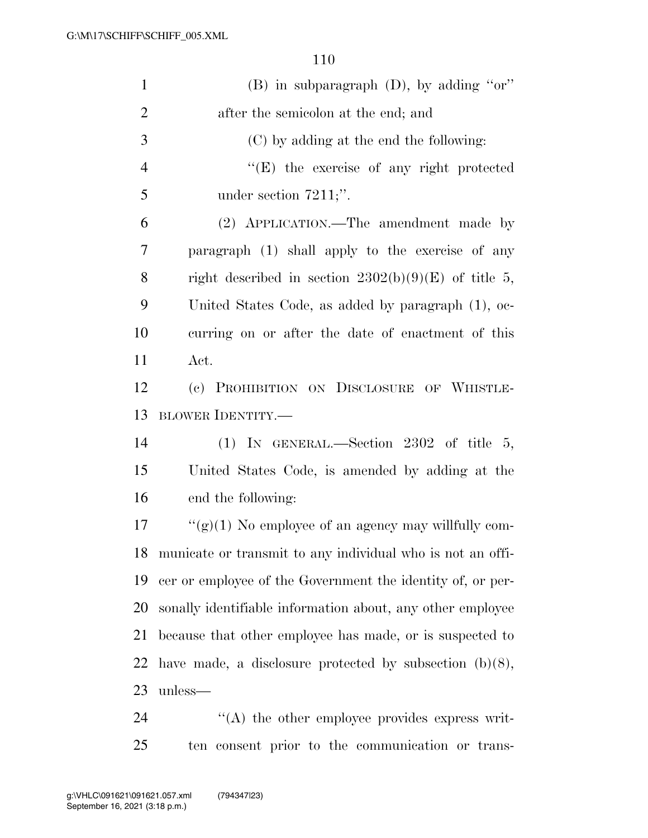| $\mathbf{1}$   | (B) in subparagraph (D), by adding "or"                    |
|----------------|------------------------------------------------------------|
| $\overline{2}$ | after the semicolon at the end; and                        |
| 3              | (C) by adding at the end the following:                    |
| $\overline{4}$ | $\lq\lq(E)$ the exercise of any right protected            |
| 5              | under section $7211$ ;".                                   |
| 6              | (2) APPLICATION.—The amendment made by                     |
| $\tau$         | paragraph (1) shall apply to the exercise of any           |
| 8              | right described in section $2302(b)(9)(E)$ of title 5,     |
| 9              | United States Code, as added by paragraph (1), oc-         |
| 10             | curring on or after the date of enactment of this          |
| 11             | Act.                                                       |
| 12             | (c) PROHIBITION ON DISCLOSURE OF WHISTLE-                  |
| 13             | <b>BLOWER IDENTITY.—</b>                                   |
| 14             | (1) IN GENERAL.—Section 2302 of title 5,                   |
| 15             | United States Code, is amended by adding at the            |
| 16             | end the following:                                         |
| 17             | " $(g)(1)$ No employee of an agency may willfully com-     |
| 18             | municate or transmit to any individual who is not an offi- |
| 19             | cer or employee of the Government the identity of, or per- |
| 20             | sonally identifiable information about, any other employee |
| 21             | because that other employee has made, or is suspected to   |
| 22             | have made, a disclosure protected by subsection $(b)(8)$ , |
| 23             | unless—                                                    |
| 24             | $\cdot$ (A) the other employee provides express writ-      |

ten consent prior to the communication or trans-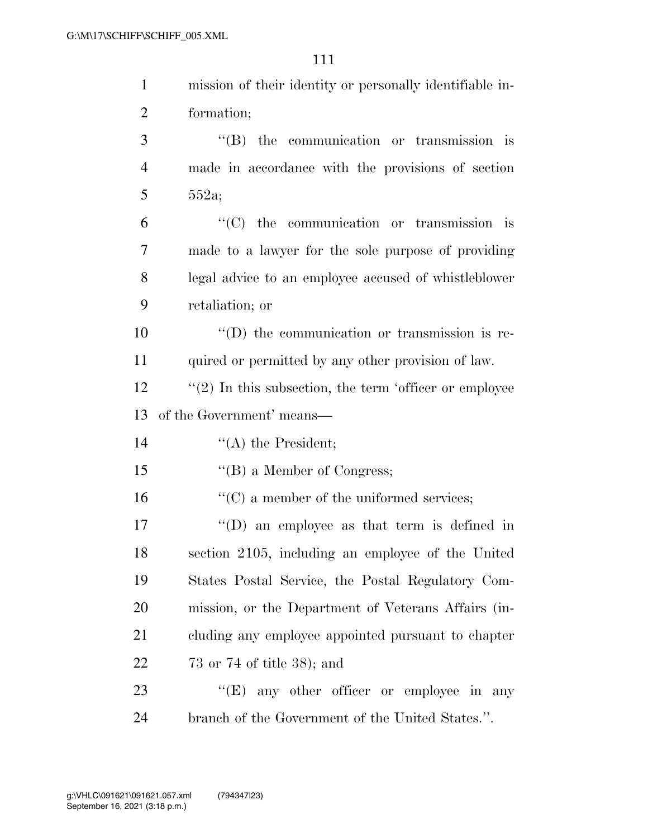| $\mathbf{1}$   | mission of their identity or personally identifiable in-   |
|----------------|------------------------------------------------------------|
| $\overline{2}$ | formation;                                                 |
| 3              | $\lq\lq$ the communication or transmission is              |
| $\overline{4}$ | made in accordance with the provisions of section          |
| 5              | 552a;                                                      |
| 6              | $\cdot$ (C) the communication or transmission is           |
| $\overline{7}$ | made to a lawyer for the sole purpose of providing         |
| 8              | legal advice to an employee accused of whistleblower       |
| 9              | retaliation; or                                            |
| 10             | $\lq\lq$ the communication or transmission is re-          |
| 11             | quired or permitted by any other provision of law.         |
| 12             | $\lq(2)$ In this subsection, the term 'officer or employee |
| 13             | of the Government' means—                                  |
| 14             | $\lq\lq$ the President;                                    |
| 15             | $\lq\lq (B)$ a Member of Congress;                         |
| 16             |                                                            |
|                | $\lq\lq$ (C) a member of the uniformed services;           |
| 17             | $\lq\lq$ (D) an employee as that term is defined in        |
| 18             | section 2105, including an employee of the United          |
| 19             | States Postal Service, the Postal Regulatory Com-          |
| 20             | mission, or the Department of Veterans Affairs (in-        |
| 21             | cluding any employee appointed pursuant to chapter         |
| 22             | 73 or 74 of title $38$ ); and                              |
| 23             | "(E) any other officer or employee in any                  |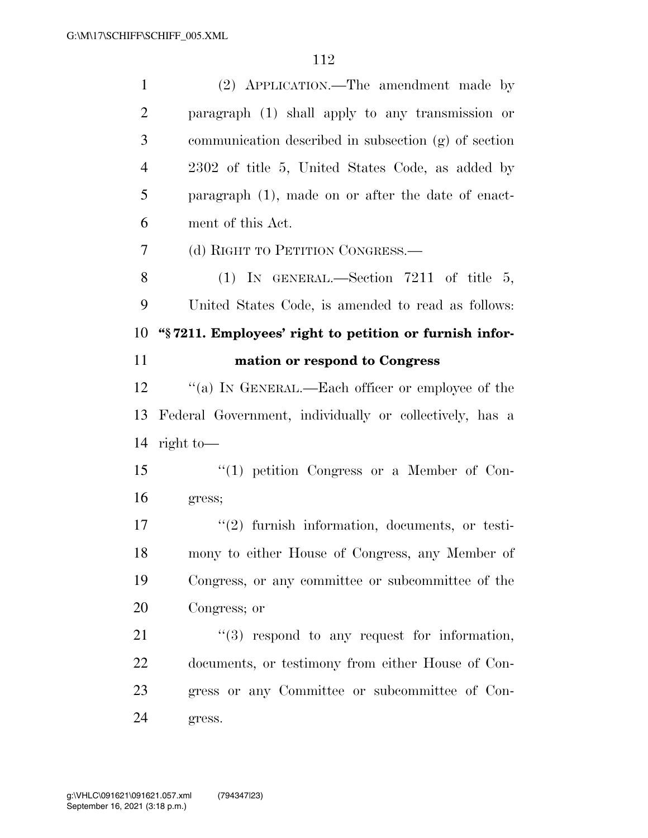| $\mathbf{1}$   | (2) APPLICATION.—The amendment made by                  |
|----------------|---------------------------------------------------------|
| $\overline{2}$ | paragraph (1) shall apply to any transmission or        |
| 3              | communication described in subsection (g) of section    |
| $\overline{4}$ | 2302 of title 5, United States Code, as added by        |
| 5              | paragraph (1), made on or after the date of enact-      |
| 6              | ment of this Act.                                       |
| 7              | (d) RIGHT TO PETITION CONGRESS.—                        |
| 8              | (1) IN GENERAL.—Section 7211 of title 5,                |
| 9              | United States Code, is amended to read as follows:      |
| 10             | "§7211. Employees' right to petition or furnish infor-  |
| 11             | mation or respond to Congress                           |
| 12             | "(a) IN GENERAL.—Each officer or employee of the        |
|                |                                                         |
| 13             | Federal Government, individually or collectively, has a |
| 14             | right to $-$                                            |
| 15             | $\lq(1)$ petition Congress or a Member of Con-          |
| 16             | gress;                                                  |
| 17             | $(2)$ furnish information, documents, or testi-         |
| 18             | mony to either House of Congress, any Member of         |
| 19             | Congress, or any committee or subcommittee of the       |
| 20             | Congress; or                                            |
| 21             | $\lq(3)$ respond to any request for information,        |
| 22             | documents, or testimony from either House of Con-       |
| 23             | gress or any Committee or subcommittee of Con-          |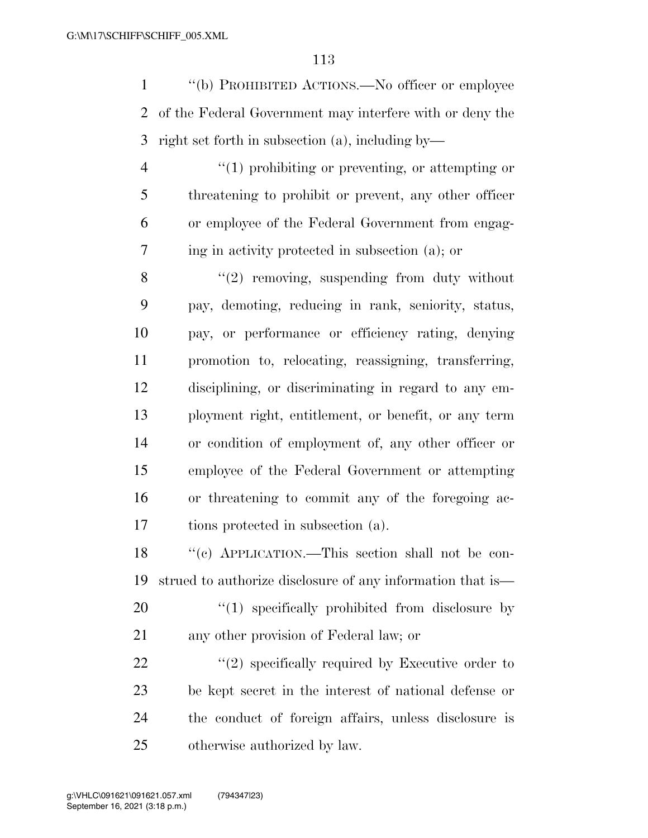''(b) PROHIBITED ACTIONS.—No officer or employee of the Federal Government may interfere with or deny the right set forth in subsection (a), including by—

 $\frac{4}{1}$  prohibiting or preventing, or attempting or threatening to prohibit or prevent, any other officer or employee of the Federal Government from engag-ing in activity protected in subsection (a); or

 ''(2) removing, suspending from duty without pay, demoting, reducing in rank, seniority, status, pay, or performance or efficiency rating, denying promotion to, relocating, reassigning, transferring, disciplining, or discriminating in regard to any em- ployment right, entitlement, or benefit, or any term or condition of employment of, any other officer or employee of the Federal Government or attempting or threatening to commit any of the foregoing ac-tions protected in subsection (a).

 ''(c) APPLICATION.—This section shall not be con-strued to authorize disclosure of any information that is—

20  $\frac{4}{1}$  specifically prohibited from disclosure by any other provision of Federal law; or

 $\frac{22}{22}$  ''(2) specifically required by Executive order to be kept secret in the interest of national defense or the conduct of foreign affairs, unless disclosure is otherwise authorized by law.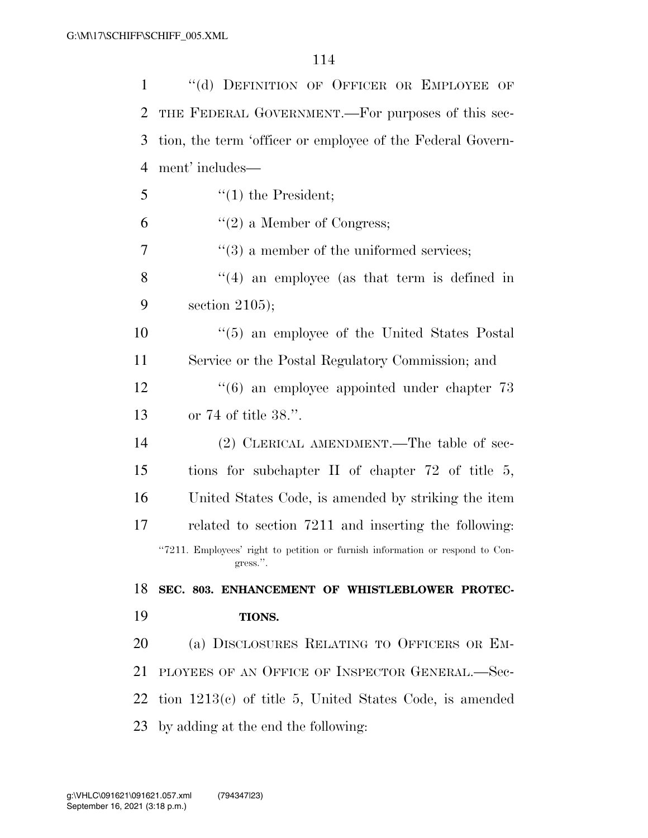| $\mathbf{1}$   | "(d) DEFINITION OF OFFICER OR EMPLOYEE OF                                                 |
|----------------|-------------------------------------------------------------------------------------------|
| $\overline{2}$ | THE FEDERAL GOVERNMENT.—For purposes of this sec-                                         |
| 3              | tion, the term 'officer or employee of the Federal Govern-                                |
| $\overline{4}$ | ment' includes—                                                                           |
| 5              | $\lq(1)$ the President;                                                                   |
| 6              | $f'(2)$ a Member of Congress;                                                             |
| 7              | $\cdot\cdot(3)$ a member of the uniformed services;                                       |
| 8              | $\lq(4)$ an employee (as that term is defined in                                          |
| 9              | section $2105$ ;                                                                          |
| 10             | $\cdot\cdot$ (5) an employee of the United States Postal                                  |
| 11             | Service or the Postal Regulatory Commission; and                                          |
| 12             | $\cdot\cdot$ (6) an employee appointed under chapter 73                                   |
| 13             | or $74$ of title $38$ .".                                                                 |
| 14             | (2) CLERICAL AMENDMENT.—The table of sec-                                                 |
| 15             | tions for subchapter II of chapter $72$ of title 5,                                       |
| 16             | United States Code, is amended by striking the item                                       |
| 17             | related to section 7211 and inserting the following:                                      |
|                | "7211. Employees' right to petition or furnish information or respond to Con-<br>gress.". |
| 18             | SEC. 803. ENHANCEMENT OF WHISTLEBLOWER PROTEC-                                            |
| 19             | TIONS.                                                                                    |
| 20             | (a) DISCLOSURES RELATING TO OFFICERS OR EM-                                               |
| 21             | PLOYEES OF AN OFFICE OF INSPECTOR GENERAL.-Sec-                                           |
| 22             | tion $1213(e)$ of title 5, United States Code, is amended                                 |
| 23             | by adding at the end the following:                                                       |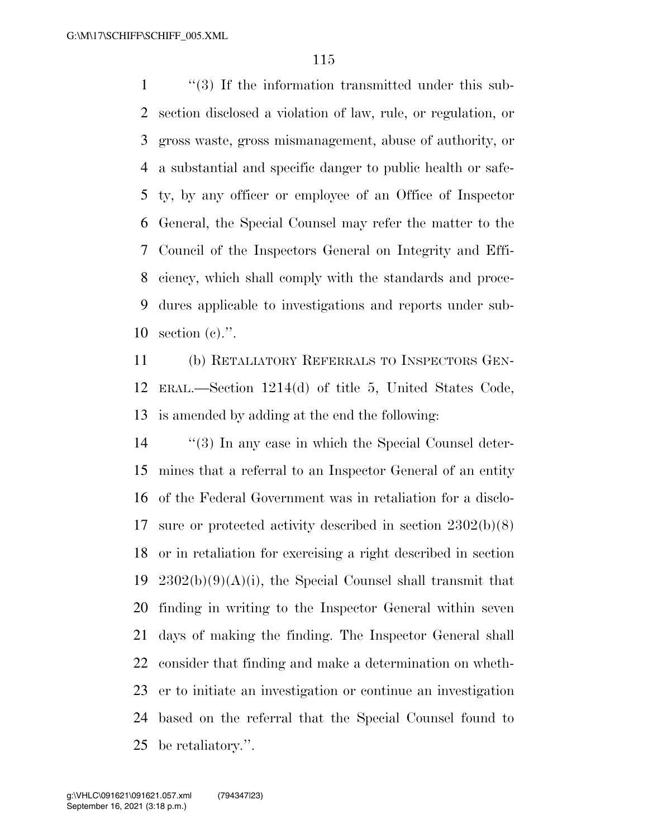1 ''(3) If the information transmitted under this sub- section disclosed a violation of law, rule, or regulation, or gross waste, gross mismanagement, abuse of authority, or a substantial and specific danger to public health or safe- ty, by any officer or employee of an Office of Inspector General, the Special Counsel may refer the matter to the Council of the Inspectors General on Integrity and Effi- ciency, which shall comply with the standards and proce- dures applicable to investigations and reports under sub-section (c).''.

 (b) RETALIATORY REFERRALS TO INSPECTORS GEN- ERAL.—Section 1214(d) of title 5, United States Code, is amended by adding at the end the following:

14 ''(3) In any case in which the Special Counsel deter- mines that a referral to an Inspector General of an entity of the Federal Government was in retaliation for a disclo- sure or protected activity described in section 2302(b)(8) or in retaliation for exercising a right described in section  $2302(b)(9)(A)(i)$ , the Special Counsel shall transmit that finding in writing to the Inspector General within seven days of making the finding. The Inspector General shall consider that finding and make a determination on wheth- er to initiate an investigation or continue an investigation based on the referral that the Special Counsel found to be retaliatory.''.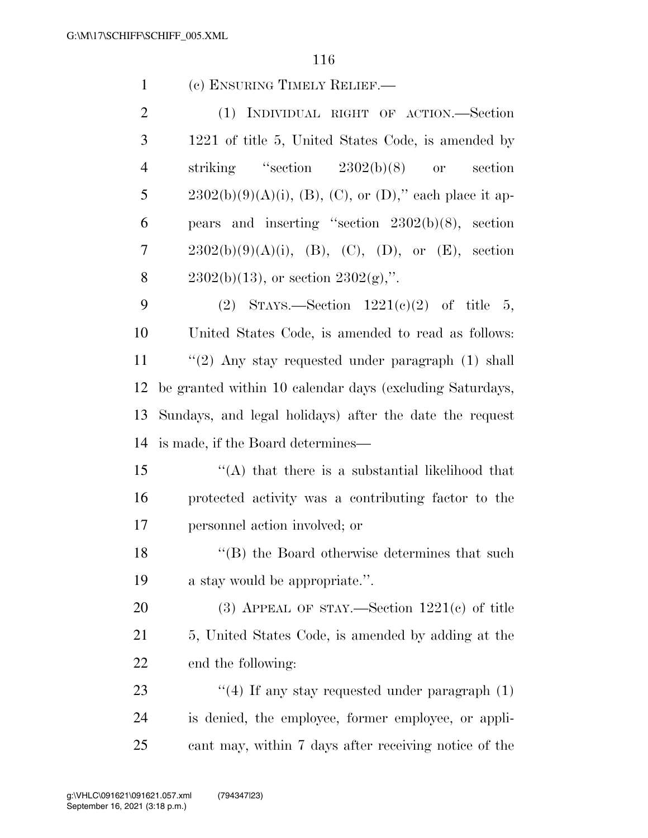| $\mathbf{1}$   | (c) ENSURING TIMELY RELIEF.—                              |
|----------------|-----------------------------------------------------------|
| $\overline{2}$ | (1) INDIVIDUAL RIGHT OF ACTION.—Section                   |
| 3              | 1221 of title 5, United States Code, is amended by        |
| $\overline{4}$ | striking "section $2302(b)(8)$ or<br>section              |
| 5              | $2302(b)(9)(A)(i)$ , (B), (C), or (D)," each place it ap- |
| 6              | pears and inserting "section $2302(b)(8)$ , section       |
| 7              | $2302(b)(9)(A)(i)$ , (B), (C), (D), or (E), section       |
| 8              | $2302(b)(13)$ , or section $2302(g)$ ,".                  |
| 9              | (2) STAYS.—Section $1221(e)(2)$ of title 5,               |
| 10             | United States Code, is amended to read as follows:        |
| 11             | $\lq(2)$ Any stay requested under paragraph (1) shall     |
| 12             | be granted within 10 calendar days (excluding Saturdays,  |
| 13             | Sundays, and legal holidays) after the date the request   |
| 14             | is made, if the Board determines—                         |
| 15             | $\lq (A)$ that there is a substantial likelihood that     |
| 16             | protected activity was a contributing factor to the       |
| 17             | personnel action involved; or                             |
| 18             | "(B) the Board otherwise determines that such             |
| 19             | a stay would be appropriate.".                            |
| 20             | (3) APPEAL OF STAY.—Section $1221(c)$ of title            |
| 21             | 5, United States Code, is amended by adding at the        |
| 22             | end the following:                                        |
| 23             | $\lq(4)$ If any stay requested under paragraph $(1)$      |
| 24             | is denied, the employee, former employee, or appli-       |
| 25             | cant may, within 7 days after receiving notice of the     |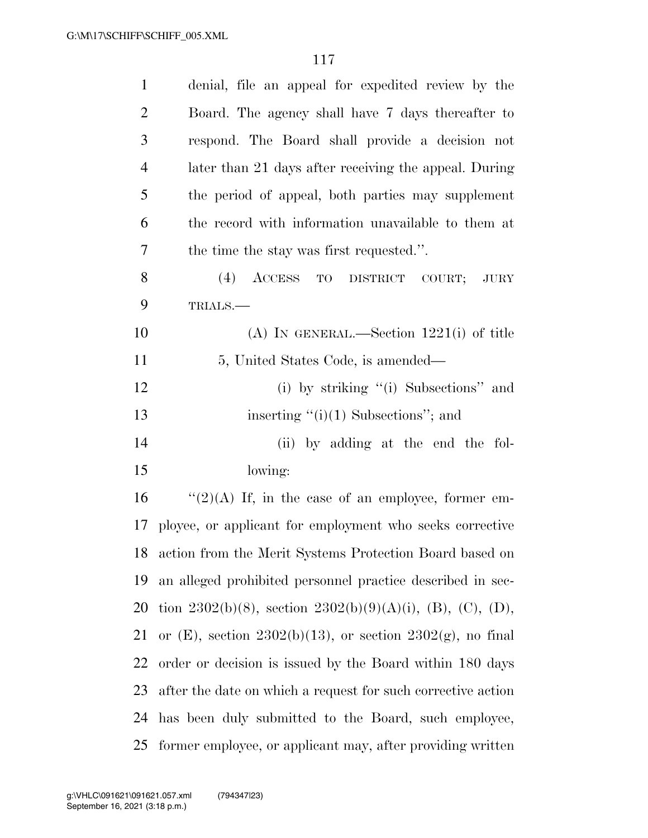| $\mathbf{1}$   | denial, file an appeal for expedited review by the           |
|----------------|--------------------------------------------------------------|
| $\overline{2}$ | Board. The agency shall have 7 days thereafter to            |
| 3              | respond. The Board shall provide a decision not              |
| $\overline{4}$ | later than 21 days after receiving the appeal. During        |
| 5              | the period of appeal, both parties may supplement            |
| 6              | the record with information unavailable to them at           |
| 7              | the time the stay was first requested.".                     |
| 8              | $(4)$ ACCESS<br>TO DISTRICT COURT;<br><b>JURY</b>            |
| 9              | TRIALS.                                                      |
| 10             | $(A)$ IN GENERAL.—Section 1221(i) of title                   |
| 11             | 5, United States Code, is amended—                           |
| 12             | (i) by striking "(i) Subsections" and                        |
| 13             | inserting $"(i)(1)$ Subsections"; and                        |
| 14             | (ii) by adding at the end the fol-                           |
| 15             | lowing:                                                      |
| 16             | " $(2)(A)$ If, in the case of an employee, former em-        |
|                | 17 ployee, or applicant for employment who seeks corrective  |
|                | 18 action from the Merit Systems Protection Board based on   |
| 19             | an alleged prohibited personnel practice described in sec-   |
| 20             | tion 2302(b)(8), section 2302(b)(9)(A)(i), (B), (C), (D),    |
| 21             | or (E), section 2302(b)(13), or section 2302(g), no final    |
| 22             | order or decision is issued by the Board within 180 days     |
| 23             | after the date on which a request for such corrective action |
| 24             | has been duly submitted to the Board, such employee,         |
| 25             | former employee, or applicant may, after providing written   |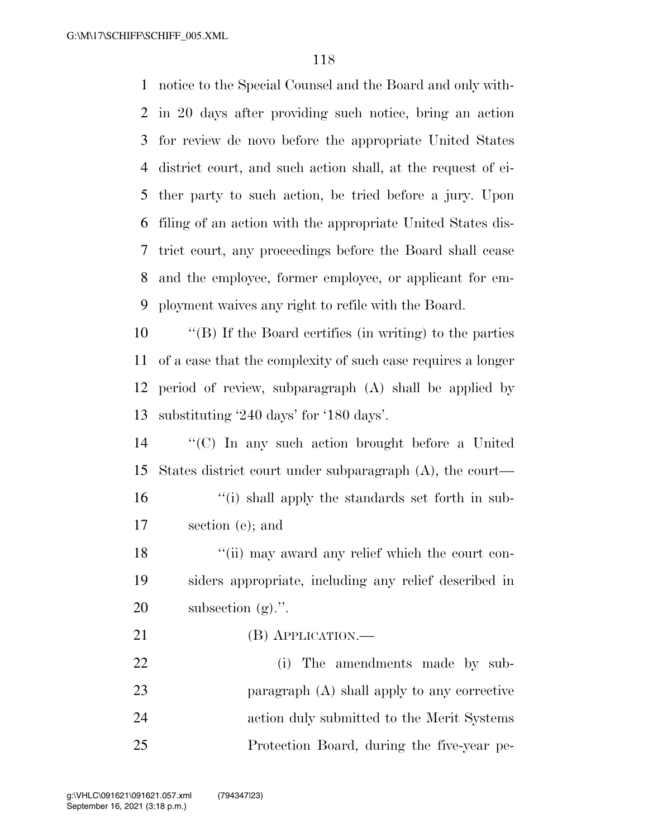notice to the Special Counsel and the Board and only with- in 20 days after providing such notice, bring an action for review de novo before the appropriate United States district court, and such action shall, at the request of ei- ther party to such action, be tried before a jury. Upon filing of an action with the appropriate United States dis- trict court, any proceedings before the Board shall cease and the employee, former employee, or applicant for em-ployment waives any right to refile with the Board.

 ''(B) If the Board certifies (in writing) to the parties of a case that the complexity of such case requires a longer period of review, subparagraph (A) shall be applied by substituting '240 days' for '180 days'.

 ''(C) In any such action brought before a United States district court under subparagraph (A), the court— 16 ''(i) shall apply the standards set forth in sub-section (e); and

18 ''(ii) may award any relief which the court con- siders appropriate, including any relief described in subsection (g).''.

21 (B) APPLICATION.—

 (i) The amendments made by sub- paragraph (A) shall apply to any corrective action duly submitted to the Merit Systems Protection Board, during the five-year pe-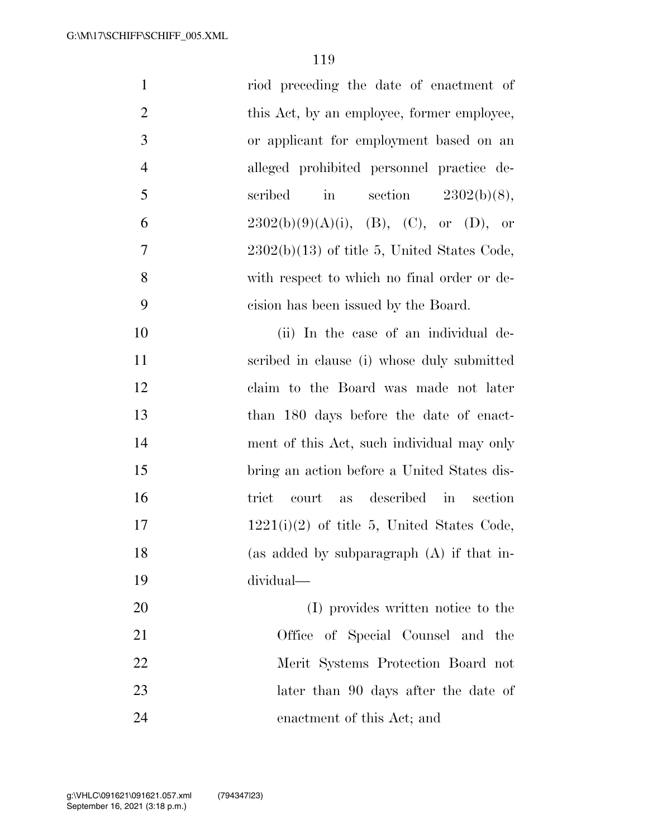| $\mathbf{1}$   | riod preceding the date of enactment of                  |
|----------------|----------------------------------------------------------|
| $\mathbf{2}$   | this Act, by an employee, former employee,               |
| $\mathfrak{Z}$ | or applicant for employment based on an                  |
| $\overline{4}$ | alleged prohibited personnel practice de-                |
| 5              | $\operatorname{in}$<br>section $2302(b)(8)$ ,<br>scribed |
| 6              | $2302(b)(9)(A)(i)$ , (B), (C), or (D), or                |
| $\overline{7}$ | $2302(b)(13)$ of title 5, United States Code,            |
| 8              | with respect to which no final order or de-              |
| 9              | cision has been issued by the Board.                     |
| 10             | (ii) In the case of an individual de-                    |
| 11             | scribed in clause (i) whose duly submitted               |
| 12             | claim to the Board was made not later                    |
| 13             | than 180 days before the date of enact-                  |
| 14             | ment of this Act, such individual may only               |
| 15             | bring an action before a United States dis-              |
| 16             | as described in<br>court<br>trict<br>section             |
| 17             | $1221(i)(2)$ of title 5, United States Code,             |
| 18             | (as added by subparagraph (A) if that in-                |
| 19             | dividual-                                                |
| 20             | (I) provides written notice to the                       |
| 21             | Office of Special Counsel and the                        |
| 22             | Merit Systems Protection Board not                       |
| 23             | later than 90 days after the date of                     |
| 24             | enactment of this Act; and                               |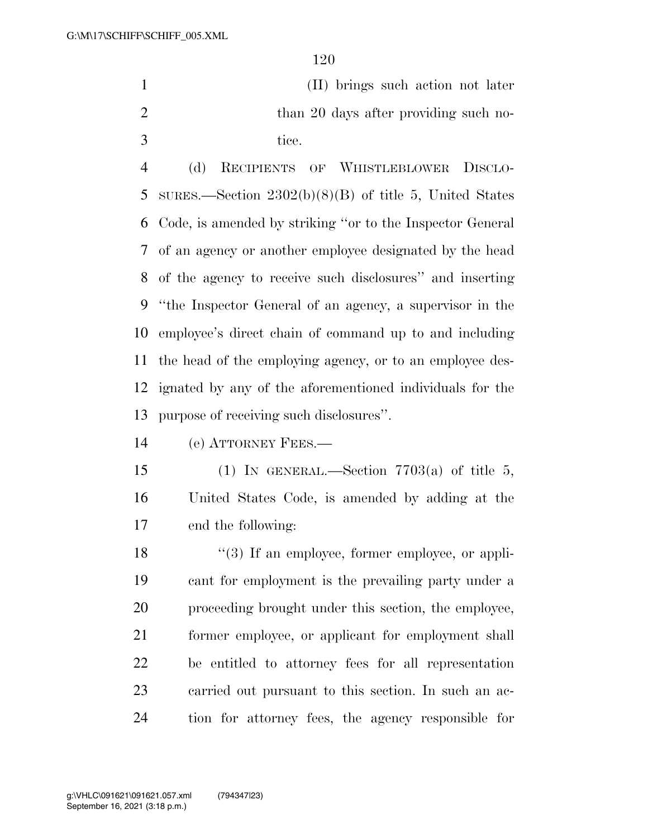(II) brings such action not later 2 than 20 days after providing such no-3 tice.

 (d) RECIPIENTS OF WHISTLEBLOWER DISCLO- SURES.—Section 2302(b)(8)(B) of title 5, United States Code, is amended by striking ''or to the Inspector General of an agency or another employee designated by the head of the agency to receive such disclosures'' and inserting ''the Inspector General of an agency, a supervisor in the employee's direct chain of command up to and including the head of the employing agency, or to an employee des- ignated by any of the aforementioned individuals for the purpose of receiving such disclosures''.

(e) ATTORNEY FEES.—

15 (1) IN GENERAL.—Section  $7703(a)$  of title 5, United States Code, is amended by adding at the end the following:

18 ''(3) If an employee, former employee, or appli- cant for employment is the prevailing party under a proceeding brought under this section, the employee, former employee, or applicant for employment shall be entitled to attorney fees for all representation carried out pursuant to this section. In such an ac-tion for attorney fees, the agency responsible for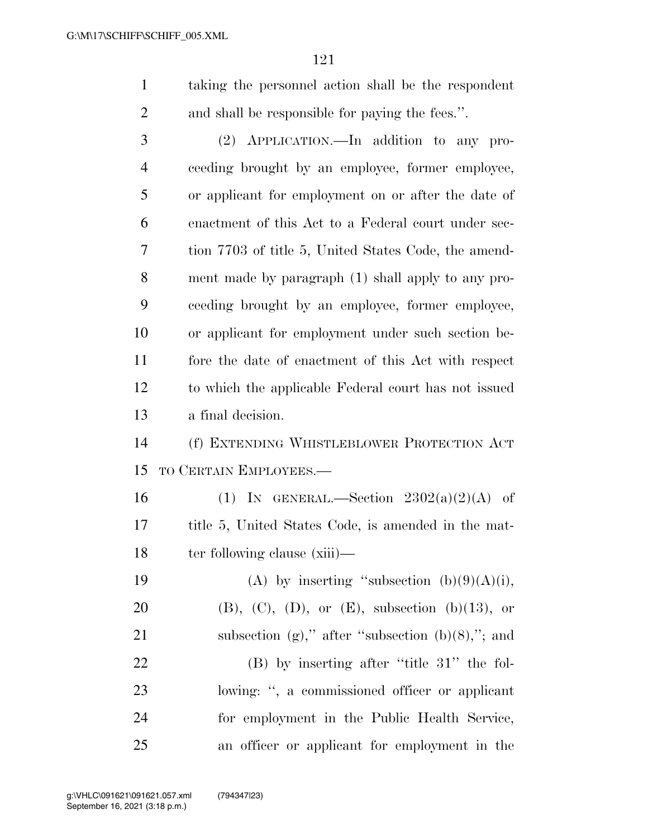| taking the personnel action shall be the respondent |
|-----------------------------------------------------|
| and shall be responsible for paying the fees.".     |

 (2) APPLICATION.—In addition to any pro- ceeding brought by an employee, former employee, or applicant for employment on or after the date of enactment of this Act to a Federal court under sec- tion 7703 of title 5, United States Code, the amend- ment made by paragraph (1) shall apply to any pro- ceeding brought by an employee, former employee, or applicant for employment under such section be- fore the date of enactment of this Act with respect to which the applicable Federal court has not issued a final decision.

 (f) EXTENDING WHISTLEBLOWER PROTECTION ACT TO CERTAIN EMPLOYEES.—

16 (1) IN GENERAL.—Section  $2302(a)(2)(A)$  of title 5, United States Code, is amended in the mat-18 ter following clause (xiii)—

19 (A) by inserting "subsection  $(b)(9)(A)(i)$ , 20 (B),  $(C)$ ,  $(D)$ , or  $(E)$ , subsection  $(b)(13)$ , or 21 subsection  $(g)$ ," after "subsection  $(b)(8)$ ,"; and 22 (B) by inserting after "title 31" the fol- lowing: '', a commissioned officer or applicant for employment in the Public Health Service, an officer or applicant for employment in the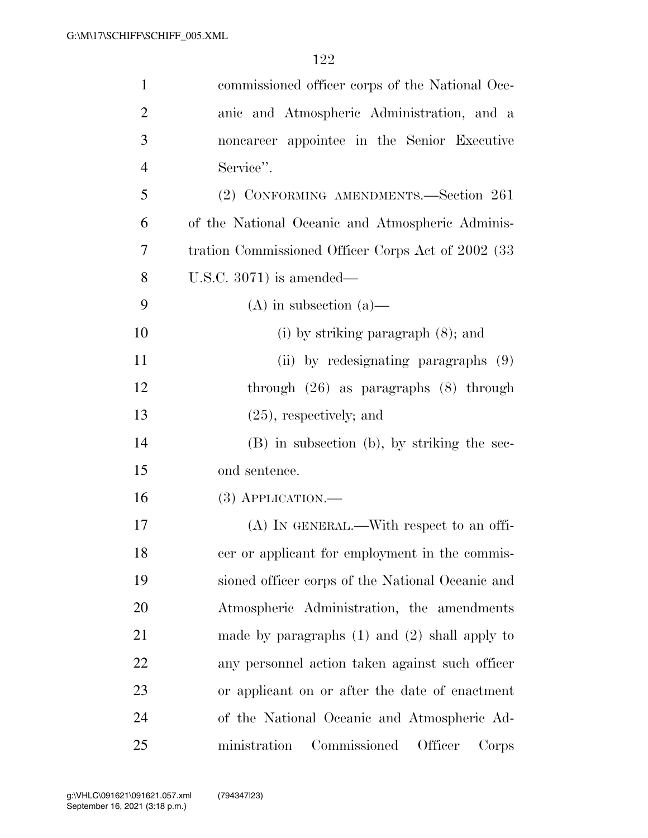| $\mathbf{1}$   | commissioned officer corps of the National Oce-     |
|----------------|-----------------------------------------------------|
| $\overline{2}$ | anic and Atmospheric Administration, and a          |
| 3              | noncareer appointee in the Senior Executive         |
| $\overline{4}$ | Service".                                           |
| 5              | (2) CONFORMING AMENDMENTS.—Section 261              |
| 6              | of the National Oceanic and Atmospheric Adminis-    |
| 7              | tration Commissioned Officer Corps Act of 2002 (33) |
| 8              | U.S.C. $3071$ ) is amended—                         |
| 9              | $(A)$ in subsection $(a)$ —                         |
| 10             | (i) by striking paragraph $(8)$ ; and               |
| 11             | (ii) by redesignating paragraphs (9)                |
| 12             | through $(26)$ as paragraphs $(8)$ through          |
| 13             | $(25)$ , respectively; and                          |
| 14             | (B) in subsection (b), by striking the sec-         |
| 15             | ond sentence.                                       |
| 16             | $(3)$ APPLICATION.—                                 |
| 17             | $(A)$ In GENERAL.—With respect to an offi-          |
| 18             | cer or applicant for employment in the commis-      |
| 19             | sioned officer corps of the National Oceanic and    |
| 20             | Atmospheric Administration, the amendments          |
| 21             | made by paragraphs $(1)$ and $(2)$ shall apply to   |
| 22             | any personnel action taken against such officer     |
| 23             | or applicant on or after the date of enactment      |
| 24             | of the National Oceanic and Atmospheric Ad-         |
| 25             | Commissioned<br>Officer<br>ministration<br>Corps    |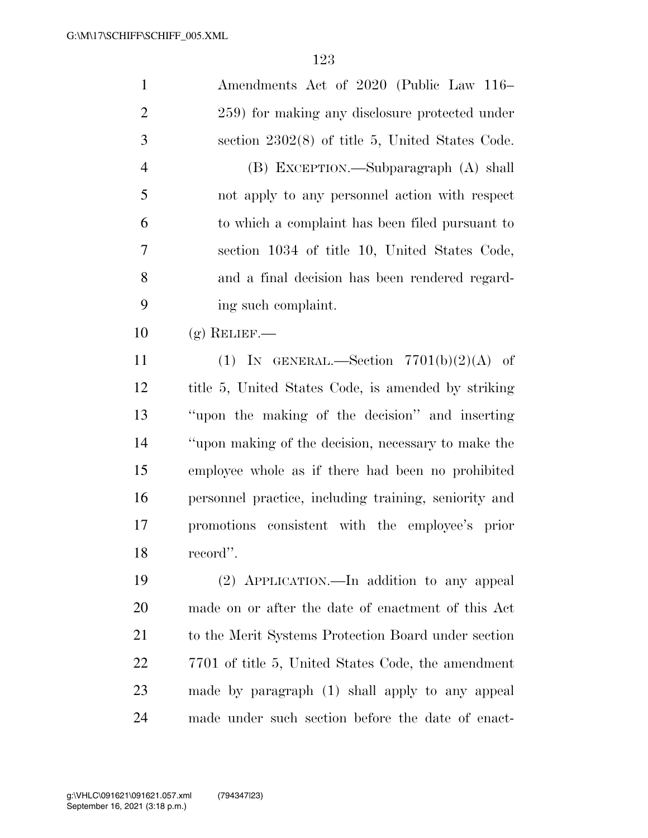| $\mathbf{1}$   | Amendments Act of 2020 (Public Law 116–               |
|----------------|-------------------------------------------------------|
| $\overline{2}$ | 259) for making any disclosure protected under        |
| 3              | section $2302(8)$ of title 5, United States Code.     |
| $\overline{4}$ | (B) EXCEPTION.—Subparagraph (A) shall                 |
| 5              | not apply to any personnel action with respect        |
| 6              | to which a complaint has been filed pursuant to       |
| 7              | section 1034 of title 10, United States Code,         |
| 8              | and a final decision has been rendered regard-        |
| 9              | ing such complaint.                                   |
| 10             | $(g)$ RELIEF.—                                        |
| 11             | (1) IN GENERAL.—Section $7701(b)(2)(A)$ of            |
| 12             | title 5, United States Code, is amended by striking   |
| 13             | "upon the making of the decision" and inserting       |
| 14             | "upon making of the decision, necessary to make the   |
| 15             | employee whole as if there had been no prohibited     |
| 16             | personnel practice, including training, seniority and |
| 17             | promotions consistent with the employee's prior       |
| 18             | record".                                              |
| 19             | (2) APPLICATION.—In addition to any appeal            |
| 20             | made on or after the date of enactment of this Act    |
| 21             | to the Merit Systems Protection Board under section   |
| 22             | 7701 of title 5, United States Code, the amendment    |
| 23             | made by paragraph (1) shall apply to any appeal       |
| 24             | made under such section before the date of enact-     |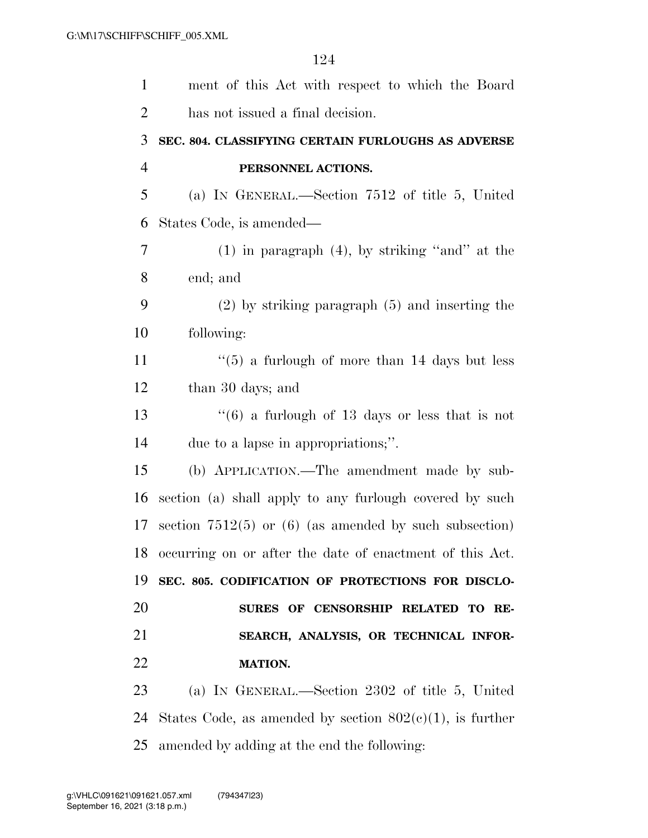| $\mathbf{1}$   | ment of this Act with respect to which the Board            |
|----------------|-------------------------------------------------------------|
| $\overline{2}$ | has not issued a final decision.                            |
| 3              | SEC. 804. CLASSIFYING CERTAIN FURLOUGHS AS ADVERSE          |
| $\overline{4}$ | PERSONNEL ACTIONS.                                          |
| 5              | (a) IN GENERAL.—Section $7512$ of title 5, United           |
| 6              | States Code, is amended—                                    |
| $\overline{7}$ | $(1)$ in paragraph $(4)$ , by striking "and" at the         |
| 8              | end; and                                                    |
| 9              | $(2)$ by striking paragraph $(5)$ and inserting the         |
| 10             | following:                                                  |
| 11             | $\cdot\cdot$ (5) a furlough of more than 14 days but less   |
| 12             | than 30 days; and                                           |
| 13             | $(6)$ a furlough of 13 days or less that is not             |
| 14             | due to a lapse in appropriations;".                         |
| 15             | (b) APPLICATION.—The amendment made by sub-                 |
| 16             | section (a) shall apply to any furlough covered by such     |
| 17             | section $7512(5)$ or (6) (as amended by such subsection)    |
| 18             | occurring on or after the date of enactment of this Act.    |
| 19             | SEC. 805. CODIFICATION OF PROTECTIONS FOR DISCLO-           |
| 20             | SURES OF CENSORSHIP RELATED TO RE-                          |
| 21             | SEARCH, ANALYSIS, OR TECHNICAL INFOR-                       |
| 22             | <b>MATION.</b>                                              |
| 23             | (a) IN GENERAL.—Section 2302 of title 5, United             |
| 24             | States Code, as amended by section $802(c)(1)$ , is further |
| 25             | amended by adding at the end the following:                 |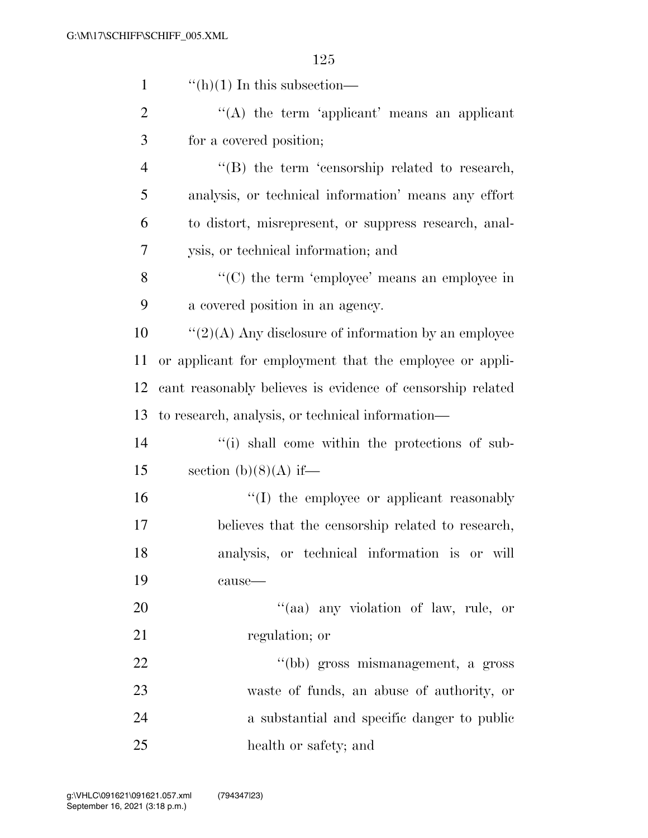| $\mathbf{1}$   | $\lq\lq(h)(1)$ In this subsection—                         |
|----------------|------------------------------------------------------------|
| $\overline{2}$ | "(A) the term 'applicant' means an applicant               |
| 3              | for a covered position;                                    |
| $\overline{4}$ | $\lq\lq$ the term 'censorship related to research,         |
| 5              | analysis, or technical information' means any effort       |
| 6              | to distort, misrepresent, or suppress research, anal-      |
| 7              | ysis, or technical information; and                        |
| 8              | "(C) the term 'employee' means an employee in              |
| 9              | a covered position in an agency.                           |
| 10             | $\lq(2)(A)$ Any disclosure of information by an employee   |
| 11             | or applicant for employment that the employee or appli-    |
| 12             | cant reasonably believes is evidence of censorship related |
| 13             | to research, analysis, or technical information—           |
| 14             | "(i) shall come within the protections of sub-             |
| 15             | section (b)(8)(A) if—                                      |
| 16             | "(I) the employee or applicant reasonably                  |
| 17             | believes that the censorship related to research,          |
| 18             | analysis, or technical information is or will              |
| 19             | cause-                                                     |
| 20             | "(aa) any violation of law, rule, or                       |
| 21             | regulation; or                                             |
| 22             | "(bb) gross mismanagement, a gross                         |
| 23             | waste of funds, an abuse of authority, or                  |
| 24             | a substantial and specific danger to public                |
| 25             | health or safety; and                                      |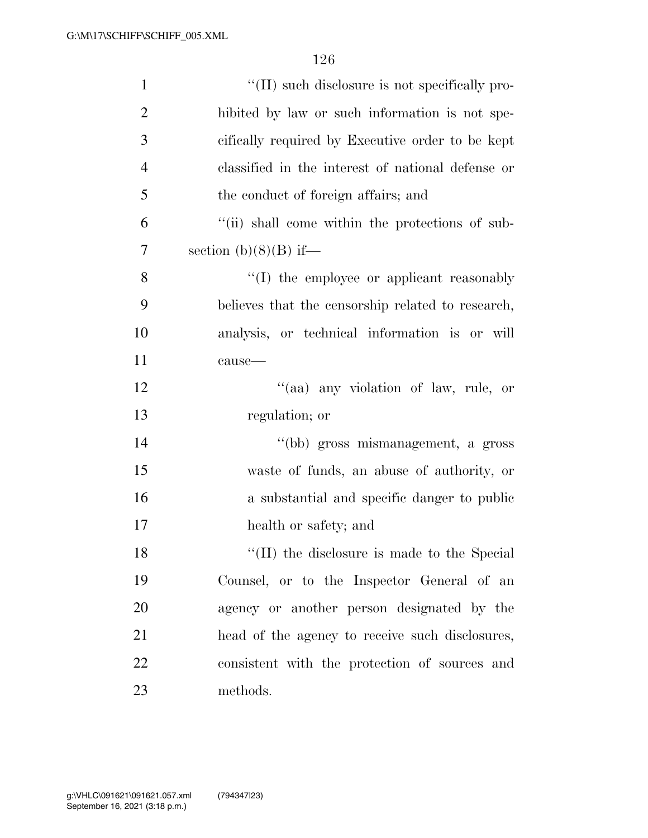| $\mathbf{1}$   | "(II) such disclosure is not specifically pro-    |
|----------------|---------------------------------------------------|
| $\overline{2}$ | hibited by law or such information is not spe-    |
| 3              | cifically required by Executive order to be kept  |
| $\overline{4}$ | classified in the interest of national defense or |
| 5              | the conduct of foreign affairs; and               |
| 6              | "(ii) shall come within the protections of sub-   |
| 7              | section $(b)(8)(B)$ if—                           |
| 8              | "(I) the employee or applicant reasonably         |
| 9              | believes that the censorship related to research, |
| 10             | analysis, or technical information is or will     |
| 11             | cause-                                            |
| 12             | "(aa) any violation of law, rule, or              |
| 13             | regulation; or                                    |
| 14             | "(bb) gross mismanagement, a gross                |
| 15             | waste of funds, an abuse of authority, or         |
| 16             | a substantial and specific danger to public       |
| 17             | health or safety; and                             |
| 18             | "(II) the disclosure is made to the Special       |
| 19             | Counsel, or to the Inspector General of an        |
| 20             | agency or another person designated by the        |
| 21             | head of the agency to receive such disclosures,   |
| 22             | consistent with the protection of sources and     |
| 23             | methods.                                          |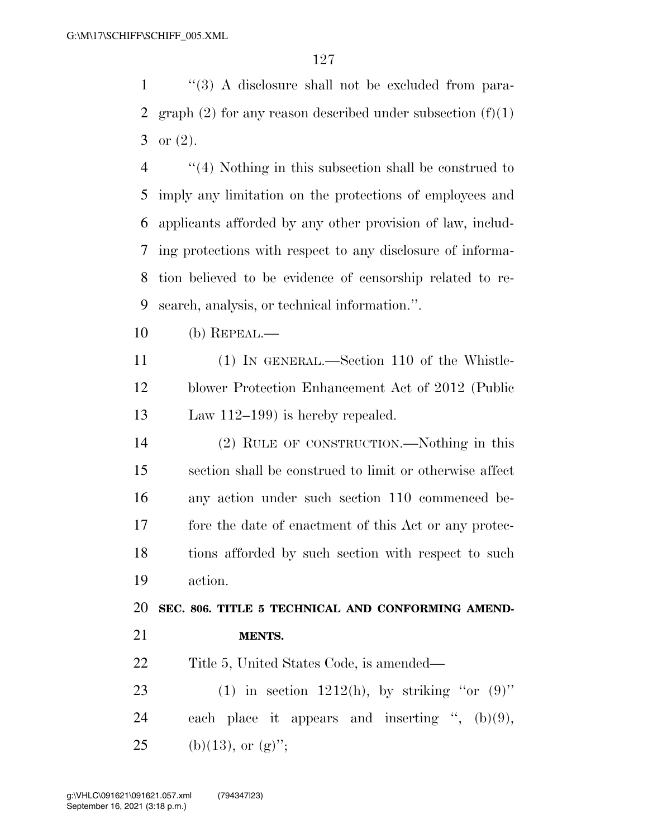''(3) A disclosure shall not be excluded from para-2 graph  $(2)$  for any reason described under subsection  $(f)(1)$ 3 or  $(2)$ .

 ''(4) Nothing in this subsection shall be construed to imply any limitation on the protections of employees and applicants afforded by any other provision of law, includ- ing protections with respect to any disclosure of informa- tion believed to be evidence of censorship related to re-search, analysis, or technical information.''.

(b) REPEAL.—

 (1) IN GENERAL.—Section 110 of the Whistle- blower Protection Enhancement Act of 2012 (Public Law 112–199) is hereby repealed.

 (2) RULE OF CONSTRUCTION.—Nothing in this section shall be construed to limit or otherwise affect any action under such section 110 commenced be- fore the date of enactment of this Act or any protec- tions afforded by such section with respect to such action.

**SEC. 806. TITLE 5 TECHNICAL AND CONFORMING AMEND-**

**MENTS.** 

Title 5, United States Code, is amended—

23 (1) in section 1212(h), by striking "or  $(9)$ " each place it appears and inserting '', (b)(9), 25 (b)(13), or  $(g)$ ";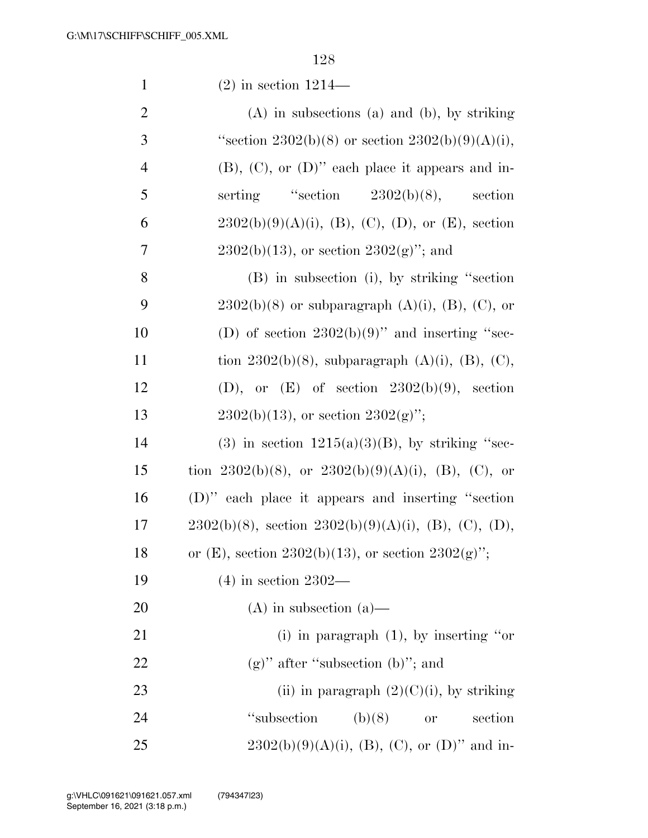| $\mathbf{1}$   | $(2)$ in section 1214—                                     |
|----------------|------------------------------------------------------------|
| $\overline{2}$ | $(A)$ in subsections $(a)$ and $(b)$ , by striking         |
| 3              | "section 2302(b)(8) or section 2302(b)(9)(A)(i),           |
| $\overline{4}$ | $(B)$ , $(C)$ , or $(D)$ " each place it appears and in-   |
| 5              | serting "section 2302(b)(8), section                       |
| 6              | $2302(b)(9)(A)(i)$ , (B), (C), (D), or (E), section        |
| 7              | $2302(b)(13)$ , or section $2302(g)$ "; and                |
| 8              | (B) in subsection (i), by striking "section                |
| 9              | $2302(b)(8)$ or subparagraph $(A)(i)$ , $(B)$ , $(C)$ , or |
| 10             | (D) of section $2302(b)(9)$ " and inserting "sec-          |
| 11             | tion 2302(b)(8), subparagraph (A)(i), (B), (C),            |
| 12             | (D), or $(E)$ of section $2302(b)(9)$ , section            |
| 13             | $2302(b)(13)$ , or section $2302(g)$ ";                    |
| 14             | (3) in section $1215(a)(3)(B)$ , by striking "sec-         |
| 15             | tion 2302(b)(8), or 2302(b)(9)(A)(i), (B), (C), or         |
| 16             | (D)" each place it appears and inserting "section          |
| 17             | $2302(b)(8)$ , section $2302(b)(9)(A)(i)$ , (B), (C), (D), |
| 18             | or (E), section 2302(b)(13), or section 2302(g)";          |
| 19             | $(4)$ in section 2302—                                     |
| 20             | $(A)$ in subsection $(a)$ —                                |
| 21             | (i) in paragraph $(1)$ , by inserting "or                  |
| 22             | $(g)$ " after "subsection (b)"; and                        |
| 23             | (ii) in paragraph $(2)(C)(i)$ , by striking                |
| 24             | "subsection"<br>(b)(8)<br>section<br><b>or</b>             |
| 25             | $2302(b)(9)(A)(i)$ , (B), (C), or (D)" and in-             |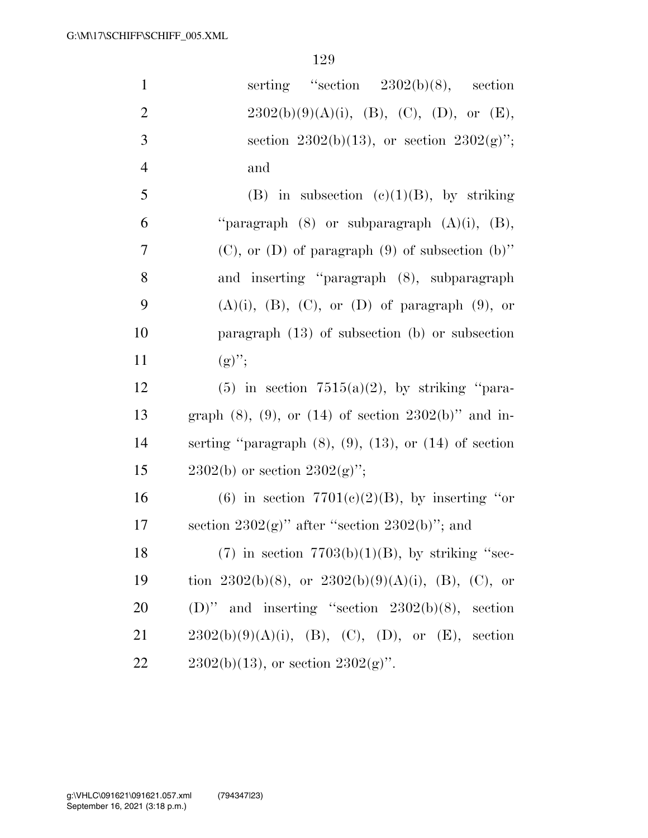| $\mathbf{1}$   | serting "section $2302(b)(8)$ , section                          |
|----------------|------------------------------------------------------------------|
| $\overline{2}$ | $2302(b)(9)(A)(i)$ , (B), (C), (D), or (E),                      |
| 3              | section 2302(b)(13), or section 2302(g)";                        |
| $\overline{4}$ | and                                                              |
| 5              | (B) in subsection (c)(1)(B), by striking                         |
| 6              | "paragraph $(8)$ or subparagraph $(A)(i)$ , $(B)$ ,              |
| $\tau$         | $(C)$ , or $(D)$ of paragraph $(9)$ of subsection $(b)$ "        |
| 8              | and inserting "paragraph (8), subparagraph                       |
| 9              | $(A)(i)$ , $(B)$ , $(C)$ , or $(D)$ of paragraph $(9)$ , or      |
| 10             | paragraph $(13)$ of subsection (b) or subsection                 |
| 11             | $(g)$ ";                                                         |
| 12             | $(5)$ in section $7515(a)(2)$ , by striking "para-               |
| 13             | graph $(8)$ , $(9)$ , or $(14)$ of section $2302(b)$ " and in-   |
| 14             | serting "paragraph $(8)$ , $(9)$ , $(13)$ , or $(14)$ of section |
| 15             | $2302(b)$ or section $2302(g)$ ";                                |
| 16             | (6) in section $7701(c)(2)(B)$ , by inserting "or                |
| 17             | section $2302(g)$ " after "section $2302(b)$ "; and              |
| 18             | $(7)$ in section $7703(b)(1)(B)$ , by striking "sec-             |
| 19             | tion 2302(b)(8), or 2302(b)(9)(A)(i), (B), (C), or               |
| 20             | (D)" and inserting "section $2302(b)(8)$ , section               |
| 21             | $2302(b)(9)(A)(i)$ , (B), (C), (D), or (E), section              |
| 22             | $2302(b)(13)$ , or section $2302(g)$ ".                          |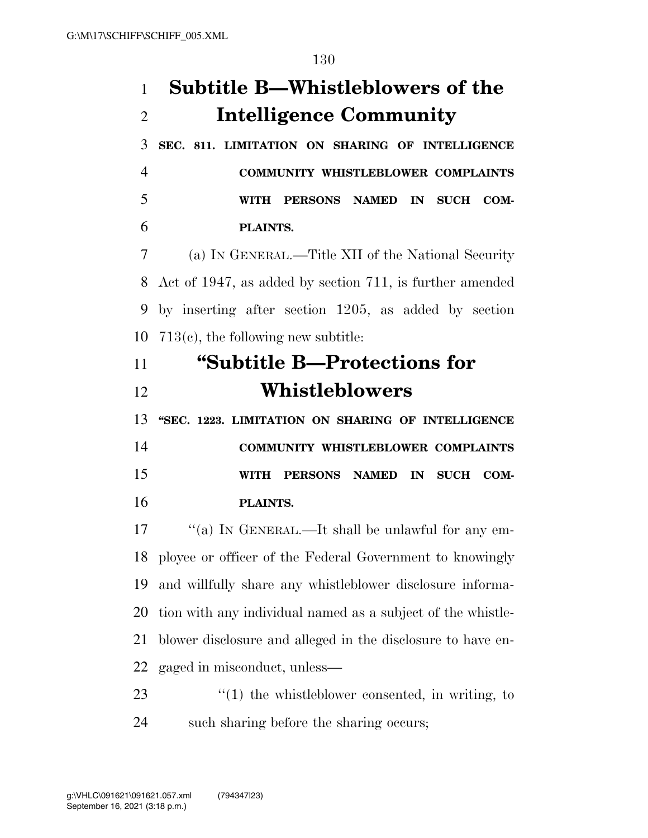## **Subtitle B—Whistleblowers of the Intelligence Community**

 **SEC. 811. LIMITATION ON SHARING OF INTELLIGENCE COMMUNITY WHISTLEBLOWER COMPLAINTS WITH PERSONS NAMED IN SUCH COM-PLAINTS.** 

 (a) IN GENERAL.—Title XII of the National Security Act of 1947, as added by section 711, is further amended by inserting after section 1205, as added by section 713(c), the following new subtitle:

## **''Subtitle B—Protections for Whistleblowers**

 **''SEC. 1223. LIMITATION ON SHARING OF INTELLIGENCE COMMUNITY WHISTLEBLOWER COMPLAINTS WITH PERSONS NAMED IN SUCH COM-PLAINTS.** 

17 ""(a) In GENERAL.—It shall be unlawful for any em- ployee or officer of the Federal Government to knowingly and willfully share any whistleblower disclosure informa- tion with any individual named as a subject of the whistle- blower disclosure and alleged in the disclosure to have en-gaged in misconduct, unless—

23  $\frac{1}{2}$  (1) the whistleblower consented, in writing, to such sharing before the sharing occurs;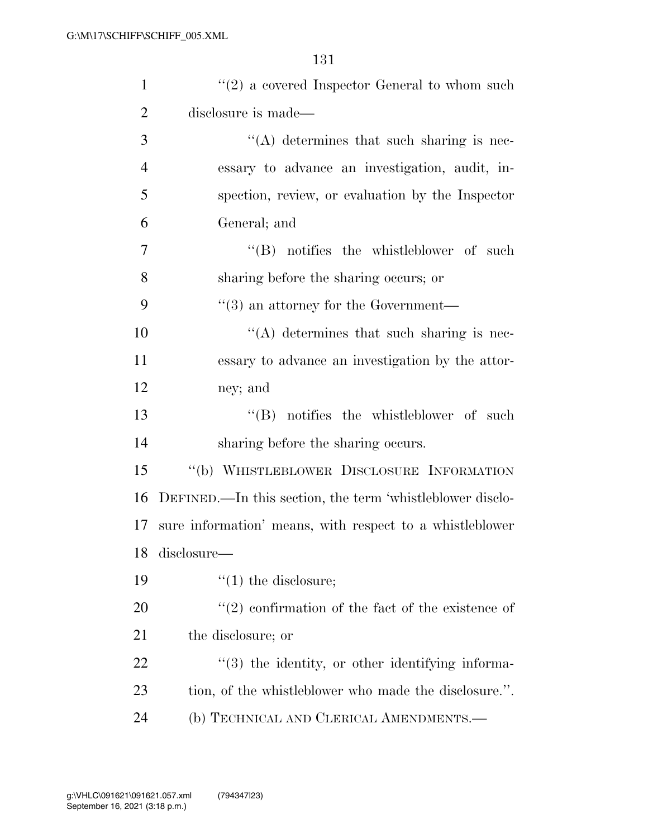| $\mathbf{1}$   | $\lq(2)$ a covered Inspector General to whom such         |
|----------------|-----------------------------------------------------------|
| $\overline{2}$ | disclosure is made—                                       |
| 3              | $\lq\lq$ determines that such sharing is nec-             |
| $\overline{4}$ | essary to advance an investigation, audit, in-            |
| 5              | spection, review, or evaluation by the Inspector          |
| 6              | General; and                                              |
| 7              | $\lq\lq$ notifies the whistleblower of such               |
| 8              | sharing before the sharing occurs; or                     |
| 9              | $\cdot\cdot$ (3) an attorney for the Government—          |
| 10             | "(A) determines that such sharing is nec-                 |
| 11             | essary to advance an investigation by the attor-          |
| 12             | ney; and                                                  |
| 13             | $\lq\lq$ notifies the whistleblower of such               |
| 14             | sharing before the sharing occurs.                        |
| 15             | "(b) WHISTLEBLOWER DISCLOSURE INFORMATION                 |
| 16             | DEFINED.—In this section, the term 'whistleblower disclo- |
| 17             | sure information' means, with respect to a whistleblower  |
|                | 18 disclosure-                                            |
| 19             | $\lq(1)$ the disclosure;                                  |
| <b>20</b>      | $(2)$ confirmation of the fact of the existence of        |
| 21             | the disclosure; or                                        |
| <u>22</u>      | $\cdot$ (3) the identity, or other identifying informa-   |
| 23             | tion, of the whistleblower who made the disclosure.".     |
| 24             | (b) TECHNICAL AND CLERICAL AMENDMENTS.—                   |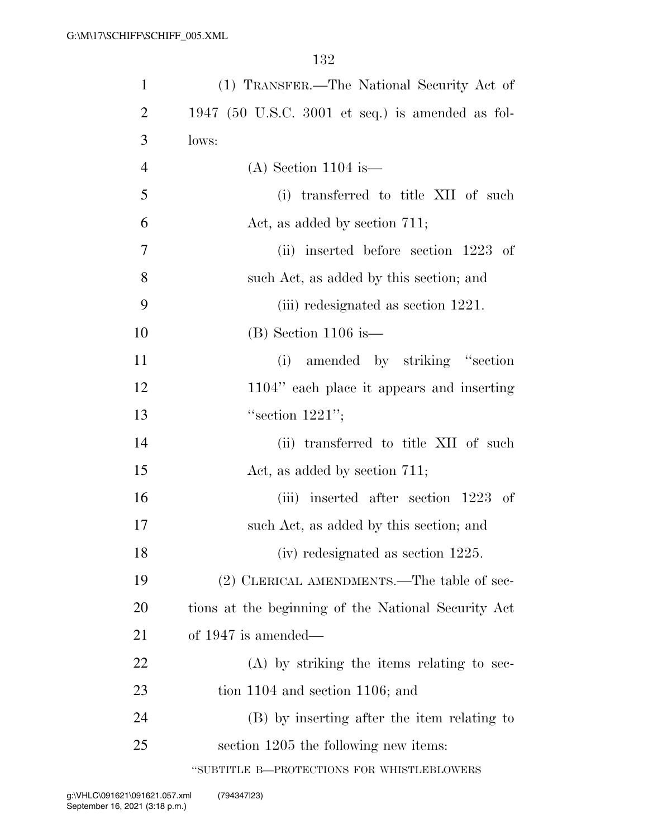| $\mathbf{1}$   | (1) TRANSFER.—The National Security Act of          |
|----------------|-----------------------------------------------------|
| $\overline{2}$ | 1947 (50 U.S.C. 3001 et seq.) is amended as fol-    |
| 3              | lows:                                               |
| 4              | $(A)$ Section 1104 is —                             |
| 5              | (i) transferred to title XII of such                |
| 6              | Act, as added by section 711;                       |
| 7              | (ii) inserted before section 1223 of                |
| 8              | such Act, as added by this section; and             |
| 9              | (iii) redesignated as section 1221.                 |
| 10             | $(B)$ Section 1106 is —                             |
| 11             | amended by striking "section"<br>(i)                |
| 12             | 1104" each place it appears and inserting           |
| 13             | "section $1221"$ ;                                  |
| 14             | (ii) transferred to title XII of such               |
| 15             | Act, as added by section 711;                       |
| 16             | (iii) inserted after section 1223 of                |
| 17             | such Act, as added by this section; and             |
| 18             | (iv) redesignated as section 1225.                  |
| 19             | (2) CLERICAL AMENDMENTS.—The table of sec-          |
| <b>20</b>      | tions at the beginning of the National Security Act |
| 21             | of $1947$ is amended—                               |
| 22             | (A) by striking the items relating to sec-          |
| 23             | tion $1104$ and section $1106$ ; and                |
| 24             | (B) by inserting after the item relating to         |
| 25             | section 1205 the following new items:               |
|                | "SUBTITLE B-PROTECTIONS FOR WHISTLEBLOWERS          |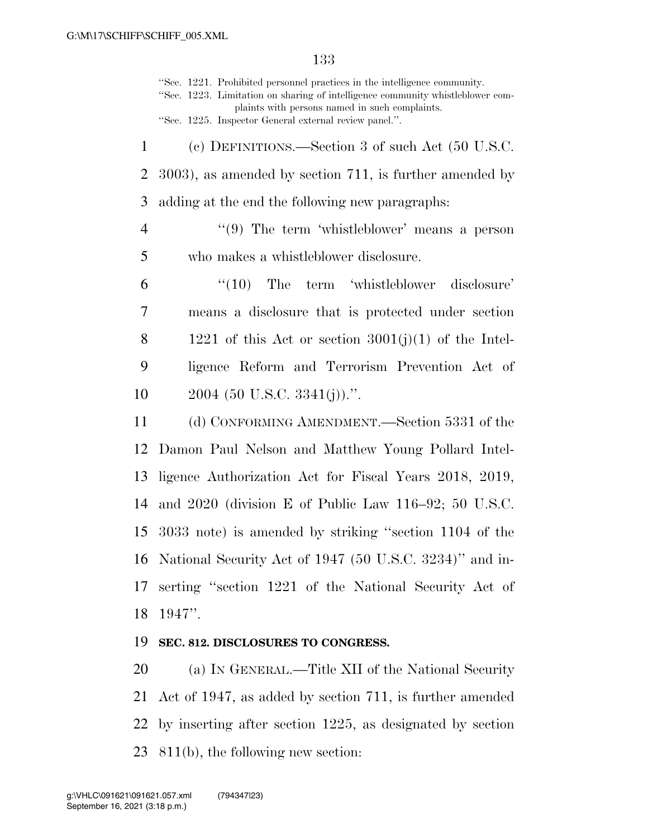''Sec. 1221. Prohibited personnel practices in the intelligence community. ''Sec. 1223. Limitation on sharing of intelligence community whistleblower complaints with persons named in such complaints. ''Sec. 1225. Inspector General external review panel.''. (c) DEFINITIONS.—Section 3 of such Act (50 U.S.C. 3003), as amended by section 711, is further amended by adding at the end the following new paragraphs: ''(9) The term 'whistleblower' means a person who makes a whistleblower disclosure. ''(10) The term 'whistleblower disclosure' means a disclosure that is protected under section 8 1221 of this Act or section  $3001(j)(1)$  of the Intel- ligence Reform and Terrorism Prevention Act of (50 U.S.C. 3341(j)).". (d) CONFORMING AMENDMENT.—Section 5331 of the Damon Paul Nelson and Matthew Young Pollard Intel- ligence Authorization Act for Fiscal Years 2018, 2019, and 2020 (division E of Public Law 116–92; 50 U.S.C. 3033 note) is amended by striking ''section 1104 of the National Security Act of 1947 (50 U.S.C. 3234)'' and in- serting ''section 1221 of the National Security Act of 1947''.

## **SEC. 812. DISCLOSURES TO CONGRESS.**

 (a) IN GENERAL.—Title XII of the National Security Act of 1947, as added by section 711, is further amended by inserting after section 1225, as designated by section 811(b), the following new section: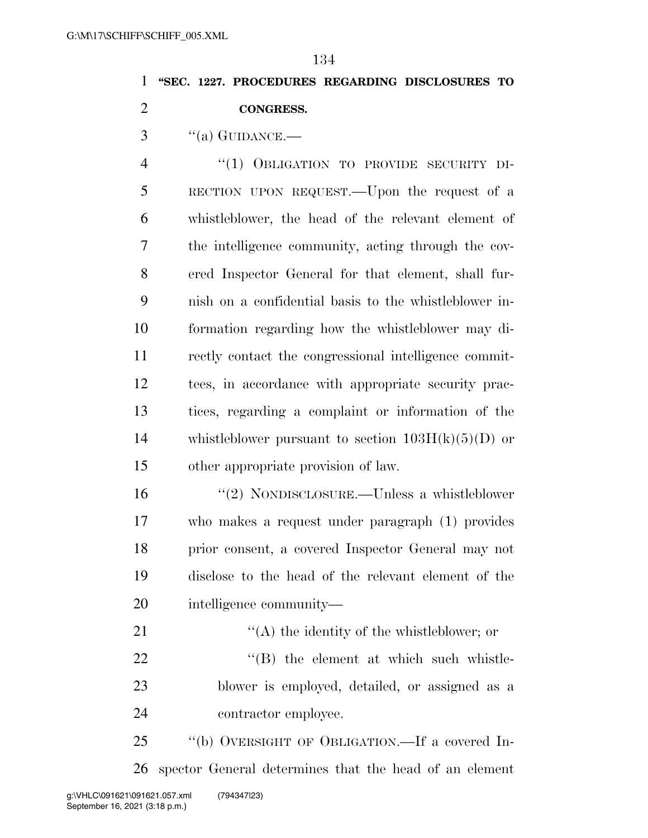## **''SEC. 1227. PROCEDURES REGARDING DISCLOSURES TO CONGRESS.**

"(a) GUIDANCE.—

 ''(1) OBLIGATION TO PROVIDE SECURITY DI- RECTION UPON REQUEST.—Upon the request of a whistleblower, the head of the relevant element of the intelligence community, acting through the cov- ered Inspector General for that element, shall fur- nish on a confidential basis to the whistleblower in- formation regarding how the whistleblower may di- rectly contact the congressional intelligence commit- tees, in accordance with appropriate security prac- tices, regarding a complaint or information of the 14 whistleblower pursuant to section  $103H(k)(5)(D)$  or other appropriate provision of law.

 ''(2) NONDISCLOSURE.—Unless a whistleblower who makes a request under paragraph (1) provides prior consent, a covered Inspector General may not disclose to the head of the relevant element of the intelligence community—

21 ''(A) the identity of the whistleblower; or  $\text{``(B)}$  the element at which such whistle- blower is employed, detailed, or assigned as a contractor employee.

 ''(b) OVERSIGHT OF OBLIGATION.—If a covered In-spector General determines that the head of an element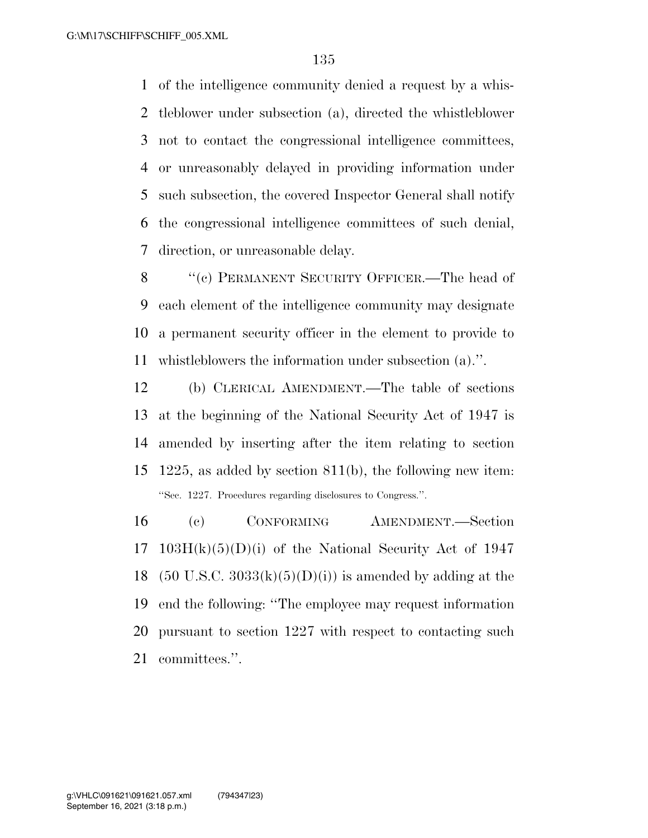of the intelligence community denied a request by a whis- tleblower under subsection (a), directed the whistleblower not to contact the congressional intelligence committees, or unreasonably delayed in providing information under such subsection, the covered Inspector General shall notify the congressional intelligence committees of such denial, direction, or unreasonable delay.

8 "(c) PERMANENT SECURITY OFFICER.—The head of each element of the intelligence community may designate a permanent security officer in the element to provide to whistleblowers the information under subsection (a).''.

 (b) CLERICAL AMENDMENT.—The table of sections at the beginning of the National Security Act of 1947 is amended by inserting after the item relating to section 1225, as added by section 811(b), the following new item: ''Sec. 1227. Procedures regarding disclosures to Congress.''.

 (c) CONFORMING AMENDMENT.—Section 17 103H $(k)(5)(D)(i)$  of the National Security Act of 1947 18 (50 U.S.C.  $3033(k)(5)(D)(i)$ ) is amended by adding at the end the following: ''The employee may request information pursuant to section 1227 with respect to contacting such committees.''.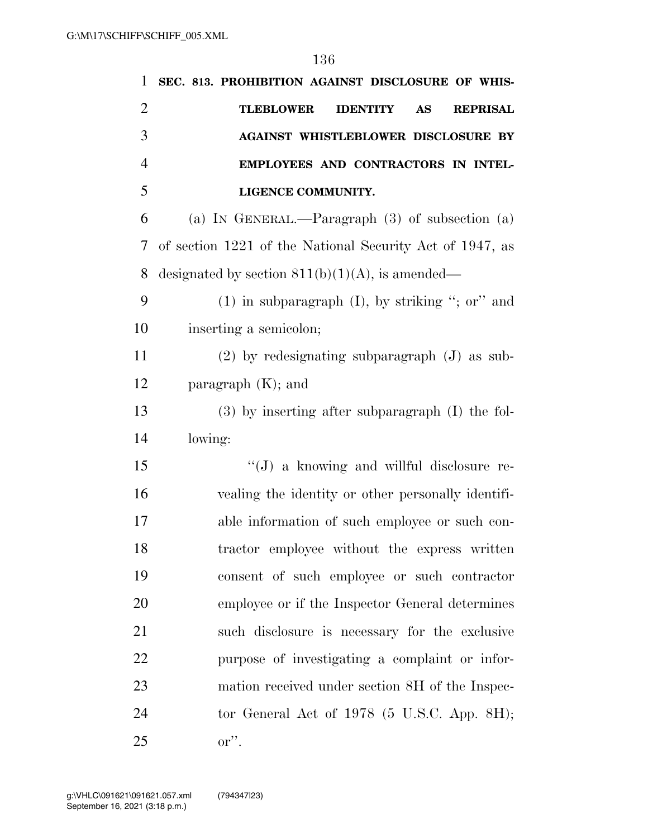| 1              | SEC. 813. PROHIBITION AGAINST DISCLOSURE OF WHIS-                   |
|----------------|---------------------------------------------------------------------|
| $\overline{2}$ | <b>TLEBLOWER</b><br><b>IDENTITY</b><br><b>AS</b><br><b>REPRISAL</b> |
| 3              | <b>AGAINST WHISTLEBLOWER DISCLOSURE BY</b>                          |
| $\overline{4}$ | EMPLOYEES AND CONTRACTORS IN INTEL-                                 |
| 5              | LIGENCE COMMUNITY.                                                  |
| 6              | (a) IN GENERAL.—Paragraph $(3)$ of subsection $(a)$                 |
| 7              | of section 1221 of the National Security Act of 1947, as            |
| 8              | designated by section $811(b)(1)(A)$ , is amended—                  |
| 9              | $(1)$ in subparagraph $(I)$ , by striking "; or" and                |
| 10             | inserting a semicolon;                                              |
| 11             | $(2)$ by redesignating subparagraph $(J)$ as sub-                   |
| 12             | paragraph $(K)$ ; and                                               |
| 13             | $(3)$ by inserting after subparagraph $(I)$ the fol-                |
| 14             | lowing:                                                             |
| 15             | "(J) a knowing and willful disclosure re-                           |
| 16             | vealing the identity or other personally identifi-                  |
| 17             | able information of such employee or such con-                      |
| 18             | tractor employee without the express written                        |
| 19             | consent of such employee or such contractor                         |
| 20             | employee or if the Inspector General determines                     |
| 21             | such disclosure is necessary for the exclusive                      |
| 22             | purpose of investigating a complaint or infor-                      |
| 23             | mation received under section 8H of the Inspec-                     |
| 24             | tor General Act of $1978$ (5 U.S.C. App. 8H);                       |
| 25             | $\mathbf{or}$ ".                                                    |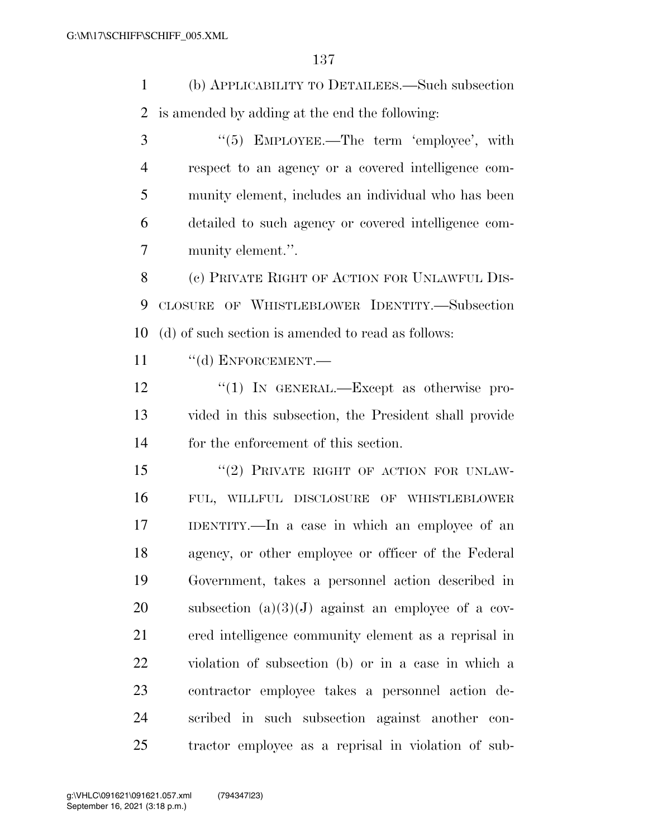(b) APPLICABILITY TO DETAILEES.—Such subsection is amended by adding at the end the following:

3 "(5) EMPLOYEE.—The term 'employee', with respect to an agency or a covered intelligence com- munity element, includes an individual who has been detailed to such agency or covered intelligence com-munity element.''.

 (c) PRIVATE RIGHT OF ACTION FOR UNLAWFUL DIS- CLOSURE OF WHISTLEBLOWER IDENTITY.—Subsection (d) of such section is amended to read as follows:

11 "(d) ENFORCEMENT.—

12 "(1) In GENERAL.—Except as otherwise pro- vided in this subsection, the President shall provide for the enforcement of this section.

15 "(2) PRIVATE RIGHT OF ACTION FOR UNLAW- FUL, WILLFUL DISCLOSURE OF WHISTLEBLOWER IDENTITY.—In a case in which an employee of an agency, or other employee or officer of the Federal Government, takes a personnel action described in 20 subsection  $(a)(3)(J)$  against an employee of a cov- ered intelligence community element as a reprisal in violation of subsection (b) or in a case in which a contractor employee takes a personnel action de- scribed in such subsection against another con-tractor employee as a reprisal in violation of sub-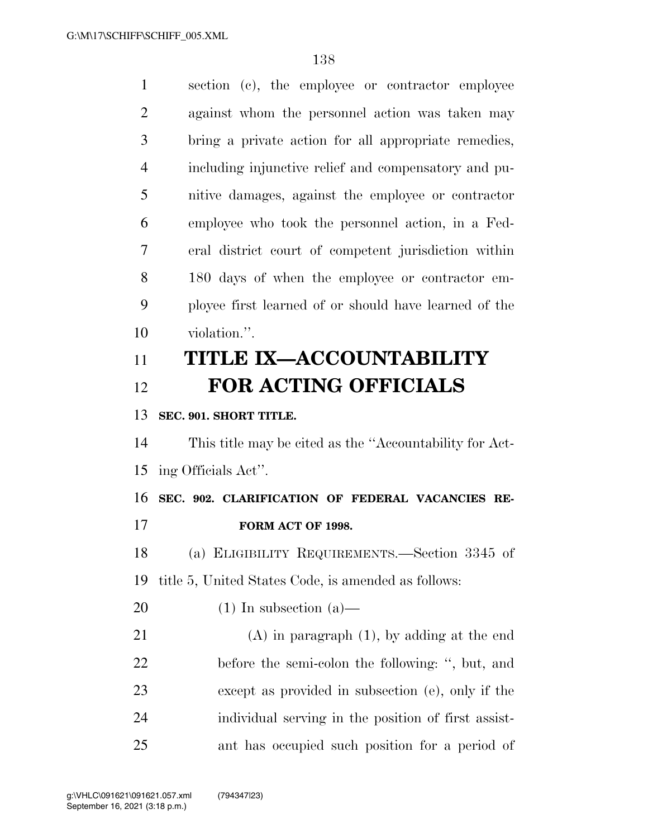| $\mathbf{1}$   | section (c), the employee or contractor employee        |
|----------------|---------------------------------------------------------|
| $\overline{2}$ | against whom the personnel action was taken may         |
| 3              | bring a private action for all appropriate remedies,    |
| $\overline{4}$ | including injunctive relief and compensatory and pu-    |
| 5              | nitive damages, against the employee or contractor      |
| 6              | employee who took the personnel action, in a Fed-       |
| 7              | eral district court of competent jurisdiction within    |
| 8              | 180 days of when the employee or contractor em-         |
| 9              | ployee first learned of or should have learned of the   |
| 10             | violation.".                                            |
| 11             | <b>TITLE IX-ACCOUNTABILITY</b>                          |
| 12             | <b>FOR ACTING OFFICIALS</b>                             |
| 13             | SEC. 901. SHORT TITLE.                                  |
|                |                                                         |
| 14             | This title may be cited as the "Accountability for Act- |
| 15             | ing Officials Act".                                     |
| 16             | SEC. 902. CLARIFICATION OF FEDERAL VACANCIES RE-        |
| 17             | FORM ACT OF 1998.                                       |
| 18             | (a) ELIGIBILITY REQUIREMENTS.—Section 3345 of           |
| 19             | title 5, United States Code, is amended as follows:     |
| 20             | $(1)$ In subsection $(a)$ —                             |
| 21             | $(A)$ in paragraph $(1)$ , by adding at the end         |
| 22             | before the semi-colon the following: ", but, and        |
| 23             | except as provided in subsection (e), only if the       |
| 24             | individual serving in the position of first assist-     |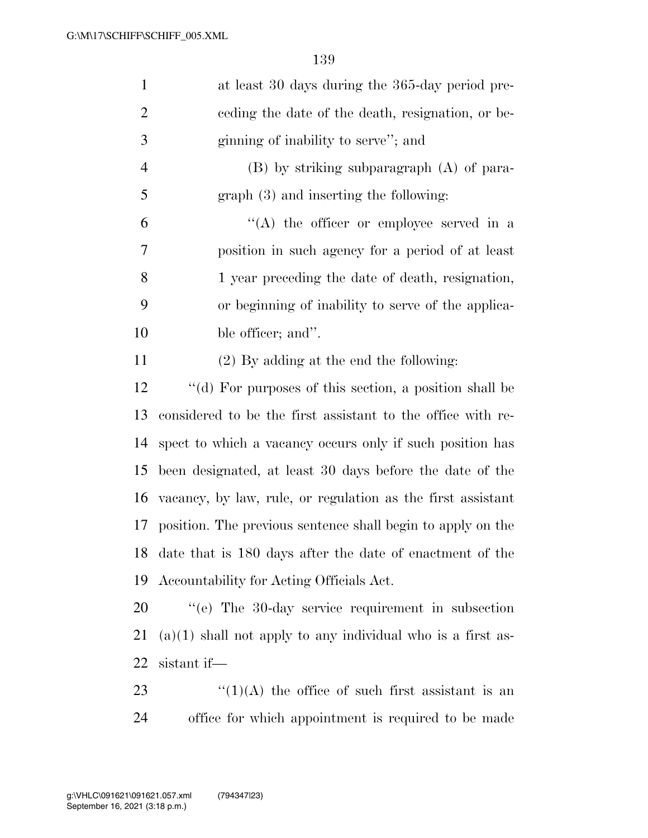| $\mathbf{1}$   | at least 30 days during the 365-day period pre-                    |
|----------------|--------------------------------------------------------------------|
| $\overline{2}$ | ceding the date of the death, resignation, or be-                  |
| 3              | ginning of inability to serve"; and                                |
| 4              | $(B)$ by striking subparagraph $(A)$ of para-                      |
| 5              | $graph(3)$ and inserting the following:                            |
| 6              | $\lq\lq$ the officer or employee served in a                       |
| 7              | position in such agency for a period of at least                   |
| 8              | 1 year preceding the date of death, resignation,                   |
| 9              | or beginning of inability to serve of the applica-                 |
| 10             | ble officer; and".                                                 |
| 11             | (2) By adding at the end the following:                            |
| 12             | "(d) For purposes of this section, a position shall be             |
| 13             | considered to be the first assistant to the office with re-        |
| 14             | spect to which a vacancy occurs only if such position has          |
| 15             | been designated, at least 30 days before the date of the           |
| 16             | vacancy, by law, rule, or regulation as the first assistant        |
| 17             | position. The previous sentence shall begin to apply on the        |
|                | 18 date that is 180 days after the date of enactment of the        |
| 19             | Accountability for Acting Officials Act.                           |
| 20             | "(e) The 30-day service requirement in subsection                  |
| 21             | $(a)(1)$ shall not apply to any individual who is a first as-      |
| 22             | sistant if-                                                        |
| 2 <sup>2</sup> | $\mathcal{L}(1)(\Lambda)$ the office of such first essistant is an |

 ''(1)(A) the office of such first assistant is an office for which appointment is required to be made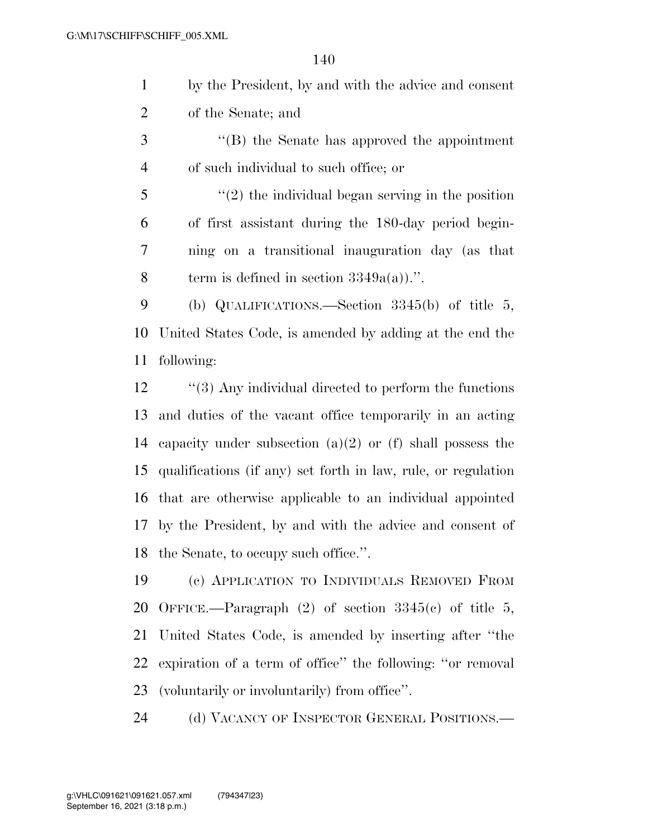| by the President, by and with the advice and consent |
|------------------------------------------------------|
| of the Senate; and                                   |

- ''(B) the Senate has approved the appointment of such individual to such office; or
- ''(2) the individual began serving in the position of first assistant during the 180-day period begin- ning on a transitional inauguration day (as that 8 term is defined in section  $3349a(a)$ .''.

 (b) QUALIFICATIONS.—Section 3345(b) of title 5, United States Code, is amended by adding at the end the following:

12 ''(3) Any individual directed to perform the functions and duties of the vacant office temporarily in an acting capacity under subsection (a)(2) or (f) shall possess the qualifications (if any) set forth in law, rule, or regulation that are otherwise applicable to an individual appointed by the President, by and with the advice and consent of the Senate, to occupy such office.''.

 (c) APPLICATION TO INDIVIDUALS REMOVED FROM 20 OFFICE.—Paragraph  $(2)$  of section  $3345(c)$  of title 5, United States Code, is amended by inserting after ''the expiration of a term of office'' the following: ''or removal (voluntarily or involuntarily) from office''.

(d) VACANCY OF INSPECTOR GENERAL POSITIONS.—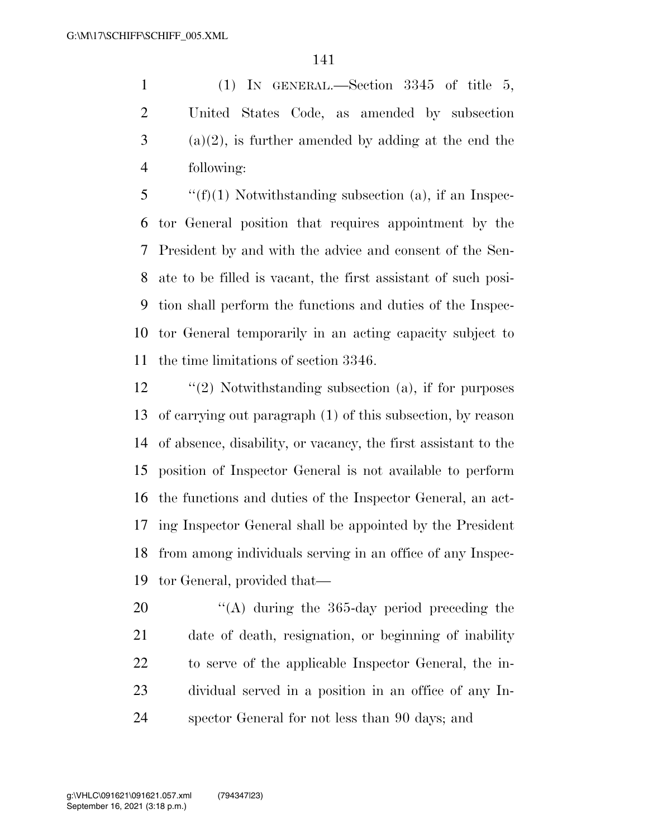(1) IN GENERAL.—Section 3345 of title 5, United States Code, as amended by subsection (a)(2), is further amended by adding at the end the following:

 ''(f)(1) Notwithstanding subsection (a), if an Inspec- tor General position that requires appointment by the President by and with the advice and consent of the Sen- ate to be filled is vacant, the first assistant of such posi- tion shall perform the functions and duties of the Inspec- tor General temporarily in an acting capacity subject to the time limitations of section 3346.

 ''(2) Notwithstanding subsection (a), if for purposes of carrying out paragraph (1) of this subsection, by reason of absence, disability, or vacancy, the first assistant to the position of Inspector General is not available to perform the functions and duties of the Inspector General, an act- ing Inspector General shall be appointed by the President from among individuals serving in an office of any Inspec-tor General, provided that—

 $\frac{1}{2}$  (A) during the 365-day period preceding the date of death, resignation, or beginning of inability to serve of the applicable Inspector General, the in- dividual served in a position in an office of any In-spector General for not less than 90 days; and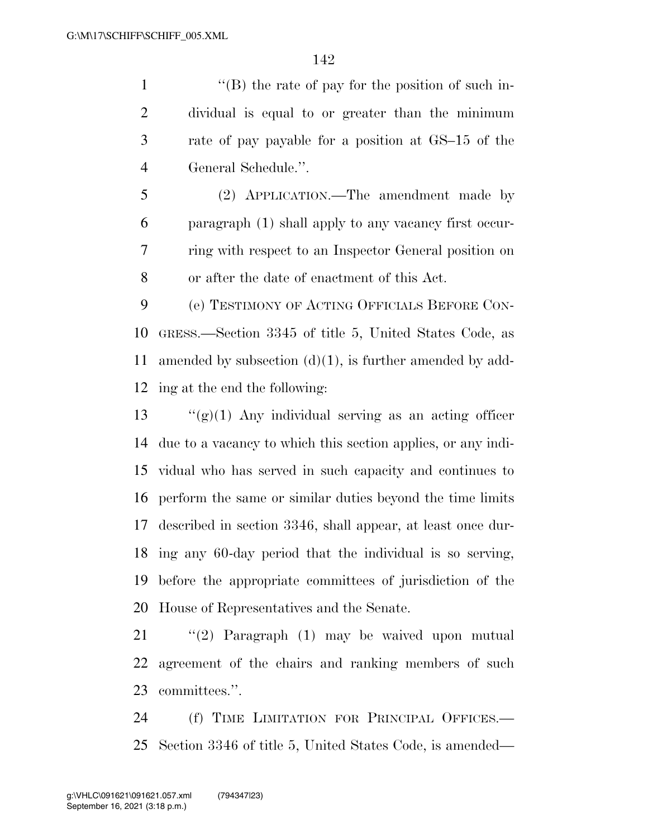''(B) the rate of pay for the position of such in- dividual is equal to or greater than the minimum rate of pay payable for a position at GS–15 of the General Schedule.''.

 (2) APPLICATION.—The amendment made by paragraph (1) shall apply to any vacancy first occur- ring with respect to an Inspector General position on or after the date of enactment of this Act.

 (e) TESTIMONY OF ACTING OFFICIALS BEFORE CON- GRESS.—Section 3345 of title 5, United States Code, as amended by subsection (d)(1), is further amended by add-ing at the end the following:

 $\frac{1}{2}$   $\frac{1}{2}$   $\frac{1}{2}$  Any individual serving as an acting officer due to a vacancy to which this section applies, or any indi- vidual who has served in such capacity and continues to perform the same or similar duties beyond the time limits described in section 3346, shall appear, at least once dur- ing any 60-day period that the individual is so serving, before the appropriate committees of jurisdiction of the House of Representatives and the Senate.

 ''(2) Paragraph (1) may be waived upon mutual agreement of the chairs and ranking members of such committees.''.

 (f) TIME LIMITATION FOR PRINCIPAL OFFICES.— Section 3346 of title 5, United States Code, is amended—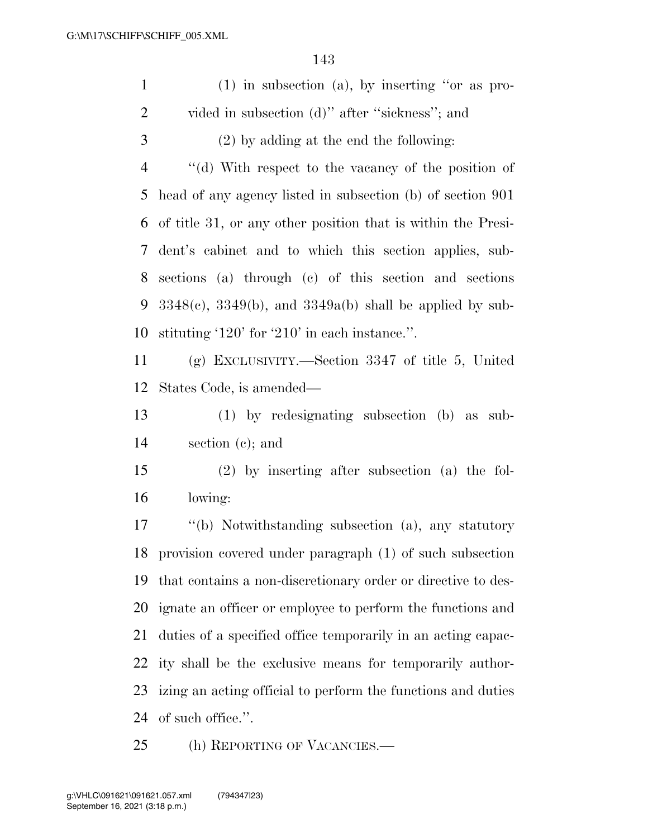| $\mathbf{1}$   | $(1)$ in subsection (a), by inserting "or as pro-               |
|----------------|-----------------------------------------------------------------|
| $\overline{2}$ | vided in subsection (d)" after "sickness"; and                  |
| 3              | $(2)$ by adding at the end the following:                       |
| $\overline{4}$ | "(d) With respect to the vacancy of the position of             |
| 5              | head of any agency listed in subsection (b) of section 901      |
| 6              | of title 31, or any other position that is within the Presi-    |
| 7              | dent's cabinet and to which this section applies, sub-          |
| 8              | sections (a) through (c) of this section and sections           |
| 9              | $3348(c)$ , $3349(b)$ , and $3349a(b)$ shall be applied by sub- |
| 10             | stituting '120' for '210' in each instance.".                   |
| 11             | (g) EXCLUSIVITY.—Section 3347 of title 5, United                |
| 12             | States Code, is amended—                                        |
| 13             | (1) by redesignating subsection (b) as sub-                     |
| 14             | section $(c)$ ; and                                             |
| 15             | $(2)$ by inserting after subsection $(a)$ the fol-              |
| 16             | lowing:                                                         |
| 17             | "(b) Notwithstanding subsection (a), any statutory              |
|                | 18 provision covered under paragraph (1) of such subsection     |
| 19             | that contains a non-discretionary order or directive to des-    |
| 20             | ignate an officer or employee to perform the functions and      |
| 21             | duties of a specified office temporarily in an acting capac-    |
| 22             | ity shall be the exclusive means for temporarily author-        |
| 23             | izing an acting official to perform the functions and duties    |
| 24             | of such office.".                                               |
| 25             | (h) REPORTING OF VACANCIES.—                                    |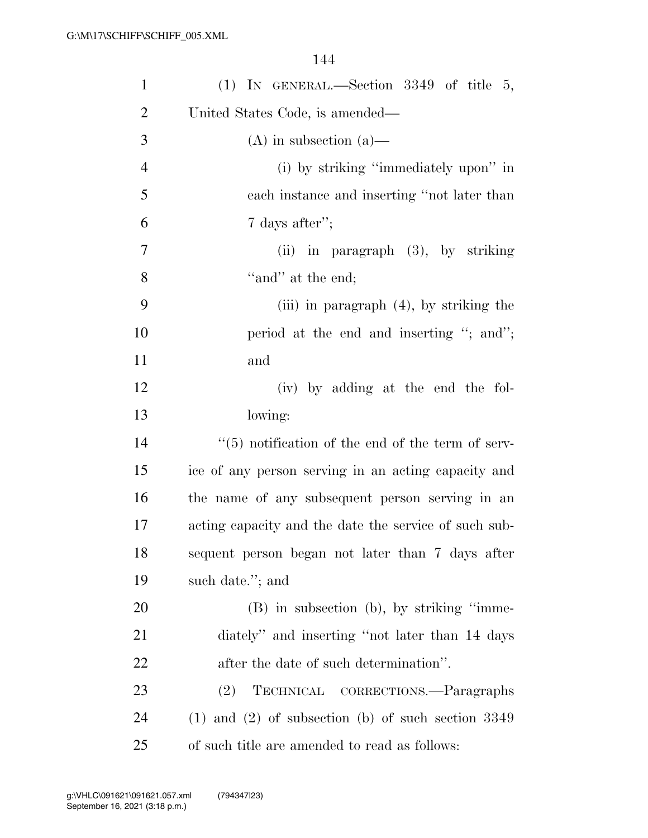| $\mathbf{1}$   | (1) IN GENERAL.—Section $3349$ of title 5,                    |
|----------------|---------------------------------------------------------------|
| $\overline{2}$ | United States Code, is amended—                               |
| 3              | $(A)$ in subsection $(a)$ —                                   |
| $\overline{4}$ | (i) by striking "immediately upon" in                         |
| 5              | each instance and inserting "not later than                   |
| 6              | 7 days after";                                                |
| 7              | $(ii)$ in paragraph $(3)$ , by striking                       |
| 8              | "and" at the end;                                             |
| 9              | (iii) in paragraph $(4)$ , by striking the                    |
| 10             | period at the end and inserting "; and";                      |
| 11             | and                                                           |
| 12             | (iv) by adding at the end the fol-                            |
| 13             | lowing:                                                       |
| 14             | $\cdot\cdot$ (5) notification of the end of the term of serv- |
| 15             | ice of any person serving in an acting capacity and           |
| 16             | the name of any subsequent person serving in an               |
| 17             | acting capacity and the date the service of such sub-         |
| 18             | sequent person began not later than 7 days after              |
| 19             | such date."; and                                              |
| 20             | $(B)$ in subsection $(b)$ , by striking "imme-                |
| 21             | diately" and inserting "not later than 14 days                |
| 22             | after the date of such determination".                        |
| 23             | TECHNICAL CORRECTIONS.-Paragraphs<br>(2)                      |
| 24             | $(1)$ and $(2)$ of subsection $(b)$ of such section 3349      |
| 25             | of such title are amended to read as follows:                 |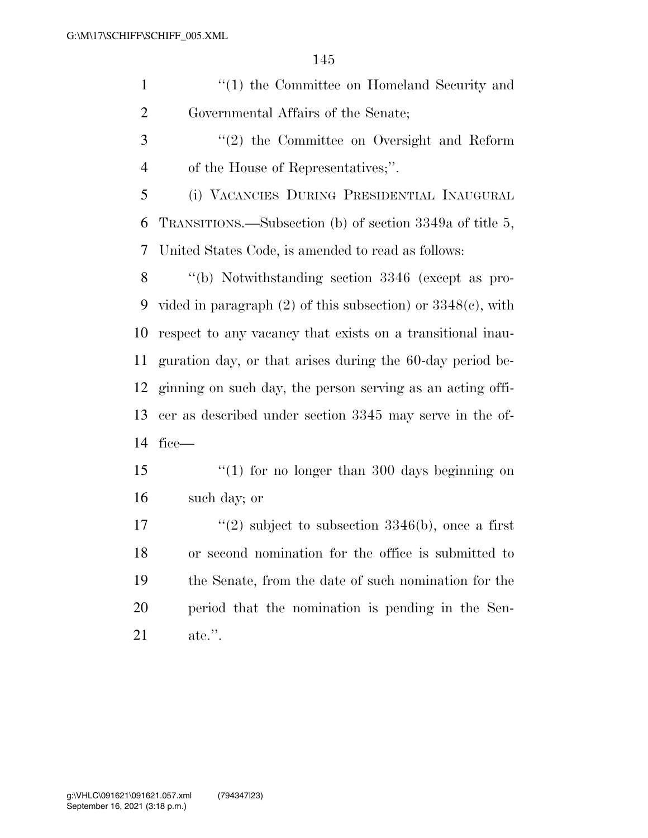| $\lq(1)$ the Committee on Homeland Security and |
|-------------------------------------------------|
| Governmental Affairs of the Senate;             |

 ''(2) the Committee on Oversight and Reform of the House of Representatives;''.

 (i) VACANCIES DURING PRESIDENTIAL INAUGURAL TRANSITIONS.—Subsection (b) of section 3349a of title 5, United States Code, is amended to read as follows:

 ''(b) Notwithstanding section 3346 (except as pro- vided in paragraph (2) of this subsection) or 3348(c), with respect to any vacancy that exists on a transitional inau- guration day, or that arises during the 60-day period be- ginning on such day, the person serving as an acting offi- cer as described under section 3345 may serve in the of-fice—

15 ''(1) for no longer than 300 days beginning on such day; or

 $\frac{17}{2}$  subject to subsection 3346(b), once a first or second nomination for the office is submitted to the Senate, from the date of such nomination for the period that the nomination is pending in the Sen-ate.''.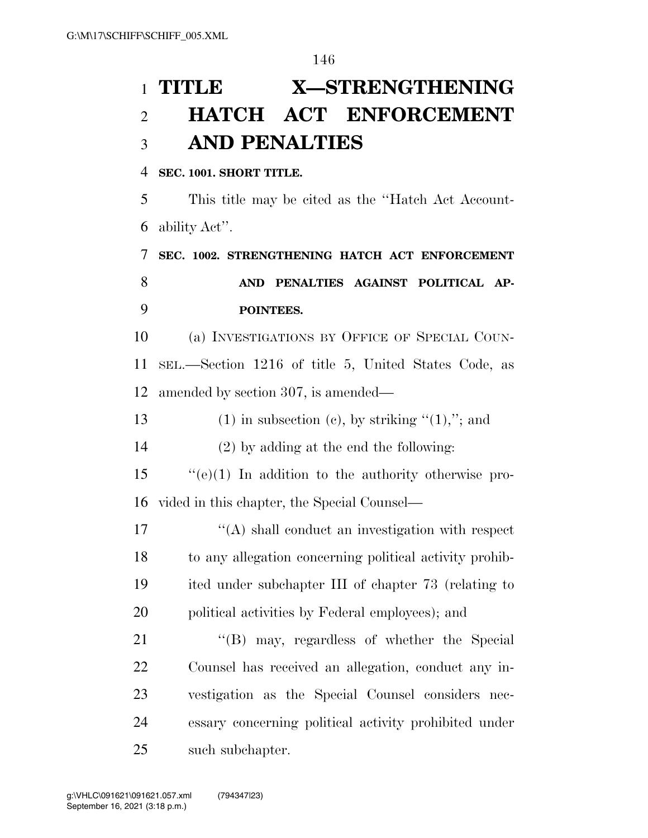# **TITLE X—STRENGTHENING**

## **HATCH ACT ENFORCEMENT AND PENALTIES**

#### **SEC. 1001. SHORT TITLE.**

 This title may be cited as the ''Hatch Act Account-ability Act''.

 **SEC. 1002. STRENGTHENING HATCH ACT ENFORCEMENT AND PENALTIES AGAINST POLITICAL AP-POINTEES.** 

 (a) INVESTIGATIONS BY OFFICE OF SPECIAL COUN- SEL.—Section 1216 of title 5, United States Code, as amended by section 307, is amended—

13 (1) in subsection (c), by striking  $(1)$ ,"; and

(2) by adding at the end the following:

 ''(e)(1) In addition to the authority otherwise pro-vided in this chapter, the Special Counsel—

 $\langle (A) \rangle$  shall conduct an investigation with respect to any allegation concerning political activity prohib- ited under subchapter III of chapter 73 (relating to political activities by Federal employees); and

21 "(B) may, regardless of whether the Special Counsel has received an allegation, conduct any in- vestigation as the Special Counsel considers nec- essary concerning political activity prohibited under such subchapter.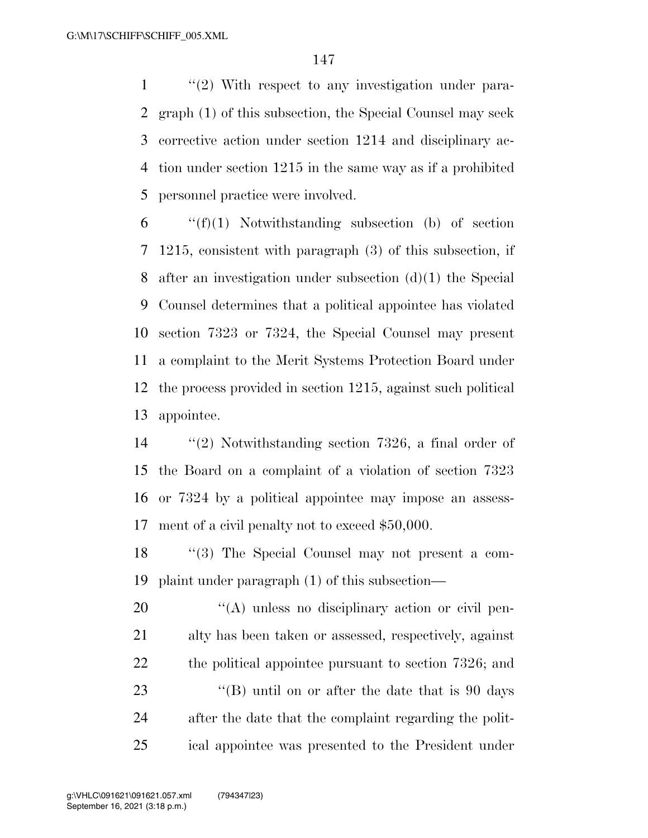1 ''(2) With respect to any investigation under para- graph (1) of this subsection, the Special Counsel may seek corrective action under section 1214 and disciplinary ac- tion under section 1215 in the same way as if a prohibited personnel practice were involved.

 ''(f)(1) Notwithstanding subsection (b) of section 1215, consistent with paragraph (3) of this subsection, if after an investigation under subsection (d)(1) the Special Counsel determines that a political appointee has violated section 7323 or 7324, the Special Counsel may present a complaint to the Merit Systems Protection Board under the process provided in section 1215, against such political appointee.

 ''(2) Notwithstanding section 7326, a final order of the Board on a complaint of a violation of section 7323 or 7324 by a political appointee may impose an assess-ment of a civil penalty not to exceed \$50,000.

 ''(3) The Special Counsel may not present a com-plaint under paragraph (1) of this subsection—

 $\langle A \rangle$  unless no disciplinary action or civil pen- alty has been taken or assessed, respectively, against 22 the political appointee pursuant to section 7326; and 23 ''(B) until on or after the date that is 90 days after the date that the complaint regarding the polit-ical appointee was presented to the President under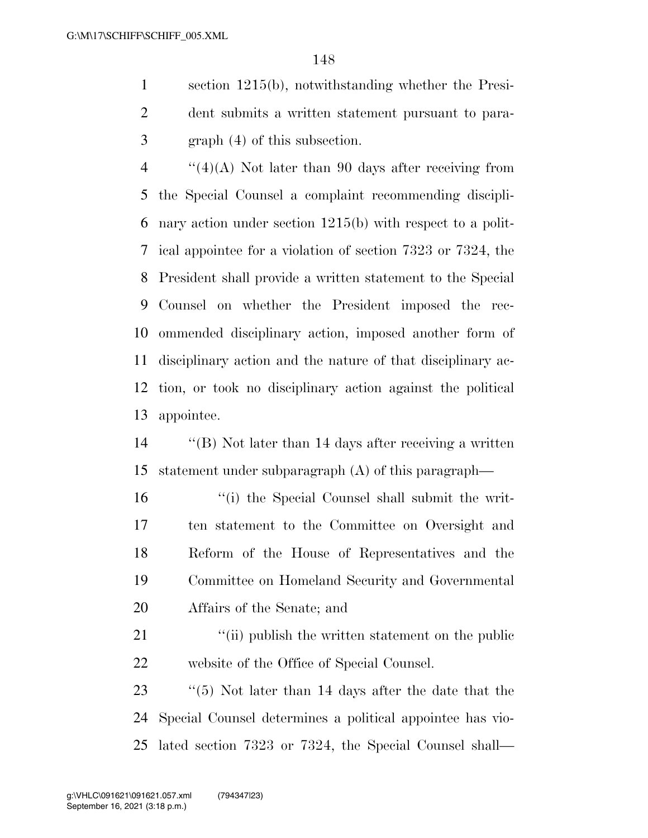section 1215(b), notwithstanding whether the Presi- dent submits a written statement pursuant to para-graph (4) of this subsection.

 ''(4)(A) Not later than 90 days after receiving from the Special Counsel a complaint recommending discipli- nary action under section 1215(b) with respect to a polit- ical appointee for a violation of section 7323 or 7324, the President shall provide a written statement to the Special Counsel on whether the President imposed the rec- ommended disciplinary action, imposed another form of disciplinary action and the nature of that disciplinary ac- tion, or took no disciplinary action against the political appointee.

 ''(B) Not later than 14 days after receiving a written statement under subparagraph (A) of this paragraph—

 ''(i) the Special Counsel shall submit the writ- ten statement to the Committee on Oversight and Reform of the House of Representatives and the Committee on Homeland Security and Governmental Affairs of the Senate; and

21 ''(ii) publish the written statement on the public website of the Office of Special Counsel.

 ''(5) Not later than 14 days after the date that the Special Counsel determines a political appointee has vio-lated section 7323 or 7324, the Special Counsel shall—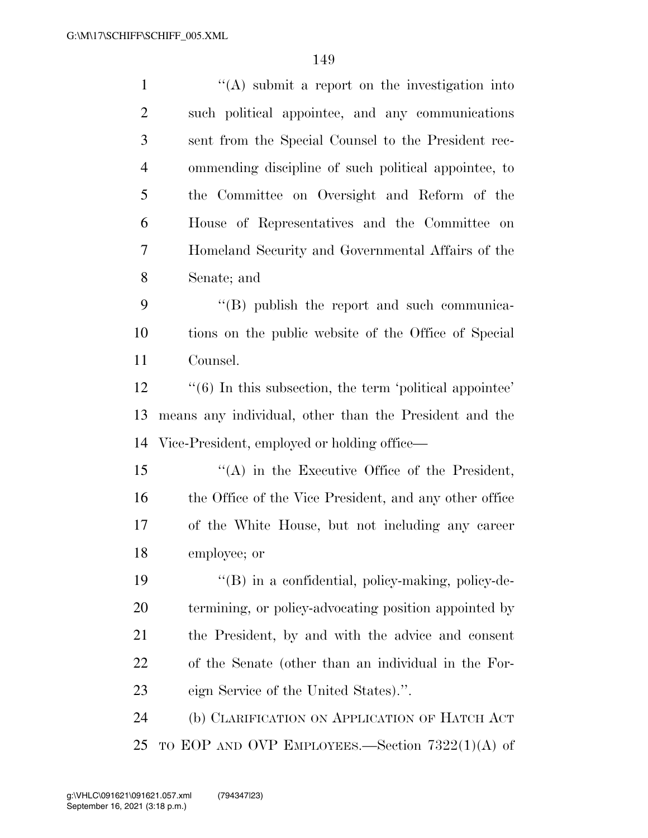| $\mathbf{1}$   | $\lq\lq$ submit a report on the investigation into                      |
|----------------|-------------------------------------------------------------------------|
| $\overline{2}$ | such political appointee, and any communications                        |
| 3              | sent from the Special Counsel to the President rec-                     |
| $\overline{4}$ | ommending discipline of such political appointee, to                    |
| 5              | the Committee on Oversight and Reform of the                            |
| 6              | House of Representatives and the Committee on                           |
| 7              | Homeland Security and Governmental Affairs of the                       |
| 8              | Senate; and                                                             |
| 9              | $\lq\lq$ (B) publish the report and such communica-                     |
| 10             | tions on the public website of the Office of Special                    |
| 11             | Counsel.                                                                |
| 12             | $\cdot\cdot\cdot(6)$ In this subsection, the term 'political appointee' |
| 13             | means any individual, other than the President and the                  |
| 14             | Vice-President, employed or holding office—                             |
| 15             | $\lq\lq$ in the Executive Office of the President,                      |
| 16             | the Office of the Vice President, and any other office                  |
| 17             | of the White House, but not including any career                        |
| 18             | employee; or                                                            |
| 19             | $\lq\lq (B)$ in a confidential, policy-making, policy-de-               |
| 20             | termining, or policy-advocating position appointed by                   |
| 21             | the President, by and with the advice and consent                       |
| 22             | of the Senate (other than an individual in the For-                     |
| 23             | eign Service of the United States).".                                   |
| 24             | (b) CLARIFICATION ON APPLICATION OF HATCH ACT                           |
| 25             | TO EOP AND OVP EMPLOYEES.—Section $7322(1)(A)$ of                       |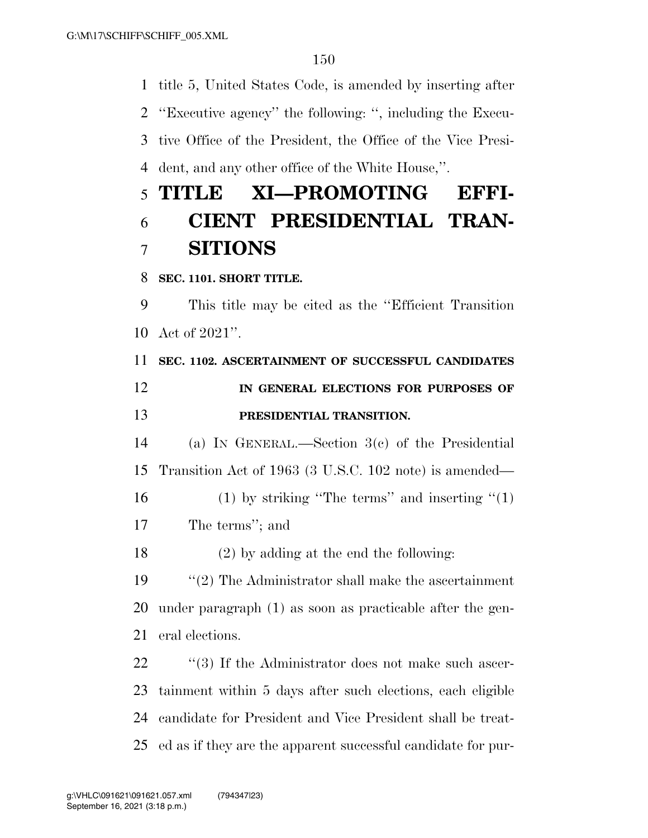title 5, United States Code, is amended by inserting after ''Executive agency'' the following: '', including the Execu- tive Office of the President, the Office of the Vice Presi- dent, and any other office of the White House,''. **TITLE XI—PROMOTING EFFI- CIENT PRESIDENTIAL TRAN- SITIONS SEC. 1101. SHORT TITLE.**  This title may be cited as the ''Efficient Transition Act of 2021''. **SEC. 1102. ASCERTAINMENT OF SUCCESSFUL CANDIDATES** 

## **IN GENERAL ELECTIONS FOR PURPOSES OF PRESIDENTIAL TRANSITION.**

 (a) IN GENERAL.—Section 3(c) of the Presidential Transition Act of 1963 (3 U.S.C. 102 note) is amended—

16 (1) by striking "The terms" and inserting  $(1)$ The terms''; and

(2) by adding at the end the following:

 ''(2) The Administrator shall make the ascertainment under paragraph (1) as soon as practicable after the gen-eral elections.

22 ''(3) If the Administrator does not make such ascer- tainment within 5 days after such elections, each eligible candidate for President and Vice President shall be treat-ed as if they are the apparent successful candidate for pur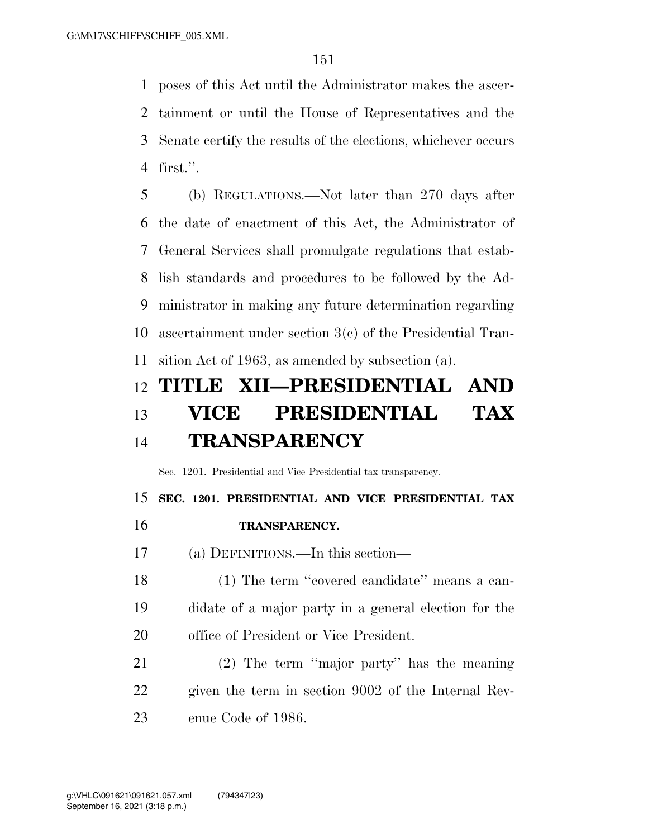poses of this Act until the Administrator makes the ascer- tainment or until the House of Representatives and the Senate certify the results of the elections, whichever occurs first.''.

 (b) REGULATIONS.—Not later than 270 days after the date of enactment of this Act, the Administrator of General Services shall promulgate regulations that estab- lish standards and procedures to be followed by the Ad- ministrator in making any future determination regarding ascertainment under section 3(c) of the Presidential Tran-sition Act of 1963, as amended by subsection (a).

## **TITLE XII—PRESIDENTIAL AND VICE PRESIDENTIAL TAX TRANSPARENCY**

Sec. 1201. Presidential and Vice Presidential tax transparency.

**SEC. 1201. PRESIDENTIAL AND VICE PRESIDENTIAL TAX** 

- **TRANSPARENCY.**
- (a) DEFINITIONS.—In this section—

18 (1) The term "covered candidate" means a can- didate of a major party in a general election for the office of President or Vice President.

 (2) The term ''major party'' has the meaning given the term in section 9002 of the Internal Rev-enue Code of 1986.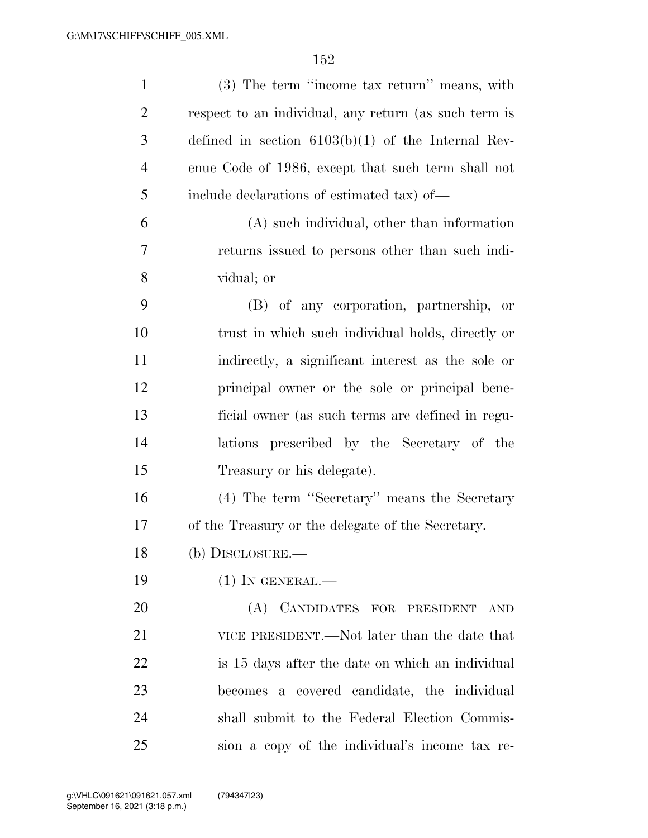| $\mathbf{1}$   | (3) The term "income tax return" means, with          |
|----------------|-------------------------------------------------------|
| $\overline{2}$ | respect to an individual, any return (as such term is |
| 3              | defined in section $6103(b)(1)$ of the Internal Rev-  |
| $\overline{4}$ | enue Code of 1986, except that such term shall not    |
| 5              | include declarations of estimated tax) of—            |
| 6              | (A) such individual, other than information           |
| $\overline{7}$ | returns issued to persons other than such indi-       |
| 8              | vidual; or                                            |
| 9              | (B) of any corporation, partnership, or               |
| 10             | trust in which such individual holds, directly or     |
| 11             | indirectly, a significant interest as the sole or     |
| 12             | principal owner or the sole or principal bene-        |
| 13             | ficial owner (as such terms are defined in regu-      |
| 14             | lations prescribed by the Secretary of the            |
| 15             | Treasury or his delegate).                            |
| 16             | (4) The term "Secretary" means the Secretary          |
| 17             | of the Treasury or the delegate of the Secretary.     |
| 18             | (b) DISCLOSURE.-                                      |
| 19             | $(1)$ In GENERAL.—                                    |
| 20             | (A) CANDIDATES FOR PRESIDENT AND                      |
| 21             | VICE PRESIDENT.—Not later than the date that          |
| 22             | is 15 days after the date on which an individual      |
| 23             | becomes a covered candidate, the individual           |
| 24             | shall submit to the Federal Election Commis-          |
| 25             | sion a copy of the individual's income tax re-        |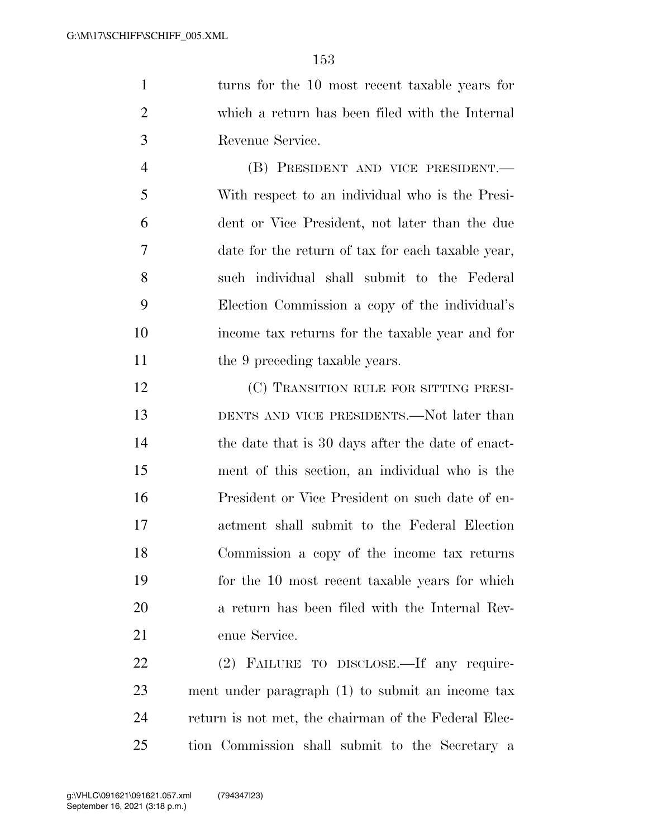turns for the 10 most recent taxable years for which a return has been filed with the Internal Revenue Service.

 (B) PRESIDENT AND VICE PRESIDENT.— With respect to an individual who is the Presi- dent or Vice President, not later than the due date for the return of tax for each taxable year, such individual shall submit to the Federal Election Commission a copy of the individual's income tax returns for the taxable year and for 11 the 9 preceding taxable years.

12 (C) TRANSITION RULE FOR SITTING PRESI-13 DENTS AND VICE PRESIDENTS.—Not later than 14 the date that is 30 days after the date of enact- ment of this section, an individual who is the President or Vice President on such date of en- actment shall submit to the Federal Election Commission a copy of the income tax returns for the 10 most recent taxable years for which a return has been filed with the Internal Rev-enue Service.

 (2) FAILURE TO DISCLOSE.—If any require- ment under paragraph (1) to submit an income tax return is not met, the chairman of the Federal Elec-tion Commission shall submit to the Secretary a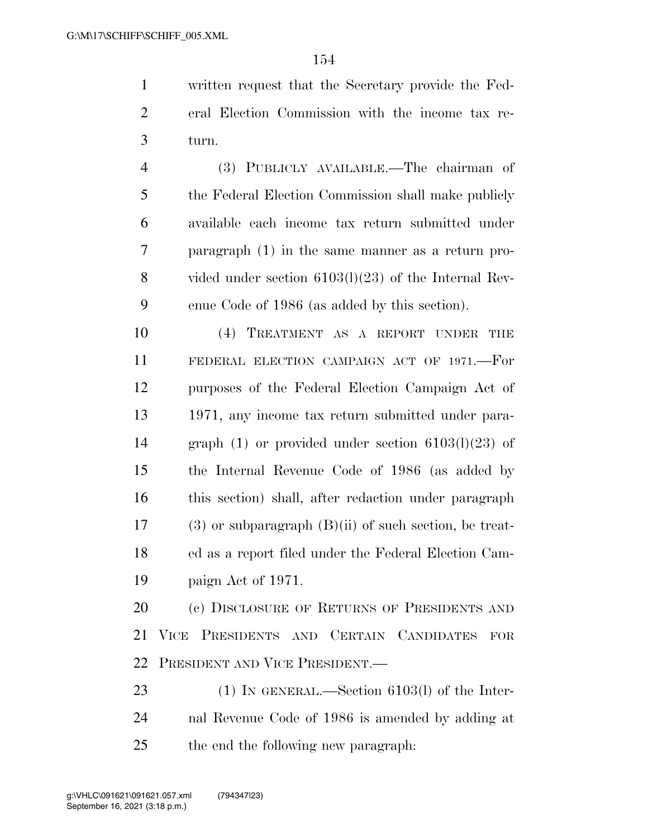written request that the Secretary provide the Fed- eral Election Commission with the income tax re-turn.

 (3) PUBLICLY AVAILABLE.—The chairman of the Federal Election Commission shall make publicly available each income tax return submitted under paragraph (1) in the same manner as a return pro- vided under section 6103(l)(23) of the Internal Rev-enue Code of 1986 (as added by this section).

 (4) TREATMENT AS A REPORT UNDER THE FEDERAL ELECTION CAMPAIGN ACT OF 1971.—For purposes of the Federal Election Campaign Act of 1971, any income tax return submitted under para- graph (1) or provided under section 6103(l)(23) of the Internal Revenue Code of 1986 (as added by this section) shall, after redaction under paragraph (3) or subparagraph (B)(ii) of such section, be treat- ed as a report filed under the Federal Election Cam-paign Act of 1971.

20 (c) DISCLOSURE OF RETURNS OF PRESIDENTS AND VICE PRESIDENTS AND CERTAIN CANDIDATES FOR PRESIDENT AND VICE PRESIDENT.—

23 (1) IN GENERAL.—Section 6103(l) of the Inter- nal Revenue Code of 1986 is amended by adding at the end the following new paragraph: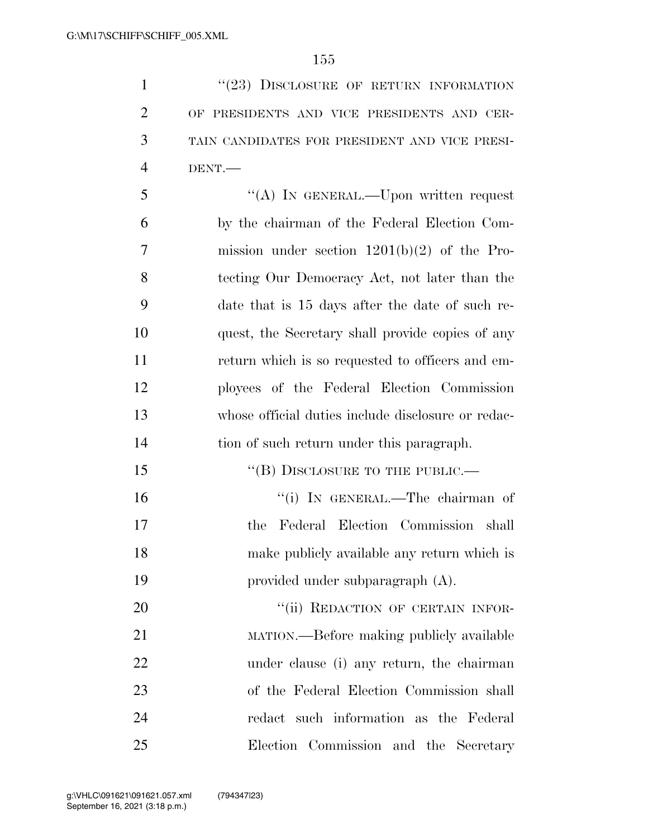1 "(23) DISCLOSURE OF RETURN INFORMATION OF PRESIDENTS AND VICE PRESIDENTS AND CER- TAIN CANDIDATES FOR PRESIDENT AND VICE PRESI-DENT.—

 ''(A) IN GENERAL.—Upon written request by the chairman of the Federal Election Com- mission under section 1201(b)(2) of the Pro- tecting Our Democracy Act, not later than the date that is 15 days after the date of such re- quest, the Secretary shall provide copies of any return which is so requested to officers and em- ployees of the Federal Election Commission whose official duties include disclosure or redac-tion of such return under this paragraph.

15 "(B) DISCLOSURE TO THE PUBLIC.— ''(i) IN GENERAL.—The chairman of the Federal Election Commission shall make publicly available any return which is provided under subparagraph (A).

20 "(ii) REDACTION OF CERTAIN INFOR- MATION.—Before making publicly available under clause (i) any return, the chairman of the Federal Election Commission shall redact such information as the Federal Election Commission and the Secretary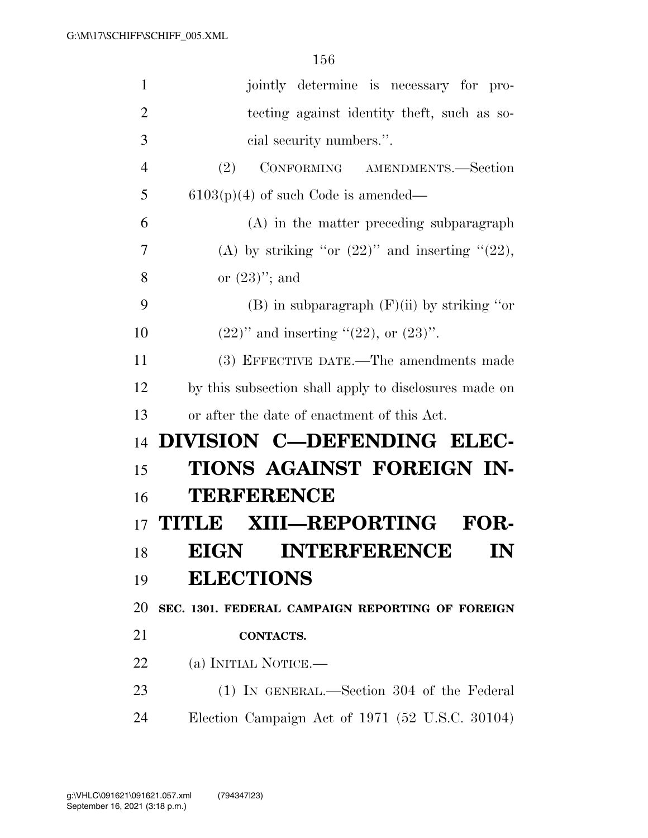| $\mathbf{1}$   | jointly determine is necessary for pro-               |
|----------------|-------------------------------------------------------|
| $\overline{2}$ | tecting against identity theft, such as so-           |
| 3              | cial security numbers.".                              |
| $\overline{4}$ | CONFORMING AMENDMENTS.—Section<br>(2)                 |
| 5              | $6103(p)(4)$ of such Code is amended—                 |
| 6              | (A) in the matter preceding subparagraph              |
| 7              | (A) by striking "or $(22)$ " and inserting " $(22)$ , |
| 8              | or $(23)$ "; and                                      |
| 9              | (B) in subparagraph $(F)(ii)$ by striking "or         |
| 10             | $(22)$ " and inserting " $(22)$ , or $(23)$ ".        |
| 11             | (3) EFFECTIVE DATE.—The amendments made               |
| 12             | by this subsection shall apply to disclosures made on |
| 13             | or after the date of enactment of this Act.           |
| 14             | DIVISION C-DEFENDING ELEC-                            |
| 15             | TIONS AGAINST FOREIGN IN-                             |
| 16             | <b>TERFERENCE</b>                                     |
| 17             | TITLE XIII—REPORTING<br><b>FOR-</b>                   |
| 18             | <b>INTERFERENCE</b><br><b>EIGN</b><br>${\bf IN}$      |
| 19             | <b>ELECTIONS</b>                                      |
| 20             | SEC. 1301. FEDERAL CAMPAIGN REPORTING OF FOREIGN      |
| 21             | <b>CONTACTS.</b>                                      |
| 22             | (a) INITIAL NOTICE.—                                  |
| 23             | (1) IN GENERAL.—Section 304 of the Federal            |
| 24             |                                                       |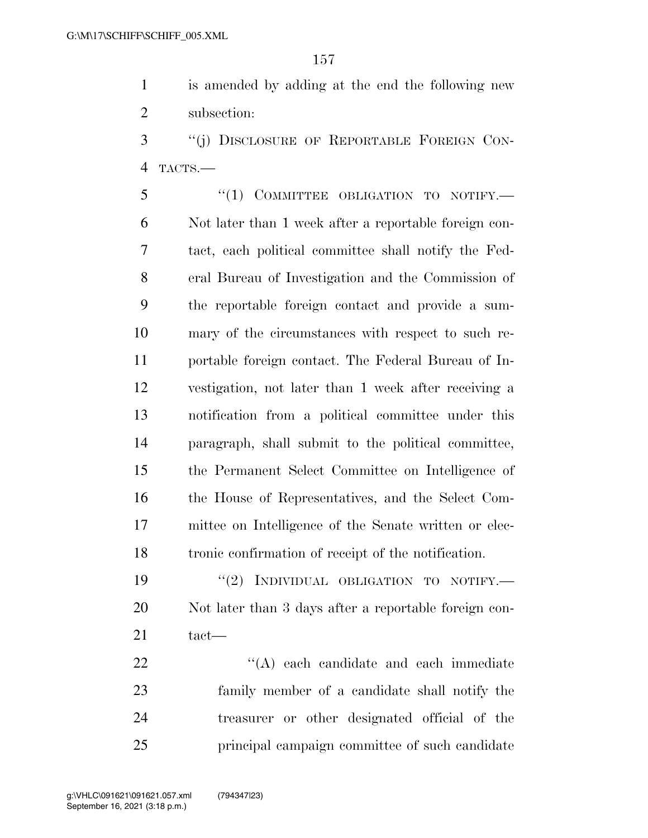is amended by adding at the end the following new subsection:

 ''(j) DISCLOSURE OF REPORTABLE FOREIGN CON-TACTS.—

5 "(1) COMMITTEE OBLIGATION TO NOTIFY.— Not later than 1 week after a reportable foreign con- tact, each political committee shall notify the Fed- eral Bureau of Investigation and the Commission of the reportable foreign contact and provide a sum- mary of the circumstances with respect to such re- portable foreign contact. The Federal Bureau of In- vestigation, not later than 1 week after receiving a notification from a political committee under this paragraph, shall submit to the political committee, the Permanent Select Committee on Intelligence of the House of Representatives, and the Select Com- mittee on Intelligence of the Senate written or elec-tronic confirmation of receipt of the notification.

19 "(2) INDIVIDUAL OBLIGATION TO NOTIFY.— Not later than 3 days after a reportable foreign con-tact—

 $\langle (A) \rangle$  each candidate and each immediate family member of a candidate shall notify the treasurer or other designated official of the principal campaign committee of such candidate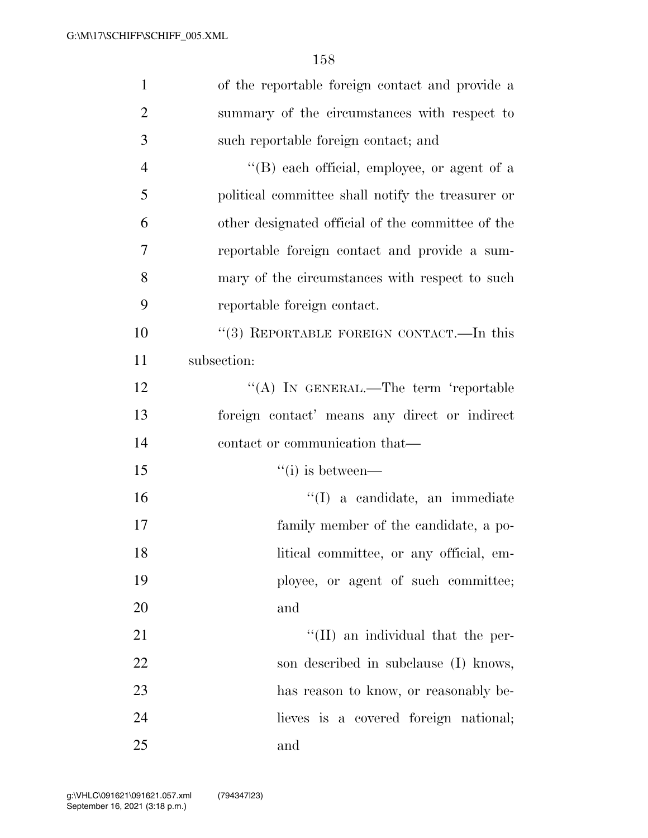| $\mathbf{1}$   | of the reportable foreign contact and provide a   |
|----------------|---------------------------------------------------|
| $\overline{2}$ | summary of the circumstances with respect to      |
| 3              | such reportable foreign contact; and              |
| $\overline{4}$ | "(B) each official, employee, or agent of a       |
| 5              | political committee shall notify the treasurer or |
| 6              | other designated official of the committee of the |
| $\overline{7}$ | reportable foreign contact and provide a sum-     |
| 8              | mary of the circumstances with respect to such    |
| 9              | reportable foreign contact.                       |
| 10             | "(3) REPORTABLE FOREIGN CONTACT.—In this          |
| 11             | subsection:                                       |
| 12             | "(A) IN GENERAL.—The term 'reportable             |
| 13             | foreign contact' means any direct or indirect     |
| 14             | contact or communication that—                    |
| 15             | $``(i)$ is between—                               |
| 16             | "(I) a candidate, an immediate                    |
| 17             | family member of the candidate, a po-             |
| 18             | litical committee, or any official, em-           |
| 19             | ployee, or agent of such committee;               |
| 20             | and                                               |
| 21             | "(II) an individual that the per-                 |
| 22             | son described in subclause (I) knows,             |
| 23             | has reason to know, or reasonably be-             |
| 24             | lieves is a covered foreign national;             |
| 25             | and                                               |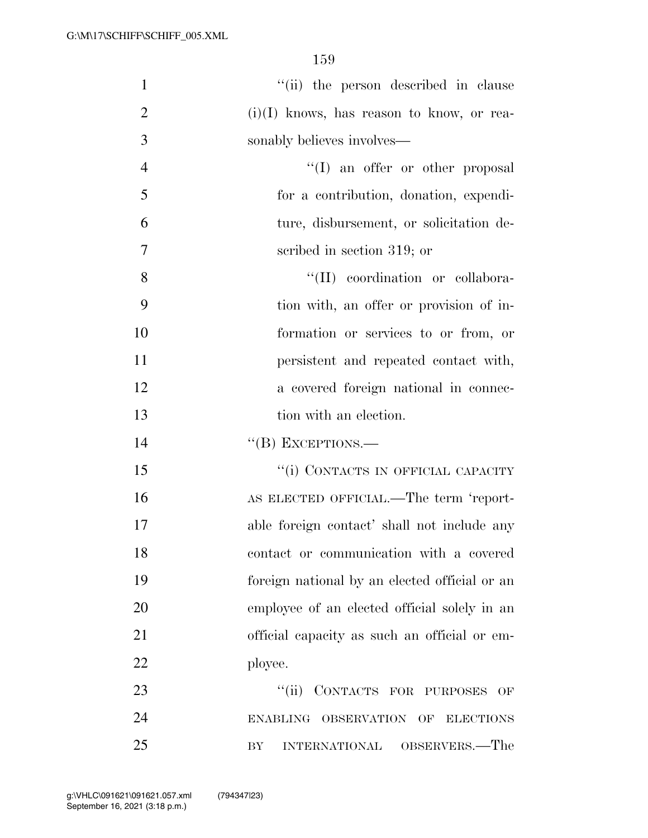| $\mathbf{1}$   | "(ii) the person described in clause                  |
|----------------|-------------------------------------------------------|
| $\overline{2}$ | $(i)(I)$ knows, has reason to know, or rea-           |
| 3              | sonably believes involves—                            |
| $\overline{4}$ | $\lq\lq$ an offer or other proposal                   |
| 5              | for a contribution, donation, expendi-                |
| 6              | ture, disbursement, or solicitation de-               |
| $\overline{7}$ | scribed in section 319; or                            |
| 8              | "(II) coordination or collabora-                      |
| 9              | tion with, an offer or provision of in-               |
| 10             | formation or services to or from, or                  |
| 11             | persistent and repeated contact with,                 |
| 12             | a covered foreign national in connec-                 |
| 13             | tion with an election.                                |
| 14             | $``$ (B) EXCEPTIONS.—                                 |
| 15             | "(i) CONTACTS IN OFFICIAL CAPACITY                    |
| 16             | AS ELECTED OFFICIAL.—The term 'report-                |
| 17             | able foreign contact' shall not include any           |
| 18             | contact or communication with a covered               |
| 19             | foreign national by an elected official or an         |
| 20             | employee of an elected official solely in an          |
| 21             | official capacity as such an official or em-          |
| 22             | ployee.                                               |
| 23             | CONTACTS FOR PURPOSES<br>``(ii)<br>OF                 |
| 24             | OBSERVATION OF<br><b>ENABLING</b><br><b>ELECTIONS</b> |
| 25             | OBSERVERS.—The<br><b>INTERNATIONAL</b><br>BY          |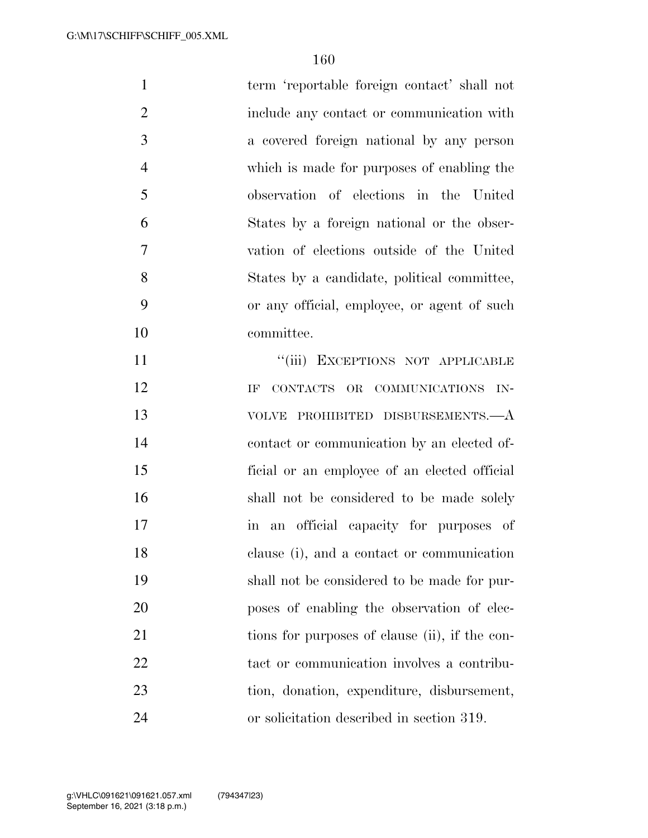| $\mathbf{1}$   | term 'reportable foreign contact' shall not                 |
|----------------|-------------------------------------------------------------|
| $\overline{2}$ | include any contact or communication with                   |
| 3              | a covered foreign national by any person                    |
| $\overline{4}$ | which is made for purposes of enabling the                  |
| 5              | observation of elections in the United                      |
| 6              | States by a foreign national or the obser-                  |
| $\tau$         | vation of elections outside of the United                   |
| 8              | States by a candidate, political committee,                 |
| 9              | or any official, employee, or agent of such                 |
| 10             | committee.                                                  |
| 11             | "(iii) EXCEPTIONS NOT APPLICABLE                            |
| 12             | CONTACTS OR COMMUNICATIONS IN-<br>IF                        |
| 13             | VOLVE PROHIBITED DISBURSEMENTS.—A                           |
| 14             | contact or communication by an elected of-                  |
| 15             | ficial or an employee of an elected official                |
| 16             | shall not be considered to be made solely                   |
| 17             | an official capacity for purposes of<br>$\operatorname{in}$ |
| 18             | clause (i), and a contact or communication                  |
| 19             | shall not be considered to be made for pur-                 |
| 20             | poses of enabling the observation of elec-                  |
| 21             | tions for purposes of clause (ii), if the con-              |
| 22             | tact or communication involves a contribu-                  |
| 23             | tion, donation, expenditure, disbursement,                  |
| 24             | or solicitation described in section 319.                   |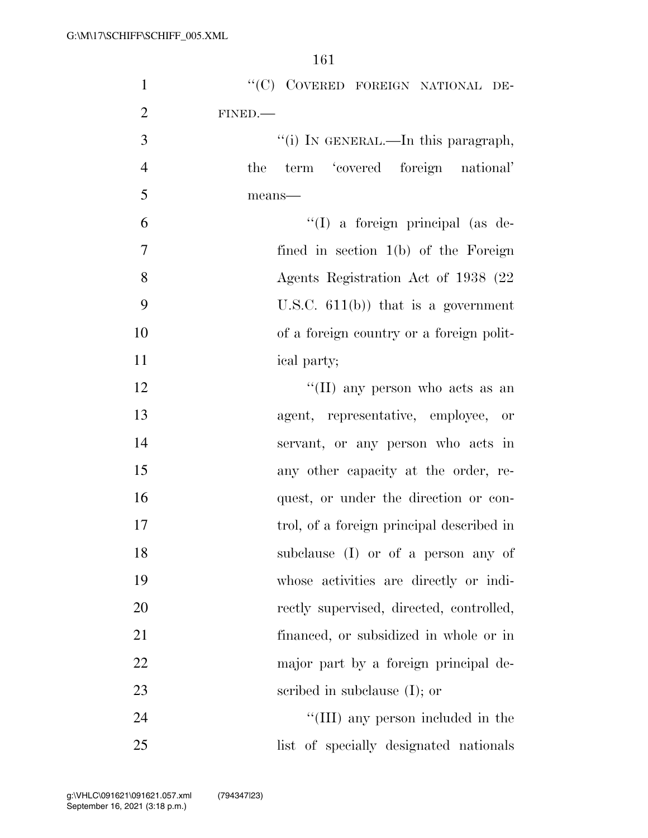| $\mathbf{1}$   | "(C) COVERED FOREIGN NATIONAL DE-         |
|----------------|-------------------------------------------|
| $\overline{2}$ | FINED.                                    |
| 3              | "(i) IN GENERAL.—In this paragraph,       |
| $\overline{4}$ | term 'covered foreign national'<br>the    |
| 5              | means-                                    |
| 6              | "(I) a foreign principal (as de-          |
| $\tau$         | fined in section 1(b) of the Foreign      |
| 8              | Agents Registration Act of 1938 (22)      |
| 9              | U.S.C. $611(b)$ that is a government      |
| 10             | of a foreign country or a foreign polit-  |
| 11             | ical party;                               |
| 12             | "(II) any person who acts as an           |
| 13             | agent, representative, employee, or       |
| 14             | servant, or any person who acts in        |
| 15             | any other capacity at the order, re-      |
| 16             | quest, or under the direction or con-     |
| 17             | trol, of a foreign principal described in |
| 18             | subclause (I) or of a person any of       |
| 19             | whose activities are directly or indi-    |
| 20             | rectly supervised, directed, controlled,  |
| 21             | financed, or subsidized in whole or in    |
| 22             | major part by a foreign principal de-     |
| 23             | scribed in subclause $(I)$ ; or           |
| 24             | "(III) any person included in the         |
| 25             | list of specially designated nationals    |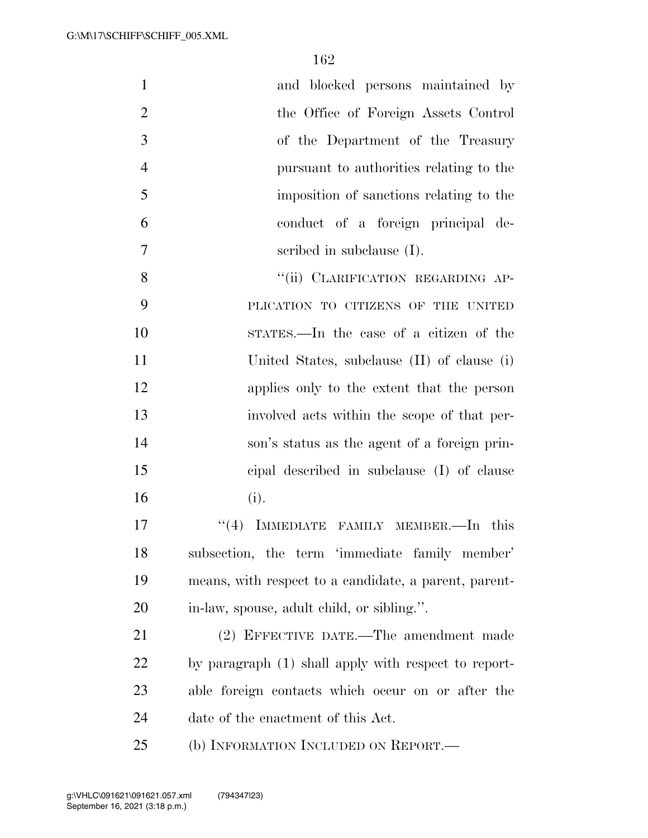| $\mathbf{1}$   | and blocked persons maintained by                     |
|----------------|-------------------------------------------------------|
| $\overline{2}$ | the Office of Foreign Assets Control                  |
| 3              | of the Department of the Treasury                     |
| $\overline{4}$ | pursuant to authorities relating to the               |
| 5              | imposition of sanctions relating to the               |
| 6              | conduct of a foreign principal de-                    |
| 7              | scribed in subclause $(I)$ .                          |
| 8              | "(ii) CLARIFICATION REGARDING AP-                     |
| 9              | PLICATION TO CITIZENS OF THE UNITED                   |
| 10             | STATES.—In the case of a citizen of the               |
| 11             | United States, subclause (II) of clause (i)           |
| 12             | applies only to the extent that the person            |
| 13             | involved acts within the scope of that per-           |
| 14             | son's status as the agent of a foreign prin-          |
| 15             | cipal described in subclause (I) of clause            |
| 16             | (i).                                                  |
| 17             | IMMEDIATE FAMILY MEMBER.-In this<br>(4)               |
| 18             | subsection, the term 'immediate family member'        |
| 19             | means, with respect to a candidate, a parent, parent- |
| 20             | in-law, spouse, adult child, or sibling.".            |
| 21             | (2) EFFECTIVE DATE.—The amendment made                |
| 22             | by paragraph (1) shall apply with respect to report-  |
| 23             | able foreign contacts which occur on or after the     |
| 24             | date of the enactment of this Act.                    |
| 25             | (b) INFORMATION INCLUDED ON REPORT.—                  |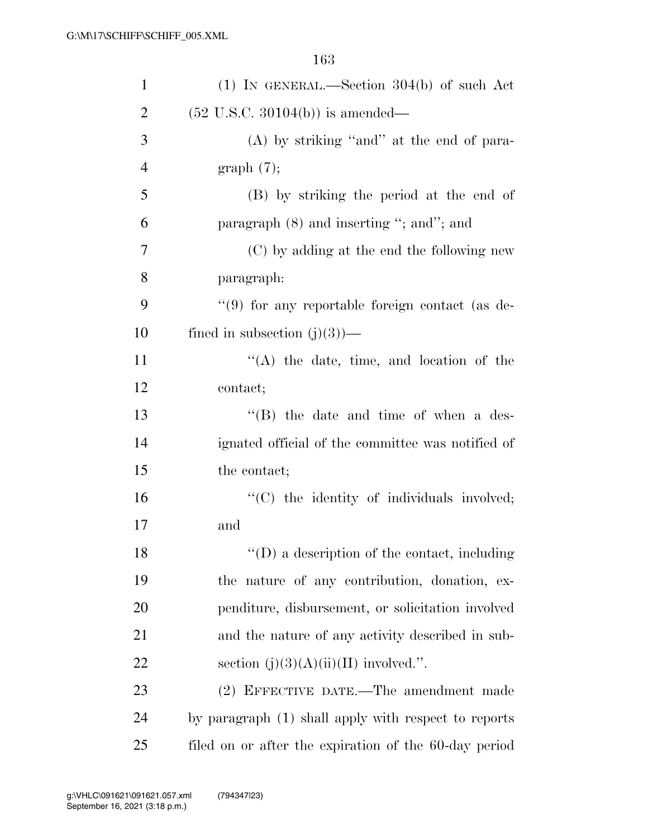| $\mathbf{1}$   | $(1)$ IN GENERAL.—Section 304(b) of such Act          |
|----------------|-------------------------------------------------------|
| $\overline{2}$ | $(52 \text{ U.S.C. } 30104(b))$ is amended—           |
| 3              | $(A)$ by striking "and" at the end of para-           |
| $\overline{4}$ | graph(7);                                             |
| 5              | (B) by striking the period at the end of              |
| 6              | paragraph $(8)$ and inserting "; and"; and            |
| 7              | (C) by adding at the end the following new            |
| 8              | paragraph:                                            |
| 9              | "(9) for any reportable foreign contact (as de-       |
| 10             | fined in subsection $(j)(3)$ —                        |
| 11             | $\lq\lq$ the date, time, and location of the          |
| 12             | contact;                                              |
| 13             | $\lq\lq$ the date and time of when a des-             |
| 14             | ignated official of the committee was notified of     |
| 15             | the contact;                                          |
| 16             | "(C) the identity of individuals involved;            |
| 17             | and                                                   |
| 18             | $\lq\lq$ (D) a description of the contact, including  |
| 19             | the nature of any contribution, donation, ex-         |
| 20             | penditure, disbursement, or solicitation involved     |
| 21             | and the nature of any activity described in sub-      |
| 22             | section $(j)(3)(A)(ii)(II)$ involved.".               |
| 23             | (2) EFFECTIVE DATE.—The amendment made                |
| 24             | by paragraph (1) shall apply with respect to reports  |
| 25             | filed on or after the expiration of the 60-day period |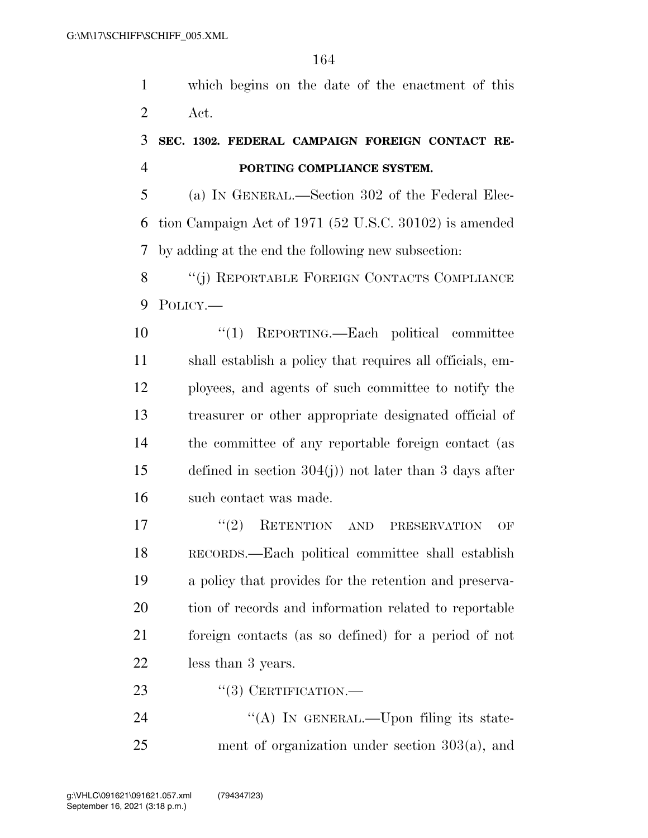which begins on the date of the enactment of this Act.

## **SEC. 1302. FEDERAL CAMPAIGN FOREIGN CONTACT RE-PORTING COMPLIANCE SYSTEM.**

 (a) IN GENERAL.—Section 302 of the Federal Elec- tion Campaign Act of 1971 (52 U.S.C. 30102) is amended by adding at the end the following new subsection:

8 "(j) REPORTABLE FOREIGN CONTACTS COMPLIANCE POLICY.—

 ''(1) REPORTING.—Each political committee shall establish a policy that requires all officials, em- ployees, and agents of such committee to notify the treasurer or other appropriate designated official of the committee of any reportable foreign contact (as defined in section 304(j)) not later than 3 days after such contact was made.

17 ''(2) RETENTION AND PRESERVATION OF RECORDS.—Each political committee shall establish a policy that provides for the retention and preserva- tion of records and information related to reportable foreign contacts (as so defined) for a period of not less than 3 years.

23 "(3) CERTIFICATION.—

24 "(A) IN GENERAL.—Upon filing its state-ment of organization under section 303(a), and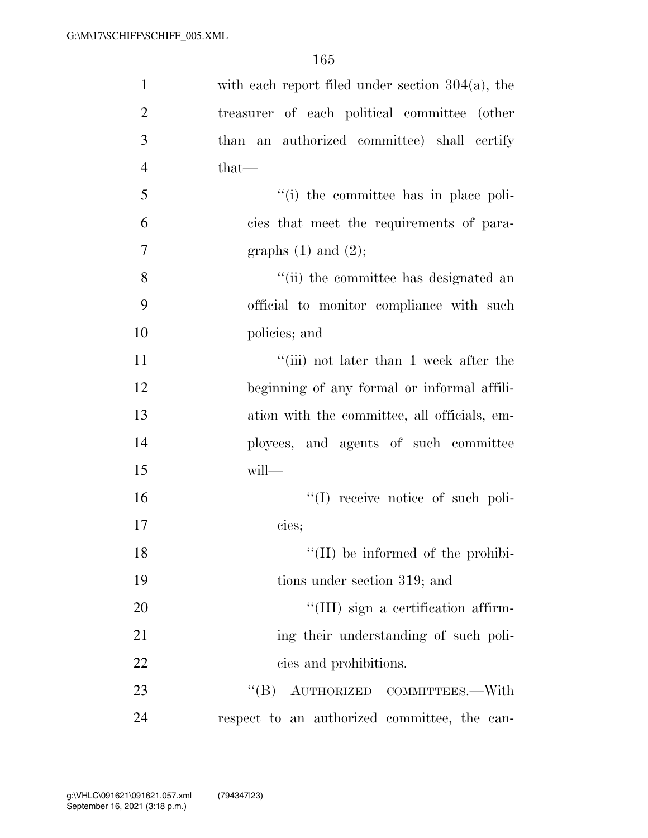| $\mathbf{1}$   | with each report filed under section $304(a)$ , the |
|----------------|-----------------------------------------------------|
| $\overline{2}$ | treasurer of each political committee (other        |
| 3              | than an authorized committee) shall certify         |
| $\overline{4}$ | $that-$                                             |
| 5              | "(i) the committee has in place poli-               |
| 6              | cies that meet the requirements of para-            |
| 7              | graphs $(1)$ and $(2)$ ;                            |
| 8              | "(ii) the committee has designated an               |
| 9              | official to monitor compliance with such            |
| 10             | policies; and                                       |
| 11             | "(iii) not later than 1 week after the              |
| 12             | beginning of any formal or informal affili-         |
| 13             | ation with the committee, all officials, em-        |
| 14             | ployees, and agents of such committee               |
| 15             | will-                                               |
| 16             | "(I) receive notice of such poli-                   |
| 17             | cies;                                               |
| 18             | $\lq\lq$ (II) be informed of the prohibi-           |
| 19             | tions under section 319; and                        |
| 20             | "(III) sign a certification affirm-                 |
| 21             | ing their understanding of such poli-               |
| 22             | cies and prohibitions.                              |
| 23             | $\lq\lq (B)$<br>AUTHORIZED COMMITTEES.-With         |
| 24             | respect to an authorized committee, the can-        |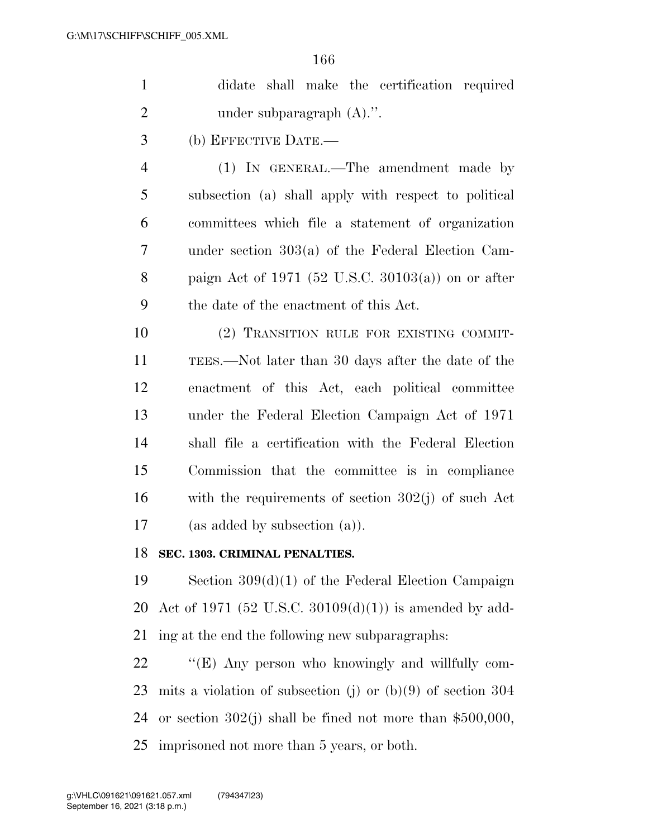|   | didate shall make the certification required         |
|---|------------------------------------------------------|
| 2 | under subparagraph $(A)$ .".                         |
| 3 | (b) EFFECTIVE DATE.—                                 |
|   | $(1)$ In GENERAL.—The amendment made by              |
| 5 | subsection (a) shall apply with respect to political |
| 6 | committees which file a statement of organization    |

 under section 303(a) of the Federal Election Cam- paign Act of 1971 (52 U.S.C. 30103(a)) on or after the date of the enactment of this Act.

 (2) TRANSITION RULE FOR EXISTING COMMIT- TEES.—Not later than 30 days after the date of the enactment of this Act, each political committee under the Federal Election Campaign Act of 1971 shall file a certification with the Federal Election Commission that the committee is in compliance with the requirements of section 302(j) of such Act (as added by subsection (a)).

#### **SEC. 1303. CRIMINAL PENALTIES.**

 Section 309(d)(1) of the Federal Election Campaign Act of 1971 (52 U.S.C. 30109(d)(1)) is amended by add-ing at the end the following new subparagraphs:

22 ""(E) Any person who knowingly and willfully com- mits a violation of subsection (j) or (b)(9) of section 304 or section 302(j) shall be fined not more than \$500,000, imprisoned not more than 5 years, or both.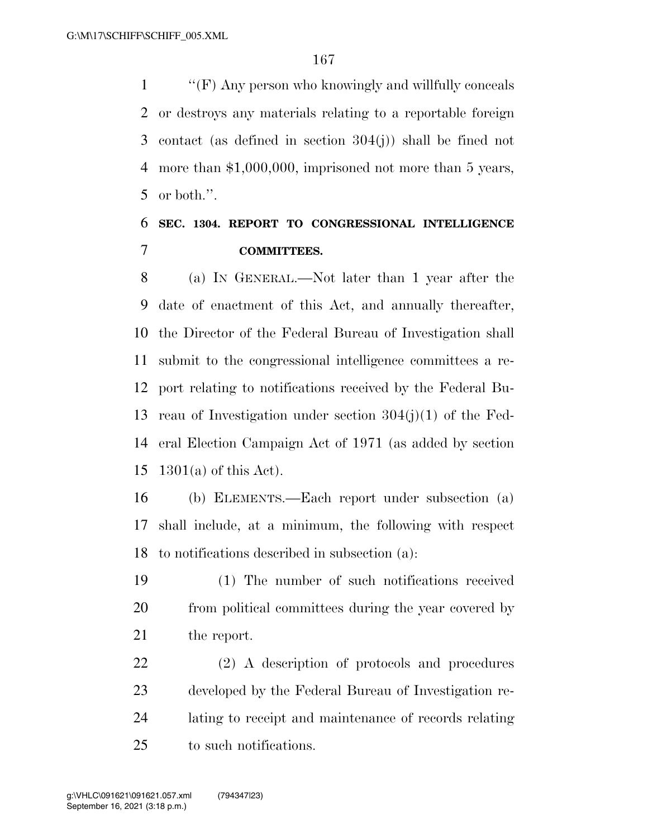''(F) Any person who knowingly and willfully conceals or destroys any materials relating to a reportable foreign contact (as defined in section 304(j)) shall be fined not more than \$1,000,000, imprisoned not more than 5 years, or both.''.

### **SEC. 1304. REPORT TO CONGRESSIONAL INTELLIGENCE COMMITTEES.**

 (a) IN GENERAL.—Not later than 1 year after the date of enactment of this Act, and annually thereafter, the Director of the Federal Bureau of Investigation shall submit to the congressional intelligence committees a re- port relating to notifications received by the Federal Bu- reau of Investigation under section 304(j)(1) of the Fed- eral Election Campaign Act of 1971 (as added by section 1301(a) of this Act).

 (b) ELEMENTS.—Each report under subsection (a) shall include, at a minimum, the following with respect to notifications described in subsection (a):

 (1) The number of such notifications received from political committees during the year covered by the report.

 (2) A description of protocols and procedures developed by the Federal Bureau of Investigation re- lating to receipt and maintenance of records relating to such notifications.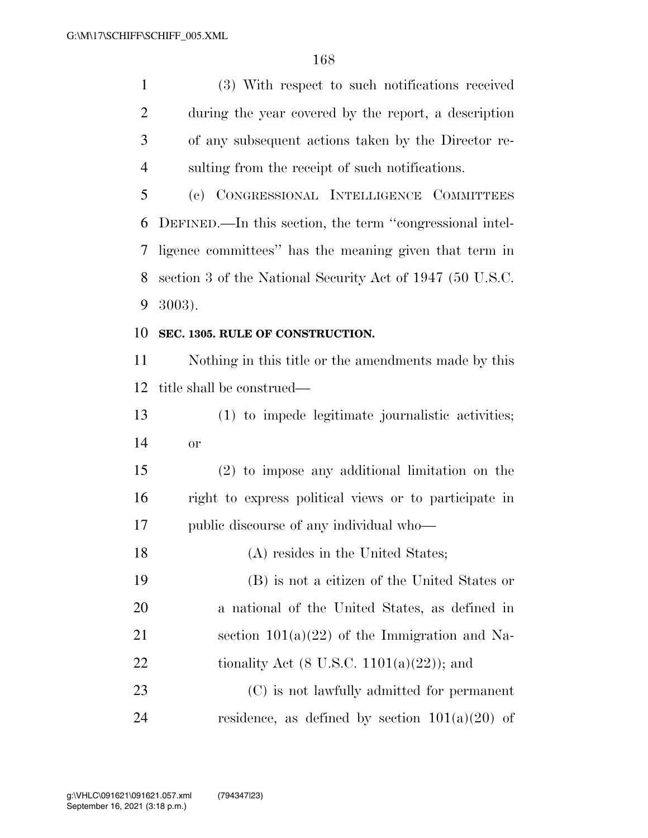(3) With respect to such notifications received

 during the year covered by the report, a description of any subsequent actions taken by the Director re- sulting from the receipt of such notifications. (c) CONGRESSIONAL INTELLIGENCE COMMITTEES DEFINED.—In this section, the term ''congressional intel- ligence committees'' has the meaning given that term in section 3 of the National Security Act of 1947 (50 U.S.C. 3003). **SEC. 1305. RULE OF CONSTRUCTION.**  Nothing in this title or the amendments made by this title shall be construed— (1) to impede legitimate journalistic activities; or (2) to impose any additional limitation on the right to express political views or to participate in public discourse of any individual who— 18 (A) resides in the United States; (B) is not a citizen of the United States or a national of the United States, as defined in 21 section  $101(a)(22)$  of the Immigration and Na-22 tionality Act  $(8 \text{ U.S.C. } 1101(a)(22))$ ; and (C) is not lawfully admitted for permanent

24 residence, as defined by section  $101(a)(20)$  of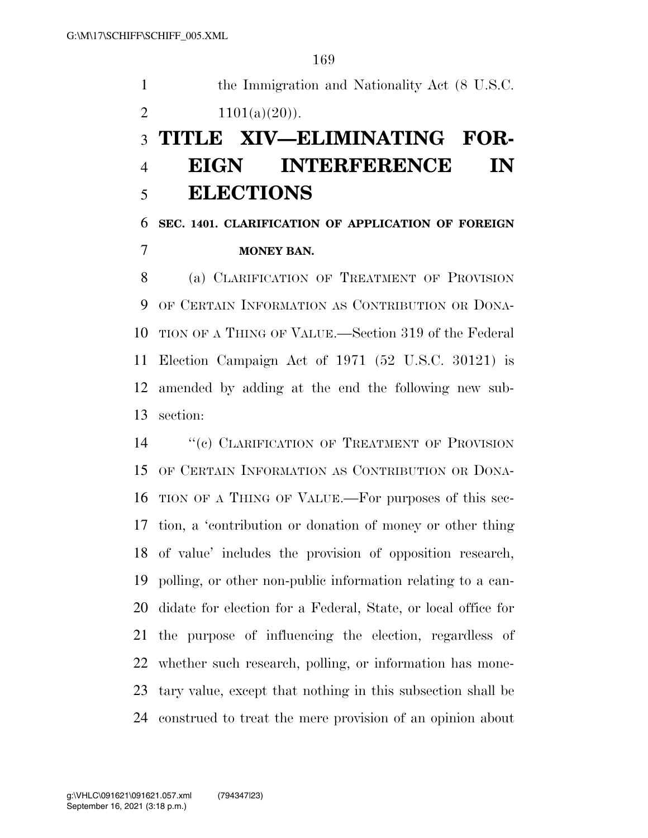the Immigration and Nationality Act (8 U.S.C. 2  $1101(a)(20)$ . **TITLE XIV—ELIMINATING FOR-**

# **EIGN INTERFERENCE IN ELECTIONS**

## **SEC. 1401. CLARIFICATION OF APPLICATION OF FOREIGN MONEY BAN.**

 (a) CLARIFICATION OF TREATMENT OF PROVISION OF CERTAIN INFORMATION AS CONTRIBUTION OR DONA- TION OF A THING OF VALUE.—Section 319 of the Federal Election Campaign Act of 1971 (52 U.S.C. 30121) is amended by adding at the end the following new sub-section:

14 " (c) CLARIFICATION OF TREATMENT OF PROVISION OF CERTAIN INFORMATION AS CONTRIBUTION OR DONA- TION OF A THING OF VALUE.—For purposes of this sec- tion, a 'contribution or donation of money or other thing of value' includes the provision of opposition research, polling, or other non-public information relating to a can- didate for election for a Federal, State, or local office for the purpose of influencing the election, regardless of whether such research, polling, or information has mone- tary value, except that nothing in this subsection shall be construed to treat the mere provision of an opinion about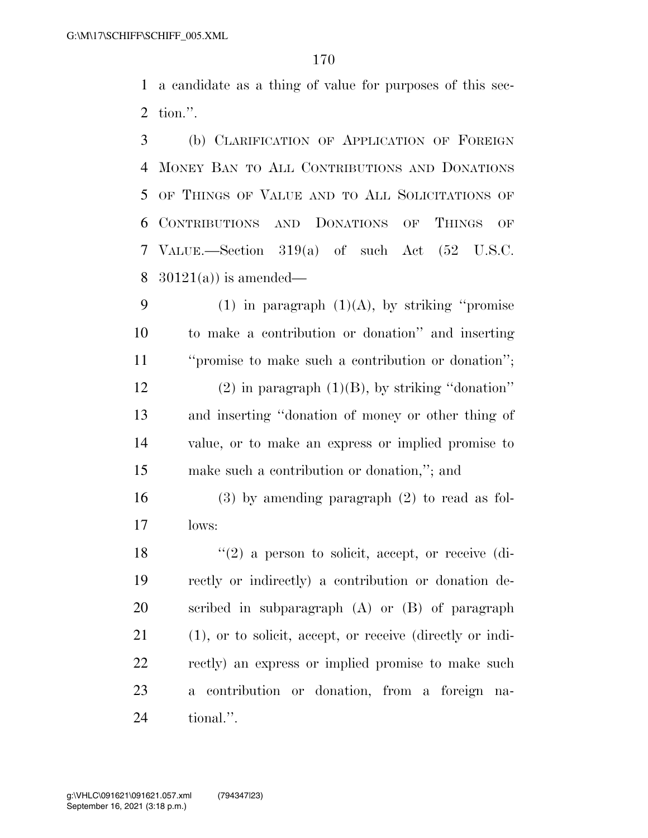a candidate as a thing of value for purposes of this sec-tion.''.

 (b) CLARIFICATION OF APPLICATION OF FOREIGN MONEY BAN TO ALL CONTRIBUTIONS AND DONATIONS OF THINGS OF VALUE AND TO ALL SOLICITATIONS OF CONTRIBUTIONS AND DONATIONS OF THINGS OF VALUE.—Section 319(a) of such Act (52 U.S.C.  $30121(a)$  is amended—

9 (1) in paragraph  $(1)(A)$ , by striking "promise to make a contribution or donation'' and inserting ''promise to make such a contribution or donation''; 12 (2) in paragraph  $(1)(B)$ , by striking "donation" and inserting ''donation of money or other thing of value, or to make an express or implied promise to make such a contribution or donation,''; and

 (3) by amending paragraph (2) to read as fol-lows:

18 ''(2) a person to solicit, accept, or receive (di- rectly or indirectly) a contribution or donation de- scribed in subparagraph (A) or (B) of paragraph (1), or to solicit, accept, or receive (directly or indi- rectly) an express or implied promise to make such a contribution or donation, from a foreign na-tional.''.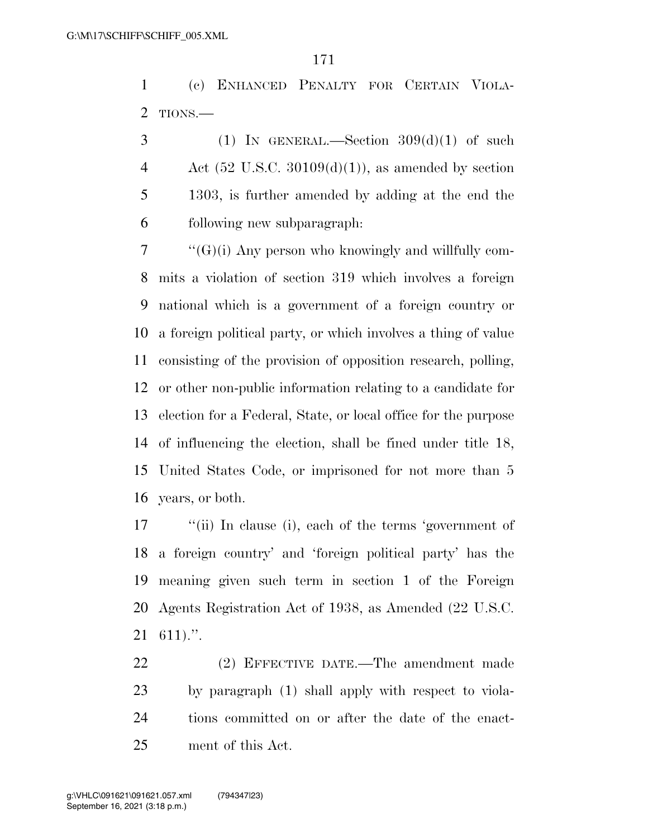(c) ENHANCED PENALTY FOR CERTAIN VIOLA-TIONS.—

 $3 \qquad (1)$  In GENERAL.—Section  $309(d)(1)$  of such 4 Act  $(52 \text{ U.S.C. } 30109(d)(1))$ , as amended by section 1303, is further amended by adding at the end the following new subparagraph:

 "'(G)(i) Any person who knowingly and willfully com- mits a violation of section 319 which involves a foreign national which is a government of a foreign country or a foreign political party, or which involves a thing of value consisting of the provision of opposition research, polling, or other non-public information relating to a candidate for election for a Federal, State, or local office for the purpose of influencing the election, shall be fined under title 18, United States Code, or imprisoned for not more than 5 years, or both.

 ''(ii) In clause (i), each of the terms 'government of a foreign country' and 'foreign political party' has the meaning given such term in section 1 of the Foreign Agents Registration Act of 1938, as Amended (22 U.S.C. 611).''.

 (2) EFFECTIVE DATE.—The amendment made by paragraph (1) shall apply with respect to viola- tions committed on or after the date of the enact-ment of this Act.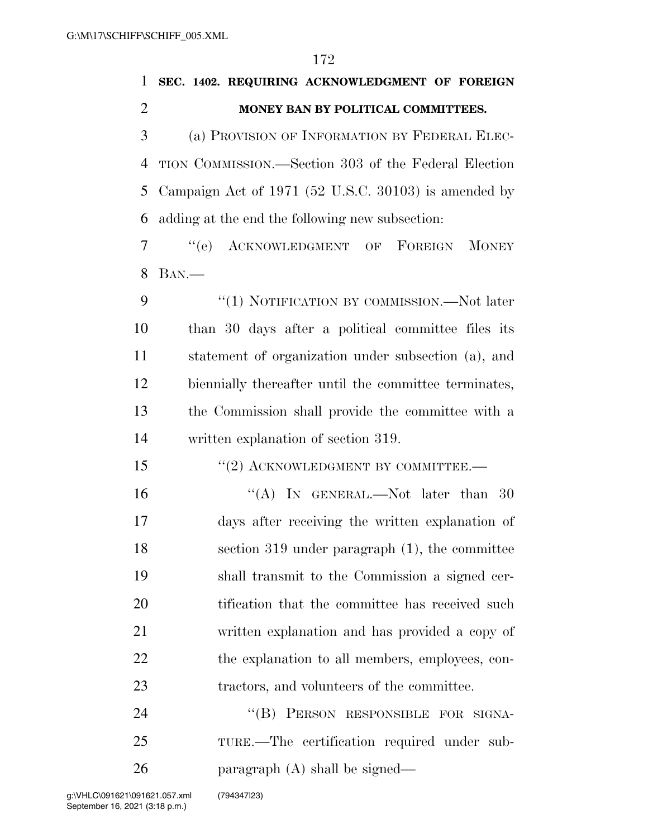| $\mathbf{1}$   | SEC. 1402. REQUIRING ACKNOWLEDGMENT OF FOREIGN        |
|----------------|-------------------------------------------------------|
| $\overline{2}$ | MONEY BAN BY POLITICAL COMMITTEES.                    |
| 3              | (a) PROVISION OF INFORMATION BY FEDERAL ELEC-         |
| $\overline{4}$ | TION COMMISSION.—Section 303 of the Federal Election  |
| 5              | Campaign Act of 1971 (52 U.S.C. 30103) is amended by  |
| 6              | adding at the end the following new subsection:       |
| $\overline{7}$ | "(e) ACKNOWLEDGMENT OF FOREIGN MONEY                  |
| 8              | $BAN$ .—                                              |
| 9              | "(1) NOTIFICATION BY COMMISSION.—Not later            |
| 10             | than 30 days after a political committee files its    |
| 11             | statement of organization under subsection (a), and   |
| 12             | biennially thereafter until the committee terminates, |
| 13             | the Commission shall provide the committee with a     |
| 14             | written explanation of section 319.                   |
| 15             | $``(2)$ ACKNOWLEDGMENT BY COMMITTEE.—                 |
| 16             | "(A) IN GENERAL.—Not later than 30                    |
| 17             | days after receiving the written explanation of       |
| 18             | section $319$ under paragraph $(1)$ , the committee   |
| 19             | shall transmit to the Commission a signed cer-        |
| 20             | tification that the committee has received such       |
| 21             | written explanation and has provided a copy of        |
| 22             | the explanation to all members, employees, con-       |
| 23             | tractors, and volunteers of the committee.            |
| 24             | "(B) PERSON RESPONSIBLE FOR SIGNA-                    |
| 25             | TURE.—The certification required under sub-           |
|                |                                                       |

paragraph (A) shall be signed—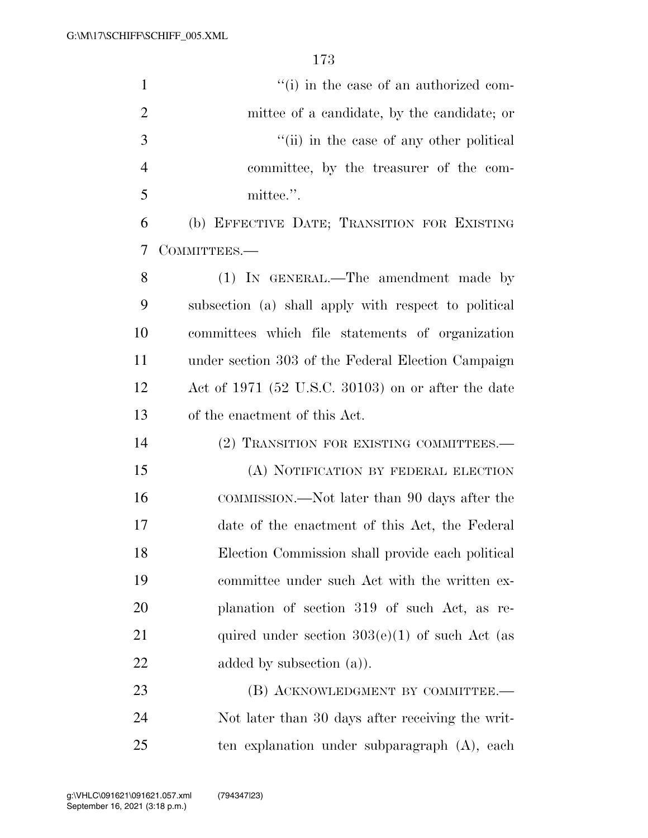| $\mathbf{1}$   | "(i) in the case of an authorized com-               |
|----------------|------------------------------------------------------|
| $\overline{2}$ | mittee of a candidate, by the candidate; or          |
| 3              | "(ii) in the case of any other political             |
| $\overline{4}$ | committee, by the treasurer of the com-              |
| 5              | mittee.".                                            |
| 6              | (b) EFFECTIVE DATE; TRANSITION FOR EXISTING          |
| 7              | COMMITTEES.-                                         |
| 8              | (1) IN GENERAL.—The amendment made by                |
| 9              | subsection (a) shall apply with respect to political |
| 10             | committees which file statements of organization     |
| 11             | under section 303 of the Federal Election Campaign   |
| 12             | Act of 1971 (52 U.S.C. 30103) on or after the date   |
| 13             | of the enactment of this Act.                        |
| 14             | (2) TRANSITION FOR EXISTING COMMITTEES.—             |
| 15             | (A) NOTIFICATION BY FEDERAL ELECTION                 |
| 16             | COMMISSION.—Not later than 90 days after the         |
| 17             | date of the enactment of this Act, the Federal       |
| 18             | Election Commission shall provide each political     |
| 19             | committee under such Act with the written ex-        |
| 20             | planation of section 319 of such Act, as re-         |
| 21             | quired under section $303(e)(1)$ of such Act (as     |
| 22             | added by subsection $(a)$ ).                         |
| 23             | (B) ACKNOWLEDGMENT BY COMMITTEE.—                    |
| 24             | Not later than 30 days after receiving the writ-     |

ten explanation under subparagraph (A), each